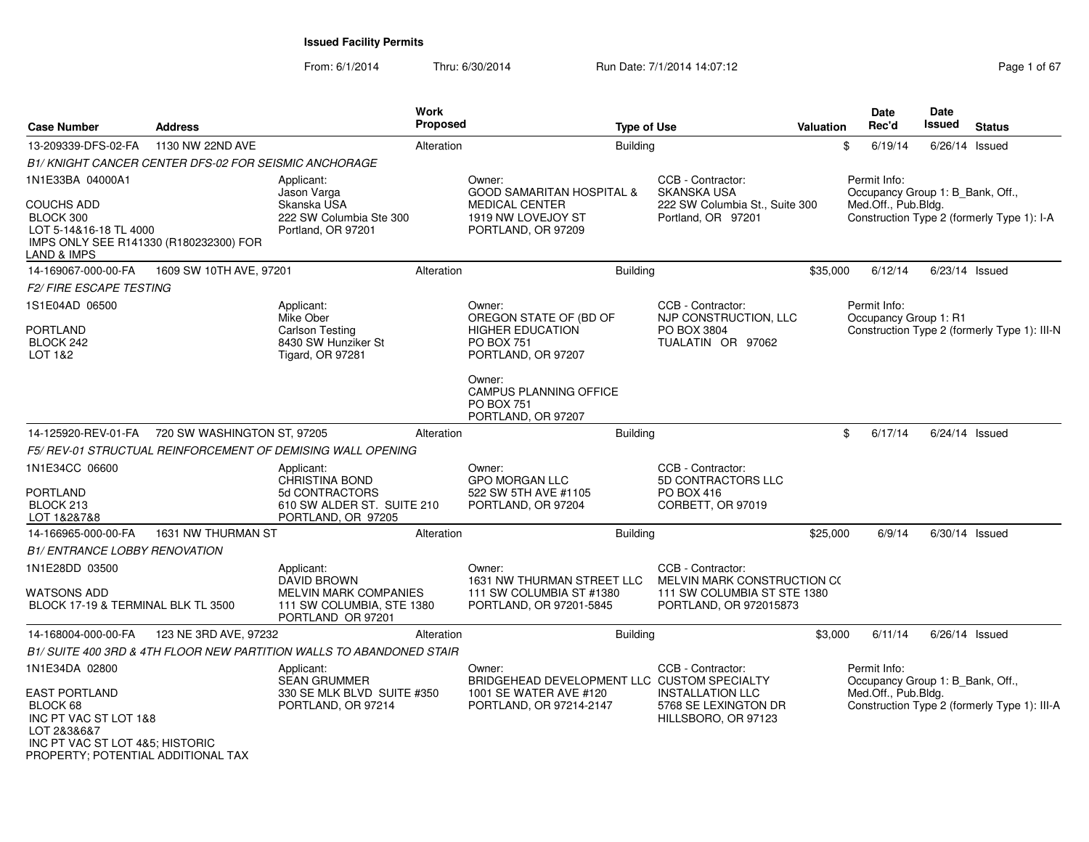From: 6/1/2014

Thru: 6/30/2014 Run Date: 7/1/2014 14:07:12 Page 1 of 67

| <b>Case Number</b>                                                                                                                         | <b>Address</b>                                        |                                                                                | <b>Work</b><br><b>Proposed</b> |                                                                                    | <b>Type of Use</b>                                                     | <b>Valuation</b> | <b>Date</b><br>Rec'd                             | <b>Date</b><br>Issued | <b>Status</b>                                |
|--------------------------------------------------------------------------------------------------------------------------------------------|-------------------------------------------------------|--------------------------------------------------------------------------------|--------------------------------|------------------------------------------------------------------------------------|------------------------------------------------------------------------|------------------|--------------------------------------------------|-----------------------|----------------------------------------------|
| 13-209339-DFS-02-FA                                                                                                                        | 1130 NW 22ND AVE                                      |                                                                                | Alteration                     | <b>Building</b>                                                                    |                                                                        |                  | \$<br>6/19/14                                    |                       | $6/26/14$ Issued                             |
|                                                                                                                                            | B1/ KNIGHT CANCER CENTER DFS-02 FOR SEISMIC ANCHORAGE |                                                                                |                                |                                                                                    |                                                                        |                  |                                                  |                       |                                              |
| 1N1E33BA 04000A1                                                                                                                           |                                                       | Applicant:<br>Jason Varga                                                      |                                | Owner:<br><b>GOOD SAMARITAN HOSPITAL &amp;</b>                                     | CCB - Contractor:<br><b>SKANSKA USA</b>                                |                  | Permit Info:<br>Occupancy Group 1: B_Bank, Off., |                       |                                              |
| COUCHS ADD<br>BLOCK 300<br>LOT 5-14&16-18 TL 4000<br>IMPS ONLY SEE R141330 (R180232300) FOR<br>LAND & IMPS                                 |                                                       | Skanska USA<br>222 SW Columbia Ste 300<br>Portland, OR 97201                   |                                | <b>MEDICAL CENTER</b><br>1919 NW LOVEJOY ST<br>PORTLAND, OR 97209                  | 222 SW Columbia St., Suite 300<br>Portland, OR 97201                   |                  | Med.Off., Pub.Bldg.                              |                       | Construction Type 2 (formerly Type 1): I-A   |
| 14-169067-000-00-FA                                                                                                                        | 1609 SW 10TH AVE, 97201                               |                                                                                | Alteration                     | Building                                                                           |                                                                        | \$35,000         | 6/12/14                                          |                       | $6/23/14$ Issued                             |
| <b>F2/ FIRE ESCAPE TESTING</b>                                                                                                             |                                                       |                                                                                |                                |                                                                                    |                                                                        |                  |                                                  |                       |                                              |
| 1S1E04AD 06500                                                                                                                             |                                                       | Applicant:<br>Mike Ober                                                        |                                | Owner:<br>OREGON STATE OF (BD OF                                                   | CCB - Contractor:<br>NJP CONSTRUCTION, LLC                             |                  | Permit Info:<br>Occupancy Group 1: R1            |                       |                                              |
| <b>PORTLAND</b><br>BLOCK 242<br>LOT 1&2                                                                                                    |                                                       | <b>Carlson Testing</b><br>8430 SW Hunziker St<br><b>Tigard, OR 97281</b>       |                                | <b>HIGHER EDUCATION</b><br><b>PO BOX 751</b><br>PORTLAND, OR 97207                 | PO BOX 3804<br>TUALATIN OR 97062                                       |                  |                                                  |                       | Construction Type 2 (formerly Type 1): III-N |
|                                                                                                                                            |                                                       |                                                                                |                                | Owner:<br><b>CAMPUS PLANNING OFFICE</b><br><b>PO BOX 751</b><br>PORTLAND, OR 97207 |                                                                        |                  |                                                  |                       |                                              |
| 14-125920-REV-01-FA                                                                                                                        | 720 SW WASHINGTON ST, 97205                           |                                                                                | Alteration                     | <b>Building</b>                                                                    |                                                                        |                  | 6/17/14<br>\$                                    |                       | 6/24/14 Issued                               |
|                                                                                                                                            |                                                       | F5/REV-01 STRUCTUAL REINFORCEMENT OF DEMISING WALL OPENING                     |                                |                                                                                    |                                                                        |                  |                                                  |                       |                                              |
| 1N1E34CC 06600                                                                                                                             |                                                       | Applicant:<br>CHRISTINA BOND                                                   |                                | Owner:<br><b>GPO MORGAN LLC</b>                                                    | CCB - Contractor:<br>5D CONTRACTORS LLC                                |                  |                                                  |                       |                                              |
| PORTLAND<br>BLOCK 213<br>LOT 1&2&7&8                                                                                                       |                                                       | 5d CONTRACTORS<br>610 SW ALDER ST. SUITE 210<br>PORTLAND, OR 97205             |                                | 522 SW 5TH AVE #1105<br>PORTLAND, OR 97204                                         | PO BOX 416<br>CORBETT, OR 97019                                        |                  |                                                  |                       |                                              |
| 14-166965-000-00-FA                                                                                                                        | 1631 NW THURMAN ST                                    |                                                                                | Alteration                     | Building                                                                           |                                                                        | \$25,000         | 6/9/14                                           |                       | $6/30/14$ Issued                             |
| <b>B1/ ENTRANCE LOBBY RENOVATION</b>                                                                                                       |                                                       |                                                                                |                                |                                                                                    |                                                                        |                  |                                                  |                       |                                              |
| 1N1E28DD 03500                                                                                                                             |                                                       | Applicant:<br><b>DAVID BROWN</b>                                               |                                | Owner:<br>1631 NW THURMAN STREET LLC                                               | CCB - Contractor:<br>MELVIN MARK CONSTRUCTION CO                       |                  |                                                  |                       |                                              |
| WATSONS ADD<br>BLOCK 17-19 & TERMINAL BLK TL 3500                                                                                          |                                                       | <b>MELVIN MARK COMPANIES</b><br>111 SW COLUMBIA, STE 1380<br>PORTLAND OR 97201 |                                | 111 SW COLUMBIA ST #1380<br>PORTLAND, OR 97201-5845                                | 111 SW COLUMBIA ST STE 1380<br>PORTLAND, OR 972015873                  |                  |                                                  |                       |                                              |
| 14-168004-000-00-FA                                                                                                                        | 123 NE 3RD AVE, 97232                                 |                                                                                | Alteration                     | <b>Building</b>                                                                    |                                                                        | \$3,000          | 6/11/14                                          |                       | $6/26/14$ Issued                             |
|                                                                                                                                            |                                                       | B1/ SUITE 400 3RD & 4TH FLOOR NEW PARTITION WALLS TO ABANDONED STAIR           |                                |                                                                                    |                                                                        |                  |                                                  |                       |                                              |
| 1N1E34DA 02800                                                                                                                             |                                                       | Applicant:<br><b>SEAN GRUMMER</b>                                              |                                | Owner:<br>BRIDGEHEAD DEVELOPMENT LLC CUSTOM SPECIALTY                              | CCB - Contractor:                                                      |                  | Permit Info:<br>Occupancy Group 1: B_Bank, Off., |                       |                                              |
| EAST PORTLAND<br>BLOCK 68<br>INC PT VAC ST LOT 1&8<br>LOT 2&3&6&7<br>INC PT VAC ST LOT 4&5; HISTORIC<br>PROPERTY; POTENTIAL ADDITIONAL TAX |                                                       | 330 SE MLK BLVD SUITE #350<br>PORTLAND, OR 97214                               |                                | 1001 SE WATER AVE #120<br>PORTLAND, OR 97214-2147                                  | <b>INSTALLATION LLC</b><br>5768 SE LEXINGTON DR<br>HILLSBORO, OR 97123 |                  | Med.Off., Pub.Bldg.                              |                       | Construction Type 2 (formerly Type 1): III-A |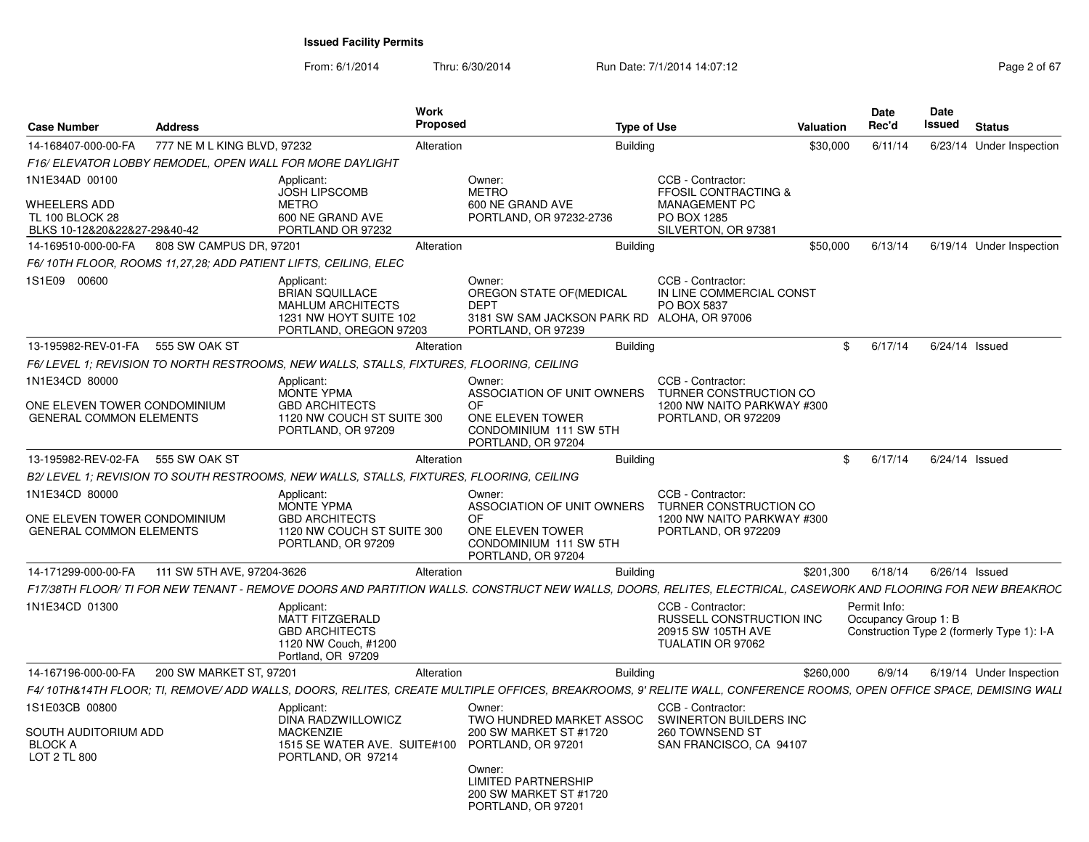From: 6/1/2014Thru: 6/30/2014 Run Date: 7/1/2014 14:07:12 Rege 2 of 67

| <b>Case Number</b>                                                            | <b>Address</b>              |                                                                                                                      | Work<br>Proposed |                                                                                                                                                                     | <b>Type of Use</b> |                                                                                          | Valuation | <b>Date</b><br>Rec'd                 | <b>Date</b><br>Issued | <b>Status</b>                              |
|-------------------------------------------------------------------------------|-----------------------------|----------------------------------------------------------------------------------------------------------------------|------------------|---------------------------------------------------------------------------------------------------------------------------------------------------------------------|--------------------|------------------------------------------------------------------------------------------|-----------|--------------------------------------|-----------------------|--------------------------------------------|
| 14-168407-000-00-FA                                                           | 777 NE M L KING BLVD, 97232 |                                                                                                                      | Alteration       |                                                                                                                                                                     | <b>Building</b>    |                                                                                          | \$30,000  | 6/11/14                              |                       | 6/23/14 Under Inspection                   |
|                                                                               |                             | F16/ ELEVATOR LOBBY REMODEL, OPEN WALL FOR MORE DAYLIGHT                                                             |                  |                                                                                                                                                                     |                    |                                                                                          |           |                                      |                       |                                            |
| 1N1E34AD 00100                                                                |                             | Applicant:<br><b>JOSH LIPSCOMB</b>                                                                                   |                  | Owner:<br><b>METRO</b>                                                                                                                                              |                    | CCB - Contractor:<br><b>FFOSIL CONTRACTING &amp;</b>                                     |           |                                      |                       |                                            |
| <b>WHEELERS ADD</b><br><b>TL 100 BLOCK 28</b><br>BLKS 10-12&20&22&27-29&40-42 |                             | <b>METRO</b><br>600 NE GRAND AVE<br>PORTLAND OR 97232                                                                |                  | 600 NE GRAND AVE<br>PORTLAND, OR 97232-2736                                                                                                                         |                    | MANAGEMENT PC<br>PO BOX 1285<br>SILVERTON, OR 97381                                      |           |                                      |                       |                                            |
| 14-169510-000-00-FA                                                           | 808 SW CAMPUS DR, 97201     |                                                                                                                      | Alteration       |                                                                                                                                                                     | <b>Building</b>    |                                                                                          | \$50,000  | 6/13/14                              |                       | 6/19/14 Under Inspection                   |
|                                                                               |                             | F6/10TH FLOOR, ROOMS 11,27,28; ADD PATIENT LIFTS, CEILING, ELEC                                                      |                  |                                                                                                                                                                     |                    |                                                                                          |           |                                      |                       |                                            |
| 1S1E09 00600                                                                  |                             | Applicant:<br><b>BRIAN SQUILLACE</b><br><b>MAHLUM ARCHITECTS</b><br>1231 NW HOYT SUITE 102<br>PORTLAND, OREGON 97203 |                  | Owner:<br>OREGON STATE OF (MEDICAL<br><b>DEPT</b><br>3181 SW SAM JACKSON PARK RD ALOHA, OR 97006<br>PORTLAND, OR 97239                                              |                    | CCB - Contractor:<br>IN LINE COMMERCIAL CONST<br>PO BOX 5837                             |           |                                      |                       |                                            |
| 13-195982-REV-01-FA                                                           | 555 SW OAK ST               |                                                                                                                      | Alteration       |                                                                                                                                                                     | <b>Building</b>    |                                                                                          |           | \$<br>6/17/14                        | 6/24/14 Issued        |                                            |
|                                                                               |                             | F6/ LEVEL 1: REVISION TO NORTH RESTROOMS. NEW WALLS. STALLS. FIXTURES. FLOORING. CEILING                             |                  |                                                                                                                                                                     |                    |                                                                                          |           |                                      |                       |                                            |
| 1N1E34CD 80000                                                                |                             | Applicant:<br><b>MONTE YPMA</b>                                                                                      |                  | Owner:<br>ASSOCIATION OF UNIT OWNERS                                                                                                                                |                    | CCB - Contractor:<br>TURNER CONSTRUCTION CO                                              |           |                                      |                       |                                            |
| ONE ELEVEN TOWER CONDOMINIUM<br><b>GENERAL COMMON ELEMENTS</b>                |                             | <b>GBD ARCHITECTS</b><br>1120 NW COUCH ST SUITE 300<br>PORTLAND, OR 97209                                            |                  | OF.<br>ONE ELEVEN TOWER<br>CONDOMINIUM 111 SW 5TH<br>PORTLAND, OR 97204                                                                                             |                    | 1200 NW NAITO PARKWAY #300<br>PORTLAND, OR 972209                                        |           |                                      |                       |                                            |
| 13-195982-REV-02-FA 555 SW OAK ST                                             |                             |                                                                                                                      | Alteration       |                                                                                                                                                                     | <b>Building</b>    |                                                                                          |           | \$<br>6/17/14                        | 6/24/14 Issued        |                                            |
|                                                                               |                             | B2/ LEVEL 1; REVISION TO SOUTH RESTROOMS, NEW WALLS, STALLS, FIXTURES, FLOORING, CEILING                             |                  |                                                                                                                                                                     |                    |                                                                                          |           |                                      |                       |                                            |
| 1N1E34CD 80000                                                                |                             | Applicant:<br><b>MONTE YPMA</b>                                                                                      |                  | Owner:<br>ASSOCIATION OF UNIT OWNERS                                                                                                                                |                    | CCB - Contractor:<br>TURNER CONSTRUCTION CO                                              |           |                                      |                       |                                            |
| ONE ELEVEN TOWER CONDOMINIUM<br><b>GENERAL COMMON ELEMENTS</b>                |                             | <b>GBD ARCHITECTS</b><br>1120 NW COUCH ST SUITE 300<br>PORTLAND, OR 97209                                            |                  | OF.<br>ONE ELEVEN TOWER<br>CONDOMINIUM 111 SW 5TH<br>PORTLAND, OR 97204                                                                                             |                    | 1200 NW NAITO PARKWAY #300<br>PORTLAND, OR 972209                                        |           |                                      |                       |                                            |
| 14-171299-000-00-FA                                                           | 111 SW 5TH AVE, 97204-3626  |                                                                                                                      | Alteration       |                                                                                                                                                                     | <b>Building</b>    |                                                                                          | \$201,300 | 6/18/14                              | 6/26/14 Issued        |                                            |
|                                                                               |                             |                                                                                                                      |                  | F17/38TH FLOOR/ TI FOR NEW TENANT - REMOVE DOORS AND PARTITION WALLS. CONSTRUCT NEW WALLS, DOORS, RELITES, ELECTRICAL, CASEWORK AND FLOORING FOR NEW BREAKROC       |                    |                                                                                          |           |                                      |                       |                                            |
| 1N1E34CD 01300                                                                |                             | Applicant:<br><b>MATT FITZGERALD</b><br><b>GBD ARCHITECTS</b><br>1120 NW Couch, #1200<br>Portland, OR 97209          |                  |                                                                                                                                                                     |                    | CCB - Contractor:<br>RUSSELL CONSTRUCTION INC<br>20915 SW 105TH AVE<br>TUALATIN OR 97062 |           | Permit Info:<br>Occupancy Group 1: B |                       | Construction Type 2 (formerly Type 1): I-A |
| 14-167196-000-00-FA                                                           | 200 SW MARKET ST, 97201     |                                                                                                                      | Alteration       |                                                                                                                                                                     | <b>Building</b>    |                                                                                          | \$260,000 | 6/9/14                               |                       | 6/19/14 Under Inspection                   |
|                                                                               |                             |                                                                                                                      |                  | F4/ 10TH&14TH FLOOR; TI, REMOVE/ ADD WALLS, DOORS, RELITES, CREATE MULTIPLE OFFICES, BREAKROOMS, 9' RELITE WALL, CONFERENCE ROOMS, OPEN OFFICE SPACE, DEMISING WALL |                    |                                                                                          |           |                                      |                       |                                            |
| 1S1E03CB 00800                                                                |                             | Applicant:<br>DINA RADZWILLOWICZ                                                                                     |                  | Owner:<br>TWO HUNDRED MARKET ASSOC                                                                                                                                  |                    | CCB - Contractor:<br>SWINERTON BUILDERS INC                                              |           |                                      |                       |                                            |
| SOUTH AUDITORIUM ADD<br>BLOCK A<br>LOT 2 TL 800                               |                             | <b>MACKENZIE</b><br>1515 SE WATER AVE. SUITE#100<br>PORTLAND, OR 97214                                               |                  | 200 SW MARKET ST #1720<br>PORTLAND, OR 97201                                                                                                                        |                    | 260 TOWNSEND ST<br>SAN FRANCISCO, CA 94107                                               |           |                                      |                       |                                            |
|                                                                               |                             |                                                                                                                      |                  | Owner:<br><b>LIMITED PARTNERSHIP</b><br>200 SW MARKET ST #1720<br>PORTLAND, OR 97201                                                                                |                    |                                                                                          |           |                                      |                       |                                            |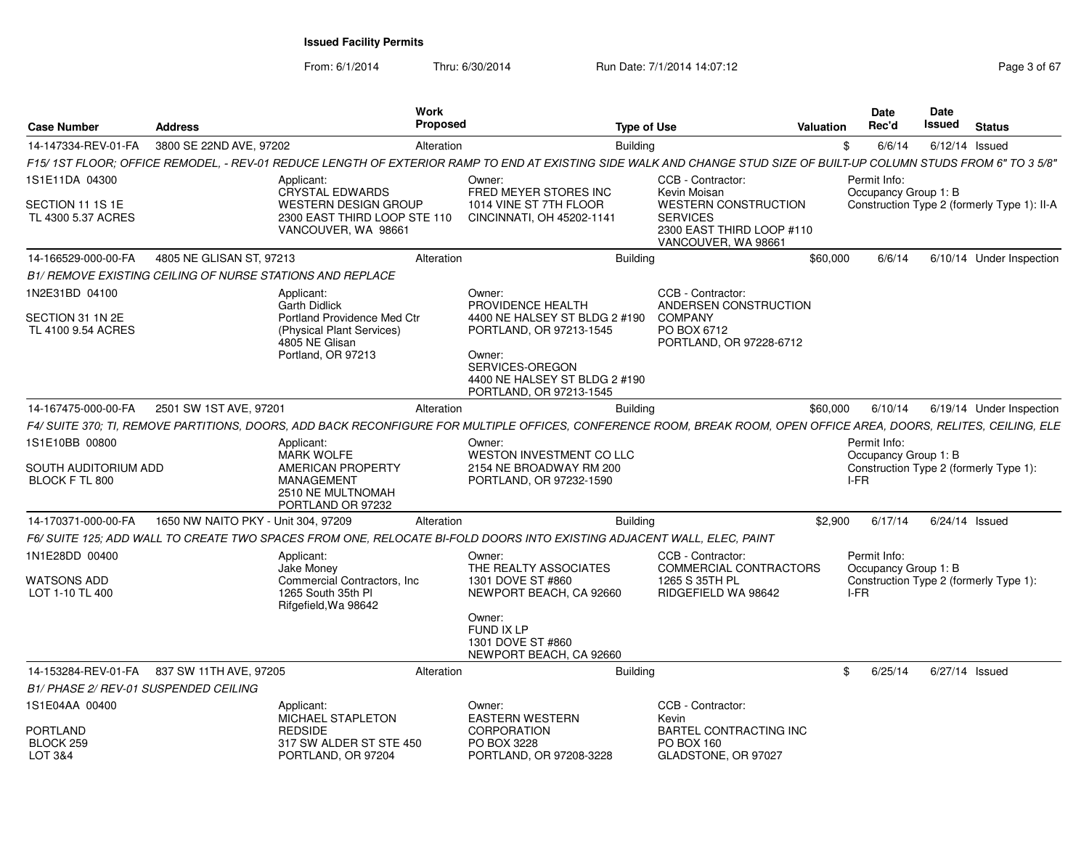From: 6/1/2014Thru: 6/30/2014 Run Date: 7/1/2014 14:07:12 Rege 3 of 67

| <b>Case Number</b>                     | <b>Address</b>                                            |                                                                                    | Work<br><b>Proposed</b> |                                                                                                                                                                      | <b>Type of Use</b>                                                                                 | <b>Valuation</b> | Date<br>Rec'd                        |         | Date<br><b>Issued</b> | <b>Status</b>                               |
|----------------------------------------|-----------------------------------------------------------|------------------------------------------------------------------------------------|-------------------------|----------------------------------------------------------------------------------------------------------------------------------------------------------------------|----------------------------------------------------------------------------------------------------|------------------|--------------------------------------|---------|-----------------------|---------------------------------------------|
| 14-147334-REV-01-FA                    | 3800 SE 22ND AVE, 97202                                   |                                                                                    | Alteration              | Building                                                                                                                                                             |                                                                                                    |                  | \$                                   | 6/6/14  | $6/12/14$ Issued      |                                             |
|                                        |                                                           |                                                                                    |                         | F15/ 1ST FLOOR; OFFICE REMODEL, - REV-01 REDUCE LENGTH OF EXTERIOR RAMP TO END AT EXISTING SIDE WALK AND CHANGE STUD SIZE OF BUILT-UP COLUMN STUDS FROM 6" TO 3 5/8" |                                                                                                    |                  |                                      |         |                       |                                             |
| 1S1E11DA 04300                         |                                                           | Applicant:<br>CRYSTAL EDWARDS                                                      |                         | Owner:<br>FRED MEYER STORES INC                                                                                                                                      | CCB - Contractor:<br>Kevin Moisan                                                                  |                  | Permit Info:<br>Occupancy Group 1: B |         |                       |                                             |
| SECTION 11 1S 1E<br>TL 4300 5.37 ACRES |                                                           | <b>WESTERN DESIGN GROUP</b><br>2300 EAST THIRD LOOP STE 110<br>VANCOUVER, WA 98661 |                         | 1014 VINE ST 7TH FLOOR<br>CINCINNATI, OH 45202-1141                                                                                                                  | <b>WESTERN CONSTRUCTION</b><br><b>SERVICES</b><br>2300 EAST THIRD LOOP #110<br>VANCOUVER, WA 98661 |                  |                                      |         |                       | Construction Type 2 (formerly Type 1): II-A |
| 14-166529-000-00-FA                    | 4805 NE GLISAN ST, 97213                                  |                                                                                    | Alteration              | <b>Building</b>                                                                                                                                                      |                                                                                                    | \$60,000         |                                      | 6/6/14  |                       | 6/10/14 Under Inspection                    |
|                                        | B1/ REMOVE EXISTING CEILING OF NURSE STATIONS AND REPLACE |                                                                                    |                         |                                                                                                                                                                      |                                                                                                    |                  |                                      |         |                       |                                             |
| 1N2E31BD 04100                         |                                                           | Applicant:                                                                         |                         | Owner:                                                                                                                                                               | CCB - Contractor:                                                                                  |                  |                                      |         |                       |                                             |
| SECTION 31 1N 2E                       |                                                           | <b>Garth Didlick</b><br>Portland Providence Med Ctr                                |                         | PROVIDENCE HEALTH<br>4400 NE HALSEY ST BLDG 2 #190                                                                                                                   | ANDERSEN CONSTRUCTION<br><b>COMPANY</b>                                                            |                  |                                      |         |                       |                                             |
| TL 4100 9.54 ACRES                     |                                                           | (Physical Plant Services)<br>4805 NE Glisan                                        |                         | PORTLAND, OR 97213-1545                                                                                                                                              | PO BOX 6712<br>PORTLAND, OR 97228-6712                                                             |                  |                                      |         |                       |                                             |
|                                        |                                                           | Portland, OR 97213                                                                 |                         | Owner:<br>SERVICES-OREGON<br>4400 NE HALSEY ST BLDG 2 #190<br>PORTLAND, OR 97213-1545                                                                                |                                                                                                    |                  |                                      |         |                       |                                             |
| 14-167475-000-00-FA                    | 2501 SW 1ST AVE, 97201                                    |                                                                                    | Alteration              | <b>Building</b>                                                                                                                                                      |                                                                                                    | \$60,000         |                                      | 6/10/14 |                       | 6/19/14 Under Inspection                    |
|                                        |                                                           |                                                                                    |                         | F4/ SUITE 370; TI, REMOVE PARTITIONS, DOORS, ADD BACK RECONFIGURE FOR MULTIPLE OFFICES, CONFERENCE ROOM, BREAK ROOM, OPEN OFFICE AREA, DOORS, RELITES, CEILING, ELE  |                                                                                                    |                  |                                      |         |                       |                                             |
| 1S1E10BB 00800                         |                                                           | Applicant:<br><b>MARK WOLFE</b>                                                    |                         | Owner:<br>WESTON INVESTMENT CO LLC                                                                                                                                   |                                                                                                    |                  | Permit Info:<br>Occupancy Group 1: B |         |                       |                                             |
| SOUTH AUDITORIUM ADD<br>BLOCK F TL 800 |                                                           | AMERICAN PROPERTY<br><b>MANAGEMENT</b><br>2510 NE MULTNOMAH<br>PORTLAND OR 97232   |                         | 2154 NE BROADWAY RM 200<br>PORTLAND, OR 97232-1590                                                                                                                   |                                                                                                    |                  | I-FR                                 |         |                       | Construction Type 2 (formerly Type 1):      |
| 14-170371-000-00-FA                    | 1650 NW NAITO PKY - Unit 304, 97209                       |                                                                                    | Alteration              | <b>Building</b>                                                                                                                                                      |                                                                                                    | \$2,900          |                                      | 6/17/14 | $6/24/14$ Issued      |                                             |
|                                        |                                                           |                                                                                    |                         | F6/ SUITE 125; ADD WALL TO CREATE TWO SPACES FROM ONE, RELOCATE BI-FOLD DOORS INTO EXISTING ADJACENT WALL, ELEC, PAINT                                               |                                                                                                    |                  |                                      |         |                       |                                             |
| 1N1E28DD 00400                         |                                                           | Applicant:<br>Jake Money                                                           |                         | Owner:<br>THE REALTY ASSOCIATES                                                                                                                                      | CCB - Contractor:<br>COMMERCIAL CONTRACTORS                                                        |                  | Permit Info:<br>Occupancy Group 1: B |         |                       |                                             |
| <b>WATSONS ADD</b><br>LOT 1-10 TL 400  |                                                           | Commercial Contractors, Inc.<br>1265 South 35th PI<br>Rifgefield, Wa 98642         |                         | 1301 DOVE ST #860<br>NEWPORT BEACH, CA 92660                                                                                                                         | 1265 S 35TH PL<br>RIDGEFIELD WA 98642                                                              |                  | I-FR                                 |         |                       | Construction Type 2 (formerly Type 1):      |
|                                        |                                                           |                                                                                    |                         | Owner:<br><b>FUND IX LP</b><br>1301 DOVE ST #860<br>NEWPORT BEACH, CA 92660                                                                                          |                                                                                                    |                  |                                      |         |                       |                                             |
| 14-153284-REV-01-FA                    | 837 SW 11TH AVE, 97205                                    |                                                                                    | Alteration              | <b>Building</b>                                                                                                                                                      |                                                                                                    |                  | \$                                   | 6/25/14 | $6/27/14$ Issued      |                                             |
| B1/ PHASE 2/ REV-01 SUSPENDED CEILING  |                                                           |                                                                                    |                         |                                                                                                                                                                      |                                                                                                    |                  |                                      |         |                       |                                             |
| 1S1E04AA 00400                         |                                                           | Applicant:<br>MICHAEL STAPLETON                                                    |                         | Owner:<br><b>EASTERN WESTERN</b>                                                                                                                                     | CCB - Contractor:<br>Kevin                                                                         |                  |                                      |         |                       |                                             |
| PORTLAND                               |                                                           | <b>REDSIDE</b>                                                                     |                         | <b>CORPORATION</b>                                                                                                                                                   | BARTEL CONTRACTING INC                                                                             |                  |                                      |         |                       |                                             |
| BLOCK 259<br>LOT 3&4                   |                                                           | 317 SW ALDER ST STE 450<br>PORTLAND, OR 97204                                      |                         | PO BOX 3228<br>PORTLAND, OR 97208-3228                                                                                                                               | PO BOX 160<br>GLADSTONE, OR 97027                                                                  |                  |                                      |         |                       |                                             |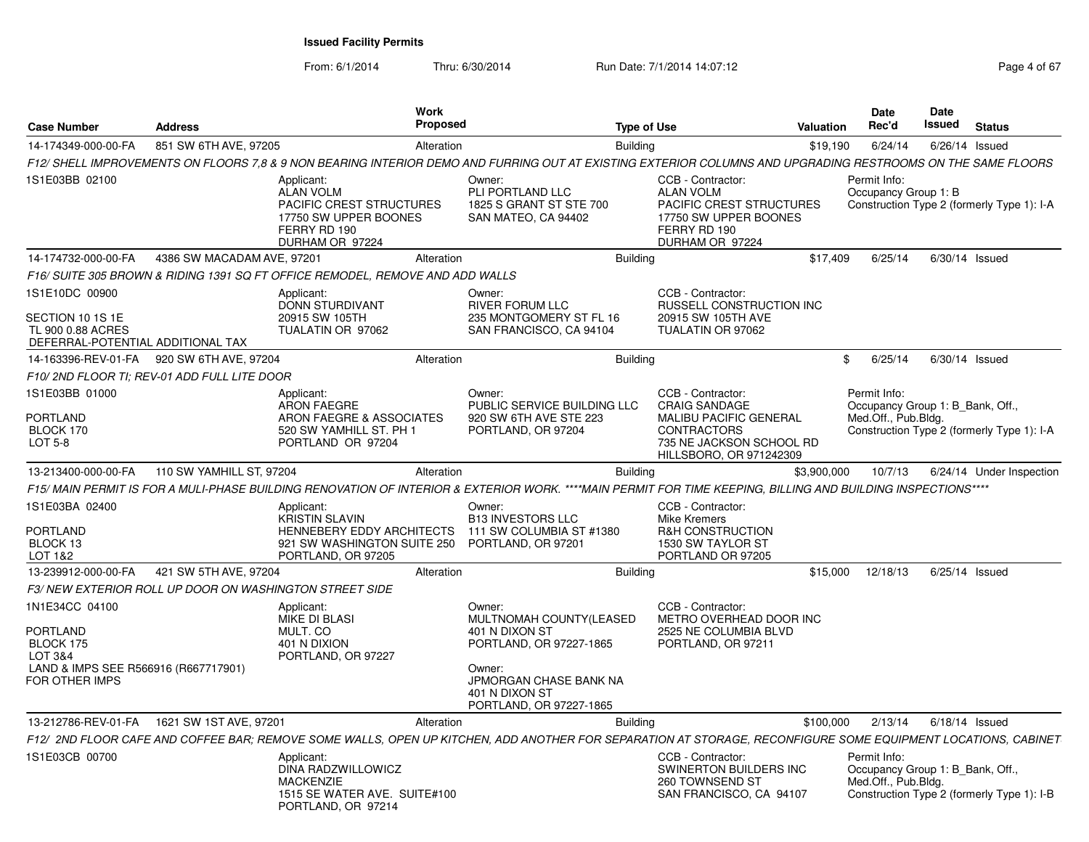From: 6/1/2014

Thru: 6/30/2014 Run Date: 7/1/2014 14:07:12 Page 4 of 67

| <b>Case Number</b>                                                                                                             | <b>Address</b>             |                                                                                                                                                              | Work<br>Proposed |                                                                                                                                                                 | <b>Type of Use</b> |                                                                                                                                      | Valuation   | Date<br>Rec'd                                                           | Date<br><b>Issued</b> | <b>Status</b>                              |
|--------------------------------------------------------------------------------------------------------------------------------|----------------------------|--------------------------------------------------------------------------------------------------------------------------------------------------------------|------------------|-----------------------------------------------------------------------------------------------------------------------------------------------------------------|--------------------|--------------------------------------------------------------------------------------------------------------------------------------|-------------|-------------------------------------------------------------------------|-----------------------|--------------------------------------------|
| 14-174349-000-00-FA                                                                                                            | 851 SW 6TH AVE, 97205      |                                                                                                                                                              | Alteration       |                                                                                                                                                                 | <b>Building</b>    |                                                                                                                                      | \$19.190    | 6/24/14                                                                 | 6/26/14 Issued        |                                            |
|                                                                                                                                |                            | F12/ SHELL IMPROVEMENTS ON FLOORS 7,8 & 9 NON BEARING INTERIOR DEMO AND FURRING OUT AT EXISTING EXTERIOR COLUMNS AND UPGRADING RESTROOMS ON THE SAME FLOORS  |                  |                                                                                                                                                                 |                    |                                                                                                                                      |             |                                                                         |                       |                                            |
| 1S1E03BB 02100                                                                                                                 |                            | Applicant:<br><b>ALAN VOLM</b><br><b>PACIFIC CREST STRUCTURES</b><br>17750 SW UPPER BOONES<br>FERRY RD 190<br>DURHAM OR 97224                                |                  | Owner:<br>PLI PORTLAND LLC<br>1825 S GRANT ST STE 700<br>SAN MATEO, CA 94402                                                                                    |                    | CCB - Contractor:<br><b>ALAN VOLM</b><br><b>PACIFIC CREST STRUCTURES</b><br>17750 SW UPPER BOONES<br>FERRY RD 190<br>DURHAM OR 97224 |             | Permit Info:<br>Occupancy Group 1: B                                    |                       | Construction Type 2 (formerly Type 1): I-A |
| 14-174732-000-00-FA                                                                                                            | 4386 SW MACADAM AVE, 97201 |                                                                                                                                                              | Alteration       |                                                                                                                                                                 | <b>Building</b>    |                                                                                                                                      | \$17,409    | 6/25/14                                                                 | $6/30/14$ Issued      |                                            |
|                                                                                                                                |                            | F16/ SUITE 305 BROWN & RIDING 1391 SQ FT OFFICE REMODEL, REMOVE AND ADD WALLS                                                                                |                  |                                                                                                                                                                 |                    |                                                                                                                                      |             |                                                                         |                       |                                            |
| 1S1E10DC 00900<br>SECTION 10 1S 1E<br>TL 900 0.88 ACRES<br>DEFERRAL-POTENTIAL ADDITIONAL TAX                                   |                            | Applicant:<br><b>DONN STURDIVANT</b><br>20915 SW 105TH<br>TUALATIN OR 97062                                                                                  |                  | Owner:<br><b>RIVER FORUM LLC</b><br>235 MONTGOMERY ST FL 16<br>SAN FRANCISCO, CA 94104                                                                          |                    | CCB - Contractor:<br>RUSSELL CONSTRUCTION INC<br>20915 SW 105TH AVE<br>TUALATIN OR 97062                                             |             |                                                                         |                       |                                            |
| 14-163396-REV-01-FA                                                                                                            | 920 SW 6TH AVE, 97204      |                                                                                                                                                              | Alteration       |                                                                                                                                                                 | <b>Building</b>    |                                                                                                                                      | \$          | 6/25/14                                                                 | $6/30/14$ Issued      |                                            |
| F10/2ND FLOOR TI: REV-01 ADD FULL LITE DOOR                                                                                    |                            |                                                                                                                                                              |                  |                                                                                                                                                                 |                    |                                                                                                                                      |             |                                                                         |                       |                                            |
| 1S1E03BB 01000                                                                                                                 |                            | Applicant:<br><b>ARON FAEGRE</b>                                                                                                                             |                  | Owner:<br>PUBLIC SERVICE BUILDING LLC                                                                                                                           |                    | CCB - Contractor:<br><b>CRAIG SANDAGE</b>                                                                                            |             | Permit Info:<br>Occupancy Group 1: B Bank, Off.,                        |                       |                                            |
| <b>PORTLAND</b><br>BLOCK 170                                                                                                   |                            | ARON FAEGRE & ASSOCIATES<br>520 SW YAMHILL ST, PH 1                                                                                                          |                  | 920 SW 6TH AVE STE 223<br>PORTLAND, OR 97204                                                                                                                    |                    | MALIBU PACIFIC GENERAL<br><b>CONTRACTORS</b>                                                                                         |             | Med.Off., Pub.Bldg.                                                     |                       | Construction Type 2 (formerly Type 1): I-A |
| LOT 5-8                                                                                                                        |                            | PORTLAND OR 97204                                                                                                                                            |                  |                                                                                                                                                                 |                    | 735 NE JACKSON SCHOOL RD<br>HILLSBORO, OR 971242309                                                                                  |             |                                                                         |                       |                                            |
| 13-213400-000-00-FA                                                                                                            | 110 SW YAMHILL ST, 97204   |                                                                                                                                                              | Alteration       |                                                                                                                                                                 | <b>Building</b>    |                                                                                                                                      | \$3,900,000 | 10/7/13                                                                 |                       | 6/24/14 Under Inspection                   |
|                                                                                                                                |                            | F15/ MAIN PERMIT IS FOR A MULI-PHASE BUILDING RENOVATION OF INTERIOR & EXTERIOR WORK. ****MAIN PERMIT FOR TIME KEEPING, BILLING AND BUILDING INSPECTIONS**** |                  |                                                                                                                                                                 |                    |                                                                                                                                      |             |                                                                         |                       |                                            |
| 1S1E03BA 02400<br><b>PORTLAND</b><br>BLOCK 13<br>LOT 1&2                                                                       |                            | Applicant:<br><b>KRISTIN SLAVIN</b><br>HENNEBERY EDDY ARCHITECTS<br>921 SW WASHINGTON SUITE 250<br>PORTLAND, OR 97205                                        |                  | Owner:<br><b>B13 INVESTORS LLC</b><br>111 SW COLUMBIA ST #1380<br>PORTLAND, OR 97201                                                                            |                    | CCB - Contractor:<br>Mike Kremers<br><b>R&amp;H CONSTRUCTION</b><br>1530 SW TAYLOR ST<br>PORTLAND OR 97205                           |             |                                                                         |                       |                                            |
| 13-239912-000-00-FA                                                                                                            | 421 SW 5TH AVE, 97204      |                                                                                                                                                              | Alteration       |                                                                                                                                                                 | <b>Building</b>    |                                                                                                                                      | \$15,000    | 12/18/13                                                                | $6/25/14$ Issued      |                                            |
|                                                                                                                                |                            | F3/NEW EXTERIOR ROLL UP DOOR ON WASHINGTON STREET SIDE                                                                                                       |                  |                                                                                                                                                                 |                    |                                                                                                                                      |             |                                                                         |                       |                                            |
| 1N1E34CC 04100<br><b>PORTLAND</b><br>BLOCK 175<br><b>LOT 3&amp;4</b><br>LAND & IMPS SEE R566916 (R667717901)<br>FOR OTHER IMPS |                            | Applicant:<br><b>MIKE DI BLASI</b><br>MULT. CO<br>401 N DIXION<br>PORTLAND, OR 97227                                                                         |                  | Owner:<br>MULTNOMAH COUNTY(LEASED<br>401 N DIXON ST<br>PORTLAND, OR 97227-1865<br>Owner:<br>JPMORGAN CHASE BANK NA<br>401 N DIXON ST<br>PORTLAND, OR 97227-1865 |                    | CCB - Contractor:<br>METRO OVERHEAD DOOR INC<br>2525 NE COLUMBIA BLVD<br>PORTLAND, OR 97211                                          |             |                                                                         |                       |                                            |
| 13-212786-REV-01-FA                                                                                                            | 1621 SW 1ST AVE, 97201     |                                                                                                                                                              | Alteration       |                                                                                                                                                                 | <b>Building</b>    |                                                                                                                                      | \$100,000   | 2/13/14                                                                 | $6/18/14$ Issued      |                                            |
|                                                                                                                                |                            | F12/ 2ND FLOOR CAFE AND COFFEE BAR; REMOVE SOME WALLS, OPEN UP KITCHEN, ADD ANOTHER FOR SEPARATION AT STORAGE, RECONFIGURE SOME EQUIPMENT LOCATIONS, CABINET |                  |                                                                                                                                                                 |                    |                                                                                                                                      |             |                                                                         |                       |                                            |
| 1S1E03CB 00700                                                                                                                 |                            | Applicant:<br>DINA RADZWILLOWICZ<br><b>MACKENZIE</b><br>1515 SE WATER AVE. SUITE#100<br>PORTLAND, OR 97214                                                   |                  |                                                                                                                                                                 |                    | CCB - Contractor:<br>SWINERTON BUILDERS INC<br>260 TOWNSEND ST<br>SAN FRANCISCO, CA 94107                                            |             | Permit Info:<br>Occupancy Group 1: B Bank, Off.,<br>Med.Off., Pub.Bldg. |                       | Construction Type 2 (formerly Type 1): I-B |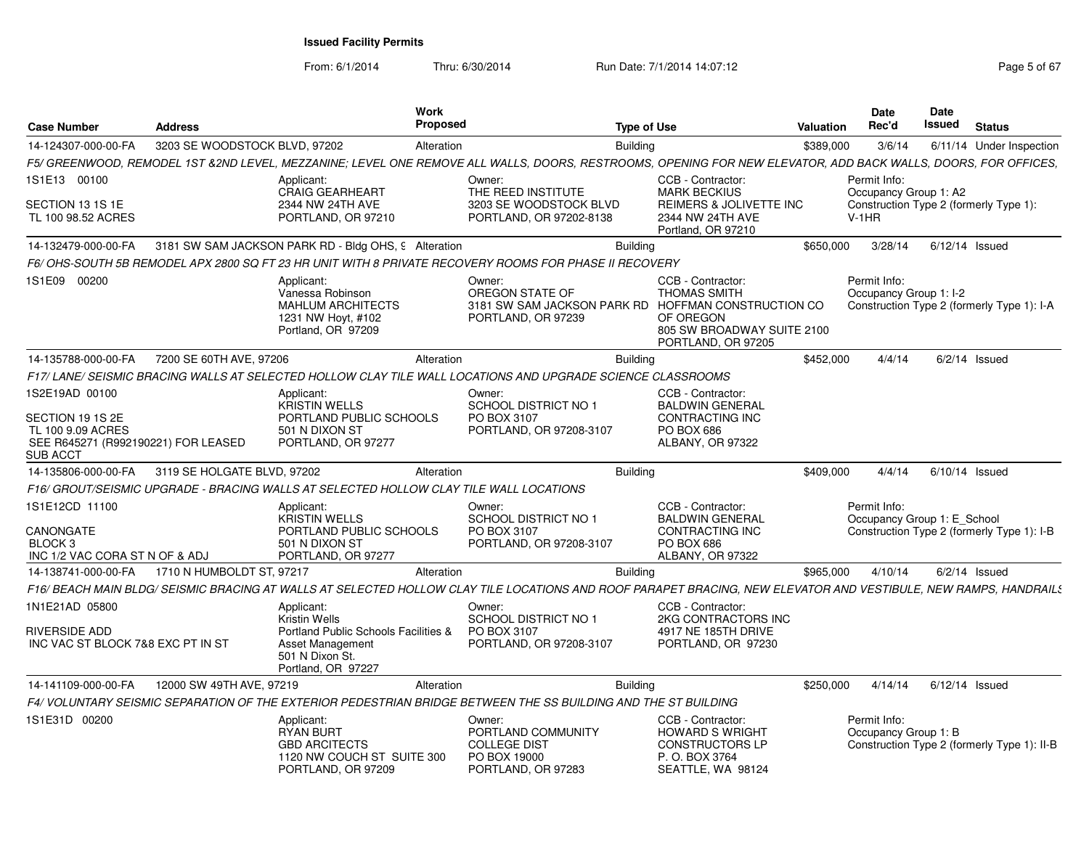From: 6/1/2014

Thru: 6/30/2014 Run Date: 7/1/2014 14:07:12 Rege 5 of 67

|                                                                                                                                                               |                               |                                                                                                                                                                                          | <b>Work</b>          |                                                                                 |                                                                                                                                                           | <b>Date</b>          | Date                        |                                             |
|---------------------------------------------------------------------------------------------------------------------------------------------------------------|-------------------------------|------------------------------------------------------------------------------------------------------------------------------------------------------------------------------------------|----------------------|---------------------------------------------------------------------------------|-----------------------------------------------------------------------------------------------------------------------------------------------------------|----------------------|-----------------------------|---------------------------------------------|
| <b>Case Number</b>                                                                                                                                            | <b>Address</b>                |                                                                                                                                                                                          | Proposed             |                                                                                 | <b>Type of Use</b>                                                                                                                                        | Rec'd<br>Valuation   | Issued                      | <b>Status</b>                               |
| 14-124307-000-00-FA                                                                                                                                           | 3203 SE WOODSTOCK BLVD, 97202 |                                                                                                                                                                                          | Alteration           |                                                                                 | Building                                                                                                                                                  | \$389,000<br>3/6/14  |                             | 6/11/14 Under Inspection                    |
|                                                                                                                                                               |                               | F5/ GREENWOOD, REMODEL 1ST &2ND LEVEL, MEZZANINE; LEVEL ONE REMOVE ALL WALLS, DOORS, RESTROOMS, OPENING FOR NEW ELEVATOR, ADD BACK WALLS, DOORS, FOR OFFICES,                            |                      |                                                                                 |                                                                                                                                                           |                      |                             |                                             |
| 1S1E13 00100                                                                                                                                                  |                               | Applicant:<br><b>CRAIG GEARHEART</b>                                                                                                                                                     | Owner:               | THE REED INSTITUTE                                                              | CCB - Contractor:<br>MARK BECKIUS                                                                                                                         | Permit Info:         | Occupancy Group 1: A2       |                                             |
| SECTION 13 1S 1E<br>TL 100 98.52 ACRES                                                                                                                        |                               | 2344 NW 24TH AVE<br>PORTLAND, OR 97210                                                                                                                                                   |                      | 3203 SE WOODSTOCK BLVD<br>PORTLAND, OR 97202-8138                               | REIMERS & JOLIVETTE INC<br>2344 NW 24TH AVE                                                                                                               | $V-1HR$              |                             | Construction Type 2 (formerly Type 1):      |
|                                                                                                                                                               |                               |                                                                                                                                                                                          |                      |                                                                                 | Portland, OR 97210                                                                                                                                        |                      |                             |                                             |
|                                                                                                                                                               |                               | 14-132479-000-00-FA 3181 SW SAM JACKSON PARK RD - Bldg OHS, 9 Alteration                                                                                                                 |                      |                                                                                 | Building                                                                                                                                                  | \$650.000<br>3/28/14 |                             | 6/12/14 Issued                              |
|                                                                                                                                                               |                               | F6/OHS-SOUTH 5B REMODEL APX 2800 SQ FT 23 HR UNIT WITH 8 PRIVATE RECOVERY ROOMS FOR PHASE II RECOVERY                                                                                    |                      |                                                                                 |                                                                                                                                                           |                      |                             |                                             |
| 1S1E09 00200                                                                                                                                                  |                               | Applicant:<br>Vanessa Robinson<br><b>MAHLUM ARCHITECTS</b><br>1231 NW Hoyt, #102<br>Portland, OR 97209                                                                                   | Owner:               | OREGON STATE OF<br>PORTLAND, OR 97239                                           | CCB - Contractor:<br>THOMAS SMITH<br>3181 SW SAM JACKSON PARK RD HOFFMAN CONSTRUCTION CO<br>OF OREGON<br>805 SW BROADWAY SUITE 2100<br>PORTLAND, OR 97205 | Permit Info:         | Occupancy Group 1: I-2      | Construction Type 2 (formerly Type 1): I-A  |
| 14-135788-000-00-FA  7200 SE 60TH AVE, 97206                                                                                                                  |                               |                                                                                                                                                                                          | Alteration           |                                                                                 | Building                                                                                                                                                  | \$452,000<br>4/4/14  |                             | $6/2/14$ Issued                             |
|                                                                                                                                                               |                               | F17/ LANE/ SEISMIC BRACING WALLS AT SELECTED HOLLOW CLAY TILE WALL LOCATIONS AND UPGRADE SCIENCE CLASSROOMS                                                                              |                      |                                                                                 |                                                                                                                                                           |                      |                             |                                             |
| 1S2E19AD 00100<br>SECTION 19 1S 2E<br>TL 100 9.09 ACRES<br>SEE R645271 (R992190221) FOR LEASED<br>SUB ACCT<br>14-135806-000-00-FA 3119 SE HOLGATE BLVD, 97202 |                               | Applicant:<br>KRISTIN WELLS<br>PORTLAND PUBLIC SCHOOLS<br>501 N DIXON ST<br>PORTLAND, OR 97277<br>F16/ GROUT/SEISMIC UPGRADE - BRACING WALLS AT SELECTED HOLLOW CLAY TILE WALL LOCATIONS | Owner:<br>Alteration | <b>SCHOOL DISTRICT NO 1</b><br>PO BOX 3107<br>PORTLAND, OR 97208-3107           | CCB - Contractor:<br><b>BALDWIN GENERAL</b><br>CONTRACTING INC<br>PO BOX 686<br>ALBANY, OR 97322<br><b>Building</b>                                       | \$409.000<br>4/4/14  |                             | 6/10/14 Issued                              |
| 1S1E12CD 11100<br>CANONGATE<br>BLOCK <sub>3</sub><br>INC 1/2 VAC CORA ST N OF & ADJ                                                                           |                               | Applicant:<br><b>KRISTIN WELLS</b><br>PORTLAND PUBLIC SCHOOLS<br>501 N DIXON ST<br>PORTLAND, OR 97277                                                                                    | Owner:               | SCHOOL DISTRICT NO 1<br>PO BOX 3107<br>PORTLAND, OR 97208-3107                  | CCB - Contractor:<br><b>BALDWIN GENERAL</b><br>CONTRACTING INC<br>PO BOX 686<br>ALBANY, OR 97322                                                          | Permit Info:         | Occupancy Group 1: E School | Construction Type 2 (formerly Type 1): I-B  |
| 14-138741-000-00-FA                                                                                                                                           | 1710 N HUMBOLDT ST, 97217     |                                                                                                                                                                                          | Alteration           |                                                                                 | <b>Building</b>                                                                                                                                           | \$965.000<br>4/10/14 |                             | $6/2/14$ Issued                             |
|                                                                                                                                                               |                               | F16/ BEACH MAIN BLDG/ SEISMIC BRACING AT WALLS AT SELECTED HOLLOW CLAY TILE LOCATIONS AND ROOF PARAPET BRACING, NEW ELEVATOR AND VESTIBULE, NEW RAMPS, HANDRAIL!                         |                      |                                                                                 |                                                                                                                                                           |                      |                             |                                             |
| 1N1E21AD 05800<br>RIVERSIDE ADD<br>INC VAC ST BLOCK 7&8 EXC PT IN ST                                                                                          |                               | Applicant:<br>Kristin Wells<br>Portland Public Schools Facilities &<br>Asset Management<br>501 N Dixon St.<br>Portland, OR 97227                                                         | Owner:               | SCHOOL DISTRICT NO 1<br>PO BOX 3107<br>PORTLAND, OR 97208-3107                  | CCB - Contractor:<br>2KG CONTRACTORS INC<br>4917 NE 185TH DRIVE<br>PORTLAND, OR 97230                                                                     |                      |                             |                                             |
| 14-141109-000-00-FA                                                                                                                                           | 12000 SW 49TH AVE, 97219      |                                                                                                                                                                                          | Alteration           |                                                                                 | Building                                                                                                                                                  | \$250.000            | 4/14/14 6/12/14 Issued      |                                             |
|                                                                                                                                                               |                               | F4/ VOLUNTARY SEISMIC SEPARATION OF THE EXTERIOR PEDESTRIAN BRIDGE BETWEEN THE SS BUILDING AND THE ST BUILDING                                                                           |                      |                                                                                 |                                                                                                                                                           |                      |                             |                                             |
| 1S1E31D 00200                                                                                                                                                 |                               | Applicant:<br><b>RYAN BURT</b><br><b>GBD ARCITECTS</b><br>1120 NW COUCH ST SUITE 300<br>PORTLAND, OR 97209                                                                               | Owner:               | PORTLAND COMMUNITY<br><b>COLLEGE DIST</b><br>PO BOX 19000<br>PORTLAND, OR 97283 | CCB - Contractor:<br><b>HOWARD S WRIGHT</b><br><b>CONSTRUCTORS LP</b><br>P. O. BOX 3764<br>SEATTLE, WA 98124                                              | Permit Info:         | Occupancy Group 1: B        | Construction Type 2 (formerly Type 1): II-B |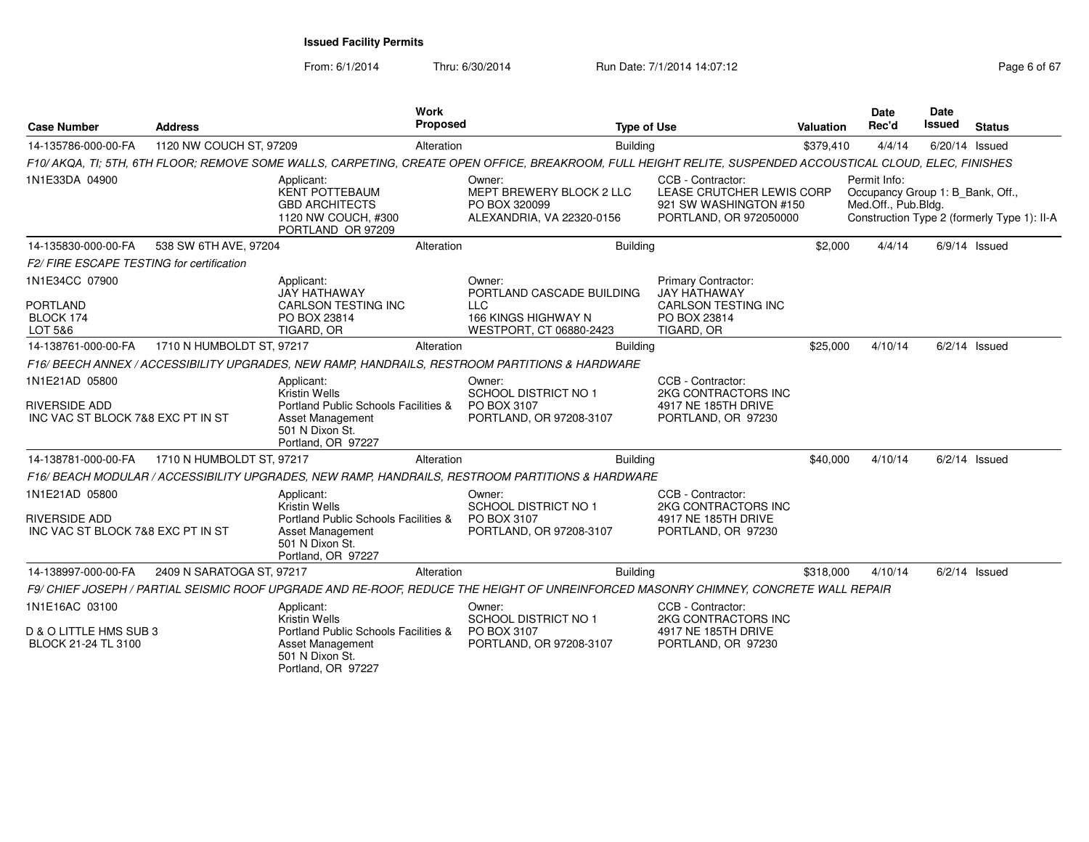From: 6/1/2014

Thru: 6/30/2014 Run Date: 7/1/2014 14:07:12 Page 6 of 67

| <b>Case Number</b>                                                          | <b>Address</b>            |                                                                                                                                                | <b>Work</b><br><b>Proposed</b> |                                                                                                                                                            | <b>Type of Use</b> |                                                                                                               | <b>Valuation</b> | Date<br>Rec'd                                                           | <b>Date</b><br>Issued | <b>Status</b>                               |
|-----------------------------------------------------------------------------|---------------------------|------------------------------------------------------------------------------------------------------------------------------------------------|--------------------------------|------------------------------------------------------------------------------------------------------------------------------------------------------------|--------------------|---------------------------------------------------------------------------------------------------------------|------------------|-------------------------------------------------------------------------|-----------------------|---------------------------------------------|
| 14-135786-000-00-FA                                                         | 1120 NW COUCH ST, 97209   |                                                                                                                                                | Alteration                     |                                                                                                                                                            | Building           |                                                                                                               | \$379,410        | 4/4/14                                                                  |                       | 6/20/14 Issued                              |
|                                                                             |                           |                                                                                                                                                |                                | F10/AKQA, TI; 5TH, 6TH FLOOR; REMOVE SOME WALLS, CARPETING, CREATE OPEN OFFICE, BREAKROOM, FULL HEIGHT RELITE, SUSPENDED ACCOUSTICAL CLOUD, ELEC, FINISHES |                    |                                                                                                               |                  |                                                                         |                       |                                             |
| 1N1E33DA 04900                                                              |                           | Applicant:<br><b>KENT POTTEBAUM</b><br><b>GBD ARCHITECTS</b><br>1120 NW COUCH, #300<br>PORTLAND OR 97209                                       |                                | Owner:<br>MEPT BREWERY BLOCK 2 LLC<br>PO BOX 320099<br>ALEXANDRIA, VA 22320-0156                                                                           |                    | CCB - Contractor:<br>LEASE CRUTCHER LEWIS CORP<br>921 SW WASHINGTON #150<br>PORTLAND, OR 972050000            |                  | Permit Info:<br>Occupancy Group 1: B_Bank, Off.,<br>Med.Off., Pub.Bldg. |                       | Construction Type 2 (formerly Type 1): II-A |
| 14-135830-000-00-FA                                                         | 538 SW 6TH AVE, 97204     |                                                                                                                                                | Alteration                     |                                                                                                                                                            | <b>Building</b>    |                                                                                                               | \$2,000          | 4/4/14                                                                  |                       | $6/9/14$ Issued                             |
| F2/ FIRE ESCAPE TESTING for certification                                   |                           |                                                                                                                                                |                                |                                                                                                                                                            |                    |                                                                                                               |                  |                                                                         |                       |                                             |
| 1N1E34CC 07900<br><b>PORTLAND</b><br>BLOCK 174<br>LOT 5&6                   |                           | Applicant:<br>JAY HATHAWAY<br>CARLSON TESTING INC<br>PO BOX 23814<br>TIGARD, OR                                                                |                                | Owner:<br>PORTLAND CASCADE BUILDING<br><b>LLC</b><br><b>166 KINGS HIGHWAY N</b><br>WESTPORT, CT 06880-2423                                                 |                    | <b>Primary Contractor:</b><br><b>JAY HATHAWAY</b><br><b>CARLSON TESTING INC</b><br>PO BOX 23814<br>TIGARD, OR |                  |                                                                         |                       |                                             |
| 14-138761-000-00-FA                                                         | 1710 N HUMBOLDT ST, 97217 |                                                                                                                                                | Alteration                     |                                                                                                                                                            | <b>Building</b>    |                                                                                                               | \$25,000         | 4/10/14                                                                 |                       | $6/2/14$ Issued                             |
|                                                                             |                           |                                                                                                                                                |                                | F16/BEECH ANNEX / ACCESSIBILITY UPGRADES, NEW RAMP, HANDRAILS, RESTROOM PARTITIONS & HARDWARE                                                              |                    |                                                                                                               |                  |                                                                         |                       |                                             |
| 1N1E21AD 05800<br>RIVERSIDE ADD<br>INC VAC ST BLOCK 7&8 EXC PT IN ST        |                           | Applicant:<br>Kristin Wells<br>Portland Public Schools Facilities &<br>Asset Management<br>501 N Dixon St.<br>Portland, OR 97227               |                                | Owner:<br><b>SCHOOL DISTRICT NO 1</b><br>PO BOX 3107<br>PORTLAND, OR 97208-3107                                                                            |                    | CCB - Contractor:<br>2KG CONTRACTORS INC<br>4917 NE 185TH DRIVE<br>PORTLAND, OR 97230                         |                  |                                                                         |                       |                                             |
| 14-138781-000-00-FA                                                         | 1710 N HUMBOLDT ST, 97217 |                                                                                                                                                | Alteration                     |                                                                                                                                                            | <b>Building</b>    |                                                                                                               | \$40,000         | 4/10/14                                                                 |                       | $6/2/14$ Issued                             |
|                                                                             |                           |                                                                                                                                                |                                | F16/BEACH MODULAR / ACCESSIBILITY UPGRADES, NEW RAMP, HANDRAILS, RESTROOM PARTITIONS & HARDWARE                                                            |                    |                                                                                                               |                  |                                                                         |                       |                                             |
| 1N1E21AD 05800<br><b>RIVERSIDE ADD</b><br>INC VAC ST BLOCK 7&8 EXC PT IN ST |                           | Applicant:<br>Kristin Wells<br>Portland Public Schools Facilities &<br><b>Asset Management</b><br>501 N Dixon St.<br>Portland, OR 97227        |                                | Owner:<br><b>SCHOOL DISTRICT NO 1</b><br>PO BOX 3107<br>PORTLAND, OR 97208-3107                                                                            |                    | CCB - Contractor:<br>2KG CONTRACTORS INC<br>4917 NE 185TH DRIVE<br>PORTLAND, OR 97230                         |                  |                                                                         |                       |                                             |
| 14-138997-000-00-FA                                                         | 2409 N SARATOGA ST, 97217 |                                                                                                                                                | Alteration                     |                                                                                                                                                            | <b>Building</b>    |                                                                                                               | \$318,000        | 4/10/14                                                                 |                       | $6/2/14$ Issued                             |
|                                                                             |                           |                                                                                                                                                |                                | F9/ CHIEF JOSEPH / PARTIAL SEISMIC ROOF UPGRADE AND RE-ROOF, REDUCE THE HEIGHT OF UNREINFORCED MASONRY CHIMNEY, CONCRETE WALL REPAIR                       |                    |                                                                                                               |                  |                                                                         |                       |                                             |
| 1N1E16AC 03100<br>D & O LITTLE HMS SUB 3<br>BLOCK 21-24 TL 3100             |                           | Applicant:<br><b>Kristin Wells</b><br>Portland Public Schools Facilities &<br><b>Asset Management</b><br>501 N Dixon St.<br>Portland, OR 97227 |                                | Owner:<br>SCHOOL DISTRICT NO 1<br>PO BOX 3107<br>PORTLAND, OR 97208-3107                                                                                   |                    | CCB - Contractor:<br>2KG CONTRACTORS INC<br>4917 NE 185TH DRIVE<br>PORTLAND, OR 97230                         |                  |                                                                         |                       |                                             |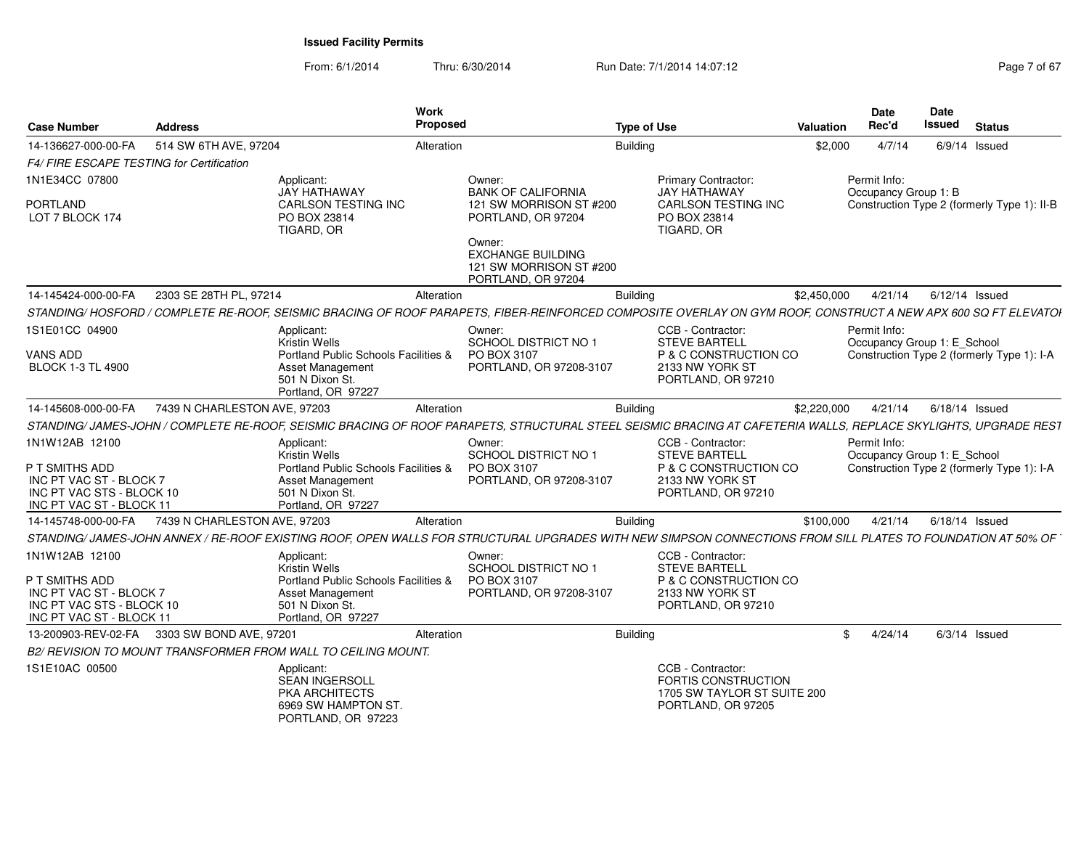From: 6/1/2014Thru: 6/30/2014 Run Date: 7/1/2014 14:07:12 Rege 7 of 67

| <b>Case Number</b>                                                                                 | <b>Address</b>                              |                                                                                                          | Work<br>Proposed |                                                                                     | <b>Type of Use</b>                                                                                                                                              | Valuation   | <b>Date</b><br>Rec'd                        | <b>Date</b><br><b>Issued</b> | <b>Status</b>                               |
|----------------------------------------------------------------------------------------------------|---------------------------------------------|----------------------------------------------------------------------------------------------------------|------------------|-------------------------------------------------------------------------------------|-----------------------------------------------------------------------------------------------------------------------------------------------------------------|-------------|---------------------------------------------|------------------------------|---------------------------------------------|
| 14-136627-000-00-FA                                                                                | 514 SW 6TH AVE, 97204                       |                                                                                                          | Alteration       |                                                                                     | Building                                                                                                                                                        | \$2,000     | 4/7/14                                      |                              | $6/9/14$ Issued                             |
| F4/ FIRE ESCAPE TESTING for Certification                                                          |                                             |                                                                                                          |                  |                                                                                     |                                                                                                                                                                 |             |                                             |                              |                                             |
| 1N1E34CC 07800<br><b>PORTLAND</b>                                                                  |                                             | Applicant:<br>JAY HATHAWAY<br>CARLSON TESTING INC                                                        |                  | Owner:<br><b>BANK OF CALIFORNIA</b><br>121 SW MORRISON ST #200                      | Primary Contractor:<br>JAY HATHAWAY<br>CARLSON TESTING INC                                                                                                      |             | Permit Info:<br>Occupancy Group 1: B        |                              | Construction Type 2 (formerly Type 1): II-B |
| LOT 7 BLOCK 174                                                                                    |                                             | PO BOX 23814<br>TIGARD, OR                                                                               |                  | PORTLAND, OR 97204                                                                  | PO BOX 23814<br>TIGARD, OR                                                                                                                                      |             |                                             |                              |                                             |
|                                                                                                    |                                             |                                                                                                          |                  | Owner:<br><b>EXCHANGE BUILDING</b><br>121 SW MORRISON ST #200<br>PORTLAND, OR 97204 |                                                                                                                                                                 |             |                                             |                              |                                             |
| 14-145424-000-00-FA                                                                                | 2303 SE 28TH PL, 97214                      |                                                                                                          | Alteration       |                                                                                     | <b>Building</b>                                                                                                                                                 | \$2,450,000 | 4/21/14                                     |                              | 6/12/14 Issued                              |
|                                                                                                    |                                             |                                                                                                          |                  |                                                                                     | STANDING/HOSFORD / COMPLETE RE-ROOF, SEISMIC BRACING OF ROOF PARAPETS, FIBER-REINFORCED COMPOSITE OVERLAY ON GYM ROOF, CONSTRUCT A NEW APX 600 SQ FT ELEVATOR   |             |                                             |                              |                                             |
| 1S1E01CC 04900                                                                                     |                                             | Applicant:<br>Kristin Wells                                                                              |                  | Owner:<br>SCHOOL DISTRICT NO 1                                                      | CCB - Contractor:<br><b>STEVE BARTELL</b>                                                                                                                       |             | Permit Info:<br>Occupancy Group 1: E_School |                              |                                             |
| <b>VANS ADD</b><br><b>BLOCK 1-3 TL 4900</b>                                                        |                                             | Portland Public Schools Facilities &<br>Asset Management<br>501 N Dixon St.<br>Portland, OR 97227        |                  | PO BOX 3107<br>PORTLAND, OR 97208-3107                                              | P & C CONSTRUCTION CO<br>2133 NW YORK ST<br>PORTLAND, OR 97210                                                                                                  |             |                                             |                              | Construction Type 2 (formerly Type 1): I-A  |
| 14-145608-000-00-FA                                                                                | 7439 N CHARLESTON AVE, 97203                |                                                                                                          | Alteration       |                                                                                     | Building                                                                                                                                                        | \$2,220,000 | 4/21/14                                     | 6/18/14 Issued               |                                             |
|                                                                                                    |                                             |                                                                                                          |                  |                                                                                     | STANDING/ JAMES-JOHN / COMPLETE RE-ROOF, SEISMIC BRACING OF ROOF PARAPETS, STRUCTURAL STEEL SEISMIC BRACING AT CAFETERIA WALLS, REPLACE SKYLIGHTS, UPGRADE REST |             |                                             |                              |                                             |
| 1N1W12AB 12100                                                                                     |                                             | Applicant:<br><b>Kristin Wells</b>                                                                       |                  | Owner:<br>SCHOOL DISTRICT NO 1                                                      | CCB - Contractor:<br><b>STEVE BARTELL</b>                                                                                                                       |             | Permit Info:<br>Occupancy Group 1: E_School |                              |                                             |
| P T SMITHS ADD<br>INC PT VAC ST - BLOCK 7<br>INC PT VAC STS - BLOCK 10<br>INC PT VAC ST - BLOCK 11 |                                             | Portland Public Schools Facilities &<br>Asset Management<br>501 N Dixon St.<br>Portland, OR 97227        |                  | PO BOX 3107<br>PORTLAND, OR 97208-3107                                              | P & C CONSTRUCTION CO<br>2133 NW YORK ST<br>PORTLAND, OR 97210                                                                                                  |             |                                             |                              | Construction Type 2 (formerly Type 1): I-A  |
| 14-145748-000-00-FA                                                                                | 7439 N CHARLESTON AVE, 97203                |                                                                                                          | Alteration       |                                                                                     | Building                                                                                                                                                        | \$100,000   | 4/21/14                                     |                              | 6/18/14 Issued                              |
|                                                                                                    |                                             |                                                                                                          |                  |                                                                                     | STANDING/JAMES-JOHN ANNEX / RE-ROOF EXISTING ROOF, OPEN WALLS FOR STRUCTURAL UPGRADES WITH NEW SIMPSON CONNECTIONS FROM SILL PLATES TO FOUNDATION AT 50% OF     |             |                                             |                              |                                             |
| 1N1W12AB 12100                                                                                     |                                             | Applicant:<br>Kristin Wells                                                                              |                  | Owner:<br>SCHOOL DISTRICT NO 1                                                      | CCB - Contractor:<br><b>STEVE BARTELL</b>                                                                                                                       |             |                                             |                              |                                             |
| P T SMITHS ADD<br>INC PT VAC ST - BLOCK 7<br>INC PT VAC STS - BLOCK 10<br>INC PT VAC ST - BLOCK 11 |                                             | Portland Public Schools Facilities &<br><b>Asset Management</b><br>501 N Dixon St.<br>Portland, OR 97227 |                  | PO BOX 3107<br>PORTLAND, OR 97208-3107                                              | P & C CONSTRUCTION CO<br>2133 NW YORK ST<br>PORTLAND, OR 97210                                                                                                  |             |                                             |                              |                                             |
|                                                                                                    | 13-200903-REV-02-FA 3303 SW BOND AVE, 97201 |                                                                                                          | Alteration       |                                                                                     | <b>Building</b>                                                                                                                                                 |             | 4/24/14<br>\$                               |                              | $6/3/14$ Issued                             |
|                                                                                                    |                                             | B2/ REVISION TO MOUNT TRANSFORMER FROM WALL TO CEILING MOUNT.                                            |                  |                                                                                     |                                                                                                                                                                 |             |                                             |                              |                                             |
| 1S1E10AC 00500                                                                                     |                                             | Applicant:                                                                                               |                  |                                                                                     | CCB - Contractor:                                                                                                                                               |             |                                             |                              |                                             |
|                                                                                                    |                                             | <b>SEAN INGERSOLL</b><br>PKA ARCHITECTS                                                                  |                  |                                                                                     | <b>FORTIS CONSTRUCTION</b><br>1705 SW TAYLOR ST SUITE 200                                                                                                       |             |                                             |                              |                                             |
|                                                                                                    |                                             | 6969 SW HAMPTON ST.<br>PORTLAND, OR 97223                                                                |                  |                                                                                     | PORTLAND, OR 97205                                                                                                                                              |             |                                             |                              |                                             |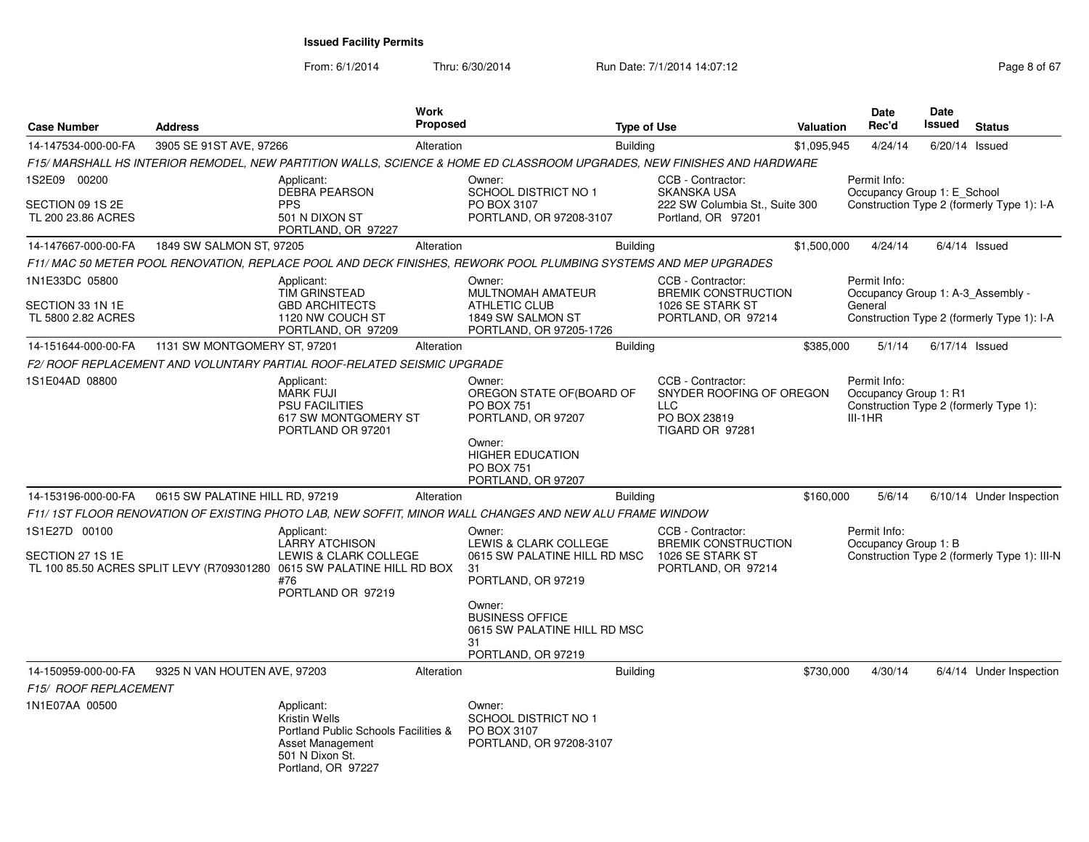From: 6/1/2014Thru: 6/30/2014 Run Date: 7/1/2014 14:07:12 Page 8 of 67

| <b>Case Number</b>                     | <b>Address</b>                  |                                                                                                                                                             | Work<br><b>Proposed</b> |                                                                                                                                                                | <b>Type of Use</b> |                                                                                                | Valuation   | <b>Date</b><br>Rec'd                               | Date<br>Issued   | <b>Status</b>                                |
|----------------------------------------|---------------------------------|-------------------------------------------------------------------------------------------------------------------------------------------------------------|-------------------------|----------------------------------------------------------------------------------------------------------------------------------------------------------------|--------------------|------------------------------------------------------------------------------------------------|-------------|----------------------------------------------------|------------------|----------------------------------------------|
| 14-147534-000-00-FA                    | 3905 SE 91ST AVE, 97266         |                                                                                                                                                             | Alteration              |                                                                                                                                                                | <b>Building</b>    |                                                                                                | \$1,095,945 | 4/24/14                                            | 6/20/14 Issued   |                                              |
|                                        |                                 |                                                                                                                                                             |                         | F15/ MARSHALL HS INTERIOR REMODEL, NEW PARTITION WALLS, SCIENCE & HOME ED CLASSROOM UPGRADES, NEW FINISHES AND HARDWARE                                        |                    |                                                                                                |             |                                                    |                  |                                              |
| 1S2E09 00200                           |                                 | Applicant:                                                                                                                                                  |                         | Owner:                                                                                                                                                         |                    | CCB - Contractor:                                                                              |             | Permit Info:                                       |                  |                                              |
| SECTION 09 1S 2E<br>TL 200 23.86 ACRES |                                 | <b>DEBRA PEARSON</b><br><b>PPS</b><br>501 N DIXON ST<br>PORTLAND, OR 97227                                                                                  |                         | <b>SCHOOL DISTRICT NO 1</b><br>PO BOX 3107<br>PORTLAND, OR 97208-3107                                                                                          |                    | <b>SKANSKA USA</b><br>222 SW Columbia St., Suite 300<br>Portland, OR 97201                     |             | Occupancy Group 1: E_School                        |                  | Construction Type 2 (formerly Type 1): I-A   |
| 14-147667-000-00-FA                    | 1849 SW SALMON ST, 97205        |                                                                                                                                                             | Alteration              |                                                                                                                                                                | Building           |                                                                                                | \$1,500,000 | 4/24/14                                            |                  | $6/4/14$ Issued                              |
|                                        |                                 |                                                                                                                                                             |                         | F11/ MAC 50 METER POOL RENOVATION, REPLACE POOL AND DECK FINISHES, REWORK POOL PLUMBING SYSTEMS AND MEP UPGRADES                                               |                    |                                                                                                |             |                                                    |                  |                                              |
| 1N1E33DC 05800                         |                                 | Applicant:<br>TIM GRINSTEAD                                                                                                                                 |                         | Owner:<br>MULTNOMAH AMATEUR                                                                                                                                    |                    | CCB - Contractor:<br><b>BREMIK CONSTRUCTION</b>                                                |             | Permit Info:<br>Occupancy Group 1: A-3 Assembly -  |                  |                                              |
| SECTION 33 1N 1E<br>TL 5800 2.82 ACRES |                                 | <b>GBD ARCHITECTS</b><br>1120 NW COUCH ST<br>PORTLAND, OR 97209                                                                                             |                         | <b>ATHLETIC CLUB</b><br>1849 SW SALMON ST<br>PORTLAND, OR 97205-1726                                                                                           |                    | 1026 SE STARK ST<br>PORTLAND, OR 97214                                                         |             | General                                            |                  | Construction Type 2 (formerly Type 1): I-A   |
| 14-151644-000-00-FA                    | 1131 SW MONTGOMERY ST, 97201    |                                                                                                                                                             | Alteration              |                                                                                                                                                                | Building           |                                                                                                | \$385,000   | 5/1/14                                             | $6/17/14$ Issued |                                              |
|                                        |                                 | F2/ ROOF REPLACEMENT AND VOLUNTARY PARTIAL ROOF-RELATED SEISMIC UPGRADE                                                                                     |                         |                                                                                                                                                                |                    |                                                                                                |             |                                                    |                  |                                              |
| 1S1E04AD 08800                         |                                 | Applicant:<br><b>MARK FUJI</b><br><b>PSU FACILITIES</b><br>617 SW MONTGOMERY ST<br>PORTLAND OR 97201                                                        |                         | Owner:<br>OREGON STATE OF (BOARD OF<br><b>PO BOX 751</b><br>PORTLAND, OR 97207<br>Owner:<br><b>HIGHER EDUCATION</b><br><b>PO BOX 751</b><br>PORTLAND, OR 97207 |                    | CCB - Contractor:<br>SNYDER ROOFING OF OREGON<br><b>LLC</b><br>PO BOX 23819<br>TIGARD OR 97281 |             | Permit Info:<br>Occupancy Group 1: R1<br>$III-1HR$ |                  | Construction Type 2 (formerly Type 1):       |
| 14-153196-000-00-FA                    | 0615 SW PALATINE HILL RD, 97219 |                                                                                                                                                             | Alteration              |                                                                                                                                                                | <b>Building</b>    |                                                                                                | \$160,000   | 5/6/14                                             |                  | 6/10/14 Under Inspection                     |
|                                        |                                 |                                                                                                                                                             |                         | F11/1ST FLOOR RENOVATION OF EXISTING PHOTO LAB, NEW SOFFIT, MINOR WALL CHANGES AND NEW ALU FRAME WINDOW                                                        |                    |                                                                                                |             |                                                    |                  |                                              |
| 1S1E27D 00100<br>SECTION 27 1S 1E      |                                 | Applicant:<br>LARRY ATCHISON<br>LEWIS & CLARK COLLEGE<br>TL 100 85.50 ACRES SPLIT LEVY (R709301280 0615 SW PALATINE HILL RD BOX<br>#76<br>PORTLAND OR 97219 |                         | Owner:<br>LEWIS & CLARK COLLEGE<br>0615 SW PALATINE HILL RD MSC<br>31<br>PORTLAND, OR 97219                                                                    |                    | CCB - Contractor:<br><b>BREMIK CONSTRUCTION</b><br>1026 SE STARK ST<br>PORTLAND, OR 97214      |             | Permit Info:<br>Occupancy Group 1: B               |                  | Construction Type 2 (formerly Type 1): III-N |
|                                        |                                 |                                                                                                                                                             |                         | Owner:<br><b>BUSINESS OFFICE</b><br>0615 SW PALATINE HILL RD MSC<br>31                                                                                         |                    |                                                                                                |             |                                                    |                  |                                              |
| 14-150959-000-00-FA                    | 9325 N VAN HOUTEN AVE, 97203    |                                                                                                                                                             | Alteration              | PORTLAND, OR 97219                                                                                                                                             | <b>Building</b>    |                                                                                                | \$730,000   | 4/30/14                                            |                  | 6/4/14 Under Inspection                      |
| F15/ ROOF REPLACEMENT                  |                                 |                                                                                                                                                             |                         |                                                                                                                                                                |                    |                                                                                                |             |                                                    |                  |                                              |
| 1N1E07AA 00500                         |                                 | Applicant:<br>Kristin Wells<br>Portland Public Schools Facilities &<br>Asset Management<br>501 N Dixon St.<br>Portland, OR 97227                            |                         | Owner:<br>SCHOOL DISTRICT NO 1<br>PO BOX 3107<br>PORTLAND, OR 97208-3107                                                                                       |                    |                                                                                                |             |                                                    |                  |                                              |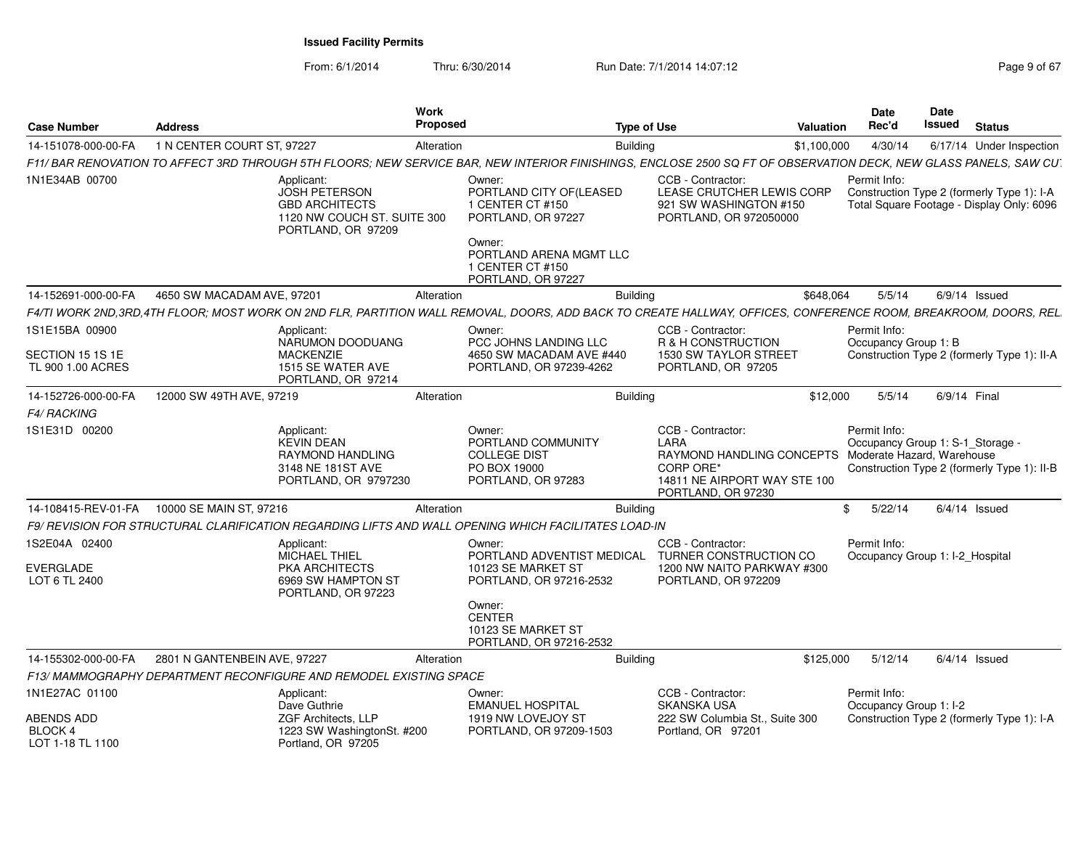From: 6/1/2014

Thru: 6/30/2014 Run Date: 7/1/2014 14:07:12 Page 9 of 67

| <b>Case Number</b>                        | <b>Address</b>                                                            |                                                                                                           | Work<br><b>Proposed</b> |                                                                                                                                                                  | <b>Type of Use</b>                                                                                                                                    | Valuation   | <b>Date</b><br>Rec'd                   | <b>Date</b><br>Issued<br><b>Status</b>                                                  |
|-------------------------------------------|---------------------------------------------------------------------------|-----------------------------------------------------------------------------------------------------------|-------------------------|------------------------------------------------------------------------------------------------------------------------------------------------------------------|-------------------------------------------------------------------------------------------------------------------------------------------------------|-------------|----------------------------------------|-----------------------------------------------------------------------------------------|
| 14-151078-000-00-FA                       | 1 N CENTER COURT ST, 97227                                                |                                                                                                           | Alteration              | <b>Building</b>                                                                                                                                                  |                                                                                                                                                       | \$1,100,000 | 4/30/14                                | 6/17/14 Under Inspection                                                                |
|                                           |                                                                           |                                                                                                           |                         | F11/ BAR RENOVATION TO AFFECT 3RD THROUGH 5TH FLOORS; NEW SERVICE BAR, NEW INTERIOR FINISHINGS, ENCLOSE 2500 SQ FT OF OBSERVATION DECK, NEW GLASS PANELS, SAW CU |                                                                                                                                                       |             |                                        |                                                                                         |
| 1N1E34AB 00700                            |                                                                           | Applicant:<br>JOSH PETERSON<br><b>GBD ARCHITECTS</b><br>1120 NW COUCH ST. SUITE 300<br>PORTLAND, OR 97209 |                         | Owner:<br>PORTLAND CITY OF(LEASED<br>1 CENTER CT #150<br>PORTLAND, OR 97227<br>Owner:<br>PORTLAND ARENA MGMT LLC                                                 | CCB - Contractor:<br>LEASE CRUTCHER LEWIS CORP<br>921 SW WASHINGTON #150<br>PORTLAND, OR 972050000                                                    |             | Permit Info:                           | Construction Type 2 (formerly Type 1): I-A<br>Total Square Footage - Display Only: 6096 |
|                                           |                                                                           |                                                                                                           |                         | 1 CENTER CT #150<br>PORTLAND, OR 97227                                                                                                                           |                                                                                                                                                       |             |                                        |                                                                                         |
| 14-152691-000-00-FA                       | 4650 SW MACADAM AVE, 97201                                                |                                                                                                           | Alteration              | <b>Building</b>                                                                                                                                                  |                                                                                                                                                       | \$648.064   | 5/5/14                                 | $6/9/14$ Issued                                                                         |
|                                           |                                                                           |                                                                                                           |                         | F4/TI WORK 2ND.3RD.4TH FLOOR: MOST WORK ON 2ND FLR. PARTITION WALL REMOVAL. DOORS. ADD BACK TO CREATE HALLWAY. OFFICES. CONFERENCE ROOM. BREAKROOM. DOORS. REL   |                                                                                                                                                       |             |                                        |                                                                                         |
| 1S1E15BA 00900<br>SECTION 15 1S 1E        |                                                                           | Applicant:<br>NARUMON DOODUANG<br><b>MACKENZIE</b>                                                        |                         | Owner:<br>PCC JOHNS LANDING LLC<br>4650 SW MACADAM AVE #440                                                                                                      | CCB - Contractor:<br>R & H CONSTRUCTION<br>1530 SW TAYLOR STREET                                                                                      |             | Permit Info:<br>Occupancy Group 1: B   | Construction Type 2 (formerly Type 1): II-A                                             |
| TL 900 1.00 ACRES                         |                                                                           | 1515 SE WATER AVE<br>PORTLAND, OR 97214                                                                   |                         | PORTLAND, OR 97239-4262                                                                                                                                          | PORTLAND, OR 97205                                                                                                                                    |             |                                        |                                                                                         |
| 14-152726-000-00-FA                       | 12000 SW 49TH AVE, 97219                                                  |                                                                                                           | Alteration              | Building                                                                                                                                                         |                                                                                                                                                       | \$12,000    | 5/5/14                                 | 6/9/14 Final                                                                            |
| <b>F4/ RACKING</b>                        |                                                                           |                                                                                                           |                         |                                                                                                                                                                  |                                                                                                                                                       |             |                                        |                                                                                         |
| 1S1E31D 00200                             |                                                                           | Applicant:<br>KEVIN DEAN<br>RAYMOND HANDLING<br>3148 NE 181ST AVE<br>PORTLAND, OR 9797230                 |                         | Owner:<br>PORTLAND COMMUNITY<br><b>COLLEGE DIST</b><br>PO BOX 19000<br>PORTLAND, OR 97283                                                                        | CCB - Contractor:<br>I ARA<br>RAYMOND HANDLING CONCEPTS Moderate Hazard, Warehouse<br>CORP ORE*<br>14811 NE AIRPORT WAY STE 100<br>PORTLAND, OR 97230 |             | Permit Info:                           | Occupancy Group 1: S-1_Storage<br>Construction Type 2 (formerly Type 1): II-B           |
|                                           |                                                                           |                                                                                                           | Alteration              | Building                                                                                                                                                         |                                                                                                                                                       | \$          | 5/22/14                                | $6/4/14$ Issued                                                                         |
|                                           |                                                                           |                                                                                                           |                         | F9/ REVISION FOR STRUCTURAL CLARIFICATION REGARDING LIFTS AND WALL OPENING WHICH FACILITATES LOAD-IN                                                             |                                                                                                                                                       |             |                                        |                                                                                         |
| 1S2E04A 02400                             |                                                                           | Applicant:<br>MICHAEL THIEL                                                                               |                         | Owner:<br>PORTLAND ADVENTIST MEDICAL                                                                                                                             | CCB - Contractor:<br>TURNER CONSTRUCTION CO                                                                                                           |             | Permit Info:                           | Occupancy Group 1: I-2 Hospital                                                         |
| EVERGLADE<br>LOT 6 TL 2400                |                                                                           | PKA ARCHITECTS<br>6969 SW HAMPTON ST<br>PORTLAND, OR 97223                                                |                         | 10123 SE MARKET ST<br>PORTLAND, OR 97216-2532                                                                                                                    | 1200 NW NAITO PARKWAY #300<br>PORTLAND, OR 972209                                                                                                     |             |                                        |                                                                                         |
|                                           |                                                                           |                                                                                                           |                         | Owner:<br><b>CENTER</b><br>10123 SE MARKET ST<br>PORTLAND, OR 97216-2532                                                                                         |                                                                                                                                                       |             |                                        |                                                                                         |
| 14-155302-000-00-FA                       | 2801 N GANTENBEIN AVE, 97227                                              |                                                                                                           | Alteration              | Buildina                                                                                                                                                         |                                                                                                                                                       | \$125,000   | 5/12/14                                | $6/4/14$ Issued                                                                         |
|                                           | <b>F13/ MAMMOGRAPHY DEPARTMENT RECONFIGURE AND REMODEL EXISTING SPACE</b> |                                                                                                           |                         |                                                                                                                                                                  |                                                                                                                                                       |             |                                        |                                                                                         |
| 1N1E27AC 01100                            |                                                                           | Applicant:<br>Dave Guthrie                                                                                |                         | Owner:<br><b>EMANUEL HOSPITAL</b>                                                                                                                                | CCB - Contractor:<br><b>SKANSKA USA</b>                                                                                                               |             | Permit Info:<br>Occupancy Group 1: I-2 |                                                                                         |
| ABENDS ADD<br>BLOCK 4<br>LOT 1-18 TL 1100 |                                                                           | ZGF Architects, LLP<br>1223 SW WashingtonSt. #200<br>Portland, OR 97205                                   |                         | 1919 NW LOVEJOY ST<br>PORTLAND, OR 97209-1503                                                                                                                    | 222 SW Columbia St., Suite 300<br>Portland, OR 97201                                                                                                  |             |                                        | Construction Type 2 (formerly Type 1): I-A                                              |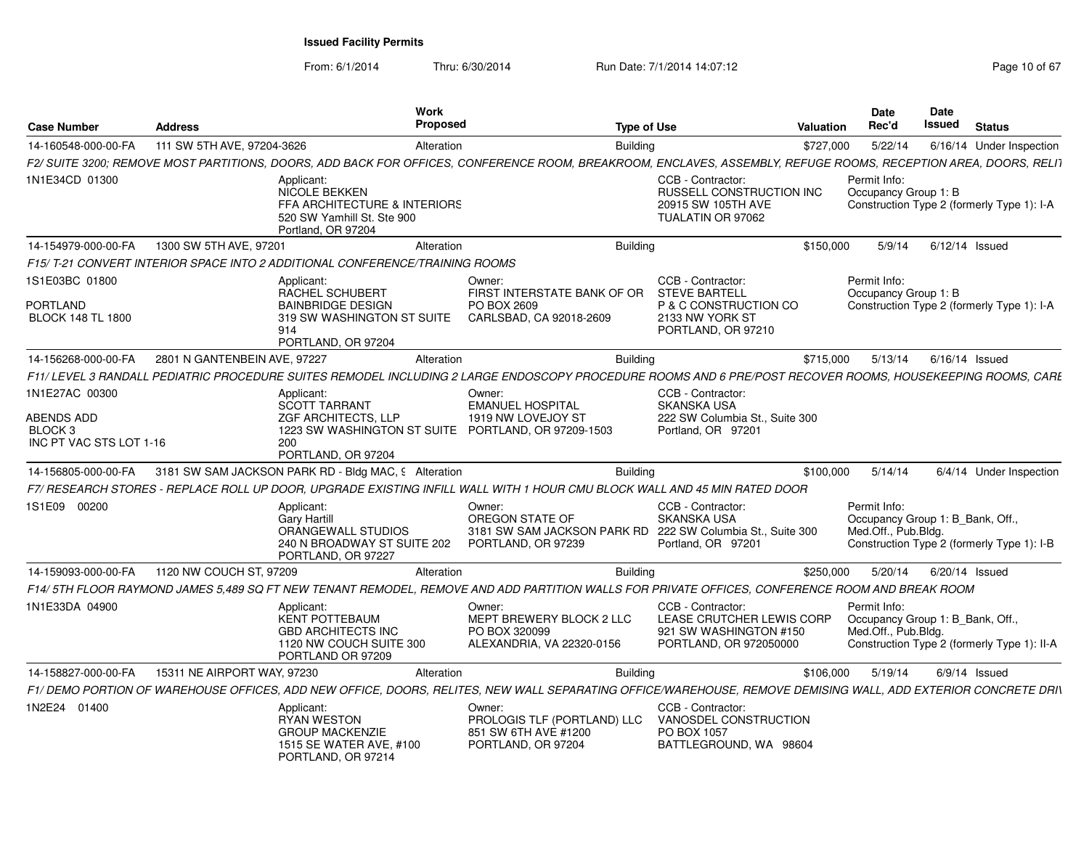From: 6/1/2014

Thru: 6/30/2014 Run Date: 7/1/2014 14:07:12 Rege 10 of 67

| <b>Case Number</b>                            | <b>Address</b>                                                              |                                                                                                                  | <b>Work</b><br>Proposed                                                                                                                                         | <b>Type of Use</b> |                                                                                                    | Valuation | <b>Date</b><br>Rec'd                                                                                                   | Date<br>Issued   | <b>Status</b> |                          |
|-----------------------------------------------|-----------------------------------------------------------------------------|------------------------------------------------------------------------------------------------------------------|-----------------------------------------------------------------------------------------------------------------------------------------------------------------|--------------------|----------------------------------------------------------------------------------------------------|-----------|------------------------------------------------------------------------------------------------------------------------|------------------|---------------|--------------------------|
| 14-160548-000-00-FA                           | 111 SW 5TH AVE, 97204-3626                                                  |                                                                                                                  | Alteration                                                                                                                                                      | <b>Building</b>    |                                                                                                    | \$727,000 | 5/22/14                                                                                                                |                  |               | 6/16/14 Under Inspection |
|                                               |                                                                             |                                                                                                                  | F2/ SUITE 3200; REMOVE MOST PARTITIONS, DOORS, ADD BACK FOR OFFICES, CONFERENCE ROOM, BREAKROOM, ENCLAVES, ASSEMBLY, REFUGE ROOMS, RECEPTION AREA, DOORS, RELI1 |                    |                                                                                                    |           |                                                                                                                        |                  |               |                          |
| 1N1E34CD 01300                                |                                                                             | Applicant:<br>NICOLE BEKKEN<br>FFA ARCHITECTURE & INTERIORS<br>520 SW Yamhill St. Ste 900<br>Portland, OR 97204  |                                                                                                                                                                 |                    | CCB - Contractor:<br>RUSSELL CONSTRUCTION INC<br>20915 SW 105TH AVE<br>TUALATIN OR 97062           |           | Permit Info:<br>Occupancy Group 1: B<br>Construction Type 2 (formerly Type 1): I-A                                     |                  |               |                          |
| 14-154979-000-00-FA                           | 1300 SW 5TH AVE, 97201                                                      |                                                                                                                  | Alteration                                                                                                                                                      | <b>Building</b>    |                                                                                                    | \$150,000 | 5/9/14                                                                                                                 | $6/12/14$ Issued |               |                          |
|                                               | F15/T-21 CONVERT INTERIOR SPACE INTO 2 ADDITIONAL CONFERENCE/TRAINING ROOMS |                                                                                                                  |                                                                                                                                                                 |                    |                                                                                                    |           |                                                                                                                        |                  |               |                          |
| 1S1E03BC 01800                                |                                                                             | Applicant:<br>RACHEL SCHUBERT                                                                                    | Owner:<br>FIRST INTERSTATE BANK OF OR                                                                                                                           |                    | CCB - Contractor:<br><b>STEVE BARTELL</b>                                                          |           | Permit Info:<br>Occupancy Group 1: B                                                                                   |                  |               |                          |
| PORTLAND<br><b>BLOCK 148 TL 1800</b>          | 914                                                                         | <b>BAINBRIDGE DESIGN</b><br>319 SW WASHINGTON ST SUITE<br>PORTLAND, OR 97204                                     | PO BOX 2609<br>CARLSBAD, CA 92018-2609                                                                                                                          |                    | P & C CONSTRUCTION CO<br>2133 NW YORK ST<br>PORTLAND, OR 97210                                     |           | Construction Type 2 (formerly Type 1): I-A                                                                             |                  |               |                          |
| 14-156268-000-00-FA                           | 2801 N GANTENBEIN AVE, 97227                                                |                                                                                                                  | Alteration                                                                                                                                                      | <b>Building</b>    |                                                                                                    | \$715,000 | 5/13/14                                                                                                                | $6/16/14$ Issued |               |                          |
|                                               |                                                                             |                                                                                                                  | F11/ LEVEL 3 RANDALL PEDIATRIC PROCEDURE SUITES REMODEL INCLUDING 2 LARGE ENDOSCOPY PROCEDURE ROOMS AND 6 PRE/POST RECOVER ROOMS. HOUSEKEEPING ROOMS. CARL      |                    |                                                                                                    |           |                                                                                                                        |                  |               |                          |
| 1N1E27AC 00300                                |                                                                             | Applicant:<br><b>SCOTT TARRANT</b>                                                                               | Owner:<br><b>EMANUEL HOSPITAL</b>                                                                                                                               |                    | CCB - Contractor:<br><b>SKANSKA USA</b>                                                            |           |                                                                                                                        |                  |               |                          |
| ABENDS ADD                                    |                                                                             | <b>ZGF ARCHITECTS, LLP</b>                                                                                       | 1919 NW LOVEJOY ST                                                                                                                                              |                    | 222 SW Columbia St., Suite 300                                                                     |           |                                                                                                                        |                  |               |                          |
| BLOCK <sub>3</sub><br>INC PT VAC STS LOT 1-16 | 200                                                                         | 1223 SW WASHINGTON ST SUITE<br>PORTLAND, OR 97204                                                                | PORTLAND, OR 97209-1503                                                                                                                                         |                    | Portland, OR 97201                                                                                 |           |                                                                                                                        |                  |               |                          |
| 14-156805-000-00-FA                           |                                                                             | 3181 SW SAM JACKSON PARK RD - Bldg MAC, 9 Alteration                                                             |                                                                                                                                                                 | <b>Building</b>    |                                                                                                    | \$100,000 | 5/14/14                                                                                                                |                  |               | 6/4/14 Under Inspection  |
|                                               |                                                                             |                                                                                                                  | F7/ RESEARCH STORES - REPLACE ROLL UP DOOR. UPGRADE EXISTING INFILL WALL WITH 1 HOUR CMU BLOCK WALL AND 45 MIN RATED DOOR                                       |                    |                                                                                                    |           |                                                                                                                        |                  |               |                          |
| 1S1E09 00200                                  |                                                                             | Applicant:<br><b>Gary Hartill</b><br>ORANGEWALL STUDIOS<br>240 N BROADWAY ST SUITE 202<br>PORTLAND, OR 97227     | Owner:<br>OREGON STATE OF<br>3181 SW SAM JACKSON PARK RD 222 SW Columbia St., Suite 300<br>PORTLAND, OR 97239                                                   |                    | CCB - Contractor:<br><b>SKANSKA USA</b><br>Portland, OR 97201                                      |           | Permit Info:<br>Occupancy Group 1: B Bank, Off.,<br>Med.Off., Pub.Bldg.<br>Construction Type 2 (formerly Type 1): I-B  |                  |               |                          |
| 14-159093-000-00-FA                           | 1120 NW COUCH ST, 97209                                                     |                                                                                                                  | Alteration                                                                                                                                                      | <b>Building</b>    |                                                                                                    | \$250,000 | 5/20/14                                                                                                                | $6/20/14$ Issued |               |                          |
|                                               |                                                                             |                                                                                                                  | F14/5TH FLOOR RAYMOND JAMES 5.489 SQ FT NEW TENANT REMODEL, REMOVE AND ADD PARTITION WALLS FOR PRIVATE OFFICES, CONFERENCE ROOM AND BREAK ROOM                  |                    |                                                                                                    |           |                                                                                                                        |                  |               |                          |
| 1N1E33DA 04900                                |                                                                             | Applicant:<br><b>KENT POTTEBAUM</b><br><b>GBD ARCHITECTS INC</b><br>1120 NW COUCH SUITE 300<br>PORTLAND OR 97209 | Owner:<br>MEPT BREWERY BLOCK 2 LLC<br>PO BOX 320099<br>ALEXANDRIA, VA 22320-0156                                                                                |                    | CCB - Contractor:<br>LEASE CRUTCHER LEWIS CORP<br>921 SW WASHINGTON #150<br>PORTLAND, OR 972050000 |           | Permit Info:<br>Occupancy Group 1: B_Bank, Off.,<br>Med.Off., Pub.Blda.<br>Construction Type 2 (formerly Type 1): II-A |                  |               |                          |
| 14-158827-000-00-FA                           | 15311 NE AIRPORT WAY, 97230                                                 |                                                                                                                  | Alteration                                                                                                                                                      | <b>Building</b>    |                                                                                                    | \$106,000 | 5/19/14                                                                                                                | $6/9/14$ Issued  |               |                          |
|                                               |                                                                             |                                                                                                                  | F1/ DEMO PORTION OF WAREHOUSE OFFICES, ADD NEW OFFICE, DOORS, RELITES, NEW WALL SEPARATING OFFICE/WAREHOUSE, REMOVE DEMISING WALL, ADD EXTERIOR CONCRETE DRIN   |                    |                                                                                                    |           |                                                                                                                        |                  |               |                          |
| 1N2E24 01400                                  |                                                                             | Applicant:<br><b>RYAN WESTON</b><br><b>GROUP MACKENZIE</b><br>1515 SE WATER AVE, #100<br>PORTLAND, OR 97214      | Owner:<br>PROLOGIS TLF (PORTLAND) LLC<br>851 SW 6TH AVE #1200<br>PORTLAND, OR 97204                                                                             |                    | CCB - Contractor:<br>VANOSDEL CONSTRUCTION<br>PO BOX 1057<br>BATTLEGROUND, WA 98604                |           |                                                                                                                        |                  |               |                          |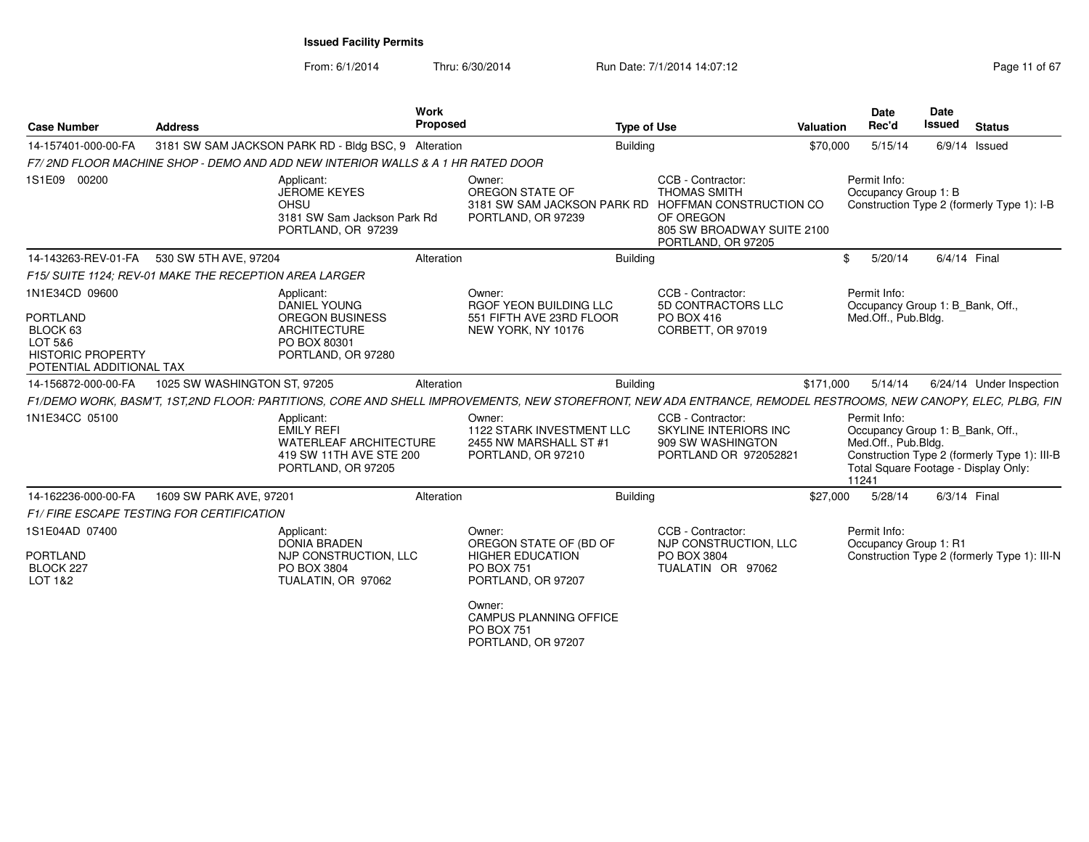From: 6/1/2014Thru: 6/30/2014 Run Date: 7/1/2014 14:07:12 Rege 11 of 67

| <b>Case Number</b>                                                          | <b>Address</b>                                         |                                                                                                                   | <b>Work</b><br>Proposed |                                                                                                                                                                | <b>Type of Use</b> |                                                                                                           | Valuation | <b>Date</b><br>Rec'd                                                                                                     | <b>Date</b><br><b>Issued</b> | <b>Status</b>                                |
|-----------------------------------------------------------------------------|--------------------------------------------------------|-------------------------------------------------------------------------------------------------------------------|-------------------------|----------------------------------------------------------------------------------------------------------------------------------------------------------------|--------------------|-----------------------------------------------------------------------------------------------------------|-----------|--------------------------------------------------------------------------------------------------------------------------|------------------------------|----------------------------------------------|
| 14-157401-000-00-FA                                                         |                                                        | 3181 SW SAM JACKSON PARK RD - Bldg BSC, 9 Alteration                                                              |                         |                                                                                                                                                                | <b>Building</b>    |                                                                                                           | \$70,000  | 5/15/14                                                                                                                  |                              | $6/9/14$ Issued                              |
|                                                                             |                                                        | F7/2ND FLOOR MACHINE SHOP - DEMO AND ADD NEW INTERIOR WALLS & A 1 HR RATED DOOR                                   |                         |                                                                                                                                                                |                    |                                                                                                           |           |                                                                                                                          |                              |                                              |
| 1S1E09 00200                                                                |                                                        | Applicant:<br><b>JEROME KEYES</b><br>OHSU<br>3181 SW Sam Jackson Park Rd<br>PORTLAND, OR 97239                    |                         | Owner:<br>OREGON STATE OF<br>3181 SW SAM JACKSON PARK RD HOFFMAN CONSTRUCTION CO<br>PORTLAND, OR 97239                                                         |                    | CCB - Contractor:<br><b>THOMAS SMITH</b><br>OF OREGON<br>805 SW BROADWAY SUITE 2100<br>PORTLAND, OR 97205 |           | Permit Info:<br>Occupancy Group 1: B                                                                                     |                              | Construction Type 2 (formerly Type 1): I-B   |
| 14-143263-REV-01-FA                                                         | 530 SW 5TH AVE, 97204                                  |                                                                                                                   | Alteration              |                                                                                                                                                                | <b>Building</b>    |                                                                                                           |           | 5/20/14<br>\$                                                                                                            |                              | 6/4/14 Final                                 |
|                                                                             | F15/ SUITE 1124; REV-01 MAKE THE RECEPTION AREA LARGER |                                                                                                                   |                         |                                                                                                                                                                |                    |                                                                                                           |           |                                                                                                                          |                              |                                              |
| 1N1E34CD 09600<br><b>PORTLAND</b>                                           |                                                        | Applicant:<br><b>DANIEL YOUNG</b><br><b>OREGON BUSINESS</b>                                                       |                         | Owner:<br>RGOF YEON BUILDING LLC<br>551 FIFTH AVE 23RD FLOOR                                                                                                   |                    | CCB - Contractor:<br>5D CONTRACTORS LLC<br>PO BOX 416                                                     |           | Permit Info:<br>Occupancy Group 1: B_Bank, Off.,<br>Med.Off., Pub.Bldg.                                                  |                              |                                              |
| BLOCK 63<br>LOT 5&6<br><b>HISTORIC PROPERTY</b><br>POTENTIAL ADDITIONAL TAX |                                                        | <b>ARCHITECTURE</b><br>PO BOX 80301<br>PORTLAND, OR 97280                                                         |                         | NEW YORK, NY 10176                                                                                                                                             |                    | CORBETT, OR 97019                                                                                         |           |                                                                                                                          |                              |                                              |
| 14-156872-000-00-FA                                                         | 1025 SW WASHINGTON ST, 97205                           |                                                                                                                   | Alteration              |                                                                                                                                                                | <b>Building</b>    |                                                                                                           | \$171,000 | 5/14/14                                                                                                                  |                              | 6/24/14 Under Inspection                     |
|                                                                             |                                                        |                                                                                                                   |                         | F1/DEMO WORK, BASM'T, 1ST,2ND FLOOR: PARTITIONS, CORE AND SHELL IMPROVEMENTS, NEW STOREFRONT, NEW ADA ENTRANCE, REMODEL RESTROOMS, NEW CANOPY, ELEC, PLBG, FIN |                    |                                                                                                           |           |                                                                                                                          |                              |                                              |
| 1N1E34CC 05100                                                              |                                                        | Applicant:<br><b>EMILY REFI</b><br><b>WATERLEAF ARCHITECTURE</b><br>419 SW 11TH AVE STE 200<br>PORTLAND, OR 97205 |                         | Owner:<br>1122 STARK INVESTMENT LLC<br>2455 NW MARSHALL ST #1<br>PORTLAND, OR 97210                                                                            |                    | CCB - Contractor:<br>SKYLINE INTERIORS INC<br>909 SW WASHINGTON<br>PORTLAND OR 972052821                  |           | Permit Info:<br>Occupancy Group 1: B Bank, Off.,<br>Med.Off., Pub.Bldg.<br>Total Square Footage - Display Only:<br>11241 |                              | Construction Type 2 (formerly Type 1): III-B |
| 14-162236-000-00-FA                                                         | 1609 SW PARK AVE, 97201                                |                                                                                                                   | Alteration              |                                                                                                                                                                | <b>Building</b>    |                                                                                                           | \$27,000  | 5/28/14                                                                                                                  |                              | 6/3/14 Final                                 |
|                                                                             | <b>F1/FIRE ESCAPE TESTING FOR CERTIFICATION</b>        |                                                                                                                   |                         |                                                                                                                                                                |                    |                                                                                                           |           |                                                                                                                          |                              |                                              |
| 1S1E04AD 07400                                                              |                                                        | Applicant:<br><b>DONIA BRADEN</b>                                                                                 |                         | Owner:<br>OREGON STATE OF (BD OF                                                                                                                               |                    | CCB - Contractor:<br>NJP CONSTRUCTION, LLC                                                                |           | Permit Info:<br>Occupancy Group 1: R1                                                                                    |                              |                                              |
| <b>PORTLAND</b><br>BLOCK 227<br>LOT 1&2                                     |                                                        | NJP CONSTRUCTION, LLC<br>PO BOX 3804<br>TUALATIN, OR 97062                                                        |                         | <b>HIGHER EDUCATION</b><br><b>PO BOX 751</b><br>PORTLAND, OR 97207                                                                                             |                    | PO BOX 3804<br>TUALATIN OR 97062                                                                          |           |                                                                                                                          |                              | Construction Type 2 (formerly Type 1): III-N |
|                                                                             |                                                        |                                                                                                                   |                         | Owner:<br><b>CAMPUS PLANNING OFFICE</b><br>$DO$ $D$ $O$ $751$                                                                                                  |                    |                                                                                                           |           |                                                                                                                          |                              |                                              |

PO BOX 751 PORTLAND, OR 97207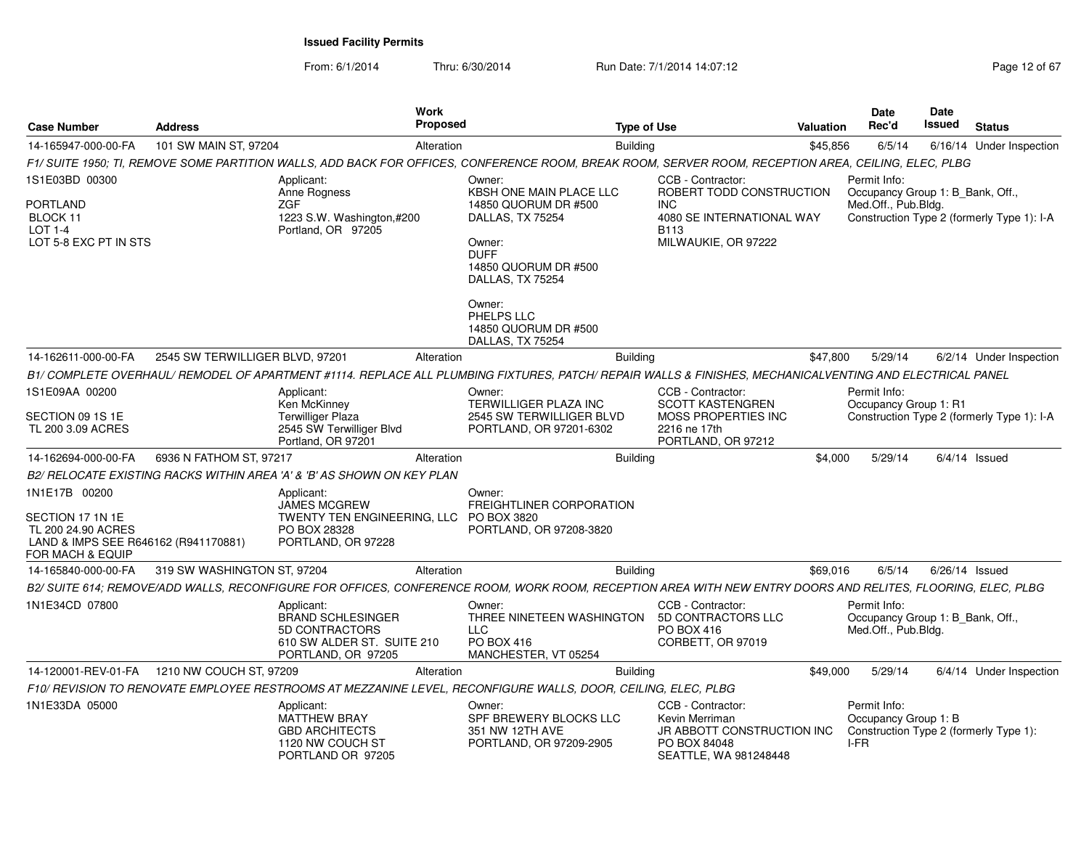From: 6/1/2014

Thru: 6/30/2014 Run Date: 7/1/2014 14:07:12 Rege 12 of 67

| <b>Case Number</b>                                                                              | <b>Address</b>                  |                                                                                                              | <b>Work</b><br><b>Proposed</b> |                                                                                                                                                             |                 | <b>Type of Use</b>                                                                                         | <b>Valuation</b> | Date<br>Rec'd                                                           | <b>Date</b><br>Issued | <b>Status</b>                              |
|-------------------------------------------------------------------------------------------------|---------------------------------|--------------------------------------------------------------------------------------------------------------|--------------------------------|-------------------------------------------------------------------------------------------------------------------------------------------------------------|-----------------|------------------------------------------------------------------------------------------------------------|------------------|-------------------------------------------------------------------------|-----------------------|--------------------------------------------|
| 14-165947-000-00-FA                                                                             | 101 SW MAIN ST, 97204           |                                                                                                              | Alteration                     |                                                                                                                                                             | <b>Building</b> |                                                                                                            | \$45,856         | 6/5/14                                                                  |                       | 6/16/14 Under Inspection                   |
|                                                                                                 |                                 |                                                                                                              |                                | F1/ SUITE 1950; TI, REMOVE SOME PARTITION WALLS, ADD BACK FOR OFFICES, CONFERENCE ROOM, BREAK ROOM, SERVER ROOM, RECEPTION AREA, CEILING, ELEC, PLBG        |                 |                                                                                                            |                  |                                                                         |                       |                                            |
| 1S1E03BD 00300                                                                                  |                                 | Applicant:<br>Anne Rogness                                                                                   |                                | Owner:<br>KBSH ONE MAIN PLACE LLC                                                                                                                           |                 | CCB - Contractor:<br>ROBERT TODD CONSTRUCTION                                                              |                  | Permit Info:<br>Occupancy Group 1: B_Bank, Off.,                        |                       |                                            |
| <b>PORTLAND</b><br>BLOCK 11<br><b>LOT 1-4</b><br>LOT 5-8 EXC PT IN STS                          |                                 | ZGF<br>1223 S.W. Washington,#200<br>Portland, OR 97205                                                       |                                | 14850 QUORUM DR #500<br>DALLAS, TX 75254<br>Owner:<br><b>DUFF</b><br>14850 QUORUM DR #500<br>DALLAS, TX 75254                                               |                 | <b>INC</b><br>4080 SE INTERNATIONAL WAY<br><b>B113</b><br>MILWAUKIE, OR 97222                              |                  | Med.Off., Pub.Bldg.                                                     |                       | Construction Type 2 (formerly Type 1): I-A |
|                                                                                                 |                                 |                                                                                                              |                                | Owner:<br>PHELPS LLC<br>14850 QUORUM DR #500<br>DALLAS, TX 75254                                                                                            |                 |                                                                                                            |                  |                                                                         |                       |                                            |
| 14-162611-000-00-FA                                                                             | 2545 SW TERWILLIGER BLVD, 97201 |                                                                                                              | Alteration                     |                                                                                                                                                             | <b>Building</b> |                                                                                                            | \$47,800         | 5/29/14                                                                 |                       | 6/2/14 Under Inspection                    |
|                                                                                                 |                                 |                                                                                                              |                                | B1/ COMPLETE OVERHAUL/ REMODEL OF APARTMENT #1114. REPLACE ALL PLUMBING FIXTURES, PATCH/ REPAIR WALLS & FINISHES, MECHANICALVENTING AND ELECTRICAL PANEL    |                 |                                                                                                            |                  |                                                                         |                       |                                            |
| 1S1E09AA 00200                                                                                  |                                 | Applicant:<br>Ken McKinney                                                                                   |                                | Owner:<br>TERWILLIGER PLAZA INC                                                                                                                             |                 | CCB - Contractor:<br><b>SCOTT KASTENGREN</b>                                                               |                  | Permit Info:<br>Occupancy Group 1: R1                                   |                       |                                            |
| SECTION 09 1S 1E<br>TL 200 3.09 ACRES                                                           |                                 | <b>Terwilliger Plaza</b><br>2545 SW Terwilliger Blvd<br>Portland, OR 97201                                   |                                | 2545 SW TERWILLIGER BLVD<br>PORTLAND, OR 97201-6302                                                                                                         |                 | MOSS PROPERTIES INC<br>2216 ne 17th<br>PORTLAND, OR 97212                                                  |                  |                                                                         |                       | Construction Type 2 (formerly Type 1): I-A |
| 14-162694-000-00-FA                                                                             | 6936 N FATHOM ST, 97217         |                                                                                                              | Alteration                     |                                                                                                                                                             | <b>Building</b> |                                                                                                            | \$4,000          | 5/29/14                                                                 |                       | $6/4/14$ Issued                            |
|                                                                                                 |                                 | B2/ RELOCATE EXISTING RACKS WITHIN AREA 'A' & 'B' AS SHOWN ON KEY PLAN                                       |                                |                                                                                                                                                             |                 |                                                                                                            |                  |                                                                         |                       |                                            |
| 1N1E17B 00200<br>SECTION 17 1N 1E<br>TL 200 24.90 ACRES<br>LAND & IMPS SEE R646162 (R941170881) |                                 | Applicant:<br><b>JAMES MCGREW</b><br>TWENTY TEN ENGINEERING, LLC<br>PO BOX 28328<br>PORTLAND, OR 97228       |                                | Owner:<br><b>FREIGHTLINER CORPORATION</b><br>PO BOX 3820<br>PORTLAND, OR 97208-3820                                                                         |                 |                                                                                                            |                  |                                                                         |                       |                                            |
| FOR MACH & EQUIP                                                                                |                                 |                                                                                                              |                                |                                                                                                                                                             |                 |                                                                                                            |                  |                                                                         |                       |                                            |
| 14-165840-000-00-FA                                                                             | 319 SW WASHINGTON ST, 97204     |                                                                                                              | Alteration                     |                                                                                                                                                             | <b>Building</b> |                                                                                                            | \$69,016         | 6/5/14                                                                  |                       | $6/26/14$ Issued                           |
|                                                                                                 |                                 |                                                                                                              |                                | B2/ SUITE 614: REMOVE/ADD WALLS. RECONFIGURE FOR OFFICES. CONFERENCE ROOM. WORK ROOM. RECEPTION AREA WITH NEW ENTRY DOORS AND RELITES. FLOORING. ELEC. PLBG |                 |                                                                                                            |                  |                                                                         |                       |                                            |
| 1N1E34CD 07800                                                                                  |                                 | Applicant:<br><b>BRAND SCHLESINGER</b><br>5D CONTRACTORS<br>610 SW ALDER ST. SUITE 210<br>PORTLAND, OR 97205 |                                | Owner:<br>THREE NINETEEN WASHINGTON<br><b>LLC</b><br>PO BOX 416<br>MANCHESTER, VT 05254                                                                     |                 | CCB - Contractor:<br>5D CONTRACTORS LLC<br><b>PO BOX 416</b><br>CORBETT, OR 97019                          |                  | Permit Info:<br>Occupancy Group 1: B_Bank, Off.,<br>Med.Off., Pub.Bldg. |                       |                                            |
| 14-120001-REV-01-FA  1210 NW COUCH ST, 97209                                                    |                                 |                                                                                                              | Alteration                     |                                                                                                                                                             | <b>Building</b> |                                                                                                            | \$49,000         | 5/29/14                                                                 |                       | 6/4/14 Under Inspection                    |
|                                                                                                 |                                 |                                                                                                              |                                | F10/ REVISION TO RENOVATE EMPLOYEE RESTROOMS AT MEZZANINE LEVEL, RECONFIGURE WALLS, DOOR, CEILING, ELEC, PLBG                                               |                 |                                                                                                            |                  |                                                                         |                       |                                            |
| 1N1E33DA 05000                                                                                  |                                 | Applicant:<br><b>MATTHEW BRAY</b><br><b>GBD ARCHITECTS</b><br>1120 NW COUCH ST<br>PORTLAND OR 97205          |                                | Owner:<br>SPF BREWERY BLOCKS LLC<br>351 NW 12TH AVE<br>PORTLAND, OR 97209-2905                                                                              |                 | CCB - Contractor:<br>Kevin Merriman<br>JR ABBOTT CONSTRUCTION INC<br>PO BOX 84048<br>SEATTLE, WA 981248448 |                  | Permit Info:<br>Occupancy Group 1: B<br>I-FR                            |                       | Construction Type 2 (formerly Type 1):     |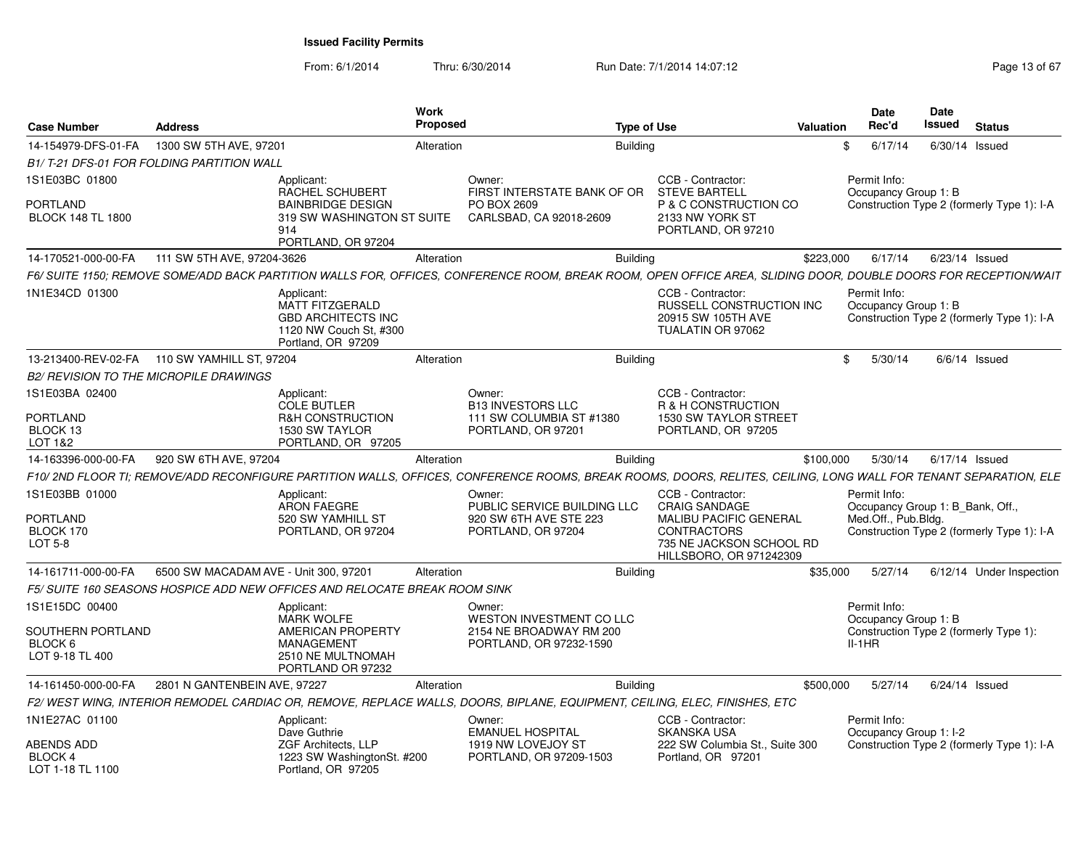From: 6/1/2014Thru: 6/30/2014 Run Date: 7/1/2014 14:07:12 Rege 13 of 67

| <b>Case Number</b>                               | <b>Address</b>                        |                                                                                                                   | <b>Work</b><br><b>Proposed</b> |                                                                                                                                                                 | <b>Type of Use</b> |                                                                                                 | Valuation |          | Date<br>Rec'd                                                                      | <b>Date</b><br><b>Issued</b> | <b>Status</b>            |  |
|--------------------------------------------------|---------------------------------------|-------------------------------------------------------------------------------------------------------------------|--------------------------------|-----------------------------------------------------------------------------------------------------------------------------------------------------------------|--------------------|-------------------------------------------------------------------------------------------------|-----------|----------|------------------------------------------------------------------------------------|------------------------------|--------------------------|--|
| 14-154979-DFS-01-FA                              | 1300 SW 5TH AVE, 97201                |                                                                                                                   | Alteration                     |                                                                                                                                                                 | <b>Building</b>    |                                                                                                 |           | \$       | 6/17/14                                                                            |                              | $6/30/14$ Issued         |  |
| B1/T-21 DFS-01 FOR FOLDING PARTITION WALL        |                                       |                                                                                                                   |                                |                                                                                                                                                                 |                    |                                                                                                 |           |          |                                                                                    |                              |                          |  |
| 1S1E03BC 01800                                   |                                       | Applicant:<br><b>RACHEL SCHUBERT</b>                                                                              |                                | Owner:<br>FIRST INTERSTATE BANK OF OR                                                                                                                           |                    | CCB - Contractor:<br><b>STEVE BARTELL</b>                                                       |           |          | Permit Info:<br>Occupancy Group 1: B                                               |                              |                          |  |
| <b>PORTLAND</b><br><b>BLOCK 148 TL 1800</b>      |                                       | <b>BAINBRIDGE DESIGN</b><br>319 SW WASHINGTON ST SUITE<br>914<br>PORTLAND, OR 97204                               |                                | PO BOX 2609<br>CARLSBAD, CA 92018-2609                                                                                                                          |                    | P & C CONSTRUCTION CO<br>2133 NW YORK ST<br>PORTLAND, OR 97210                                  |           |          | Construction Type 2 (formerly Type 1): I-A                                         |                              |                          |  |
| 14-170521-000-00-FA                              | 111 SW 5TH AVE, 97204-3626            |                                                                                                                   | Alteration                     |                                                                                                                                                                 | <b>Building</b>    |                                                                                                 | \$223,000 |          | 6/17/14                                                                            |                              | $6/23/14$ Issued         |  |
|                                                  |                                       |                                                                                                                   |                                | F6/ SUITE 1150; REMOVE SOME/ADD BACK PARTITION WALLS FOR, OFFICES, CONFERENCE ROOM, BREAK ROOM, OPEN OFFICE AREA, SLIDING DOOR, DOUBLE DOORS FOR RECEPTION/WAIT |                    |                                                                                                 |           |          |                                                                                    |                              |                          |  |
| 1N1E34CD 01300                                   |                                       | Applicant:<br><b>MATT FITZGERALD</b><br><b>GBD ARCHITECTS INC</b><br>1120 NW Couch St. #300<br>Portland, OR 97209 |                                |                                                                                                                                                                 |                    | CCB - Contractor:<br><b>RUSSELL CONSTRUCTION INC</b><br>20915 SW 105TH AVE<br>TUALATIN OR 97062 |           |          | Permit Info:<br>Occupancy Group 1: B<br>Construction Type 2 (formerly Type 1): I-A |                              |                          |  |
| 13-213400-REV-02-FA                              | 110 SW YAMHILL ST, 97204              |                                                                                                                   | Alteration                     |                                                                                                                                                                 | <b>Building</b>    |                                                                                                 |           | \$       | 5/30/14                                                                            |                              | $6/6/14$ Issued          |  |
| <b>B2/ REVISION TO THE MICROPILE DRAWINGS</b>    |                                       |                                                                                                                   |                                |                                                                                                                                                                 |                    |                                                                                                 |           |          |                                                                                    |                              |                          |  |
| 1S1E03BA 02400                                   |                                       | Applicant:<br><b>COLE BUTLER</b>                                                                                  |                                | Owner:<br><b>B13 INVESTORS LLC</b>                                                                                                                              |                    | CCB - Contractor:<br>R & H CONSTRUCTION                                                         |           |          |                                                                                    |                              |                          |  |
| <b>PORTLAND</b><br>BLOCK 13<br>LOT 1&2           |                                       | <b>R&amp;H CONSTRUCTION</b><br>1530 SW TAYLOR<br>PORTLAND, OR 97205                                               |                                | 111 SW COLUMBIA ST #1380<br>PORTLAND, OR 97201                                                                                                                  |                    | 1530 SW TAYLOR STREET<br>PORTLAND, OR 97205                                                     |           |          |                                                                                    |                              |                          |  |
| 14-163396-000-00-FA                              | 920 SW 6TH AVE, 97204                 |                                                                                                                   | Alteration                     |                                                                                                                                                                 | <b>Building</b>    |                                                                                                 | \$100,000 |          | 5/30/14                                                                            |                              | 6/17/14 Issued           |  |
|                                                  |                                       |                                                                                                                   |                                | F10/2ND FLOOR TI; REMOVE/ADD RECONFIGURE PARTITION WALLS, OFFICES, CONFERENCE ROOMS, BREAK ROOMS, DOORS, RELITES, CEILING, LONG WALL FOR TENANT SEPARATION, ELE |                    |                                                                                                 |           |          |                                                                                    |                              |                          |  |
| 1S1E03BB 01000                                   |                                       | Applicant:<br><b>ARON FAEGRE</b>                                                                                  |                                | Owner:<br>PUBLIC SERVICE BUILDING LLC                                                                                                                           |                    | CCB - Contractor:<br><b>CRAIG SANDAGE</b>                                                       |           |          | Permit Info:<br>Occupancy Group 1: B Bank, Off.,                                   |                              |                          |  |
| PORTLAND                                         |                                       | 520 SW YAMHILL ST                                                                                                 |                                | 920 SW 6TH AVE STE 223                                                                                                                                          |                    | <b>MALIBU PACIFIC GENERAL</b>                                                                   |           |          | Med.Off., Pub.Bldg.                                                                |                              |                          |  |
| BLOCK 170<br><b>LOT 5-8</b>                      |                                       | PORTLAND, OR 97204                                                                                                |                                | PORTLAND, OR 97204                                                                                                                                              |                    | <b>CONTRACTORS</b><br>735 NE JACKSON SCHOOL RD<br>HILLSBORO, OR 971242309                       |           |          | Construction Type 2 (formerly Type 1): I-A                                         |                              |                          |  |
| 14-161711-000-00-FA                              | 6500 SW MACADAM AVE - Unit 300, 97201 |                                                                                                                   | Alteration                     |                                                                                                                                                                 | <b>Building</b>    |                                                                                                 | \$35,000  |          | 5/27/14                                                                            |                              | 6/12/14 Under Inspection |  |
|                                                  |                                       | F5/ SUITE 160 SEASONS HOSPICE ADD NEW OFFICES AND RELOCATE BREAK ROOM SINK                                        |                                |                                                                                                                                                                 |                    |                                                                                                 |           |          |                                                                                    |                              |                          |  |
| 1S1E15DC 00400                                   |                                       | Applicant:<br><b>MARK WOLFE</b>                                                                                   |                                | Owner:<br>WESTON INVESTMENT CO LLC                                                                                                                              |                    |                                                                                                 |           |          | Permit Info:<br>Occupancy Group 1: B                                               |                              |                          |  |
| SOUTHERN PORTLAND<br>BLOCK 6<br>LOT 9-18 TL 400  |                                       | <b>AMERICAN PROPERTY</b><br><b>MANAGEMENT</b><br>2510 NE MULTNOMAH                                                |                                | 2154 NE BROADWAY RM 200<br>PORTLAND, OR 97232-1590                                                                                                              |                    |                                                                                                 |           | $II-1HR$ | Construction Type 2 (formerly Type 1):                                             |                              |                          |  |
|                                                  |                                       | PORTLAND OR 97232                                                                                                 |                                |                                                                                                                                                                 |                    |                                                                                                 |           |          |                                                                                    |                              |                          |  |
| 14-161450-000-00-FA                              | 2801 N GANTENBEIN AVE, 97227          |                                                                                                                   | Alteration                     |                                                                                                                                                                 | <b>Building</b>    |                                                                                                 | \$500,000 |          | 5/27/14                                                                            |                              | $6/24/14$ Issued         |  |
|                                                  |                                       |                                                                                                                   |                                | F2/ WEST WING, INTERIOR REMODEL CARDIAC OR, REMOVE, REPLACE WALLS, DOORS, BIPLANE, EQUIPMENT, CEILING, ELEC, FINISHES, ETC                                      |                    |                                                                                                 |           |          |                                                                                    |                              |                          |  |
| 1N1E27AC 01100                                   |                                       | Applicant:<br>Dave Guthrie                                                                                        |                                | Owner:<br><b>EMANUEL HOSPITAL</b>                                                                                                                               |                    | CCB - Contractor:<br><b>SKANSKA USA</b>                                                         |           |          | Permit Info:<br>Occupancy Group 1: I-2                                             |                              |                          |  |
| <b>ABENDS ADD</b><br>BLOCK 4<br>LOT 1-18 TL 1100 |                                       | ZGF Architects, LLP<br>1223 SW WashingtonSt. #200<br>Portland, OR 97205                                           |                                | 1919 NW LOVEJOY ST<br>PORTLAND, OR 97209-1503                                                                                                                   |                    | 222 SW Columbia St., Suite 300<br>Portland, OR 97201                                            |           |          | Construction Type 2 (formerly Type 1): I-A                                         |                              |                          |  |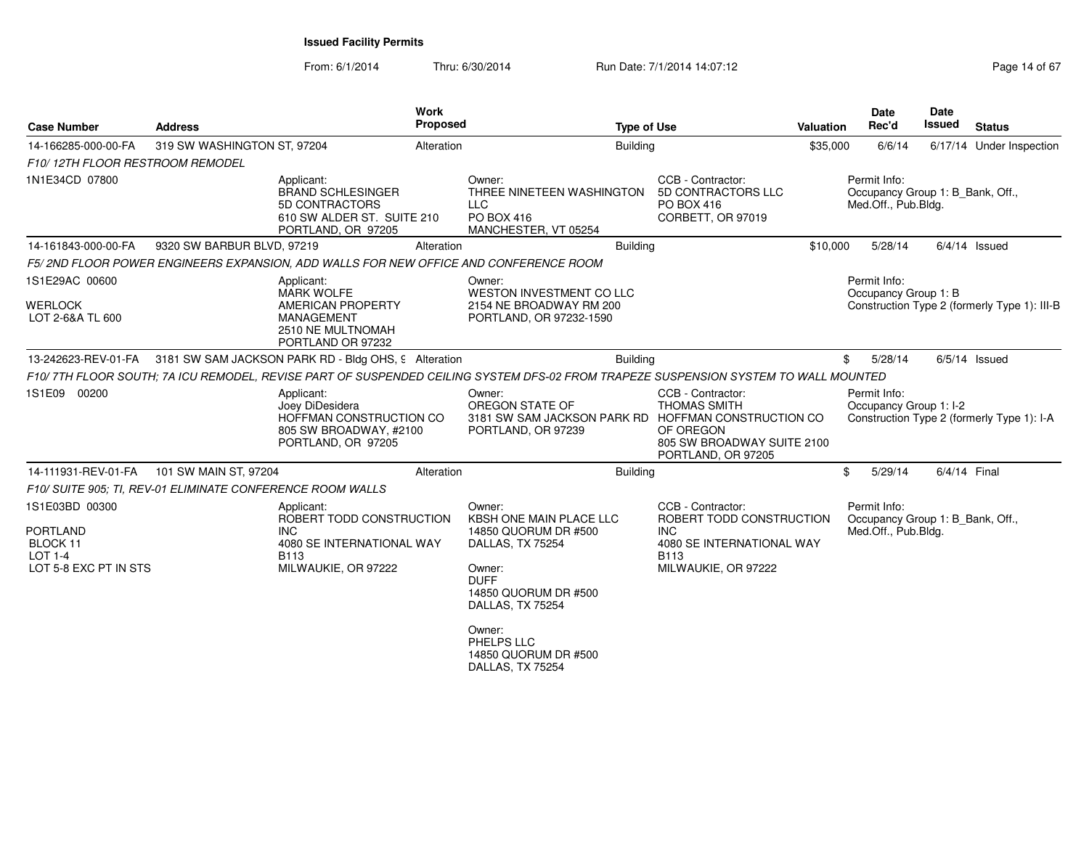From: 6/1/2014Thru: 6/30/2014 Run Date: 7/1/2014 14:07:12 Research 2010 14:07:12

| <b>Case Number</b>                                                                | <b>Address</b>                                             |                                                                                                                            | Work<br><b>Proposed</b> | <b>Type of Use</b>                                                                                                                                                                                        |                                                                                                                                     | Valuation | <b>Date</b><br>Rec'd                                                    | <b>Date</b><br><b>Issued</b> | <b>Status</b>                                |
|-----------------------------------------------------------------------------------|------------------------------------------------------------|----------------------------------------------------------------------------------------------------------------------------|-------------------------|-----------------------------------------------------------------------------------------------------------------------------------------------------------------------------------------------------------|-------------------------------------------------------------------------------------------------------------------------------------|-----------|-------------------------------------------------------------------------|------------------------------|----------------------------------------------|
| 14-166285-000-00-FA                                                               | 319 SW WASHINGTON ST, 97204                                |                                                                                                                            | Alteration              | <b>Building</b>                                                                                                                                                                                           |                                                                                                                                     | \$35,000  | 6/6/14                                                                  |                              | 6/17/14 Under Inspection                     |
| F10/12TH FLOOR RESTROOM REMODEL                                                   |                                                            |                                                                                                                            |                         |                                                                                                                                                                                                           |                                                                                                                                     |           |                                                                         |                              |                                              |
| 1N1E34CD 07800                                                                    |                                                            | Applicant:<br><b>BRAND SCHLESINGER</b><br>5D CONTRACTORS<br>610 SW ALDER ST. SUITE 210<br>PORTLAND, OR 97205               |                         | Owner:<br>THREE NINETEEN WASHINGTON<br>LLC<br>PO BOX 416<br>MANCHESTER, VT 05254                                                                                                                          | CCB - Contractor:<br>5D CONTRACTORS LLC<br>PO BOX 416<br>CORBETT, OR 97019                                                          |           | Permit Info:<br>Occupancy Group 1: B Bank, Off.,<br>Med.Off., Pub.Bldg. |                              |                                              |
| 14-161843-000-00-FA                                                               | 9320 SW BARBUR BLVD, 97219                                 |                                                                                                                            | Alteration              | <b>Building</b>                                                                                                                                                                                           |                                                                                                                                     | \$10,000  | 5/28/14                                                                 |                              | $6/4/14$ Issued                              |
|                                                                                   |                                                            |                                                                                                                            |                         | F5/2ND FLOOR POWER ENGINEERS EXPANSION, ADD WALLS FOR NEW OFFICE AND CONFERENCE ROOM                                                                                                                      |                                                                                                                                     |           |                                                                         |                              |                                              |
| 1S1E29AC 00600<br><b>WERLOCK</b><br>LOT 2-6&A TL 600                              |                                                            | Applicant:<br><b>MARK WOLFE</b><br><b>AMERICAN PROPERTY</b><br><b>MANAGEMENT</b><br>2510 NE MULTNOMAH<br>PORTLAND OR 97232 |                         | Owner:<br>WESTON INVESTMENT CO LLC<br>2154 NE BROADWAY RM 200<br>PORTLAND, OR 97232-1590                                                                                                                  |                                                                                                                                     |           | Permit Info:<br>Occupancy Group 1: B                                    |                              | Construction Type 2 (formerly Type 1): III-B |
| 13-242623-REV-01-FA                                                               |                                                            | 3181 SW SAM JACKSON PARK RD - Bldg OHS, 9 Alteration                                                                       |                         | <b>Building</b>                                                                                                                                                                                           |                                                                                                                                     | \$        | 5/28/14                                                                 |                              | $6/5/14$ Issued                              |
|                                                                                   |                                                            |                                                                                                                            |                         | F10/7TH FLOOR SOUTH; 7A ICU REMODEL, REVISE PART OF SUSPENDED CEILING SYSTEM DFS-02 FROM TRAPEZE SUSPENSION SYSTEM TO WALL MOUNTED                                                                        |                                                                                                                                     |           |                                                                         |                              |                                              |
| 1S1E09 00200                                                                      |                                                            | Applicant:<br>Joey DiDesidera<br>HOFFMAN CONSTRUCTION CO<br>805 SW BROADWAY, #2100<br>PORTLAND, OR 97205                   |                         | Owner:<br>OREGON STATE OF<br>3181 SW SAM JACKSON PARK RD HOFFMAN CONSTRUCTION CO<br>PORTLAND, OR 97239                                                                                                    | CCB - Contractor:<br><b>THOMAS SMITH</b><br>OF OREGON<br>805 SW BROADWAY SUITE 2100<br>PORTLAND, OR 97205                           |           | Permit Info:<br>Occupancy Group 1: I-2                                  |                              | Construction Type 2 (formerly Type 1): I-A   |
| 14-111931-REV-01-FA                                                               | 101 SW MAIN ST, 97204                                      |                                                                                                                            | Alteration              | <b>Building</b>                                                                                                                                                                                           |                                                                                                                                     | \$        | 5/29/14                                                                 |                              | 6/4/14 Final                                 |
|                                                                                   | F10/ SUITE 905; TI, REV-01 ELIMINATE CONFERENCE ROOM WALLS |                                                                                                                            |                         |                                                                                                                                                                                                           |                                                                                                                                     |           |                                                                         |                              |                                              |
| 1S1E03BD 00300<br><b>PORTLAND</b><br>BLOCK 11<br>LOT 1-4<br>LOT 5-8 EXC PT IN STS |                                                            | Applicant:<br>ROBERT TODD CONSTRUCTION<br><b>INC</b><br>4080 SE INTERNATIONAL WAY<br>B113<br>MILWAUKIE, OR 97222           |                         | Owner:<br><b>KBSH ONE MAIN PLACE LLC</b><br>14850 QUORUM DR #500<br>DALLAS, TX 75254<br>Owner:<br><b>DUFF</b><br>14850 QUORUM DR #500<br>DALLAS, TX 75254<br>Owner:<br>PHELPS LLC<br>14850 QUORUM DR #500 | CCB - Contractor:<br>ROBERT TODD CONSTRUCTION<br><b>INC</b><br>4080 SE INTERNATIONAL WAY<br>B <sub>113</sub><br>MILWAUKIE, OR 97222 |           | Permit Info:<br>Occupancy Group 1: B_Bank, Off.,<br>Med.Off., Pub.Bldg. |                              |                                              |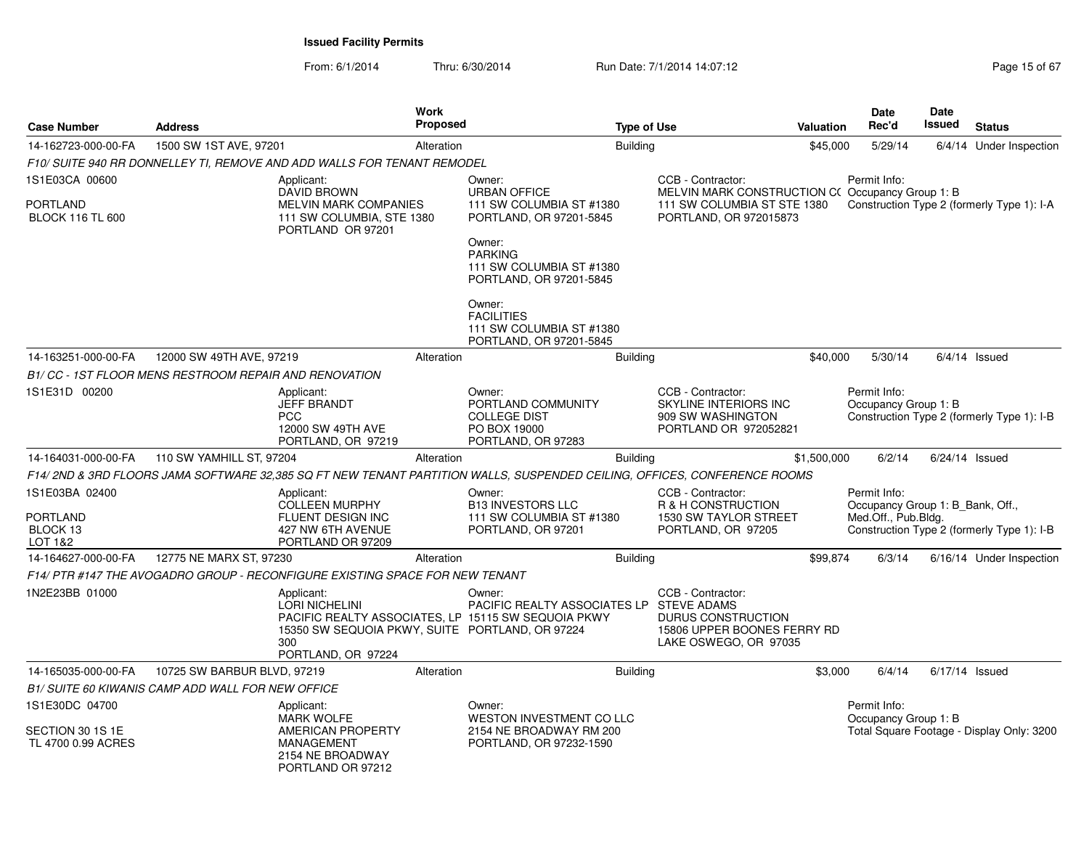From: 6/1/2014Thru: 6/30/2014 Run Date: 7/1/2014 14:07:12 Rege 15 of 67

| <b>Case Number</b>                                       | <b>Address</b>                                                               |                                                                                                                     | <b>Work</b><br><b>Proposed</b> |                                                                                                                                        | <b>Type of Use</b> |                                                                                                        | <b>Valuation</b> | <b>Date</b><br>Rec'd                                                    | <b>Date</b><br>Issued | <b>Status</b>                              |
|----------------------------------------------------------|------------------------------------------------------------------------------|---------------------------------------------------------------------------------------------------------------------|--------------------------------|----------------------------------------------------------------------------------------------------------------------------------------|--------------------|--------------------------------------------------------------------------------------------------------|------------------|-------------------------------------------------------------------------|-----------------------|--------------------------------------------|
| 14-162723-000-00-FA                                      | 1500 SW 1ST AVE, 97201                                                       |                                                                                                                     | Alteration                     |                                                                                                                                        | <b>Building</b>    |                                                                                                        | \$45,000         | 5/29/14                                                                 |                       | 6/4/14 Under Inspection                    |
|                                                          | F10/ SUITE 940 RR DONNELLEY TI. REMOVE AND ADD WALLS FOR TENANT REMODEL      |                                                                                                                     |                                |                                                                                                                                        |                    |                                                                                                        |                  |                                                                         |                       |                                            |
| 1S1E03CA 00600                                           |                                                                              | Applicant:<br><b>DAVID BROWN</b>                                                                                    |                                | Owner:<br><b>URBAN OFFICE</b>                                                                                                          |                    | CCB - Contractor:<br>MELVIN MARK CONSTRUCTION C(Occupancy Group 1: B)                                  |                  | Permit Info:                                                            |                       |                                            |
| PORTLAND<br><b>BLOCK 116 TL 600</b>                      |                                                                              | <b>MELVIN MARK COMPANIES</b><br>111 SW COLUMBIA, STE 1380<br>PORTLAND OR 97201                                      |                                | 111 SW COLUMBIA ST #1380<br>PORTLAND, OR 97201-5845<br>Owner:<br><b>PARKING</b><br>111 SW COLUMBIA ST #1380<br>PORTLAND, OR 97201-5845 |                    | 111 SW COLUMBIA ST STE 1380<br>PORTLAND, OR 972015873                                                  |                  |                                                                         |                       | Construction Type 2 (formerly Type 1): I-A |
|                                                          |                                                                              |                                                                                                                     |                                | Owner:<br><b>FACILITIES</b><br>111 SW COLUMBIA ST #1380<br>PORTLAND, OR 97201-5845                                                     |                    |                                                                                                        |                  |                                                                         |                       |                                            |
| 14-163251-000-00-FA                                      | 12000 SW 49TH AVE, 97219                                                     |                                                                                                                     | Alteration                     |                                                                                                                                        | <b>Building</b>    |                                                                                                        | \$40,000         | 5/30/14                                                                 |                       | $6/4/14$ Issued                            |
|                                                          | B1/ CC - 1ST FLOOR MENS RESTROOM REPAIR AND RENOVATION                       |                                                                                                                     |                                |                                                                                                                                        |                    |                                                                                                        |                  |                                                                         |                       |                                            |
| 1S1E31D 00200                                            |                                                                              | Applicant:<br><b>JEFF BRANDT</b><br><b>PCC</b><br>12000 SW 49TH AVE<br>PORTLAND, OR 97219                           |                                | Owner:<br>PORTLAND COMMUNITY<br><b>COLLEGE DIST</b><br>PO BOX 19000<br>PORTLAND, OR 97283                                              |                    | CCB - Contractor:<br>SKYLINE INTERIORS INC<br>909 SW WASHINGTON<br>PORTLAND OR 972052821               |                  | Permit Info:<br>Occupancy Group 1: B                                    |                       | Construction Type 2 (formerly Type 1): I-B |
| 14-164031-000-00-FA                                      | 110 SW YAMHILL ST, 97204                                                     |                                                                                                                     | Alteration                     |                                                                                                                                        | <b>Building</b>    |                                                                                                        | \$1,500,000      | 6/2/14                                                                  | 6/24/14 Issued        |                                            |
|                                                          |                                                                              |                                                                                                                     |                                | F14/ 2ND & 3RD FLOORS JAMA SOFTWARE 32,385 SQ FT NEW TENANT PARTITION WALLS, SUSPENDED CEILING, OFFICES, CONFERENCE ROOMS              |                    |                                                                                                        |                  |                                                                         |                       |                                            |
| 1S1E03BA 02400<br>PORTLAND<br>BLOCK 13<br>LOT 1&2        |                                                                              | Applicant:<br><b>COLLEEN MURPHY</b><br><b>FLUENT DESIGN INC</b><br>427 NW 6TH AVENUE<br>PORTLAND OR 97209           |                                | Owner:<br><b>B13 INVESTORS LLC</b><br>111 SW COLUMBIA ST #1380<br>PORTLAND, OR 97201                                                   |                    | CCB - Contractor:<br>R & H CONSTRUCTION<br>1530 SW TAYLOR STREET<br>PORTLAND, OR 97205                 |                  | Permit Info:<br>Occupancy Group 1: B Bank, Off.,<br>Med.Off., Pub.Bldg. |                       | Construction Type 2 (formerly Type 1): I-B |
| 14-164627-000-00-FA                                      | 12775 NE MARX ST, 97230                                                      |                                                                                                                     | Alteration                     |                                                                                                                                        | <b>Building</b>    |                                                                                                        | \$99,874         | 6/3/14                                                                  |                       | 6/16/14 Under Inspection                   |
|                                                          | F14/ PTR #147 THE AVOGADRO GROUP - RECONFIGURE EXISTING SPACE FOR NEW TENANT |                                                                                                                     |                                |                                                                                                                                        |                    |                                                                                                        |                  |                                                                         |                       |                                            |
| 1N2E23BB 01000                                           |                                                                              | Applicant:<br><b>LORI NICHELINI</b><br>15350 SW SEQUOIA PKWY, SUITE PORTLAND, OR 97224<br>300<br>PORTLAND, OR 97224 |                                | Owner:<br>PACIFIC REALTY ASSOCIATES LP STEVE ADAMS<br>PACIFIC REALTY ASSOCIATES, LP 15115 SW SEQUOIA PKWY                              |                    | CCB - Contractor:<br><b>DURUS CONSTRUCTION</b><br>15806 UPPER BOONES FERRY RD<br>LAKE OSWEGO, OR 97035 |                  |                                                                         |                       |                                            |
| 14-165035-000-00-FA                                      | 10725 SW BARBUR BLVD, 97219                                                  |                                                                                                                     | Alteration                     |                                                                                                                                        | <b>Building</b>    |                                                                                                        | \$3.000          | 6/4/14                                                                  | $6/17/14$ Issued      |                                            |
|                                                          | B1/ SUITE 60 KIWANIS CAMP ADD WALL FOR NEW OFFICE                            |                                                                                                                     |                                |                                                                                                                                        |                    |                                                                                                        |                  |                                                                         |                       |                                            |
| 1S1E30DC 04700<br>SECTION 30 1S 1E<br>TL 4700 0.99 ACRES |                                                                              | Applicant:<br><b>MARK WOLFE</b><br>AMERICAN PROPERTY<br>MANAGEMENT<br>2154 NE BROADWAY<br>PORTLAND OR 97212         |                                | Owner:<br>WESTON INVESTMENT CO LLC<br>2154 NE BROADWAY RM 200<br>PORTLAND, OR 97232-1590                                               |                    |                                                                                                        |                  | Permit Info:<br>Occupancy Group 1: B                                    |                       | Total Square Footage - Display Only: 3200  |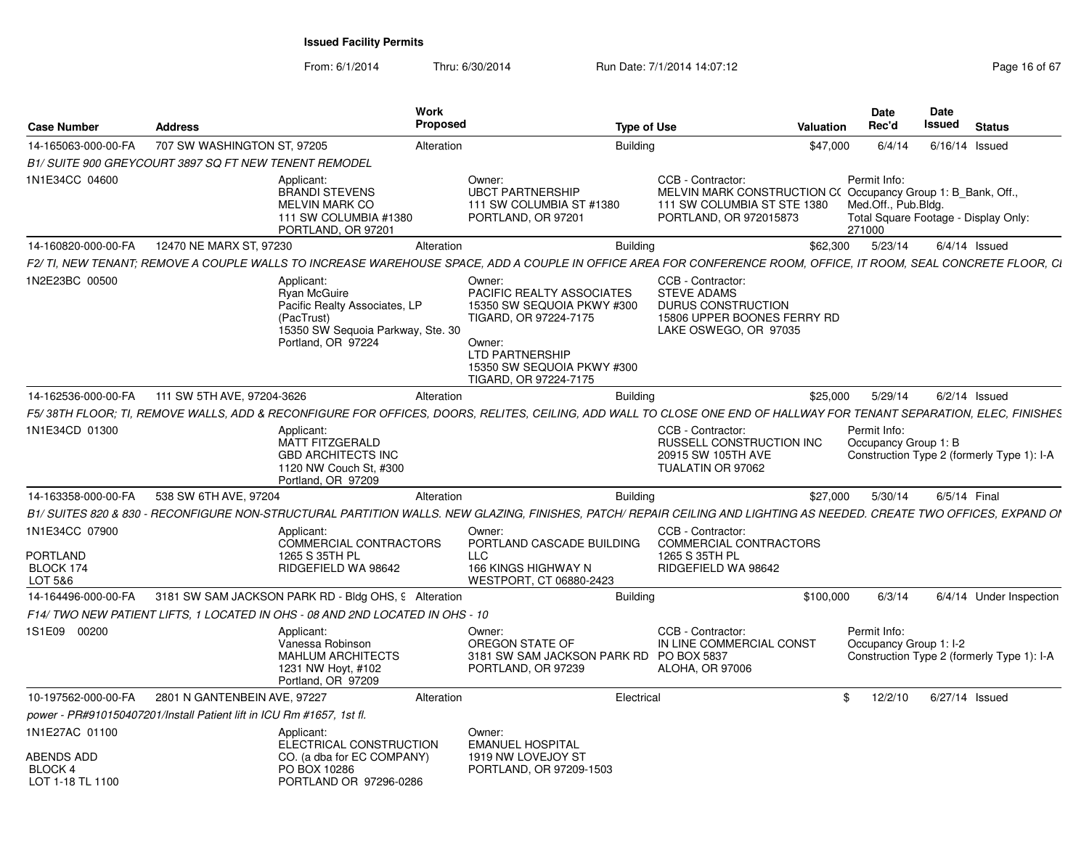From: 6/1/2014Thru: 6/30/2014 Run Date: 7/1/2014 14:07:12 Research 2010 2014 14:07:12

| <b>Case Number</b>                                                 | <b>Address</b>                                                        | <b>Work</b><br><b>Proposed</b>                                                                                                                                        |                                                                                                                                                                                       | <b>Type of Use</b> |                                                                                                                                           | <b>Valuation</b> | Date<br>Rec'd                                                                         | <b>Date</b><br><b>Issued</b> | <b>Status</b>                              |
|--------------------------------------------------------------------|-----------------------------------------------------------------------|-----------------------------------------------------------------------------------------------------------------------------------------------------------------------|---------------------------------------------------------------------------------------------------------------------------------------------------------------------------------------|--------------------|-------------------------------------------------------------------------------------------------------------------------------------------|------------------|---------------------------------------------------------------------------------------|------------------------------|--------------------------------------------|
| 14-165063-000-00-FA                                                | 707 SW WASHINGTON ST, 97205                                           | Alteration                                                                                                                                                            |                                                                                                                                                                                       | <b>Building</b>    |                                                                                                                                           | \$47,000         | 6/4/14                                                                                | 6/16/14                      | Issued                                     |
|                                                                    | <b>B1/ SUITE 900 GREYCOURT 3897 SQ FT NEW TENENT REMODEL</b>          |                                                                                                                                                                       |                                                                                                                                                                                       |                    |                                                                                                                                           |                  |                                                                                       |                              |                                            |
| 1N1E34CC 04600                                                     |                                                                       | Applicant:<br><b>BRANDI STEVENS</b><br><b>MELVIN MARK CO</b><br>111 SW COLUMBIA #1380<br>PORTLAND, OR 97201                                                           | Owner:<br><b>UBCT PARTNERSHIP</b><br>111 SW COLUMBIA ST #1380<br>PORTLAND, OR 97201                                                                                                   |                    | CCB - Contractor:<br>MELVIN MARK CONSTRUCTION C(Occupancy Group 1: B Bank, Off.,<br>111 SW COLUMBIA ST STE 1380<br>PORTLAND, OR 972015873 |                  | Permit Info:<br>Med.Off., Pub.Bldg.<br>Total Square Footage - Display Only:<br>271000 |                              |                                            |
| 14-160820-000-00-FA                                                | 12470 NE MARX ST, 97230                                               | Alteration                                                                                                                                                            |                                                                                                                                                                                       | <b>Building</b>    |                                                                                                                                           | \$62,300         | 5/23/14                                                                               |                              | $6/4/14$ Issued                            |
|                                                                    |                                                                       | F2/ TI, NEW TENANT; REMOVE A COUPLE WALLS TO INCREASE WAREHOUSE SPACE, ADD A COUPLE IN OFFICE AREA FOR CONFERENCE ROOM, OFFICE, IT ROOM, SEAL CONCRETE FLOOR, CI      |                                                                                                                                                                                       |                    |                                                                                                                                           |                  |                                                                                       |                              |                                            |
| 1N2E23BC 00500                                                     |                                                                       | Applicant:<br>Ryan McGuire<br>Pacific Realty Associates, LP<br>(PacTrust)<br>15350 SW Sequoia Parkway, Ste. 30<br>Portland, OR 97224                                  | Owner:<br>PACIFIC REALTY ASSOCIATES<br>15350 SW SEQUOIA PKWY #300<br>TIGARD, OR 97224-7175<br>Owner:<br><b>LTD PARTNERSHIP</b><br>15350 SW SEQUOIA PKWY #300<br>TIGARD, OR 97224-7175 |                    | CCB - Contractor:<br><b>STEVE ADAMS</b><br><b>DURUS CONSTRUCTION</b><br>15806 UPPER BOONES FERRY RD<br>LAKE OSWEGO, OR 97035              |                  |                                                                                       |                              |                                            |
| 14-162536-000-00-FA                                                | 111 SW 5TH AVE, 97204-3626                                            | Alteration                                                                                                                                                            |                                                                                                                                                                                       | <b>Building</b>    |                                                                                                                                           | \$25,000         | 5/29/14                                                                               |                              | $6/2/14$ Issued                            |
|                                                                    |                                                                       | F5/38TH FLOOR; TI, REMOVE WALLS, ADD & RECONFIGURE FOR OFFICES, DOORS, RELITES, CEILING, ADD WALL TO CLOSE ONE END OF HALLWAY FOR TENANT SEPARATION, ELEC, FINISHES   |                                                                                                                                                                                       |                    |                                                                                                                                           |                  |                                                                                       |                              |                                            |
| 1N1E34CD 01300                                                     |                                                                       | Applicant:<br><b>MATT FITZGERALD</b><br><b>GBD ARCHITECTS INC</b><br>1120 NW Couch St, #300<br>Portland, OR 97209                                                     |                                                                                                                                                                                       |                    | CCB - Contractor:<br>RUSSELL CONSTRUCTION INC<br>20915 SW 105TH AVE<br>TUALATIN OR 97062                                                  |                  | Permit Info:<br>Occupancy Group 1: B                                                  |                              | Construction Type 2 (formerly Type 1): I-A |
| 14-163358-000-00-FA                                                | 538 SW 6TH AVE, 97204                                                 | Alteration                                                                                                                                                            |                                                                                                                                                                                       | <b>Building</b>    |                                                                                                                                           | \$27,000         | 5/30/14                                                                               | 6/5/14 Final                 |                                            |
|                                                                    |                                                                       | B1/ SUITES 820 & 830 - RECONFIGURE NON-STRUCTURAL PARTITION WALLS. NEW GLAZING, FINISHES, PATCH/ REPAIR CEILING AND LIGHTING AS NEEDED. CREATE TWO OFFICES, EXPAND OI |                                                                                                                                                                                       |                    |                                                                                                                                           |                  |                                                                                       |                              |                                            |
| 1N1E34CC 07900<br><b>PORTLAND</b><br>BLOCK 174                     |                                                                       | Applicant:<br><b>COMMERCIAL CONTRACTORS</b><br>1265 S 35TH PL<br>RIDGEFIELD WA 98642                                                                                  | Owner:<br>PORTLAND CASCADE BUILDING<br><b>LLC</b><br>166 KINGS HIGHWAY N                                                                                                              |                    | CCB - Contractor:<br>COMMERCIAL CONTRACTORS<br>1265 S 35TH PL<br>RIDGEFIELD WA 98642                                                      |                  |                                                                                       |                              |                                            |
| LOT 5&6<br>14-164496-000-00-FA                                     |                                                                       | 3181 SW SAM JACKSON PARK RD - Bldg OHS, 9 Alteration                                                                                                                  | WESTPORT, CT 06880-2423                                                                                                                                                               |                    |                                                                                                                                           |                  | 6/3/14                                                                                |                              |                                            |
|                                                                    |                                                                       | F14/TWO NEW PATIENT LIFTS, 1 LOCATED IN OHS - 08 AND 2ND LOCATED IN OHS - 10                                                                                          |                                                                                                                                                                                       | <b>Building</b>    |                                                                                                                                           | \$100,000        |                                                                                       |                              | 6/4/14 Under Inspection                    |
| 1S1E09 00200                                                       |                                                                       | Applicant:<br>Vanessa Robinson<br><b>MAHLUM ARCHITECTS</b><br>1231 NW Hoyt, #102<br>Portland, OR 97209                                                                | Owner:<br>OREGON STATE OF<br>3181 SW SAM JACKSON PARK RD<br>PORTLAND, OR 97239                                                                                                        |                    | CCB - Contractor:<br>IN LINE COMMERCIAL CONST<br>PO BOX 5837<br><b>ALOHA, OR 97006</b>                                                    |                  | Permit Info:<br>Occupancy Group 1: I-2                                                |                              | Construction Type 2 (formerly Type 1): I-A |
| 10-197562-000-00-FA                                                | 2801 N GANTENBEIN AVE, 97227                                          | Alteration                                                                                                                                                            |                                                                                                                                                                                       | Electrical         |                                                                                                                                           |                  | \$<br>12/2/10                                                                         |                              | $6/27/14$ Issued                           |
|                                                                    | power - PR#910150407201/Install Patient lift in ICU Rm #1657, 1st fl. |                                                                                                                                                                       |                                                                                                                                                                                       |                    |                                                                                                                                           |                  |                                                                                       |                              |                                            |
| 1N1E27AC 01100<br><b>ABENDS ADD</b><br>BLOCK 4<br>LOT 1-18 TL 1100 |                                                                       | Applicant:<br>ELECTRICAL CONSTRUCTION<br>CO. (a dba for EC COMPANY)<br>PO BOX 10286<br>PORTLAND OR 97296-0286                                                         | Owner:<br><b>EMANUEL HOSPITAL</b><br>1919 NW LOVEJOY ST<br>PORTLAND, OR 97209-1503                                                                                                    |                    |                                                                                                                                           |                  |                                                                                       |                              |                                            |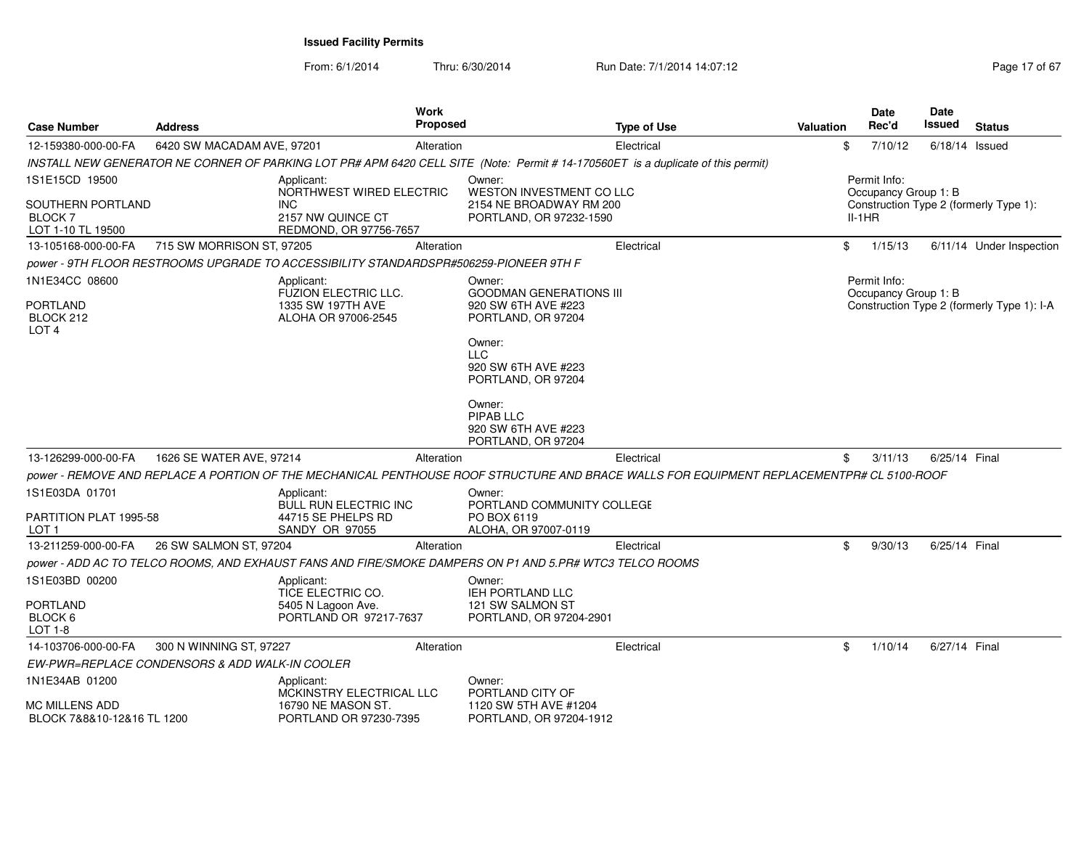From: 6/1/2014Thru: 6/30/2014 Run Date: 7/1/2014 14:07:12 Research 2010 17 of 67

| <b>Case Number</b>                                       | <b>Address</b>                                 |                                                                                       | <b>Work</b><br>Proposed |                                                                                                                                           | <b>Type of Use</b> | Valuation |          | <b>Date</b><br>Rec'd                 | Date<br>Issued   | <b>Status</b>                              |
|----------------------------------------------------------|------------------------------------------------|---------------------------------------------------------------------------------------|-------------------------|-------------------------------------------------------------------------------------------------------------------------------------------|--------------------|-----------|----------|--------------------------------------|------------------|--------------------------------------------|
| 12-159380-000-00-FA                                      | 6420 SW MACADAM AVE, 97201                     |                                                                                       | Alteration              |                                                                                                                                           | Electrical         |           | \$       | 7/10/12                              | $6/18/14$ Issued |                                            |
|                                                          |                                                |                                                                                       |                         | INSTALL NEW GENERATOR NE CORNER OF PARKING LOT PR# APM 6420 CELL SITE (Note: Permit # 14-170560ET is a duplicate of this permit)          |                    |           |          |                                      |                  |                                            |
| 1S1E15CD 19500                                           |                                                | Applicant:<br>NORTHWEST WIRED ELECTRIC                                                |                         | Owner:<br>WESTON INVESTMENT CO LLC                                                                                                        |                    |           |          | Permit Info:<br>Occupancy Group 1: B |                  |                                            |
| SOUTHERN PORTLAND<br><b>BLOCK 7</b><br>LOT 1-10 TL 19500 |                                                | <b>INC</b><br>2157 NW QUINCE CT<br>REDMOND, OR 97756-7657                             |                         | 2154 NE BROADWAY RM 200<br>PORTLAND, OR 97232-1590                                                                                        |                    |           | $II-1HR$ |                                      |                  | Construction Type 2 (formerly Type 1):     |
| 13-105168-000-00-FA                                      | 715 SW MORRISON ST, 97205                      |                                                                                       | Alteration              |                                                                                                                                           | Electrical         |           | \$       | 1/15/13                              |                  | 6/11/14 Under Inspection                   |
|                                                          |                                                | power - 9TH FLOOR RESTROOMS UPGRADE TO ACCESSIBILITY STANDARDSPR#506259-PIONEER 9TH F |                         |                                                                                                                                           |                    |           |          |                                      |                  |                                            |
| 1N1E34CC 08600                                           |                                                | Applicant:<br><b>FUZION ELECTRIC LLC.</b>                                             |                         | Owner:<br><b>GOODMAN GENERATIONS III</b>                                                                                                  |                    |           |          | Permit Info:<br>Occupancy Group 1: B |                  |                                            |
| <b>PORTLAND</b><br>BLOCK 212<br>LOT <sub>4</sub>         |                                                | 1335 SW 197TH AVE<br>ALOHA OR 97006-2545                                              |                         | 920 SW 6TH AVE #223<br>PORTLAND, OR 97204                                                                                                 |                    |           |          |                                      |                  | Construction Type 2 (formerly Type 1): I-A |
|                                                          |                                                |                                                                                       |                         | Owner:<br><b>LLC</b><br>920 SW 6TH AVE #223<br>PORTLAND, OR 97204                                                                         |                    |           |          |                                      |                  |                                            |
|                                                          |                                                |                                                                                       |                         | Owner:<br>PIPAB LLC<br>920 SW 6TH AVE #223<br>PORTLAND, OR 97204                                                                          |                    |           |          |                                      |                  |                                            |
| 13-126299-000-00-FA                                      | 1626 SE WATER AVE, 97214                       |                                                                                       | Alteration              |                                                                                                                                           | Electrical         |           | \$       | 3/11/13                              | 6/25/14 Final    |                                            |
|                                                          |                                                |                                                                                       |                         | power - REMOVE AND REPLACE A PORTION OF THE MECHANICAL PENTHOUSE ROOF STRUCTURE AND BRACE WALLS FOR EQUIPMENT REPLACEMENTPR# CL 5100-ROOF |                    |           |          |                                      |                  |                                            |
| 1S1E03DA 01701                                           |                                                | Applicant:<br>BULL RUN ELECTRIC INC                                                   |                         | Owner:<br>PORTLAND COMMUNITY COLLEGE                                                                                                      |                    |           |          |                                      |                  |                                            |
| PARTITION PLAT 1995-58<br>LOT 1                          |                                                | 44715 SE PHELPS RD<br>SANDY OR 97055                                                  |                         | PO BOX 6119<br>ALOHA, OR 97007-0119                                                                                                       |                    |           |          |                                      |                  |                                            |
| 13-211259-000-00-FA                                      | 26 SW SALMON ST, 97204                         |                                                                                       | Alteration              |                                                                                                                                           | Electrical         |           | \$       | 9/30/13                              | 6/25/14 Final    |                                            |
|                                                          |                                                |                                                                                       |                         | power - ADD AC TO TELCO ROOMS, AND EXHAUST FANS AND FIRE/SMOKE DAMPERS ON P1 AND 5.PR# WTC3 TELCO ROOMS                                   |                    |           |          |                                      |                  |                                            |
| 1S1E03BD 00200                                           |                                                | Applicant:<br>TICE ELECTRIC CO.                                                       |                         | Owner:<br>IEH PORTLAND LLC                                                                                                                |                    |           |          |                                      |                  |                                            |
| <b>PORTLAND</b><br>BLOCK 6<br>LOT 1-8                    |                                                | 5405 N Lagoon Ave.<br>PORTLAND OR 97217-7637                                          |                         | 121 SW SALMON ST<br>PORTLAND, OR 97204-2901                                                                                               |                    |           |          |                                      |                  |                                            |
| 14-103706-000-00-FA                                      | 300 N WINNING ST, 97227                        |                                                                                       | Alteration              |                                                                                                                                           | Electrical         |           | \$       | 1/10/14                              | 6/27/14 Final    |                                            |
|                                                          | EW-PWR=REPLACE CONDENSORS & ADD WALK-IN COOLER |                                                                                       |                         |                                                                                                                                           |                    |           |          |                                      |                  |                                            |
| 1N1E34AB 01200                                           |                                                | Applicant:<br><b>MCKINSTRY ELECTRICAL LLC</b>                                         |                         | Owner:<br>PORTLAND CITY OF                                                                                                                |                    |           |          |                                      |                  |                                            |
| MC MILLENS ADD<br>BLOCK 7&8&10-12&16 TL 1200             |                                                | 16790 NE MASON ST.<br>PORTLAND OR 97230-7395                                          |                         | 1120 SW 5TH AVE #1204<br>PORTLAND, OR 97204-1912                                                                                          |                    |           |          |                                      |                  |                                            |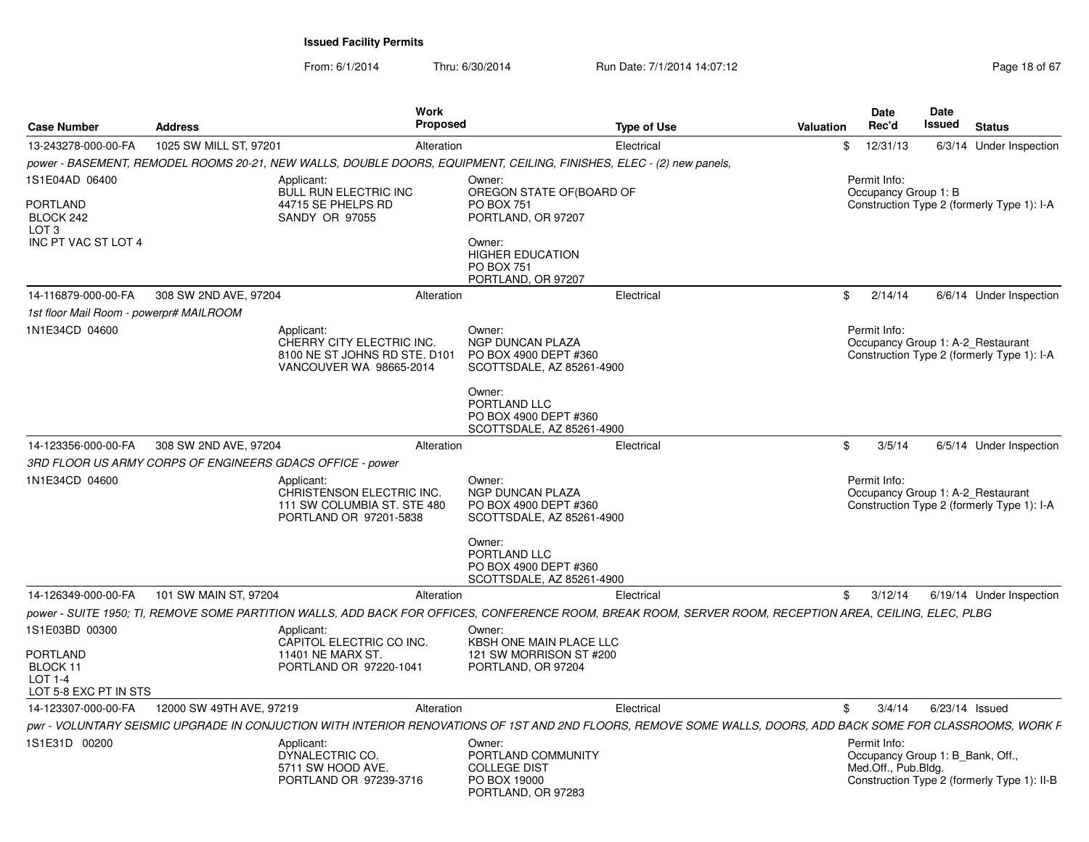From: 6/1/2014Thru: 6/30/2014 Run Date: 7/1/2014 14:07:12 Rege 18 of 67

| <b>Case Number</b>                                              | <b>Address</b>                                            | Work<br><b>Proposed</b>                                                                                                                                       |                                                                                           | <b>Type of Use</b> | Valuation | <b>Date</b><br>Rec'd                                                    | Date<br>Issued   | <b>Status</b>                               |
|-----------------------------------------------------------------|-----------------------------------------------------------|---------------------------------------------------------------------------------------------------------------------------------------------------------------|-------------------------------------------------------------------------------------------|--------------------|-----------|-------------------------------------------------------------------------|------------------|---------------------------------------------|
| 13-243278-000-00-FA                                             | 1025 SW MILL ST, 97201                                    | Alteration                                                                                                                                                    |                                                                                           | Electrical         |           | 12/31/13<br>\$                                                          |                  | 6/3/14 Under Inspection                     |
|                                                                 |                                                           | power - BASEMENT, REMODEL ROOMS 20-21, NEW WALLS, DOUBLE DOORS, EQUIPMENT, CEILING, FINISHES, ELEC - (2) new panels,                                          |                                                                                           |                    |           |                                                                         |                  |                                             |
| 1S1E04AD 06400<br><b>PORTLAND</b>                               |                                                           | Applicant:<br><b>BULL RUN ELECTRIC INC</b><br>44715 SE PHELPS RD                                                                                              | Owner:<br>OREGON STATE OF (BOARD OF<br><b>PO BOX 751</b>                                  |                    |           | Permit Info:<br>Occupancy Group 1: B                                    |                  | Construction Type 2 (formerly Type 1): I-A  |
| BLOCK 242<br>LOT <sub>3</sub><br>INC PT VAC ST LOT 4            |                                                           | <b>SANDY OR 97055</b>                                                                                                                                         | PORTLAND, OR 97207<br>Owner:<br><b>HIGHER EDUCATION</b><br><b>PO BOX 751</b>              |                    |           |                                                                         |                  |                                             |
|                                                                 |                                                           |                                                                                                                                                               | PORTLAND, OR 97207                                                                        |                    |           |                                                                         |                  |                                             |
| 14-116879-000-00-FA                                             | 308 SW 2ND AVE, 97204                                     | Alteration                                                                                                                                                    |                                                                                           | Electrical         |           | \$<br>2/14/14                                                           |                  | 6/6/14 Under Inspection                     |
| 1st floor Mail Room - powerpr# MAILROOM                         |                                                           |                                                                                                                                                               |                                                                                           |                    |           |                                                                         |                  |                                             |
| 1N1E34CD 04600                                                  |                                                           | Applicant:<br>CHERRY CITY ELECTRIC INC.<br>8100 NE ST JOHNS RD STE. D101<br>VANCOUVER WA 98665-2014                                                           | Owner:<br>NGP DUNCAN PLAZA<br>PO BOX 4900 DEPT #360<br>SCOTTSDALE, AZ 85261-4900          |                    |           | Permit Info:<br>Occupancy Group 1: A-2 Restaurant                       |                  | Construction Type 2 (formerly Type 1): I-A  |
|                                                                 |                                                           |                                                                                                                                                               | Owner:<br>PORTLAND LLC<br>PO BOX 4900 DEPT #360<br>SCOTTSDALE, AZ 85261-4900              |                    |           |                                                                         |                  |                                             |
| 14-123356-000-00-FA                                             | 308 SW 2ND AVE, 97204                                     | Alteration                                                                                                                                                    |                                                                                           | Electrical         |           | 3/5/14<br>\$                                                            |                  | 6/5/14 Under Inspection                     |
|                                                                 | 3RD FLOOR US ARMY CORPS OF ENGINEERS GDACS OFFICE - power |                                                                                                                                                               |                                                                                           |                    |           |                                                                         |                  |                                             |
| 1N1E34CD 04600                                                  |                                                           | Applicant:<br>CHRISTENSON ELECTRIC INC.<br>111 SW COLUMBIA ST. STE 480<br>PORTLAND OR 97201-5838                                                              | Owner:<br>NGP DUNCAN PLAZA<br>PO BOX 4900 DEPT #360<br>SCOTTSDALE, AZ 85261-4900          |                    |           | Permit Info:<br>Occupancy Group 1: A-2 Restaurant                       |                  | Construction Type 2 (formerly Type 1): I-A  |
|                                                                 |                                                           |                                                                                                                                                               | Owner:<br>PORTLAND LLC<br>PO BOX 4900 DEPT #360<br>SCOTTSDALE, AZ 85261-4900              |                    |           |                                                                         |                  |                                             |
| 14-126349-000-00-FA                                             | 101 SW MAIN ST, 97204                                     | Alteration                                                                                                                                                    |                                                                                           | Electrical         |           | 3/12/14<br>\$                                                           |                  | 6/19/14 Under Inspection                    |
|                                                                 |                                                           | power - SUITE 1950; TI, REMOVE SOME PARTITION WALLS, ADD BACK FOR OFFICES, CONFERENCE ROOM, BREAK ROOM, SERVER ROOM, RECEPTION AREA, CEILING, ELEC, PLBG      |                                                                                           |                    |           |                                                                         |                  |                                             |
| 1S1E03BD 00300                                                  |                                                           | Applicant:<br>CAPITOL ELECTRIC CO INC.                                                                                                                        | Owner:<br>KBSH ONE MAIN PLACE LLC                                                         |                    |           |                                                                         |                  |                                             |
| PORTLAND<br>BLOCK 11<br><b>LOT 1-4</b><br>LOT 5-8 EXC PT IN STS |                                                           | 11401 NE MARX ST.<br>PORTLAND OR 97220-1041                                                                                                                   | 121 SW MORRISON ST #200<br>PORTLAND, OR 97204                                             |                    |           |                                                                         |                  |                                             |
| 14-123307-000-00-FA                                             | 12000 SW 49TH AVE, 97219                                  | Alteration                                                                                                                                                    |                                                                                           | Electrical         |           | \$<br>3/4/14                                                            | $6/23/14$ Issued |                                             |
|                                                                 |                                                           | pwr - VOLUNTARY SEISMIC UPGRADE IN CONJUCTION WITH INTERIOR RENOVATIONS OF 1ST AND 2ND FLOORS, REMOVE SOME WALLS, DOORS, ADD BACK SOME FOR CLASSROOMS, WORK F |                                                                                           |                    |           |                                                                         |                  |                                             |
| 1S1E31D 00200                                                   |                                                           | Applicant:<br>DYNALECTRIC CO.<br>5711 SW HOOD AVE.<br>PORTLAND OR 97239-3716                                                                                  | Owner:<br>PORTLAND COMMUNITY<br><b>COLLEGE DIST</b><br>PO BOX 19000<br>PORTLAND, OR 97283 |                    |           | Permit Info:<br>Occupancy Group 1: B Bank, Off.,<br>Med.Off., Pub.Bldg. |                  | Construction Type 2 (formerly Type 1): II-B |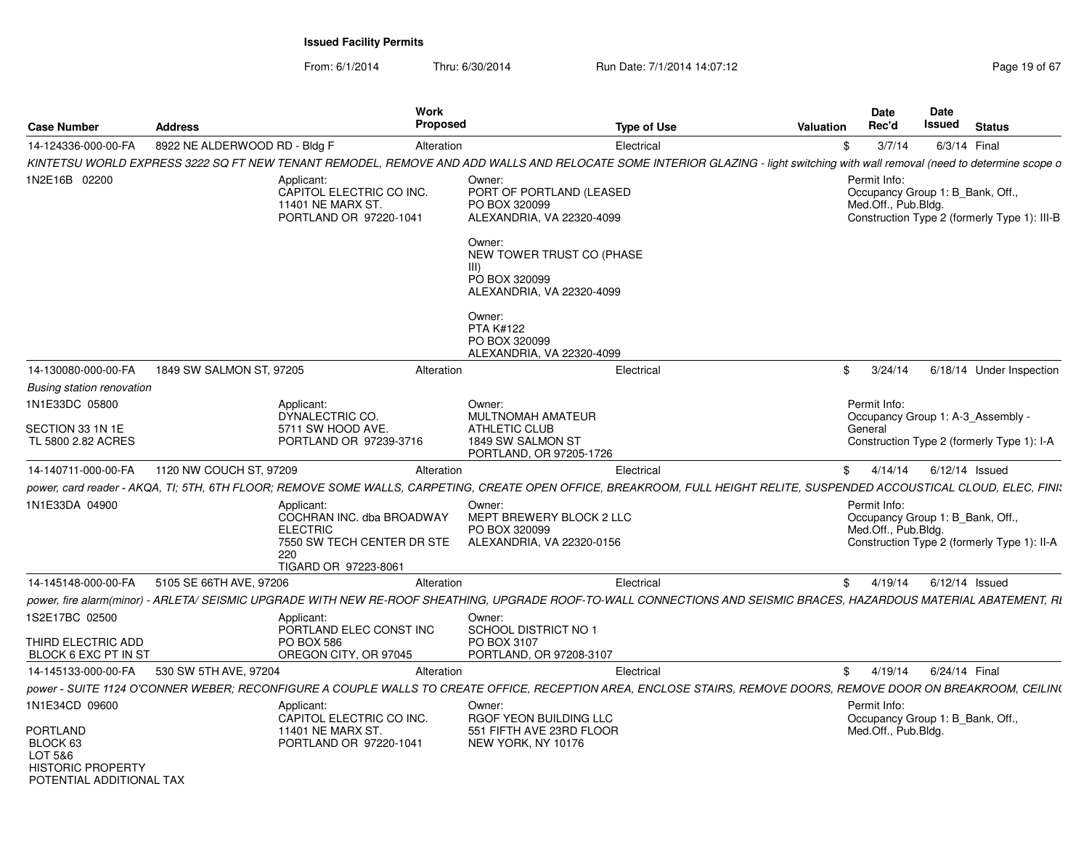From: 6/1/2014Thru: 6/30/2014 Run Date: 7/1/2014 14:07:12 Rege 19 of 67

| <b>Case Number</b>                                                                      | <b>Address</b>                                                                                                                                                               | Work<br><b>Proposed</b>                                                         |                                                                                            | <b>Type of Use</b> | <b>Valuation</b> | <b>Date</b><br><b>Rec'd</b>                                             | <b>Date</b><br>Issued | <b>Status</b>                                |
|-----------------------------------------------------------------------------------------|------------------------------------------------------------------------------------------------------------------------------------------------------------------------------|---------------------------------------------------------------------------------|--------------------------------------------------------------------------------------------|--------------------|------------------|-------------------------------------------------------------------------|-----------------------|----------------------------------------------|
| 14-124336-000-00-FA                                                                     | 8922 NE ALDERWOOD RD - Bldg F                                                                                                                                                | Alteration                                                                      |                                                                                            | Electrical         | \$               | 3/7/14                                                                  | 6/3/14 Final          |                                              |
|                                                                                         | KINTETSU WORLD EXPRESS 3222 SQ FT NEW TENANT REMODEL, REMOVE AND ADD WALLS AND RELOCATE SOME INTERIOR GLAZING - light switching with wall removal (need to determine scope o |                                                                                 |                                                                                            |                    |                  |                                                                         |                       |                                              |
| 1N2E16B 02200                                                                           | Applicant:<br>11401 NE MARX ST                                                                                                                                               | CAPITOL ELECTRIC CO INC.<br>PORTLAND OR 97220-1041                              | Owner:<br>PORT OF PORTLAND (LEASED<br>PO BOX 320099<br>ALEXANDRIA, VA 22320-4099<br>Owner: |                    |                  | Permit Info:<br>Occupancy Group 1: B_Bank, Off.,<br>Med.Off., Pub.Bldg. |                       | Construction Type 2 (formerly Type 1): III-B |
|                                                                                         |                                                                                                                                                                              |                                                                                 | NEW TOWER TRUST CO (PHASE<br>III<br>PO BOX 320099<br>ALEXANDRIA, VA 22320-4099             |                    |                  |                                                                         |                       |                                              |
|                                                                                         |                                                                                                                                                                              |                                                                                 | Owner:<br><b>PTA K#122</b><br>PO BOX 320099<br>ALEXANDRIA, VA 22320-4099                   |                    |                  |                                                                         |                       |                                              |
| 14-130080-000-00-FA                                                                     | 1849 SW SALMON ST, 97205                                                                                                                                                     | Alteration                                                                      |                                                                                            | Electrical         |                  | \$3/24/14                                                               |                       | 6/18/14 Under Inspection                     |
| Busing station renovation                                                               |                                                                                                                                                                              |                                                                                 |                                                                                            |                    |                  |                                                                         |                       |                                              |
| 1N1E33DC 05800                                                                          | Applicant:<br>DYNALECTRIC CO.                                                                                                                                                |                                                                                 | Owner:<br>MULTNOMAH AMATEUR                                                                |                    |                  | Permit Info:                                                            |                       | Occupancy Group 1: A-3 Assembly -            |
| SECTION 33 1N 1E<br>TL 5800 2.82 ACRES                                                  | 5711 SW HOOD AVE.                                                                                                                                                            | PORTLAND OR 97239-3716                                                          | ATHLETIC CLUB<br>1849 SW SALMON ST<br>PORTLAND, OR 97205-1726                              |                    |                  | General                                                                 |                       | Construction Type 2 (formerly Type 1): I-A   |
| 14-140711-000-00-FA                                                                     | 1120 NW COUCH ST, 97209                                                                                                                                                      | Alteration                                                                      |                                                                                            | Electrical         |                  | \$4/14/14                                                               | 6/12/14 Issued        |                                              |
|                                                                                         | power, card reader - AKQA, TI; 5TH, 6TH FLOOR; REMOVE SOME WALLS, CARPETING, CREATE OPEN OFFICE, BREAKROOM, FULL HEIGHT RELITE, SUSPENDED ACCOUSTICAL CLOUD, ELEC, FINI:     |                                                                                 |                                                                                            |                    |                  |                                                                         |                       |                                              |
| 1N1E33DA 04900                                                                          | Applicant:<br><b>ELECTRIC</b><br>220                                                                                                                                         | COCHRAN INC. dba BROADWAY<br>7550 SW TECH CENTER DR STE<br>TIGARD OR 97223-8061 | Owner:<br>MEPT BREWERY BLOCK 2 LLC<br>PO BOX 320099<br>ALEXANDRIA. VA 22320-0156           |                    |                  | Permit Info:<br>Occupancy Group 1: B Bank, Off.,<br>Med.Off., Pub.Bldg. |                       | Construction Type 2 (formerly Type 1): II-A  |
| 14-145148-000-00-FA                                                                     | 5105 SE 66TH AVE, 97206                                                                                                                                                      | Alteration                                                                      |                                                                                            | Electrical         |                  | \$4/19/14                                                               | $6/12/14$ Issued      |                                              |
|                                                                                         | power, fire alarm(minor) - ARLETA/ SEISMIC UPGRADE WITH NEW RE-ROOF SHEATHING, UPGRADE ROOF-TO-WALL CONNECTIONS AND SEISMIC BRACES, HAZARDOUS MATERIAL ABATEMENT, RI         |                                                                                 |                                                                                            |                    |                  |                                                                         |                       |                                              |
| 1S2E17BC 02500                                                                          | Applicant:                                                                                                                                                                   | PORTLAND ELEC CONST INC                                                         | Owner:<br><b>SCHOOL DISTRICT NO 1</b>                                                      |                    |                  |                                                                         |                       |                                              |
| THIRD ELECTRIC ADD<br>BLOCK 6 EXC PT IN ST                                              | <b>PO BOX 586</b>                                                                                                                                                            | OREGON CITY, OR 97045                                                           | PO BOX 3107<br>PORTLAND, OR 97208-3107                                                     |                    |                  |                                                                         |                       |                                              |
| 14-145133-000-00-FA                                                                     | 530 SW 5TH AVE, 97204                                                                                                                                                        | Alteration                                                                      |                                                                                            | Electrical         |                  | \$4/19/14                                                               | 6/24/14 Final         |                                              |
|                                                                                         | power - SUITE 1124 O'CONNER WEBER; RECONFIGURE A COUPLE WALLS TO CREATE OFFICE, RECEPTION AREA, ENCLOSE STAIRS, REMOVE DOORS, REMOVE DOOR ON BREAKROOM, CEILIN(              |                                                                                 |                                                                                            |                    |                  |                                                                         |                       |                                              |
| 1N1E34CD 09600                                                                          | Applicant:                                                                                                                                                                   |                                                                                 | Owner:                                                                                     |                    |                  | Permit Info:                                                            |                       |                                              |
| PORTLAND<br>BLOCK 63<br>LOT 5&6<br><b>HISTORIC PROPERTY</b><br>POTENTIAI ADDITIONAI TAX | 11401 NE MARX ST.                                                                                                                                                            | CAPITOL ELECTRIC CO INC.<br>PORTLAND OR 97220-1041                              | RGOF YEON BUILDING LLC<br>551 FIFTH AVE 23RD FLOOR<br>NEW YORK, NY 10176                   |                    |                  | Occupancy Group 1: B_Bank, Off.,<br>Med.Off., Pub.Bldg.                 |                       |                                              |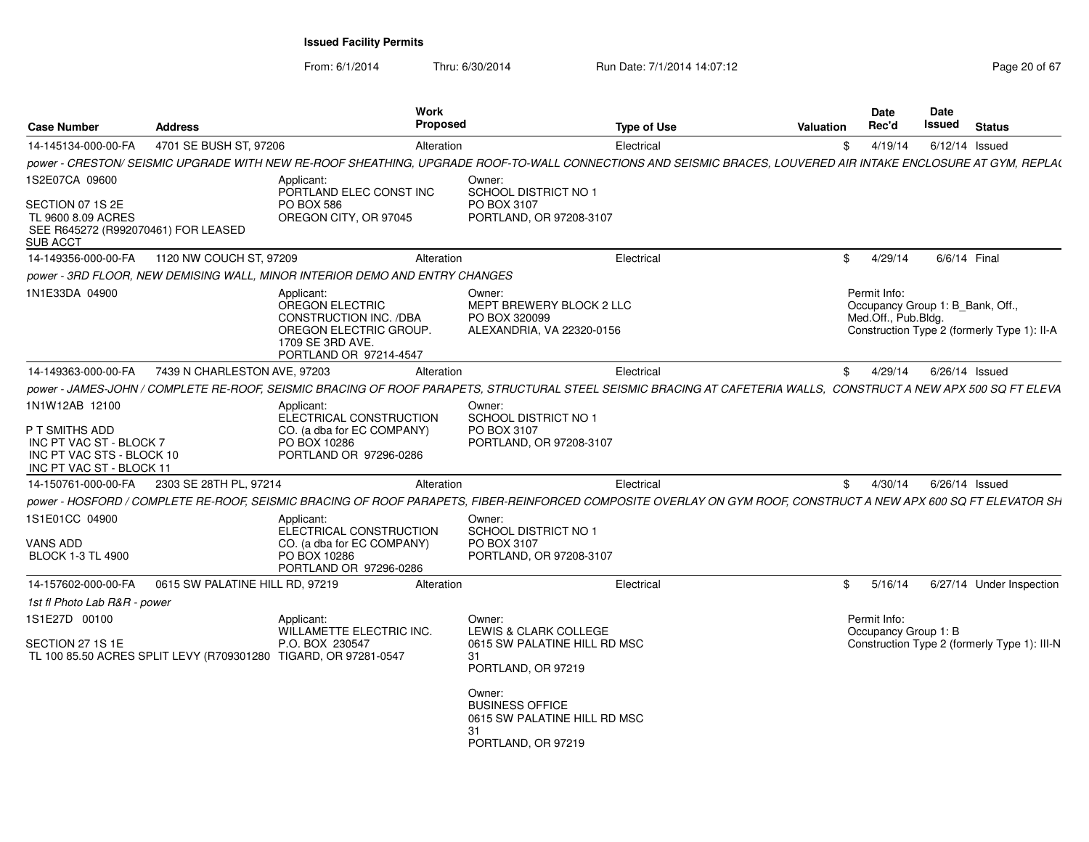From: 6/1/2014Thru: 6/30/2014 Run Date: 7/1/2014 14:07:12 Rege 20 of 67

| <b>Case Number</b>                                                                                                   | <b>Address</b>                  |                                                                                                                                 | Work<br><b>Proposed</b> |                                                                                                                                                                                             | <b>Type of Use</b> | Valuation  | <b>Date</b><br>Rec'd                 | Date<br>Issued | <b>Status</b>                                                                   |
|----------------------------------------------------------------------------------------------------------------------|---------------------------------|---------------------------------------------------------------------------------------------------------------------------------|-------------------------|---------------------------------------------------------------------------------------------------------------------------------------------------------------------------------------------|--------------------|------------|--------------------------------------|----------------|---------------------------------------------------------------------------------|
| 14-145134-000-00-FA                                                                                                  | 4701 SE BUSH ST, 97206          |                                                                                                                                 | Alteration              |                                                                                                                                                                                             | Electrical         | \$         | 4/19/14                              |                | 6/12/14 Issued                                                                  |
|                                                                                                                      |                                 |                                                                                                                                 |                         | power - CRESTON/ SEISMIC UPGRADE WITH NEW RE-ROOF SHEATHING, UPGRADE ROOF-TO-WALL CONNECTIONS AND SEISMIC BRACES, LOUVERED AIR INTAKE ENCLOSURE AT GYM, REPLA(                              |                    |            |                                      |                |                                                                                 |
| 1S2E07CA 09600<br>SECTION 07 1S 2E<br>TL 9600 8.09 ACRES<br>SEE R645272 (R992070461) FOR LEASED<br>SUB ACCT          |                                 | Applicant:<br>PORTLAND ELEC CONST INC<br><b>PO BOX 586</b><br>OREGON CITY, OR 97045                                             |                         | Owner:<br>SCHOOL DISTRICT NO 1<br>PO BOX 3107<br>PORTLAND, OR 97208-3107                                                                                                                    |                    |            |                                      |                |                                                                                 |
| 14-149356-000-00-FA                                                                                                  | 1120 NW COUCH ST, 97209         |                                                                                                                                 | Alteration              |                                                                                                                                                                                             | Electrical         | \$         | 4/29/14                              |                | 6/6/14 Final                                                                    |
|                                                                                                                      |                                 | power - 3RD FLOOR, NEW DEMISING WALL, MINOR INTERIOR DEMO AND ENTRY CHANGES                                                     |                         |                                                                                                                                                                                             |                    |            |                                      |                |                                                                                 |
| 1N1E33DA 04900                                                                                                       |                                 | Applicant:<br>OREGON ELECTRIC<br>CONSTRUCTION INC. /DBA<br>OREGON ELECTRIC GROUP.<br>1709 SE 3RD AVE.<br>PORTLAND OR 97214-4547 |                         | Owner:<br>MEPT BREWERY BLOCK 2 LLC<br>PO BOX 320099<br>ALEXANDRIA, VA 22320-0156                                                                                                            |                    |            | Permit Info:<br>Med.Off., Pub.Bldg.  |                | Occupancy Group 1: B_Bank, Off.,<br>Construction Type 2 (formerly Type 1): II-A |
| 14-149363-000-00-FA                                                                                                  | 7439 N CHARLESTON AVE, 97203    |                                                                                                                                 | Alteration              |                                                                                                                                                                                             | Electrical         | \$         | 4/29/14                              |                | 6/26/14 Issued                                                                  |
|                                                                                                                      |                                 |                                                                                                                                 |                         | power - JAMES-JOHN / COMPLETE RE-ROOF, SEISMIC BRACING OF ROOF PARAPETS, STRUCTURAL STEEL SEISMIC BRACING AT CAFETERIA WALLS, CONSTRUCT A NEW APX 500 SQ FT ELEVA                           |                    |            |                                      |                |                                                                                 |
| 1N1W12AB 12100<br>P T SMITHS ADD<br>INC PT VAC ST - BLOCK 7<br>INC PT VAC STS - BLOCK 10<br>INC PT VAC ST - BLOCK 11 |                                 | Applicant:<br>ELECTRICAL CONSTRUCTION<br>CO. (a dba for EC COMPANY)<br>PO BOX 10286<br>PORTLAND OR 97296-0286                   |                         | Owner:<br>SCHOOL DISTRICT NO 1<br>PO BOX 3107<br>PORTLAND, OR 97208-3107                                                                                                                    |                    |            |                                      |                |                                                                                 |
| 14-150761-000-00-FA                                                                                                  | 2303 SE 28TH PL, 97214          |                                                                                                                                 | Alteration              |                                                                                                                                                                                             | Electrical         | \$         | 4/30/14                              |                | 6/26/14 Issued                                                                  |
|                                                                                                                      |                                 |                                                                                                                                 |                         | power - HOSFORD / COMPLETE RE-ROOF, SEISMIC BRACING OF ROOF PARAPETS, FIBER-REINFORCED COMPOSITE OVERLAY ON GYM ROOF, CONSTRUCT A NEW APX 600 SQ FT ELEVATOR SH                             |                    |            |                                      |                |                                                                                 |
| 1S1E01CC 04900<br><b>VANS ADD</b><br><b>BLOCK 1-3 TL 4900</b>                                                        |                                 | Applicant:<br>ELECTRICAL CONSTRUCTION<br>CO. (a dba for EC COMPANY)<br>PO BOX 10286<br>PORTLAND OR 97296-0286                   |                         | Owner:<br>SCHOOL DISTRICT NO 1<br>PO BOX 3107<br>PORTLAND, OR 97208-3107                                                                                                                    |                    |            |                                      |                |                                                                                 |
| 14-157602-000-00-FA                                                                                                  | 0615 SW PALATINE HILL RD, 97219 |                                                                                                                                 | Alteration              |                                                                                                                                                                                             | Electrical         | $^{\circ}$ | 5/16/14                              |                | 6/27/14 Under Inspection                                                        |
| 1st fl Photo Lab R&R - power                                                                                         |                                 |                                                                                                                                 |                         |                                                                                                                                                                                             |                    |            |                                      |                |                                                                                 |
| 1S1E27D 00100<br>SECTION 27 1S 1E                                                                                    |                                 | Applicant:<br>WILLAMETTE ELECTRIC INC.<br>P.O. BOX 230547<br>TL 100 85.50 ACRES SPLIT LEVY (R709301280 TIGARD, OR 97281-0547    |                         | Owner:<br>LEWIS & CLARK COLLEGE<br>0615 SW PALATINE HILL RD MSC<br>31<br>PORTLAND, OR 97219<br>Owner:<br><b>BUSINESS OFFICE</b><br>0615 SW PALATINE HILL RD MSC<br>31<br>PORTLAND, OR 97219 |                    |            | Permit Info:<br>Occupancy Group 1: B |                | Construction Type 2 (formerly Type 1): III-N                                    |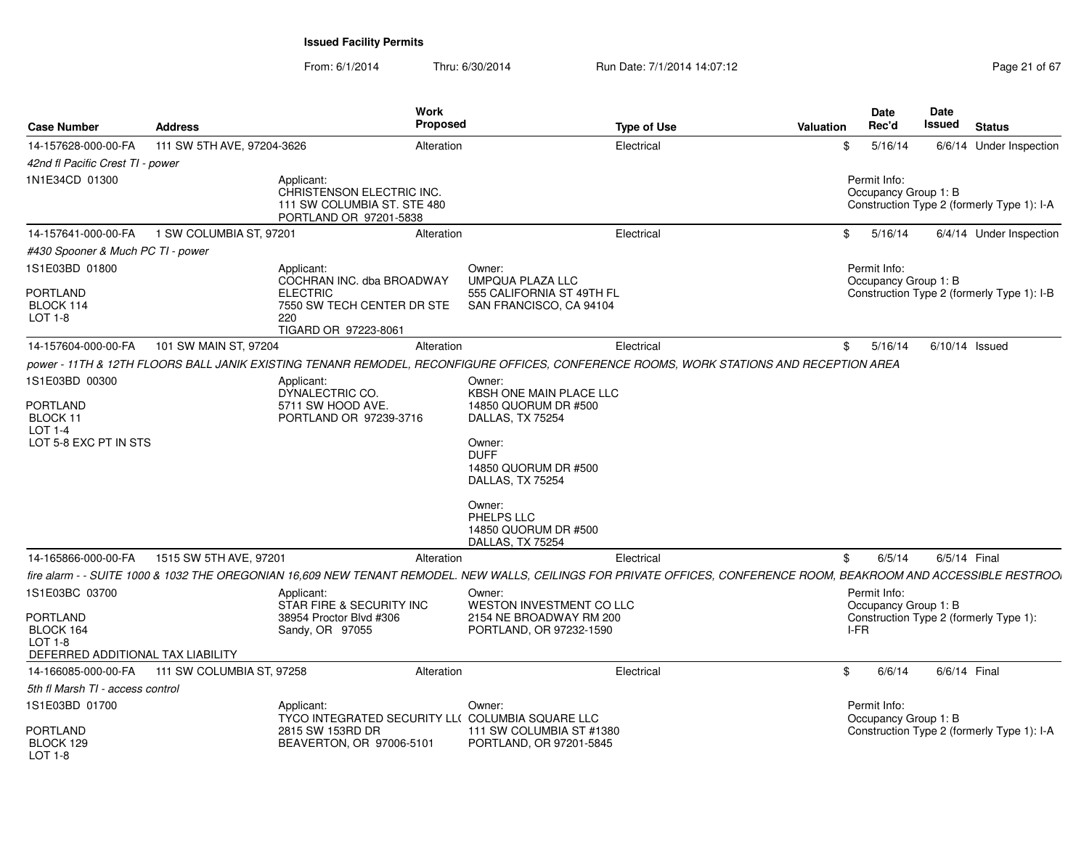From: 6/1/2014Thru: 6/30/2014 Run Date: 7/1/2014 14:07:12 Rege 21 of 67

| Case Number                                                                                           | <b>Address</b>             |                                                                                                                | <b>Work</b><br>Proposed |                                                                                                                                                                                                                        | <b>Type of Use</b> | Valuation |      | <b>Date</b><br>Rec'd                 | <b>Date</b><br>Issued | <b>Status</b>                              |
|-------------------------------------------------------------------------------------------------------|----------------------------|----------------------------------------------------------------------------------------------------------------|-------------------------|------------------------------------------------------------------------------------------------------------------------------------------------------------------------------------------------------------------------|--------------------|-----------|------|--------------------------------------|-----------------------|--------------------------------------------|
| 14-157628-000-00-FA                                                                                   | 111 SW 5TH AVE, 97204-3626 |                                                                                                                | Alteration              |                                                                                                                                                                                                                        | Electrical         |           | \$   | 5/16/14                              |                       | 6/6/14 Under Inspection                    |
| 42nd fl Pacific Crest TI - power                                                                      |                            |                                                                                                                |                         |                                                                                                                                                                                                                        |                    |           |      |                                      |                       |                                            |
| 1N1E34CD 01300                                                                                        |                            | Applicant:<br>CHRISTENSON ELECTRIC INC.<br>111 SW COLUMBIA ST. STE 480<br>PORTLAND OR 97201-5838               |                         |                                                                                                                                                                                                                        |                    |           |      | Permit Info:<br>Occupancy Group 1: B |                       | Construction Type 2 (formerly Type 1): I-A |
| 14-157641-000-00-FA                                                                                   | 1 SW COLUMBIA ST, 97201    |                                                                                                                | Alteration              |                                                                                                                                                                                                                        | Electrical         |           | \$   | 5/16/14                              |                       | 6/4/14 Under Inspection                    |
| #430 Spooner & Much PC TI - power                                                                     |                            |                                                                                                                |                         |                                                                                                                                                                                                                        |                    |           |      |                                      |                       |                                            |
| 1S1E03BD 01800                                                                                        |                            | Applicant:<br>COCHRAN INC. dba BROADWAY                                                                        |                         | Owner:<br>UMPQUA PLAZA LLC                                                                                                                                                                                             |                    |           |      | Permit Info:<br>Occupancy Group 1: B |                       |                                            |
| <b>PORTLAND</b><br>BLOCK 114<br>LOT 1-8                                                               |                            | <b>ELECTRIC</b><br>7550 SW TECH CENTER DR STE<br>220<br>TIGARD OR 97223-8061                                   |                         | 555 CALIFORNIA ST 49TH FL<br>SAN FRANCISCO, CA 94104                                                                                                                                                                   |                    |           |      |                                      |                       | Construction Type 2 (formerly Type 1): I-B |
| 14-157604-000-00-FA                                                                                   | 101 SW MAIN ST, 97204      |                                                                                                                | Alteration              |                                                                                                                                                                                                                        | Electrical         |           | \$   | 5/16/14                              | $6/10/14$ Issued      |                                            |
|                                                                                                       |                            |                                                                                                                |                         | power - 11TH & 12TH FLOORS BALL JANIK EXISTING TENANR REMODEL, RECONFIGURE OFFICES, CONFERENCE ROOMS, WORK STATIONS AND RECEPTION AREA                                                                                 |                    |           |      |                                      |                       |                                            |
| 1S1E03BD 00300<br>PORTLAND<br>BLOCK 11<br><b>LOT 1-4</b><br>LOT 5-8 EXC PT IN STS                     |                            | Applicant:<br>DYNALECTRIC CO.<br>5711 SW HOOD AVE.<br>PORTLAND OR 97239-3716                                   |                         | Owner:<br>KBSH ONE MAIN PLACE LLC<br>14850 QUORUM DR #500<br>DALLAS, TX 75254<br>Owner:<br><b>DUFF</b><br>14850 QUORUM DR #500<br>DALLAS, TX 75254<br>Owner:<br>PHELPS LLC<br>14850 QUORUM DR #500<br>DALLAS, TX 75254 |                    |           |      |                                      |                       |                                            |
| 14-165866-000-00-FA                                                                                   | 1515 SW 5TH AVE, 97201     |                                                                                                                | Alteration              |                                                                                                                                                                                                                        | Electrical         |           | \$   | 6/5/14                               | 6/5/14 Final          |                                            |
|                                                                                                       |                            |                                                                                                                |                         | fire alarm - - SUITE 1000 & 1032 THE OREGONIAN 16.609 NEW TENANT REMODEL. NEW WALLS. CEILINGS FOR PRIVATE OFFICES. CONFERENCE ROOM. BEAKROOM AND ACCESSIBLE RESTROOI                                                   |                    |           |      |                                      |                       |                                            |
| 1S1E03BC 03700<br><b>PORTLAND</b><br>BLOCK 164<br><b>LOT 1-8</b><br>DEFERRED ADDITIONAL TAX LIABILITY |                            | Applicant:<br>STAR FIRE & SECURITY INC<br>38954 Proctor Blvd #306<br>Sandy, OR 97055                           |                         | Owner:<br>WESTON INVESTMENT CO LLC<br>2154 NE BROADWAY RM 200<br>PORTLAND, OR 97232-1590                                                                                                                               |                    |           | I-FR | Permit Info:<br>Occupancy Group 1: B |                       | Construction Type 2 (formerly Type 1):     |
| 14-166085-000-00-FA                                                                                   | 111 SW COLUMBIA ST, 97258  |                                                                                                                | Alteration              |                                                                                                                                                                                                                        | Electrical         |           | \$   | 6/6/14                               | 6/6/14 Final          |                                            |
| 5th fl Marsh TI - access control                                                                      |                            |                                                                                                                |                         |                                                                                                                                                                                                                        |                    |           |      |                                      |                       |                                            |
| 1S1E03BD 01700<br>PORTLAND<br>BLOCK 129                                                               |                            | Applicant:<br>TYCO INTEGRATED SECURITY LL( COLUMBIA SQUARE LLC<br>2815 SW 153RD DR<br>BEAVERTON, OR 97006-5101 |                         | Owner:<br>111 SW COLUMBIA ST #1380<br>PORTLAND, OR 97201-5845                                                                                                                                                          |                    |           |      | Permit Info:<br>Occupancy Group 1: B |                       | Construction Type 2 (formerly Type 1): I-A |
| LOT 1-8                                                                                               |                            |                                                                                                                |                         |                                                                                                                                                                                                                        |                    |           |      |                                      |                       |                                            |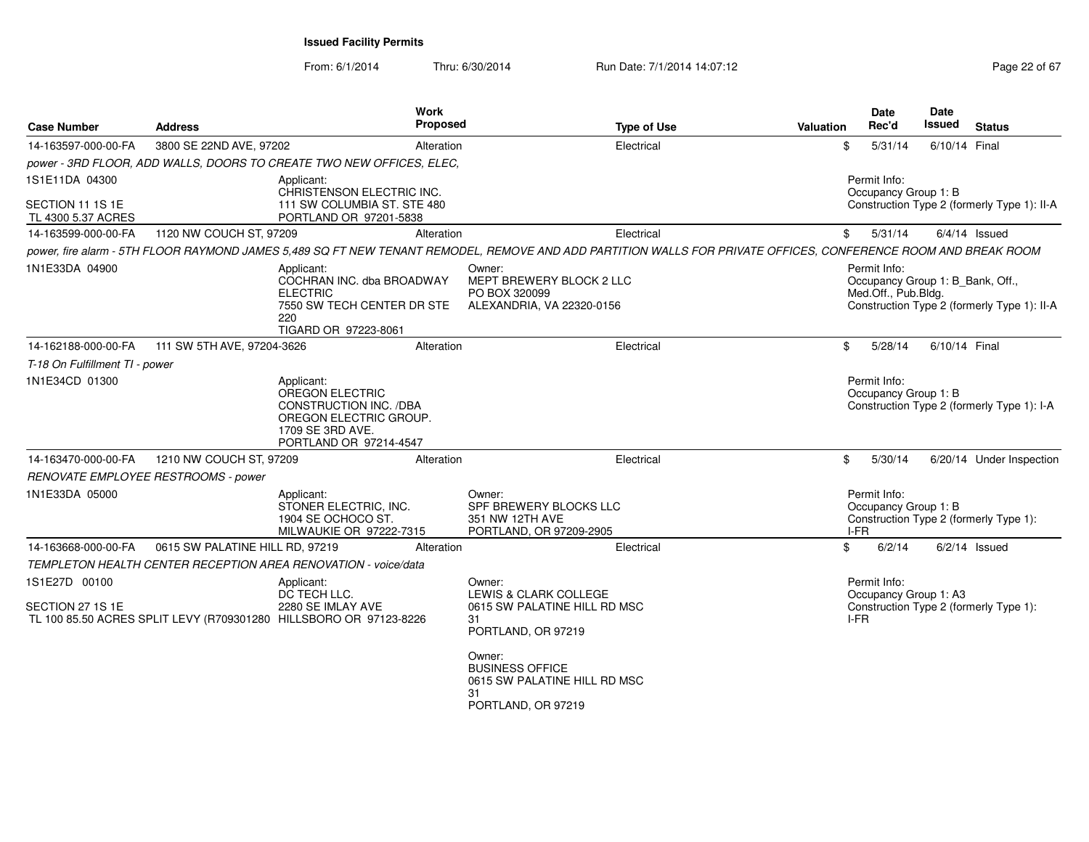From: 6/1/2014Thru: 6/30/2014 Run Date: 7/1/2014 14:07:12 Rege 22 of 67

| <b>Case Number</b>                     | <b>Address</b>                      | <b>Work</b>                                                                                                                            | <b>Proposed</b> | <b>Type of Use</b>                                                                                                                                             | Valuation | <b>Date</b><br>Rec'd                         | <b>Date</b><br>Issued | <b>Status</b>                                                                   |
|----------------------------------------|-------------------------------------|----------------------------------------------------------------------------------------------------------------------------------------|-----------------|----------------------------------------------------------------------------------------------------------------------------------------------------------------|-----------|----------------------------------------------|-----------------------|---------------------------------------------------------------------------------|
| 14-163597-000-00-FA                    | 3800 SE 22ND AVE, 97202             |                                                                                                                                        | Alteration      | Electrical                                                                                                                                                     | \$        | 5/31/14                                      | 6/10/14 Final         |                                                                                 |
|                                        |                                     | power - 3RD FLOOR, ADD WALLS, DOORS TO CREATE TWO NEW OFFICES, ELEC,                                                                   |                 |                                                                                                                                                                |           |                                              |                       |                                                                                 |
| 1S1E11DA 04300                         |                                     | Applicant:<br>CHRISTENSON ELECTRIC INC.                                                                                                |                 |                                                                                                                                                                |           | Permit Info:<br>Occupancy Group 1: B         |                       |                                                                                 |
| SECTION 11 1S 1E<br>TL 4300 5.37 ACRES |                                     | 111 SW COLUMBIA ST. STE 480<br>PORTLAND OR 97201-5838                                                                                  |                 |                                                                                                                                                                |           |                                              |                       | Construction Type 2 (formerly Type 1): II-A                                     |
| 14-163599-000-00-FA                    | 1120 NW COUCH ST, 97209             |                                                                                                                                        | Alteration      | Electrical                                                                                                                                                     | \$        | 5/31/14                                      |                       | $6/4/14$ Issued                                                                 |
|                                        |                                     |                                                                                                                                        |                 | power, fire alarm - 5TH FLOOR RAYMOND JAMES 5,489 SQ FT NEW TENANT REMODEL, REMOVE AND ADD PARTITION WALLS FOR PRIVATE OFFICES, CONFERENCE ROOM AND BREAK ROOM |           |                                              |                       |                                                                                 |
| 1N1E33DA 04900                         |                                     | Applicant:<br>COCHRAN INC. dba BROADWAY<br><b>ELECTRIC</b><br>7550 SW TECH CENTER DR STE<br>220<br>TIGARD OR 97223-8061                |                 | Owner:<br>MEPT BREWERY BLOCK 2 LLC<br>PO BOX 320099<br>ALEXANDRIA, VA 22320-0156                                                                               |           | Permit Info:<br>Med.Off., Pub.Bldg.          |                       | Occupancy Group 1: B_Bank, Off.,<br>Construction Type 2 (formerly Type 1): II-A |
| 14-162188-000-00-FA                    | 111 SW 5TH AVE, 97204-3626          |                                                                                                                                        | Alteration      | Electrical                                                                                                                                                     | \$        | 5/28/14                                      | 6/10/14 Final         |                                                                                 |
| T-18 On Fulfillment TI - power         |                                     |                                                                                                                                        |                 |                                                                                                                                                                |           |                                              |                       |                                                                                 |
| 1N1E34CD 01300                         |                                     | Applicant:<br><b>OREGON ELECTRIC</b><br>CONSTRUCTION INC. /DBA<br>OREGON ELECTRIC GROUP.<br>1709 SE 3RD AVE.<br>PORTLAND OR 97214-4547 |                 |                                                                                                                                                                |           | Permit Info:<br>Occupancy Group 1: B         |                       | Construction Type 2 (formerly Type 1): I-A                                      |
| 14-163470-000-00-FA                    | 1210 NW COUCH ST, 97209             |                                                                                                                                        | Alteration      | Electrical                                                                                                                                                     | \$        | 5/30/14                                      |                       | 6/20/14 Under Inspection                                                        |
|                                        | RENOVATE EMPLOYEE RESTROOMS - power |                                                                                                                                        |                 |                                                                                                                                                                |           |                                              |                       |                                                                                 |
| 1N1E33DA 05000                         |                                     | Applicant:<br>STONER ELECTRIC, INC.<br>1904 SE OCHOCO ST.<br>MILWAUKIE OR 97222-7315                                                   |                 | Owner:<br>SPF BREWERY BLOCKS LLC<br>351 NW 12TH AVE<br>PORTLAND, OR 97209-2905                                                                                 |           | Permit Info:<br>Occupancy Group 1: B<br>I-FR |                       | Construction Type 2 (formerly Type 1):                                          |
| 14-163668-000-00-FA                    | 0615 SW PALATINE HILL RD, 97219     |                                                                                                                                        | Alteration      | Electrical                                                                                                                                                     | \$        | 6/2/14                                       |                       | $6/2/14$ Issued                                                                 |
|                                        |                                     | <b>TEMPLETON HEALTH CENTER RECEPTION AREA RENOVATION - voice/data</b>                                                                  |                 |                                                                                                                                                                |           |                                              |                       |                                                                                 |
| 1S1E27D 00100                          |                                     | Applicant:<br>DC TECH LLC.                                                                                                             |                 | Owner:<br>LEWIS & CLARK COLLEGE                                                                                                                                |           | Permit Info:<br>Occupancy Group 1: A3        |                       |                                                                                 |
| SECTION 27 1S 1E                       |                                     | 2280 SE IMLAY AVE<br>TL 100 85.50 ACRES SPLIT LEVY (R709301280 HILLSBORO OR 97123-8226                                                 |                 | 0615 SW PALATINE HILL RD MSC<br>31<br>PORTLAND, OR 97219                                                                                                       |           | I-FR                                         |                       | Construction Type 2 (formerly Type 1):                                          |
|                                        |                                     |                                                                                                                                        |                 | Owner:<br><b>BUSINESS OFFICE</b><br>0615 SW PALATINE HILL RD MSC<br>31<br>PORTLAND, OR 97219                                                                   |           |                                              |                       |                                                                                 |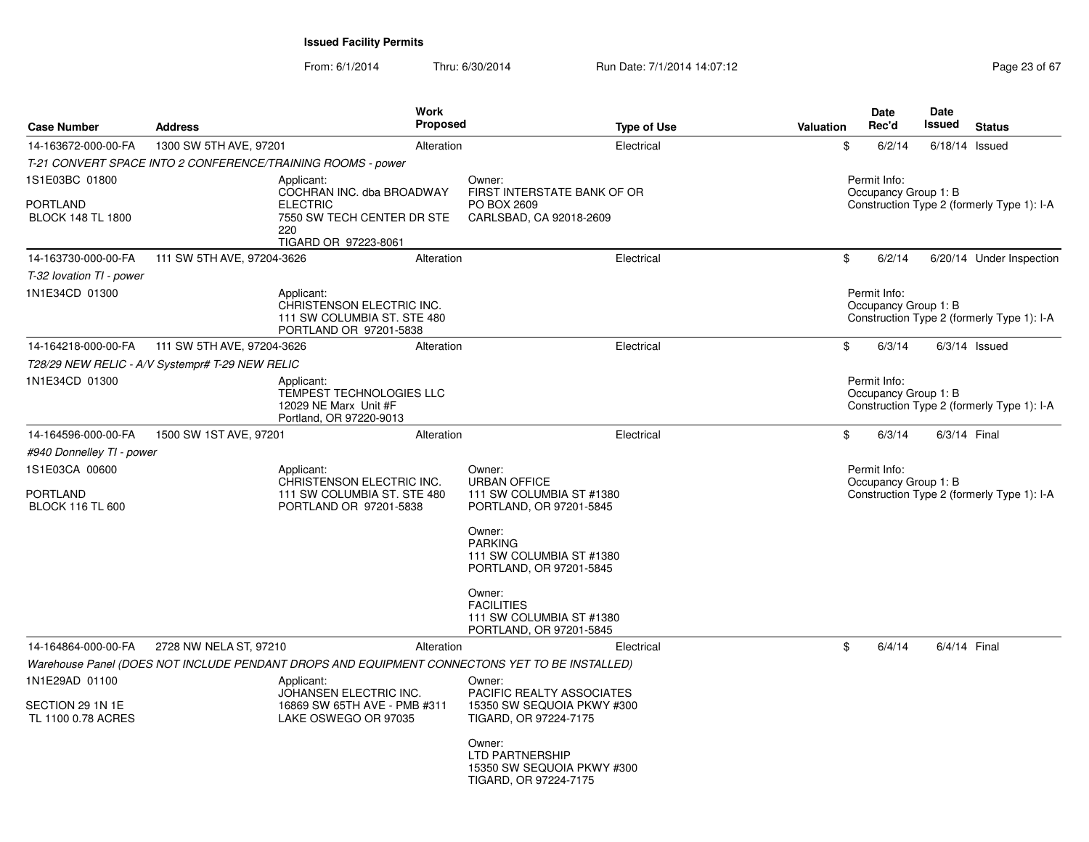From: 6/1/2014Thru: 6/30/2014 Run Date: 7/1/2014 14:07:12 Rege 23 of 67

| <b>Case Number</b>                                            | <b>Address</b>                                  | <b>Work</b><br>Proposed                                                                          |                                                                                         | <b>Type of Use</b><br><b>Valuation</b> | <b>Date</b><br>Rec'd                 | Date<br>Issued | <b>Status</b>                              |
|---------------------------------------------------------------|-------------------------------------------------|--------------------------------------------------------------------------------------------------|-----------------------------------------------------------------------------------------|----------------------------------------|--------------------------------------|----------------|--------------------------------------------|
| 14-163672-000-00-FA                                           | 1300 SW 5TH AVE, 97201                          | Alteration                                                                                       |                                                                                         | Electrical                             | \$<br>6/2/14                         |                | $6/18/14$ Issued                           |
|                                                               |                                                 | T-21 CONVERT SPACE INTO 2 CONFERENCE/TRAINING ROOMS - power                                      |                                                                                         |                                        |                                      |                |                                            |
| 1S1E03BC 01800<br><b>PORTLAND</b><br><b>BLOCK 148 TL 1800</b> |                                                 | Applicant:<br>COCHRAN INC. dba BROADWAY<br><b>ELECTRIC</b><br>7550 SW TECH CENTER DR STE         | Owner:<br>FIRST INTERSTATE BANK OF OR<br>PO BOX 2609<br>CARLSBAD, CA 92018-2609         |                                        | Permit Info:<br>Occupancy Group 1: B |                | Construction Type 2 (formerly Type 1): I-A |
|                                                               |                                                 | 220<br>TIGARD OR 97223-8061                                                                      |                                                                                         |                                        |                                      |                |                                            |
| 14-163730-000-00-FA                                           | 111 SW 5TH AVE, 97204-3626                      | Alteration                                                                                       |                                                                                         | Electrical                             | \$<br>6/2/14                         |                | 6/20/14 Under Inspection                   |
| T-32 lovation TI - power                                      |                                                 |                                                                                                  |                                                                                         |                                        |                                      |                |                                            |
| 1N1E34CD 01300                                                |                                                 | Applicant:<br>CHRISTENSON ELECTRIC INC.<br>111 SW COLUMBIA ST. STE 480<br>PORTLAND OR 97201-5838 |                                                                                         |                                        | Permit Info:<br>Occupancy Group 1: B |                | Construction Type 2 (formerly Type 1): I-A |
| 14-164218-000-00-FA                                           | 111 SW 5TH AVE, 97204-3626                      | Alteration                                                                                       |                                                                                         | Electrical                             | \$<br>6/3/14                         |                | $6/3/14$ Issued                            |
|                                                               | T28/29 NEW RELIC - A/V Systempr# T-29 NEW RELIC |                                                                                                  |                                                                                         |                                        |                                      |                |                                            |
| 1N1E34CD 01300                                                |                                                 | Applicant:<br>TEMPEST TECHNOLOGIES LLC<br>12029 NE Marx Unit #F<br>Portland, OR 97220-9013       |                                                                                         |                                        | Permit Info:<br>Occupancy Group 1: B |                | Construction Type 2 (formerly Type 1): I-A |
| 14-164596-000-00-FA                                           | 1500 SW 1ST AVE, 97201                          | Alteration                                                                                       |                                                                                         | Electrical                             | \$<br>6/3/14                         |                | 6/3/14 Final                               |
| #940 Donnelley TI - power                                     |                                                 |                                                                                                  |                                                                                         |                                        |                                      |                |                                            |
| 1S1E03CA 00600<br><b>PORTLAND</b><br><b>BLOCK 116 TL 600</b>  |                                                 | Applicant:<br>CHRISTENSON ELECTRIC INC.<br>111 SW COLUMBIA ST. STE 480<br>PORTLAND OR 97201-5838 | Owner:<br><b>URBAN OFFICE</b><br>111 SW COLUMBIA ST #1380<br>PORTLAND, OR 97201-5845    |                                        | Permit Info:<br>Occupancy Group 1: B |                | Construction Type 2 (formerly Type 1): I-A |
|                                                               |                                                 |                                                                                                  | Owner:<br><b>PARKING</b><br>111 SW COLUMBIA ST #1380<br>PORTLAND, OR 97201-5845         |                                        |                                      |                |                                            |
|                                                               |                                                 |                                                                                                  | Owner:<br><b>FACILITIES</b><br>111 SW COLUMBIA ST #1380<br>PORTLAND, OR 97201-5845      |                                        |                                      |                |                                            |
| 14-164864-000-00-FA                                           | 2728 NW NELA ST, 97210                          | Alteration                                                                                       |                                                                                         | Electrical                             | \$<br>6/4/14                         |                | 6/4/14 Final                               |
|                                                               |                                                 | Warehouse Panel (DOES NOT INCLUDE PENDANT DROPS AND EQUIPMENT CONNECTONS YET TO BE INSTALLED)    |                                                                                         |                                        |                                      |                |                                            |
| 1N1E29AD 01100                                                |                                                 | Applicant:<br>JOHANSEN ELECTRIC INC.                                                             | Owner:<br>PACIFIC REALTY ASSOCIATES                                                     |                                        |                                      |                |                                            |
| SECTION 29 1N 1E<br>TL 1100 0.78 ACRES                        |                                                 | 16869 SW 65TH AVE - PMB #311<br>LAKE OSWEGO OR 97035                                             | 15350 SW SEQUOIA PKWY #300<br>TIGARD, OR 97224-7175                                     |                                        |                                      |                |                                            |
|                                                               |                                                 |                                                                                                  | Owner:<br><b>LTD PARTNERSHIP</b><br>15350 SW SEQUOIA PKWY #300<br>TIGARD, OR 97224-7175 |                                        |                                      |                |                                            |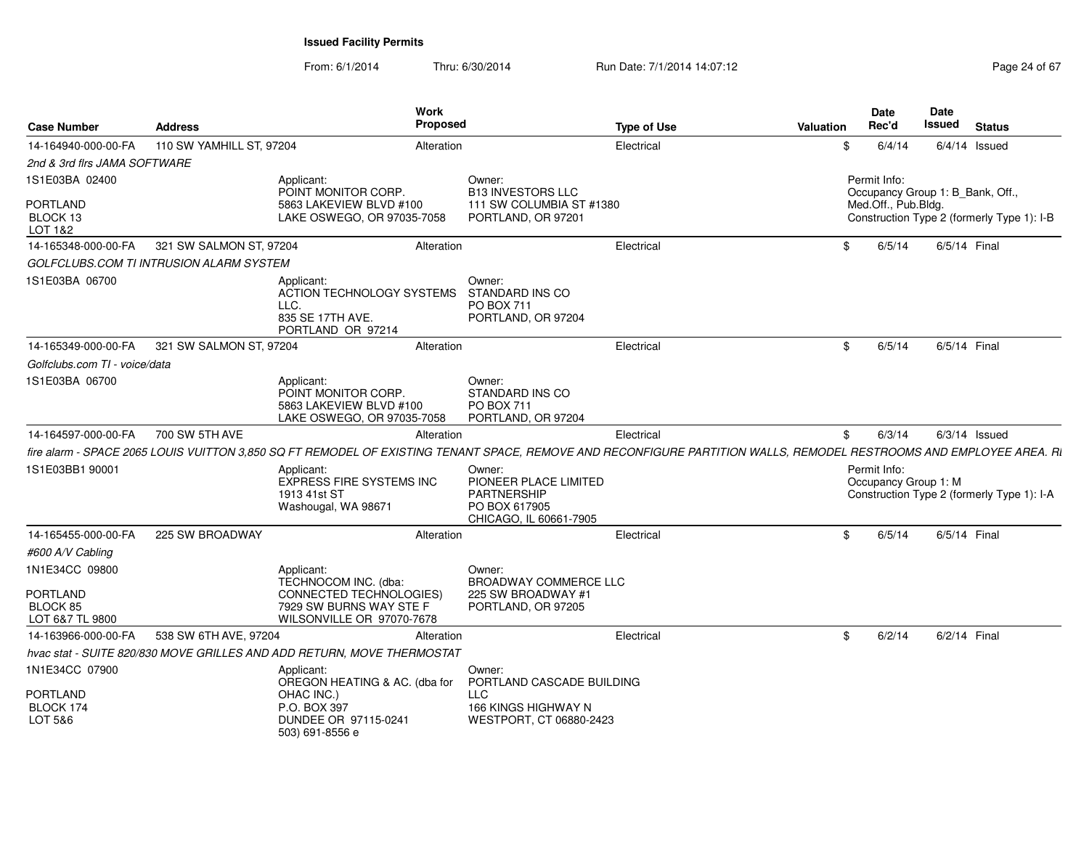From: 6/1/2014Thru: 6/30/2014 Run Date: 7/1/2014 14:07:12 Research 2010 24 of 67

| <b>Case Number</b>                      | <b>Address</b>                          |                                                                                                                                                                     | Work<br>Proposed |                                                                                                  | <b>Type of Use</b> | Valuation | Date<br>Rec'd                        | <b>Date</b><br><b>Issued</b><br><b>Status</b> |
|-----------------------------------------|-----------------------------------------|---------------------------------------------------------------------------------------------------------------------------------------------------------------------|------------------|--------------------------------------------------------------------------------------------------|--------------------|-----------|--------------------------------------|-----------------------------------------------|
| 14-164940-000-00-FA                     | 110 SW YAMHILL ST, 97204                |                                                                                                                                                                     | Alteration       |                                                                                                  | Electrical         |           | \$<br>6/4/14                         | $6/4/14$ Issued                               |
| 2nd & 3rd firs JAMA SOFTWARE            |                                         |                                                                                                                                                                     |                  |                                                                                                  |                    |           |                                      |                                               |
| 1S1E03BA 02400                          |                                         | Applicant:<br>POINT MONITOR CORP.                                                                                                                                   |                  | Owner:<br><b>B13 INVESTORS LLC</b>                                                               |                    |           | Permit Info:                         | Occupancy Group 1: B Bank, Off.,              |
| PORTLAND<br>BLOCK 13<br>LOT 1&2         |                                         | 5863 LAKEVIEW BLVD #100<br>LAKE OSWEGO, OR 97035-7058                                                                                                               |                  | 111 SW COLUMBIA ST #1380<br>PORTLAND, OR 97201                                                   |                    |           | Med.Off., Pub.Bldg.                  | Construction Type 2 (formerly Type 1): I-B    |
| 14-165348-000-00-FA                     | 321 SW SALMON ST, 97204                 |                                                                                                                                                                     | Alteration       |                                                                                                  | Electrical         |           | \$<br>6/5/14                         | 6/5/14 Final                                  |
|                                         | GOLFCLUBS.COM TI INTRUSION ALARM SYSTEM |                                                                                                                                                                     |                  |                                                                                                  |                    |           |                                      |                                               |
| 1S1E03BA 06700                          |                                         | Applicant:<br>ACTION TECHNOLOGY SYSTEMS<br>LLC.<br>835 SE 17TH AVE.<br>PORTLAND OR 97214                                                                            |                  | Owner:<br><b>STANDARD INS CO</b><br><b>PO BOX 711</b><br>PORTLAND, OR 97204                      |                    |           |                                      |                                               |
| 14-165349-000-00-FA                     | 321 SW SALMON ST, 97204                 |                                                                                                                                                                     | Alteration       |                                                                                                  | Electrical         |           | \$<br>6/5/14                         | 6/5/14 Final                                  |
| Golfclubs.com TI - voice/data           |                                         |                                                                                                                                                                     |                  |                                                                                                  |                    |           |                                      |                                               |
| 1S1E03BA 06700                          |                                         | Applicant:<br>POINT MONITOR CORP.<br>5863 LAKEVIEW BLVD #100<br>LAKE OSWEGO, OR 97035-7058                                                                          |                  | Owner:<br>STANDARD INS CO<br><b>PO BOX 711</b><br>PORTLAND, OR 97204                             |                    |           |                                      |                                               |
| 14-164597-000-00-FA                     | 700 SW 5TH AVE                          |                                                                                                                                                                     | Alteration       |                                                                                                  | Electrical         |           | \$<br>6/3/14                         | $6/3/14$ Issued                               |
|                                         |                                         | fire alarm - SPACE 2065 LOUIS VUITTON 3,850 SQ FT REMODEL OF EXISTING TENANT SPACE, REMOVE AND RECONFIGURE PARTITION WALLS, REMODEL RESTROOMS AND EMPLOYEE AREA. RI |                  |                                                                                                  |                    |           |                                      |                                               |
| 1S1E03BB1 90001                         |                                         | Applicant:<br>EXPRESS FIRE SYSTEMS INC<br>1913 41st ST<br>Washougal, WA 98671                                                                                       |                  | Owner:<br>PIONEER PLACE LIMITED<br><b>PARTNERSHIP</b><br>PO BOX 617905<br>CHICAGO, IL 60661-7905 |                    |           | Permit Info:<br>Occupancy Group 1: M | Construction Type 2 (formerly Type 1): I-A    |
| 14-165455-000-00-FA                     | 225 SW BROADWAY                         |                                                                                                                                                                     | Alteration       |                                                                                                  | Electrica          |           | \$<br>6/5/14                         | 6/5/14 Final                                  |
| #600 A/V Cabling                        |                                         |                                                                                                                                                                     |                  |                                                                                                  |                    |           |                                      |                                               |
| 1N1E34CC 09800                          |                                         | Applicant:<br>TECHNOCOM INC. (dba:                                                                                                                                  |                  | Owner:<br><b>BROADWAY COMMERCE LLC</b>                                                           |                    |           |                                      |                                               |
| PORTLAND<br>BLOCK 85<br>LOT 6&7 TL 9800 |                                         | CONNECTED TECHNOLOGIES)<br>7929 SW BURNS WAY STE F<br>WILSONVILLE OR 97070-7678                                                                                     |                  | 225 SW BROADWAY #1<br>PORTLAND, OR 97205                                                         |                    |           |                                      |                                               |
| 14-163966-000-00-FA                     | 538 SW 6TH AVE, 97204                   |                                                                                                                                                                     | Alteration       |                                                                                                  | Electrical         |           | \$<br>6/2/14                         | 6/2/14 Final                                  |
|                                         |                                         | hvac stat - SUITE 820/830 MOVE GRILLES AND ADD RETURN. MOVE THERMOSTAT                                                                                              |                  |                                                                                                  |                    |           |                                      |                                               |
| 1N1E34CC 07900                          |                                         | Applicant:<br>OREGON HEATING & AC. (dba for                                                                                                                         |                  | Owner:<br>PORTLAND CASCADE BUILDING                                                              |                    |           |                                      |                                               |
| PORTLAND<br>BLOCK 174                   |                                         | OHAC INC.)<br>P.O. BOX 397                                                                                                                                          |                  | <b>LLC</b><br>166 KINGS HIGHWAY N                                                                |                    |           |                                      |                                               |
| LOT 5&6                                 |                                         | DUNDEE OR 97115-0241<br>503) 691-8556 e                                                                                                                             |                  | WESTPORT, CT 06880-2423                                                                          |                    |           |                                      |                                               |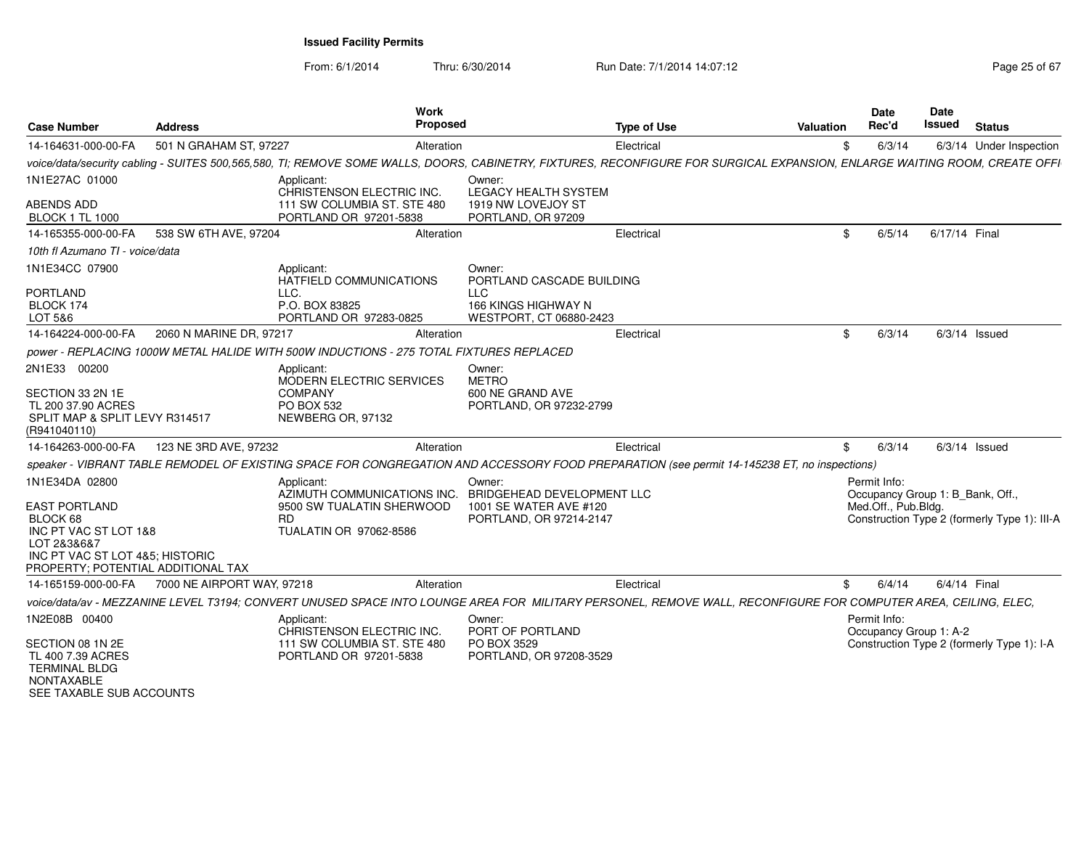From: 6/1/2014Thru: 6/30/2014 Run Date: 7/1/2014 14:07:12

| Page 25 of 67 |  |
|---------------|--|
|---------------|--|

| <b>Case Number</b>                                                                                                                                                  | <b>Address</b>             | Work<br>Proposed                                                                                                                                                           |                                                                            | <b>Type of Use</b> | Valuation | Date<br>Rec'd                          | <b>Date</b><br>Issued<br><b>Status</b>                                           |
|---------------------------------------------------------------------------------------------------------------------------------------------------------------------|----------------------------|----------------------------------------------------------------------------------------------------------------------------------------------------------------------------|----------------------------------------------------------------------------|--------------------|-----------|----------------------------------------|----------------------------------------------------------------------------------|
| 14-164631-000-00-FA                                                                                                                                                 | 501 N GRAHAM ST, 97227     | Alteration                                                                                                                                                                 |                                                                            | Electrical         |           | 6/3/14                                 | 6/3/14 Under Inspection                                                          |
|                                                                                                                                                                     |                            | voice/data/security cabling - SUITES 500,565,580, TI; REMOVE SOME WALLS, DOORS, CABINETRY, FIXTURES, RECONFIGURE FOR SURGICAL EXPANSION, ENLARGE WAITING ROOM, CREATE OFFI |                                                                            |                    |           |                                        |                                                                                  |
| 1N1E27AC 01000<br>ABENDS ADD<br><b>BLOCK 1 TL 1000</b>                                                                                                              |                            | Applicant:<br>CHRISTENSON ELECTRIC INC<br>111 SW COLUMBIA ST. STE 480<br>PORTLAND OR 97201-5838                                                                            | Owner:<br>LEGACY HEALTH SYSTEM<br>1919 NW LOVEJOY ST<br>PORTLAND, OR 97209 |                    |           |                                        |                                                                                  |
| 14-165355-000-00-FA                                                                                                                                                 | 538 SW 6TH AVE, 97204      | Alteration                                                                                                                                                                 |                                                                            | Electrical         | \$.       | 6/5/14                                 | 6/17/14 Final                                                                    |
| 10th fl Azumano TI - voice/data                                                                                                                                     |                            |                                                                                                                                                                            |                                                                            |                    |           |                                        |                                                                                  |
| 1N1E34CC 07900                                                                                                                                                      |                            | Applicant:<br>HATFIELD COMMUNICATIONS                                                                                                                                      | Owner:<br>PORTLAND CASCADE BUILDING                                        |                    |           |                                        |                                                                                  |
| <b>PORTLAND</b><br>BLOCK 174<br>LOT 5&6                                                                                                                             |                            | LLC.<br>P.O. BOX 83825<br>PORTLAND OR 97283-0825                                                                                                                           | LLC<br>166 KINGS HIGHWAY N<br>WESTPORT, CT 06880-2423                      |                    |           |                                        |                                                                                  |
| 14-164224-000-00-FA                                                                                                                                                 | 2060 N MARINE DR, 97217    | Alteration                                                                                                                                                                 |                                                                            | Electrical         |           | 6/3/14                                 | $6/3/14$ Issued                                                                  |
|                                                                                                                                                                     |                            | power - REPLACING 1000W METAL HALIDE WITH 500W INDUCTIONS - 275 TOTAL FIXTURES REPLACED                                                                                    |                                                                            |                    |           |                                        |                                                                                  |
| 2N1E33 00200                                                                                                                                                        |                            |                                                                                                                                                                            | Owner:                                                                     |                    |           |                                        |                                                                                  |
| SECTION 33 2N 1E<br>TL 200 37.90 ACRES<br>SPLIT MAP & SPLIT LEVY R314517<br>(R941040110)                                                                            |                            | Applicant:<br>MODERN ELECTRIC SERVICES<br><b>COMPANY</b><br>PO BOX 532<br>NEWBERG OR, 97132                                                                                | <b>METRO</b><br>600 NE GRAND AVE<br>PORTLAND, OR 97232-2799                |                    |           |                                        |                                                                                  |
| 14-164263-000-00-FA                                                                                                                                                 | 123 NE 3RD AVE, 97232      | Alteration                                                                                                                                                                 |                                                                            | Electrical         | SS.       | 6/3/14                                 | $6/3/14$ Issued                                                                  |
|                                                                                                                                                                     |                            | speaker - VIBRANT TABLE REMODEL OF EXISTING SPACE FOR CONGREGATION AND ACCESSORY FOOD PREPARATION (see permit 14-145238 ET, no inspections)                                |                                                                            |                    |           |                                        |                                                                                  |
| 1N1E34DA 02800<br><b>EAST PORTLAND</b><br>BLOCK 68<br>INC PT VAC ST LOT 1&8<br>LOT 2&3&6&7<br>INC PT VAC ST LOT 4&5: HISTORIC<br>PROPERTY; POTENTIAL ADDITIONAL TAX |                            | Applicant:<br>AZIMUTH COMMUNICATIONS INC. BRIDGEHEAD DEVELOPMENT LLC<br>9500 SW TUALATIN SHERWOOD<br>RD.<br>TUALATIN OR 97062-8586                                         | Owner:<br>1001 SE WATER AVE #120<br>PORTLAND, OR 97214-2147                |                    |           | Permit Info:<br>Med.Off., Pub.Bldg.    | Occupancy Group 1: B_Bank, Off.,<br>Construction Type 2 (formerly Type 1): III-A |
| 14-165159-000-00-FA                                                                                                                                                 | 7000 NE AIRPORT WAY, 97218 | Alteration                                                                                                                                                                 |                                                                            | Electrical         | \$.       | 6/4/14                                 | 6/4/14 Final                                                                     |
|                                                                                                                                                                     |                            | voice/data/av - MEZZANINE LEVEL T3194; CONVERT UNUSED SPACE INTO LOUNGE AREA FOR MILITARY PERSONEL, REMOVE WALL, RECONFIGURE FOR COMPUTER AREA, CEILING, ELEC,             |                                                                            |                    |           |                                        |                                                                                  |
| 1N2E08B 00400<br>SECTION 08 1N 2E<br>TL 400 7.39 ACRES<br><b>TERMINAL BLDG</b><br>NONTAXABLE<br>SEE TAXABLE SUB ACCOUNTS                                            |                            | Applicant<br>CHRISTENSON ELECTRIC INC.<br>111 SW COLUMBIA ST. STE 480<br>PORTLAND OR 97201-5838                                                                            | Owner:<br>PORT OF PORTLAND<br>PO BOX 3529<br>PORTLAND, OR 97208-3529       |                    |           | Permit Info:<br>Occupancy Group 1: A-2 | Construction Type 2 (formerly Type 1): I-A                                       |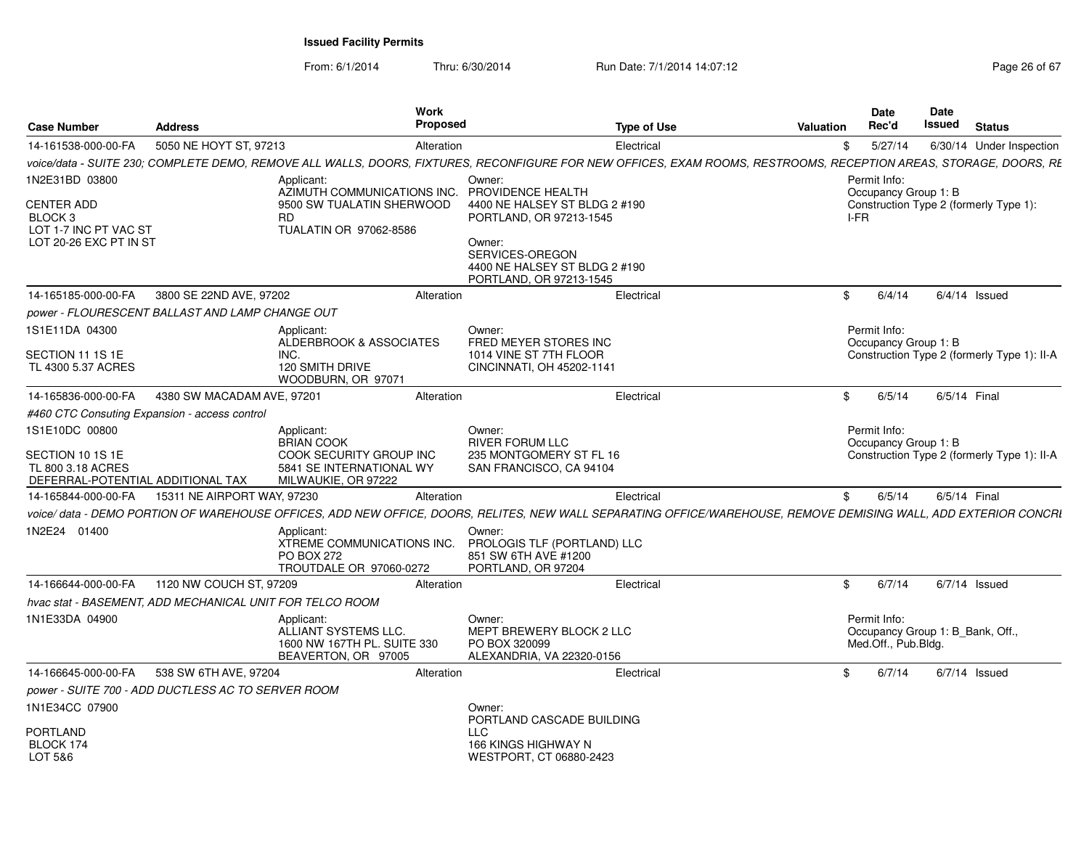From: 6/1/2014Thru: 6/30/2014 Run Date: 7/1/2014 14:07:12 Research 2010 26 of 67

| 5050 NE HOYT ST, 97213<br>5/27/14<br>14-161538-000-00-FA<br>Alteration<br>Electrical<br>6/30/14 Under Inspection<br>\$<br>Owner:<br>Permit Info:<br>Applicant:<br>PROVIDENCE HEALTH<br>AZIMUTH COMMUNICATIONS INC.<br>Occupancy Group 1: B<br>4400 NE HALSEY ST BLDG 2 #190<br>9500 SW TUALATIN SHERWOOD<br>Construction Type 2 (formerly Type 1):<br>BLOCK 3<br><b>RD</b><br>PORTLAND, OR 97213-1545<br>I-FR<br>LOT 1-7 INC PT VAC ST<br>TUALATIN OR 97062-8586<br>LOT 20-26 EXC PT IN ST<br>Owner:<br>SERVICES-OREGON<br>4400 NE HALSEY ST BLDG 2 #190<br>PORTLAND, OR 97213-1545<br>14-165185-000-00-FA<br>3800 SE 22ND AVE, 97202<br>6/4/14<br>$6/4/14$ Issued<br>Alteration<br>\$<br>Electrical<br>Owner:<br>Permit Info:<br>Applicant:<br><b>ALDERBROOK &amp; ASSOCIATES</b><br>FRED MEYER STORES INC<br>Occupancy Group 1: B<br>INC.<br>1014 VINE ST 7TH FLOOR<br><b>120 SMITH DRIVE</b><br>CINCINNATI, OH 45202-1141<br>WOODBURN, OR 97071<br>4380 SW MACADAM AVE, 97201<br>6/5/14<br>14-165836-000-00-FA<br>Alteration<br>Electrical<br>\$<br>6/5/14 Final<br>Permit Info:<br>Applicant:<br>Owner:<br><b>RIVER FORUM LLC</b><br><b>BRIAN COOK</b><br>Occupancy Group 1: B<br>COOK SECURITY GROUP INC<br>235 MONTGOMERY ST FL 16<br>TL 800 3.18 ACRES<br>5841 SE INTERNATIONAL WY<br>SAN FRANCISCO, CA 94104<br>MILWAUKIE, OR 97222<br>15311 NE AIRPORT WAY, 97230<br>14-165844-000-00-FA<br>Electrical<br>6/5/14<br>6/5/14 Final<br>Alteration<br>\$<br>Applicant:<br>Owner:<br>XTREME COMMUNICATIONS INC.<br>PROLOGIS TLF (PORTLAND) LLC<br>851 SW 6TH AVE #1200<br><b>PO BOX 272</b><br>TROUTDALE OR 97060-0272<br>PORTLAND, OR 97204<br>14-166644-000-00-FA<br>1120 NW COUCH ST, 97209<br>6/7/14<br>$6/7/14$ Issued<br>Alteration<br>Electrical<br>\$<br>Permit Info:<br>Applicant:<br>Owner:<br>ALLIANT SYSTEMS LLC.<br>MEPT BREWERY BLOCK 2 LLC<br>Occupancy Group 1: B_Bank, Off.,<br>1600 NW 167TH PL. SUITE 330<br>PO BOX 320099<br>Med.Off., Pub.Bldg.<br>BEAVERTON, OR 97005<br>ALEXANDRIA, VA 22320-0156<br>6/7/14<br>14-166645-000-00-FA<br>538 SW 6TH AVE, 97204<br>\$<br>$6/7/14$ Issued<br>Alteration<br>Electrical<br>Owner:<br>PORTLAND CASCADE BUILDING<br><b>LLC</b><br>BLOCK 174<br>166 KINGS HIGHWAY N<br>LOT 5&6<br>WESTPORT, CT 06880-2423 | <b>Case Number</b> | Address | <b>Work</b><br><b>Proposed</b> | <b>Type of Use</b> | Valuation | Date<br>Rec'd | Date<br>Issued | <b>Status</b> |
|----------------------------------------------------------------------------------------------------------------------------------------------------------------------------------------------------------------------------------------------------------------------------------------------------------------------------------------------------------------------------------------------------------------------------------------------------------------------------------------------------------------------------------------------------------------------------------------------------------------------------------------------------------------------------------------------------------------------------------------------------------------------------------------------------------------------------------------------------------------------------------------------------------------------------------------------------------------------------------------------------------------------------------------------------------------------------------------------------------------------------------------------------------------------------------------------------------------------------------------------------------------------------------------------------------------------------------------------------------------------------------------------------------------------------------------------------------------------------------------------------------------------------------------------------------------------------------------------------------------------------------------------------------------------------------------------------------------------------------------------------------------------------------------------------------------------------------------------------------------------------------------------------------------------------------------------------------------------------------------------------------------------------------------------------------------------------------------------------------------------------------------------------------------------------------------------------------------------------------------------------------------------------|--------------------|---------|--------------------------------|--------------------|-----------|---------------|----------------|---------------|
| voice/data - SUITE 230; COMPLETE DEMO, REMOVE ALL WALLS, DOORS, FIXTURES, RECONFIGURE FOR NEW OFFICES, EXAM ROOMS, RESTROOMS, RECEPTION AREAS, STORAGE, DOORS, RE<br>CENTER ADD<br>power - FLOURESCENT BALLAST AND LAMP CHANGE OUT<br>1S1E11DA 04300<br>SECTION 11 1S 1E<br>Construction Type 2 (formerly Type 1): II-A<br>#460 CTC Consuting Expansion - access control<br>Construction Type 2 (formerly Type 1): II-A<br>DEFERRAL-POTENTIAL ADDITIONAL TAX<br>1N2E24 01400<br>hvac stat - BASEMENT. ADD MECHANICAL UNIT FOR TELCO ROOM<br>1N1E33DA 04900<br>power - SUITE 700 - ADD DUCTLESS AC TO SERVER ROOM                                                                                                                                                                                                                                                                                                                                                                                                                                                                                                                                                                                                                                                                                                                                                                                                                                                                                                                                                                                                                                                                                                                                                                                                                                                                                                                                                                                                                                                                                                                                                                                                                                                           |                    |         |                                |                    |           |               |                |               |
|                                                                                                                                                                                                                                                                                                                                                                                                                                                                                                                                                                                                                                                                                                                                                                                                                                                                                                                                                                                                                                                                                                                                                                                                                                                                                                                                                                                                                                                                                                                                                                                                                                                                                                                                                                                                                                                                                                                                                                                                                                                                                                                                                                                                                                                                            |                    |         |                                |                    |           |               |                |               |
| voice/data - DEMO PORTION OF WAREHOUSE OFFICES, ADD NEW OFFICE, DOORS, RELITES, NEW WALL SEPARATING OFFICE/WAREHOUSE, REMOVE DEMISING WALL, ADD EXTERIOR CONCRI                                                                                                                                                                                                                                                                                                                                                                                                                                                                                                                                                                                                                                                                                                                                                                                                                                                                                                                                                                                                                                                                                                                                                                                                                                                                                                                                                                                                                                                                                                                                                                                                                                                                                                                                                                                                                                                                                                                                                                                                                                                                                                            | 1N2E31BD 03800     |         |                                |                    |           |               |                |               |
|                                                                                                                                                                                                                                                                                                                                                                                                                                                                                                                                                                                                                                                                                                                                                                                                                                                                                                                                                                                                                                                                                                                                                                                                                                                                                                                                                                                                                                                                                                                                                                                                                                                                                                                                                                                                                                                                                                                                                                                                                                                                                                                                                                                                                                                                            |                    |         |                                |                    |           |               |                |               |
|                                                                                                                                                                                                                                                                                                                                                                                                                                                                                                                                                                                                                                                                                                                                                                                                                                                                                                                                                                                                                                                                                                                                                                                                                                                                                                                                                                                                                                                                                                                                                                                                                                                                                                                                                                                                                                                                                                                                                                                                                                                                                                                                                                                                                                                                            |                    |         |                                |                    |           |               |                |               |
|                                                                                                                                                                                                                                                                                                                                                                                                                                                                                                                                                                                                                                                                                                                                                                                                                                                                                                                                                                                                                                                                                                                                                                                                                                                                                                                                                                                                                                                                                                                                                                                                                                                                                                                                                                                                                                                                                                                                                                                                                                                                                                                                                                                                                                                                            |                    |         |                                |                    |           |               |                |               |
|                                                                                                                                                                                                                                                                                                                                                                                                                                                                                                                                                                                                                                                                                                                                                                                                                                                                                                                                                                                                                                                                                                                                                                                                                                                                                                                                                                                                                                                                                                                                                                                                                                                                                                                                                                                                                                                                                                                                                                                                                                                                                                                                                                                                                                                                            |                    |         |                                |                    |           |               |                |               |
|                                                                                                                                                                                                                                                                                                                                                                                                                                                                                                                                                                                                                                                                                                                                                                                                                                                                                                                                                                                                                                                                                                                                                                                                                                                                                                                                                                                                                                                                                                                                                                                                                                                                                                                                                                                                                                                                                                                                                                                                                                                                                                                                                                                                                                                                            | TL 4300 5.37 ACRES |         |                                |                    |           |               |                |               |
|                                                                                                                                                                                                                                                                                                                                                                                                                                                                                                                                                                                                                                                                                                                                                                                                                                                                                                                                                                                                                                                                                                                                                                                                                                                                                                                                                                                                                                                                                                                                                                                                                                                                                                                                                                                                                                                                                                                                                                                                                                                                                                                                                                                                                                                                            |                    |         |                                |                    |           |               |                |               |
|                                                                                                                                                                                                                                                                                                                                                                                                                                                                                                                                                                                                                                                                                                                                                                                                                                                                                                                                                                                                                                                                                                                                                                                                                                                                                                                                                                                                                                                                                                                                                                                                                                                                                                                                                                                                                                                                                                                                                                                                                                                                                                                                                                                                                                                                            |                    |         |                                |                    |           |               |                |               |
|                                                                                                                                                                                                                                                                                                                                                                                                                                                                                                                                                                                                                                                                                                                                                                                                                                                                                                                                                                                                                                                                                                                                                                                                                                                                                                                                                                                                                                                                                                                                                                                                                                                                                                                                                                                                                                                                                                                                                                                                                                                                                                                                                                                                                                                                            | 1S1E10DC 00800     |         |                                |                    |           |               |                |               |
|                                                                                                                                                                                                                                                                                                                                                                                                                                                                                                                                                                                                                                                                                                                                                                                                                                                                                                                                                                                                                                                                                                                                                                                                                                                                                                                                                                                                                                                                                                                                                                                                                                                                                                                                                                                                                                                                                                                                                                                                                                                                                                                                                                                                                                                                            | SECTION 10 1S 1E   |         |                                |                    |           |               |                |               |
|                                                                                                                                                                                                                                                                                                                                                                                                                                                                                                                                                                                                                                                                                                                                                                                                                                                                                                                                                                                                                                                                                                                                                                                                                                                                                                                                                                                                                                                                                                                                                                                                                                                                                                                                                                                                                                                                                                                                                                                                                                                                                                                                                                                                                                                                            |                    |         |                                |                    |           |               |                |               |
|                                                                                                                                                                                                                                                                                                                                                                                                                                                                                                                                                                                                                                                                                                                                                                                                                                                                                                                                                                                                                                                                                                                                                                                                                                                                                                                                                                                                                                                                                                                                                                                                                                                                                                                                                                                                                                                                                                                                                                                                                                                                                                                                                                                                                                                                            |                    |         |                                |                    |           |               |                |               |
|                                                                                                                                                                                                                                                                                                                                                                                                                                                                                                                                                                                                                                                                                                                                                                                                                                                                                                                                                                                                                                                                                                                                                                                                                                                                                                                                                                                                                                                                                                                                                                                                                                                                                                                                                                                                                                                                                                                                                                                                                                                                                                                                                                                                                                                                            |                    |         |                                |                    |           |               |                |               |
|                                                                                                                                                                                                                                                                                                                                                                                                                                                                                                                                                                                                                                                                                                                                                                                                                                                                                                                                                                                                                                                                                                                                                                                                                                                                                                                                                                                                                                                                                                                                                                                                                                                                                                                                                                                                                                                                                                                                                                                                                                                                                                                                                                                                                                                                            |                    |         |                                |                    |           |               |                |               |
|                                                                                                                                                                                                                                                                                                                                                                                                                                                                                                                                                                                                                                                                                                                                                                                                                                                                                                                                                                                                                                                                                                                                                                                                                                                                                                                                                                                                                                                                                                                                                                                                                                                                                                                                                                                                                                                                                                                                                                                                                                                                                                                                                                                                                                                                            |                    |         |                                |                    |           |               |                |               |
|                                                                                                                                                                                                                                                                                                                                                                                                                                                                                                                                                                                                                                                                                                                                                                                                                                                                                                                                                                                                                                                                                                                                                                                                                                                                                                                                                                                                                                                                                                                                                                                                                                                                                                                                                                                                                                                                                                                                                                                                                                                                                                                                                                                                                                                                            |                    |         |                                |                    |           |               |                |               |
|                                                                                                                                                                                                                                                                                                                                                                                                                                                                                                                                                                                                                                                                                                                                                                                                                                                                                                                                                                                                                                                                                                                                                                                                                                                                                                                                                                                                                                                                                                                                                                                                                                                                                                                                                                                                                                                                                                                                                                                                                                                                                                                                                                                                                                                                            |                    |         |                                |                    |           |               |                |               |
|                                                                                                                                                                                                                                                                                                                                                                                                                                                                                                                                                                                                                                                                                                                                                                                                                                                                                                                                                                                                                                                                                                                                                                                                                                                                                                                                                                                                                                                                                                                                                                                                                                                                                                                                                                                                                                                                                                                                                                                                                                                                                                                                                                                                                                                                            |                    |         |                                |                    |           |               |                |               |
|                                                                                                                                                                                                                                                                                                                                                                                                                                                                                                                                                                                                                                                                                                                                                                                                                                                                                                                                                                                                                                                                                                                                                                                                                                                                                                                                                                                                                                                                                                                                                                                                                                                                                                                                                                                                                                                                                                                                                                                                                                                                                                                                                                                                                                                                            | 1N1E34CC 07900     |         |                                |                    |           |               |                |               |
|                                                                                                                                                                                                                                                                                                                                                                                                                                                                                                                                                                                                                                                                                                                                                                                                                                                                                                                                                                                                                                                                                                                                                                                                                                                                                                                                                                                                                                                                                                                                                                                                                                                                                                                                                                                                                                                                                                                                                                                                                                                                                                                                                                                                                                                                            | PORTLAND           |         |                                |                    |           |               |                |               |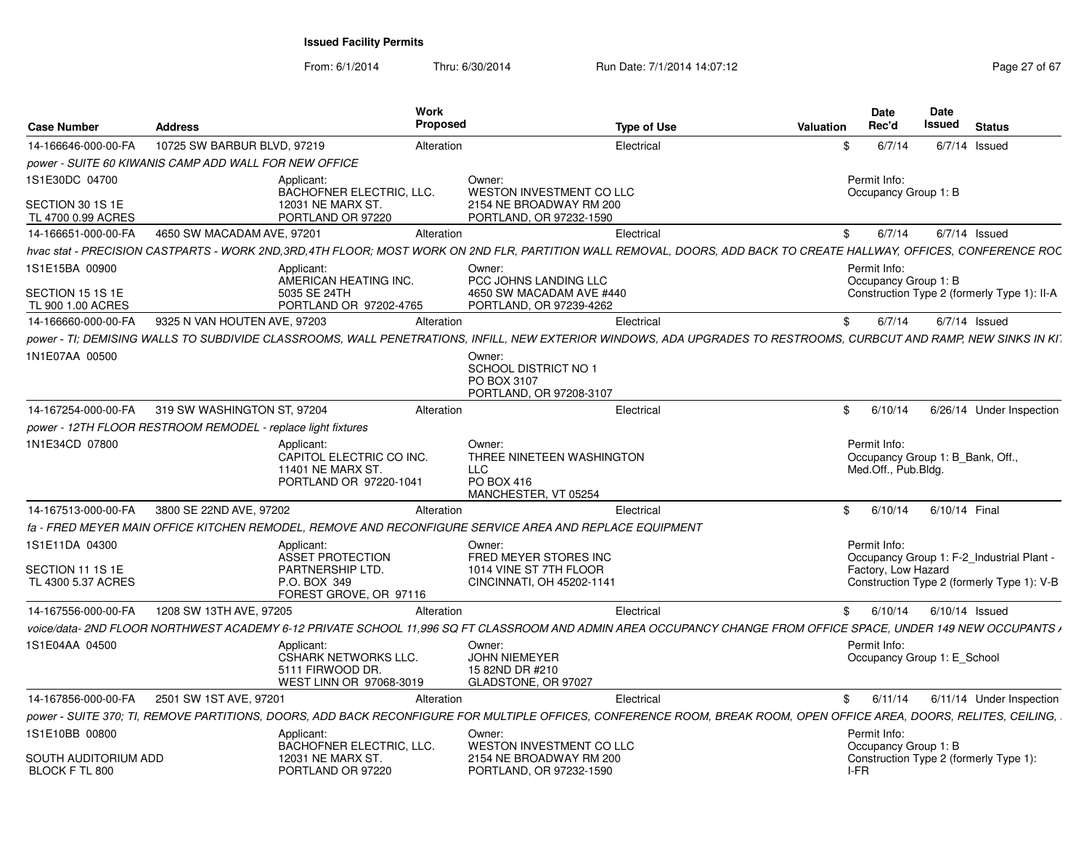From: 6/1/2014Thru: 6/30/2014 Run Date: 7/1/2014 14:07:12 Rege 27 of 67

| <b>Case Number</b>                     | <b>Address</b>                                               |                                             | Work<br><b>Proposed</b> |                                                                                                                                                                     | <b>Type of Use</b> | Valuation | Date<br><b>Rec'd</b>                 | Date<br>Issued<br><b>Status</b>             |
|----------------------------------------|--------------------------------------------------------------|---------------------------------------------|-------------------------|---------------------------------------------------------------------------------------------------------------------------------------------------------------------|--------------------|-----------|--------------------------------------|---------------------------------------------|
| 14-166646-000-00-FA                    | 10725 SW BARBUR BLVD, 97219                                  |                                             | Alteration              |                                                                                                                                                                     | Electrical         | ·SS       | 6/7/14                               | $6/7/14$ Issued                             |
|                                        | power - SUITE 60 KIWANIS CAMP ADD WALL FOR NEW OFFICE        |                                             |                         |                                                                                                                                                                     |                    |           |                                      |                                             |
| 1S1E30DC 04700                         |                                                              | Applicant:                                  |                         | Owner:                                                                                                                                                              |                    |           | Permit Info:                         |                                             |
|                                        |                                                              | BACHOFNER ELECTRIC, LLC.                    |                         | WESTON INVESTMENT CO LLC                                                                                                                                            |                    |           | Occupancy Group 1: B                 |                                             |
| SECTION 30 1S 1E<br>TL 4700 0.99 ACRES |                                                              | 12031 NE MARX ST.<br>PORTLAND OR 97220      |                         | 2154 NE BROADWAY RM 200                                                                                                                                             |                    |           |                                      |                                             |
| 14-166651-000-00-FA                    | 4650 SW MACADAM AVE, 97201                                   |                                             | Alteration              | PORTLAND, OR 97232-1590                                                                                                                                             | Electrical         |           | \$6/7/14                             | $6/7/14$ Issued                             |
|                                        |                                                              |                                             |                         |                                                                                                                                                                     |                    |           |                                      |                                             |
|                                        |                                                              |                                             |                         | hvac stat - PRECISION CASTPARTS - WORK 2ND.3RD.4TH FLOOR: MOST WORK ON 2ND FLR. PARTITION WALL REMOVAL. DOORS. ADD BACK TO CREATE HALLWAY. OFFICES. CONFERENCE ROC  |                    |           |                                      |                                             |
| 1S1E15BA 00900                         |                                                              | Applicant:<br>AMERICAN HEATING INC.         |                         | Owner:<br>PCC JOHNS LANDING LLC                                                                                                                                     |                    |           | Permit Info:<br>Occupancy Group 1: B |                                             |
| SECTION 15 1S 1E                       |                                                              | 5035 SE 24TH                                |                         | 4650 SW MACADAM AVE #440                                                                                                                                            |                    |           |                                      | Construction Type 2 (formerly Type 1): II-A |
| TL 900 1.00 ACRES                      |                                                              | PORTLAND OR 97202-4765                      |                         | PORTLAND, OR 97239-4262                                                                                                                                             |                    |           |                                      |                                             |
| 14-166660-000-00-FA                    | 9325 N VAN HOUTEN AVE, 97203                                 |                                             | Alteration              |                                                                                                                                                                     | Electrical         | - \$      | 6/7/14                               | $6/7/14$ Issued                             |
|                                        |                                                              |                                             |                         | power - TI; DEMISING WALLS TO SUBDIVIDE CLASSROOMS, WALL PENETRATIONS, INFILL, NEW EXTERIOR WINDOWS, ADA UPGRADES TO RESTROOMS, CURBCUT AND RAMP, NEW SINKS IN KI   |                    |           |                                      |                                             |
| 1N1E07AA 00500                         |                                                              |                                             |                         | Owner:                                                                                                                                                              |                    |           |                                      |                                             |
|                                        |                                                              |                                             |                         | SCHOOL DISTRICT NO 1                                                                                                                                                |                    |           |                                      |                                             |
|                                        |                                                              |                                             |                         | PO BOX 3107                                                                                                                                                         |                    |           |                                      |                                             |
|                                        |                                                              |                                             |                         | PORTLAND, OR 97208-3107                                                                                                                                             |                    |           |                                      |                                             |
| 14-167254-000-00-FA                    | 319 SW WASHINGTON ST, 97204                                  |                                             | Alteration              |                                                                                                                                                                     | Electrical         | \$        | 6/10/14                              | 6/26/14 Under Inspection                    |
|                                        | power - 12TH FLOOR RESTROOM REMODEL - replace light fixtures |                                             |                         |                                                                                                                                                                     |                    |           |                                      |                                             |
| 1N1E34CD 07800                         |                                                              | Applicant:                                  |                         | Owner:                                                                                                                                                              |                    |           | Permit Info:                         |                                             |
|                                        |                                                              | CAPITOL ELECTRIC CO INC<br>11401 NE MARX ST |                         | THREE NINETEEN WASHINGTON<br>LLC                                                                                                                                    |                    |           | Med.Off., Pub.Bldg.                  | Occupancy Group 1: B_Bank, Off.,            |
|                                        |                                                              | PORTLAND OR 97220-1041                      |                         | PO BOX 416                                                                                                                                                          |                    |           |                                      |                                             |
|                                        |                                                              |                                             |                         | MANCHESTER, VT 05254                                                                                                                                                |                    |           |                                      |                                             |
| 14-167513-000-00-FA                    | 3800 SE 22ND AVE, 97202                                      |                                             | Alteration              |                                                                                                                                                                     | Electrical         |           |                                      | \$ 6/10/14 6/10/14 Final                    |
|                                        |                                                              |                                             |                         | fa - FRED MEYER MAIN OFFICE KITCHEN REMODEL, REMOVE AND RECONFIGURE SERVICE AREA AND REPLACE EQUIPMENT                                                              |                    |           |                                      |                                             |
| 1S1E11DA 04300                         |                                                              | Applicant:                                  |                         | Owner:                                                                                                                                                              |                    |           | Permit Info:                         |                                             |
|                                        |                                                              | <b>ASSET PROTECTION</b>                     |                         | FRED MEYER STORES INC                                                                                                                                               |                    |           |                                      | Occupancy Group 1: F-2 Industrial Plant -   |
| SECTION 11 1S 1E                       |                                                              | PARTNERSHIP LTD.                            |                         | 1014 VINE ST 7TH FLOOR                                                                                                                                              |                    |           | Factory, Low Hazard                  |                                             |
| TL 4300 5.37 ACRES                     |                                                              | P.O. BOX 349                                |                         | CINCINNATI, OH 45202-1141                                                                                                                                           |                    |           |                                      | Construction Type 2 (formerly Type 1): V-B  |
|                                        |                                                              | FOREST GROVE, OR 97116                      |                         |                                                                                                                                                                     |                    |           |                                      |                                             |
| 14-167556-000-00-FA                    | 1208 SW 13TH AVE, 97205                                      |                                             | Alteration              |                                                                                                                                                                     | Electrical         |           | \$6/10/14                            | 6/10/14 Issued                              |
|                                        |                                                              |                                             |                         | voice/data- 2ND FLOOR NORTHWEST ACADEMY 6-12 PRIVATE SCHOOL 11,996 SQ FT CLASSROOM AND ADMIN AREA OCCUPANCY CHANGE FROM OFFICE SPACE, UNDER 149 NEW OCCUPANTS /     |                    |           |                                      |                                             |
| 1S1E04AA 04500                         |                                                              | Applicant:                                  |                         | Owner:                                                                                                                                                              |                    |           | Permit Info:                         |                                             |
|                                        |                                                              | <b>CSHARK NETWORKS LLC.</b>                 |                         | JOHN NIEMEYER                                                                                                                                                       |                    |           |                                      | Occupancy Group 1: E_School                 |
|                                        |                                                              | 5111 FIRWOOD DR.<br>WEST LINN OR 97068-3019 |                         | 15 82ND DR #210<br>GLADSTONE, OR 97027                                                                                                                              |                    |           |                                      |                                             |
|                                        | 14-167856-000-00-FA 2501 SW 1ST AVE, 97201                   |                                             | Alteration              |                                                                                                                                                                     | Electrical         | \$        | 6/11/14                              | 6/11/14 Under Inspection                    |
|                                        |                                                              |                                             |                         | power - SUITE 370; TI, REMOVE PARTITIONS, DOORS, ADD BACK RECONFIGURE FOR MULTIPLE OFFICES, CONFERENCE ROOM, BREAK ROOM, OPEN OFFICE AREA, DOORS, RELITES, CEILING, |                    |           |                                      |                                             |
|                                        |                                                              |                                             |                         |                                                                                                                                                                     |                    |           |                                      |                                             |
| 1S1E10BB 00800                         |                                                              | Applicant:<br>BACHOFNER ELECTRIC, LLC.      |                         | Owner:<br>WESTON INVESTMENT CO LLC                                                                                                                                  |                    |           | Permit Info:<br>Occupancy Group 1: B |                                             |
| SOUTH AUDITORIUM ADD                   |                                                              | 12031 NE MARX ST.                           |                         | 2154 NE BROADWAY RM 200                                                                                                                                             |                    |           |                                      | Construction Type 2 (formerly Type 1):      |
| BLOCK F TL 800                         |                                                              | PORTLAND OR 97220                           |                         | PORTLAND, OR 97232-1590                                                                                                                                             |                    |           | I-FR                                 |                                             |
|                                        |                                                              |                                             |                         |                                                                                                                                                                     |                    |           |                                      |                                             |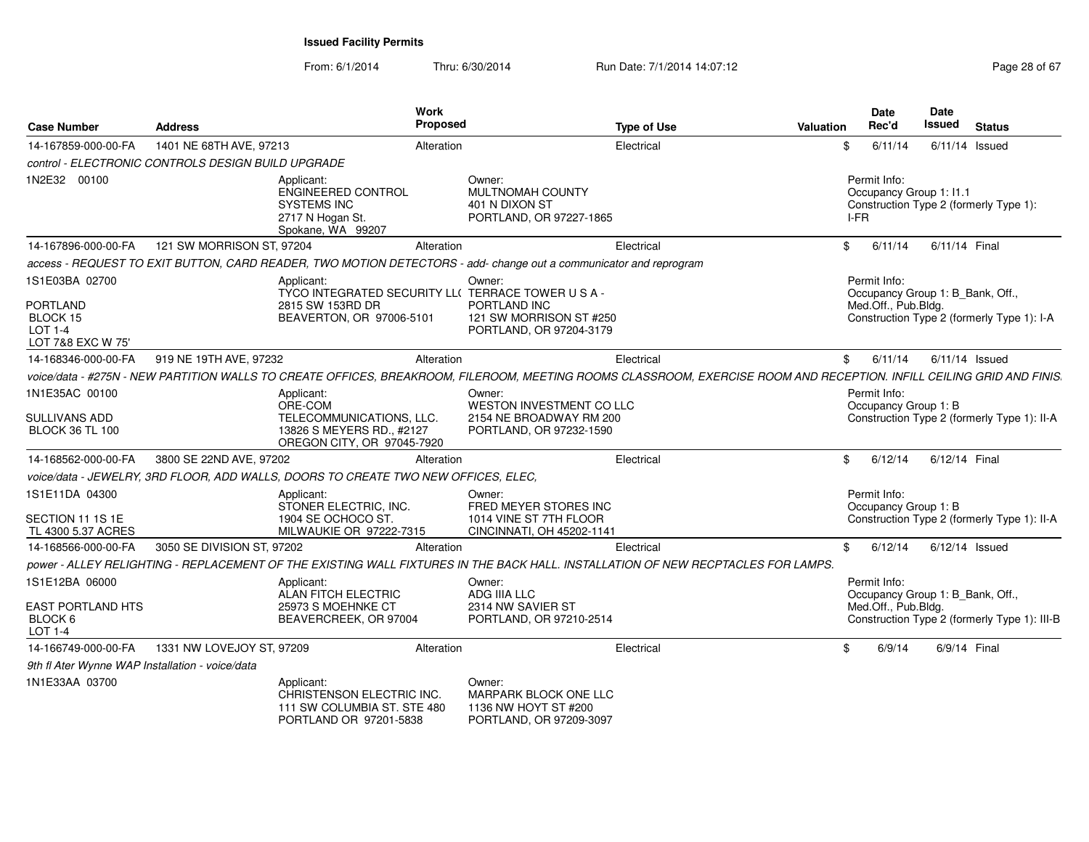From: 6/1/2014Thru: 6/30/2014 Run Date: 7/1/2014 14:07:12 Research 2010 28 of 67

| <b>Case Number</b>                                                                   | <b>Address</b>                                     | Work<br>Proposed                                                                                                  |                                                                                          | <b>Type of Use</b><br><b>Valuation</b>                                                                                                                                | <b>Date</b><br>Rec'd                            | Date<br>Issued<br><b>Status</b>                                                  |  |
|--------------------------------------------------------------------------------------|----------------------------------------------------|-------------------------------------------------------------------------------------------------------------------|------------------------------------------------------------------------------------------|-----------------------------------------------------------------------------------------------------------------------------------------------------------------------|-------------------------------------------------|----------------------------------------------------------------------------------|--|
| 14-167859-000-00-FA                                                                  | 1401 NE 68TH AVE, 97213                            | Alteration                                                                                                        |                                                                                          | Electrical                                                                                                                                                            | \$<br>6/11/14                                   | $6/11/14$ Issued                                                                 |  |
|                                                                                      | control - ELECTRONIC CONTROLS DESIGN BUILD UPGRADE |                                                                                                                   |                                                                                          |                                                                                                                                                                       |                                                 |                                                                                  |  |
| 1N2E32 00100                                                                         |                                                    | Applicant:<br>ENGINEERED CONTROL<br><b>SYSTEMS INC</b><br>2717 N Hogan St.<br>Spokane, WA 99207                   | Owner:<br>MULTNOMAH COUNTY<br>401 N DIXON ST<br>PORTLAND, OR 97227-1865                  |                                                                                                                                                                       | Permit Info:<br>Occupancy Group 1: I1.1<br>I-FR | Construction Type 2 (formerly Type 1):                                           |  |
| 14-167896-000-00-FA                                                                  | 121 SW MORRISON ST, 97204                          | Alteration                                                                                                        |                                                                                          | Electrical                                                                                                                                                            | \$<br>6/11/14                                   | 6/11/14 Final                                                                    |  |
|                                                                                      |                                                    | access - REQUEST TO EXIT BUTTON, CARD READER, TWO MOTION DETECTORS - add- change out a communicator and reprogram |                                                                                          |                                                                                                                                                                       |                                                 |                                                                                  |  |
| 1S1E03BA 02700<br><b>PORTLAND</b><br>BLOCK 15<br><b>LOT 1-4</b><br>LOT 7&8 EXC W 75' |                                                    | Applicant:<br>TYCO INTEGRATED SECURITY LL( TERRACE TOWER U S A -<br>2815 SW 153RD DR<br>BEAVERTON, OR 97006-5101  | Owner:<br>PORTLAND INC<br>121 SW MORRISON ST #250<br>PORTLAND, OR 97204-3179             |                                                                                                                                                                       | Permit Info:<br>Med.Off., Pub.Bldg.             | Occupancy Group 1: B_Bank, Off.,<br>Construction Type 2 (formerly Type 1): I-A   |  |
| 14-168346-000-00-FA                                                                  | 919 NE 19TH AVE, 97232                             | Alteration                                                                                                        |                                                                                          | Electrical                                                                                                                                                            | \$<br>6/11/14                                   | $6/11/14$ Issued                                                                 |  |
|                                                                                      |                                                    |                                                                                                                   |                                                                                          | voice/data - #275N - NEW PARTITION WALLS TO CREATE OFFICES, BREAKROOM, FILEROOM, MEETING ROOMS CLASSROOM, EXERCISE ROOM AND RECEPTION. INFILL CEILING GRID AND FINIS. |                                                 |                                                                                  |  |
| 1N1E35AC 00100<br>SULLIVANS ADD<br><b>BLOCK 36 TL 100</b>                            |                                                    | Applicant:<br>ORE-COM<br>TELECOMMUNICATIONS, LLC.<br>13826 S MEYERS RD., #2127                                    | Owner:<br>WESTON INVESTMENT CO LLC<br>2154 NE BROADWAY RM 200<br>PORTLAND, OR 97232-1590 |                                                                                                                                                                       | Permit Info:<br>Occupancy Group 1: B            | Construction Type 2 (formerly Type 1): II-A                                      |  |
| 14-168562-000-00-FA                                                                  | 3800 SE 22ND AVE, 97202                            | OREGON CITY, OR 97045-7920<br>Alteration                                                                          |                                                                                          | Electrical                                                                                                                                                            | \$<br>6/12/14                                   | 6/12/14 Final                                                                    |  |
|                                                                                      |                                                    | voice/data - JEWELRY, 3RD FLOOR, ADD WALLS, DOORS TO CREATE TWO NEW OFFICES, ELEC,                                |                                                                                          |                                                                                                                                                                       |                                                 |                                                                                  |  |
| 1S1E11DA 04300<br>SECTION 11 1S 1E<br>TL 4300 5.37 ACRES                             |                                                    | Applicant:<br>STONER ELECTRIC, INC.<br>1904 SE OCHOCO ST.<br>MILWAUKIE OR 97222-7315                              | Owner:<br>FRED MEYER STORES INC<br>1014 VINE ST 7TH FLOOR<br>CINCINNATI, OH 45202-1141   |                                                                                                                                                                       | Permit Info:<br>Occupancy Group 1: B            | Construction Type 2 (formerly Type 1): II-A                                      |  |
| 14-168566-000-00-FA                                                                  | 3050 SE DIVISION ST, 97202                         | Alteration                                                                                                        |                                                                                          | Electrical                                                                                                                                                            | \$<br>6/12/14                                   | $6/12/14$ Issued                                                                 |  |
|                                                                                      |                                                    |                                                                                                                   |                                                                                          | DOWER - ALLEY RELIGHTING - REPLACEMENT OF THE EXISTING WALL FIXTURES IN THE BACK HALL. INSTALLATION OF NEW RECPTACLES FOR LAMPS.                                      |                                                 |                                                                                  |  |
| 1S1E12BA 06000<br><b>EAST PORTLAND HTS</b><br>BLOCK 6<br><b>LOT 1-4</b>              |                                                    | Applicant:<br>ALAN FITCH ELECTRIC<br>25973 S MOEHNKE CT<br>BEAVERCREEK, OR 97004                                  | Owner:<br>ADG IIIA LLC<br>2314 NW SAVIER ST<br>PORTLAND, OR 97210-2514                   |                                                                                                                                                                       | Permit Info:<br>Med.Off., Pub.Bldg.             | Occupancy Group 1: B_Bank, Off.,<br>Construction Type 2 (formerly Type 1): III-B |  |
| 14-166749-000-00-FA                                                                  | 1331 NW LOVEJOY ST, 97209                          | Alteration                                                                                                        |                                                                                          | Electrical                                                                                                                                                            | \$<br>6/9/14                                    | 6/9/14 Final                                                                     |  |
| 9th fl Ater Wynne WAP Installation - voice/data                                      |                                                    |                                                                                                                   |                                                                                          |                                                                                                                                                                       |                                                 |                                                                                  |  |
| 1N1E33AA 03700                                                                       |                                                    | Applicant:<br>CHRISTENSON ELECTRIC INC.<br>111 SW COLUMBIA ST. STE 480<br>PORTLAND OR 97201-5838                  | Owner:<br>MARPARK BLOCK ONE LLC<br>1136 NW HOYT ST #200<br>PORTLAND, OR 97209-3097       |                                                                                                                                                                       |                                                 |                                                                                  |  |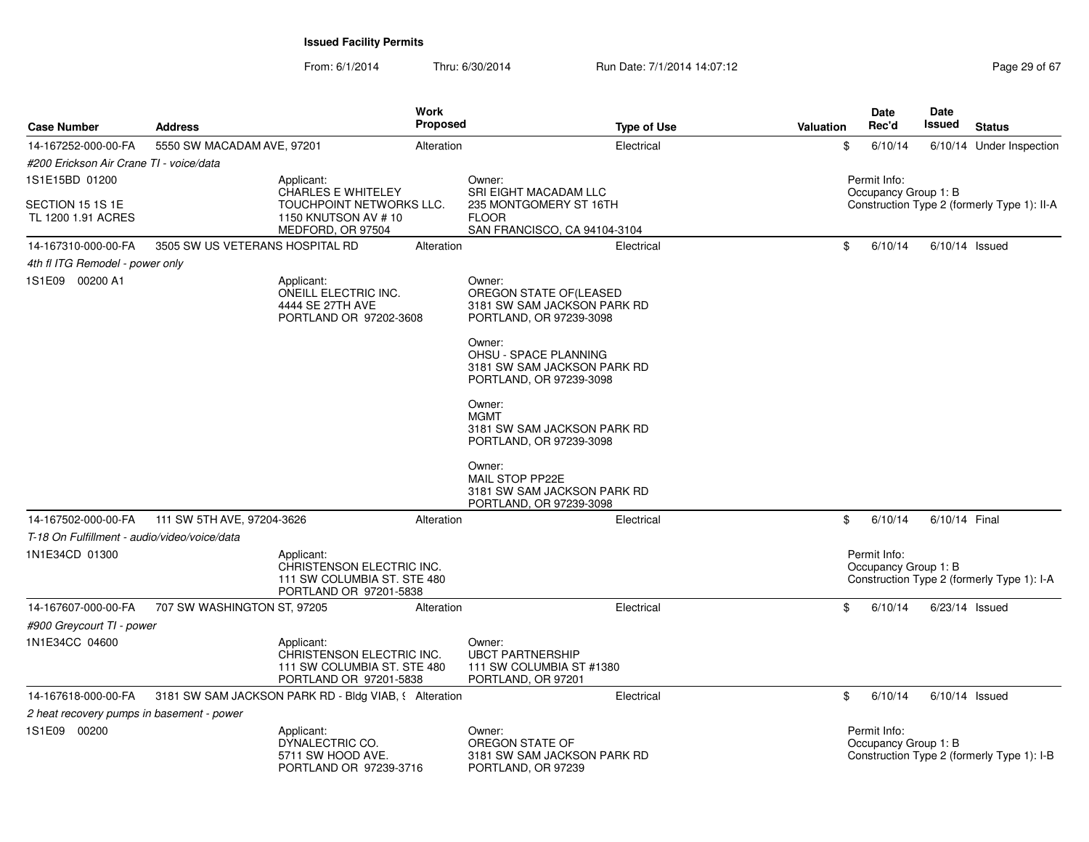From: 6/1/2014Thru: 6/30/2014 Run Date: 7/1/2014 14:07:12 Research 2010 12:07:12

| <b>Case Number</b>                           | <b>Address</b>                  | Work                                                                                             | <b>Proposed</b> | <b>Type of Use</b>                                                                              | Valuation | <b>Date</b><br>Rec'd                 | <b>Date</b><br>Issued | <b>Status</b>                               |
|----------------------------------------------|---------------------------------|--------------------------------------------------------------------------------------------------|-----------------|-------------------------------------------------------------------------------------------------|-----------|--------------------------------------|-----------------------|---------------------------------------------|
| 14-167252-000-00-FA                          | 5550 SW MACADAM AVE, 97201      |                                                                                                  | Alteration      | Electrical                                                                                      |           | \$<br>6/10/14                        |                       | 6/10/14 Under Inspection                    |
| #200 Erickson Air Crane TI - voice/data      |                                 |                                                                                                  |                 |                                                                                                 |           |                                      |                       |                                             |
| 1S1E15BD 01200                               |                                 | Applicant:                                                                                       |                 | Owner:                                                                                          |           | Permit Info:                         |                       |                                             |
| SECTION 15 1S 1E<br>TL 1200 1.91 ACRES       |                                 | CHARLES E WHITELEY<br>TOUCHPOINT NETWORKS LLC.<br>1150 KNUTSON AV #10<br>MEDFORD, OR 97504       |                 | SRI EIGHT MACADAM LLC<br>235 MONTGOMERY ST 16TH<br><b>FLOOR</b><br>SAN FRANCISCO, CA 94104-3104 |           | Occupancy Group 1: B                 |                       | Construction Type 2 (formerly Type 1): II-A |
| 14-167310-000-00-FA                          | 3505 SW US VETERANS HOSPITAL RD |                                                                                                  | Alteration      | Electrical                                                                                      |           | \$<br>6/10/14                        |                       | $6/10/14$ Issued                            |
| 4th fl ITG Remodel - power only              |                                 |                                                                                                  |                 |                                                                                                 |           |                                      |                       |                                             |
| 1S1E09 00200 A1                              |                                 | Applicant:<br>ONEILL ELECTRIC INC.<br>4444 SE 27TH AVE<br>PORTLAND OR 97202-3608                 |                 | Owner:<br>OREGON STATE OF(LEASED<br>3181 SW SAM JACKSON PARK RD<br>PORTLAND, OR 97239-3098      |           |                                      |                       |                                             |
|                                              |                                 |                                                                                                  |                 | Owner:<br>OHSU - SPACE PLANNING<br>3181 SW SAM JACKSON PARK RD<br>PORTLAND, OR 97239-3098       |           |                                      |                       |                                             |
|                                              |                                 |                                                                                                  |                 | Owner:<br><b>MGMT</b><br>3181 SW SAM JACKSON PARK RD<br>PORTLAND, OR 97239-3098                 |           |                                      |                       |                                             |
|                                              |                                 |                                                                                                  |                 | Owner:<br>MAIL STOP PP22E<br>3181 SW SAM JACKSON PARK RD<br>PORTLAND, OR 97239-3098             |           |                                      |                       |                                             |
| 14-167502-000-00-FA                          | 111 SW 5TH AVE, 97204-3626      |                                                                                                  | Alteration      | Electrical                                                                                      |           | \$<br>6/10/14                        | 6/10/14 Final         |                                             |
| T-18 On Fulfillment - audio/video/voice/data |                                 |                                                                                                  |                 |                                                                                                 |           |                                      |                       |                                             |
| 1N1E34CD 01300                               |                                 | Applicant:<br>CHRISTENSON ELECTRIC INC.<br>111 SW COLUMBIA ST. STE 480<br>PORTLAND OR 97201-5838 |                 |                                                                                                 |           | Permit Info:<br>Occupancy Group 1: B |                       | Construction Type 2 (formerly Type 1): I-A  |
| 14-167607-000-00-FA                          | 707 SW WASHINGTON ST, 97205     |                                                                                                  | Alteration      | Electrical                                                                                      |           | \$<br>6/10/14                        |                       | $6/23/14$ Issued                            |
| #900 Greycourt TI - power                    |                                 |                                                                                                  |                 |                                                                                                 |           |                                      |                       |                                             |
| 1N1E34CC 04600                               |                                 | Applicant:<br>CHRISTENSON ELECTRIC INC.<br>111 SW COLUMBIA ST. STE 480<br>PORTLAND OR 97201-5838 |                 | Owner:<br><b>UBCT PARTNERSHIP</b><br>111 SW COLUMBIA ST #1380<br>PORTLAND, OR 97201             |           |                                      |                       |                                             |
| 14-167618-000-00-FA                          |                                 | 3181 SW SAM JACKSON PARK RD - Bldg VIAB, § Alteration                                            |                 | Electrical                                                                                      |           | \$<br>6/10/14                        |                       | $6/10/14$ Issued                            |
| 2 heat recovery pumps in basement - power    |                                 |                                                                                                  |                 |                                                                                                 |           |                                      |                       |                                             |
| 1S1E09 00200                                 |                                 | Applicant:<br>DYNALECTRIC CO.<br>5711 SW HOOD AVE.<br>PORTLAND OR 97239-3716                     |                 | Owner:<br>OREGON STATE OF<br>3181 SW SAM JACKSON PARK RD<br>PORTLAND, OR 97239                  |           | Permit Info:<br>Occupancy Group 1: B |                       | Construction Type 2 (formerly Type 1): I-B  |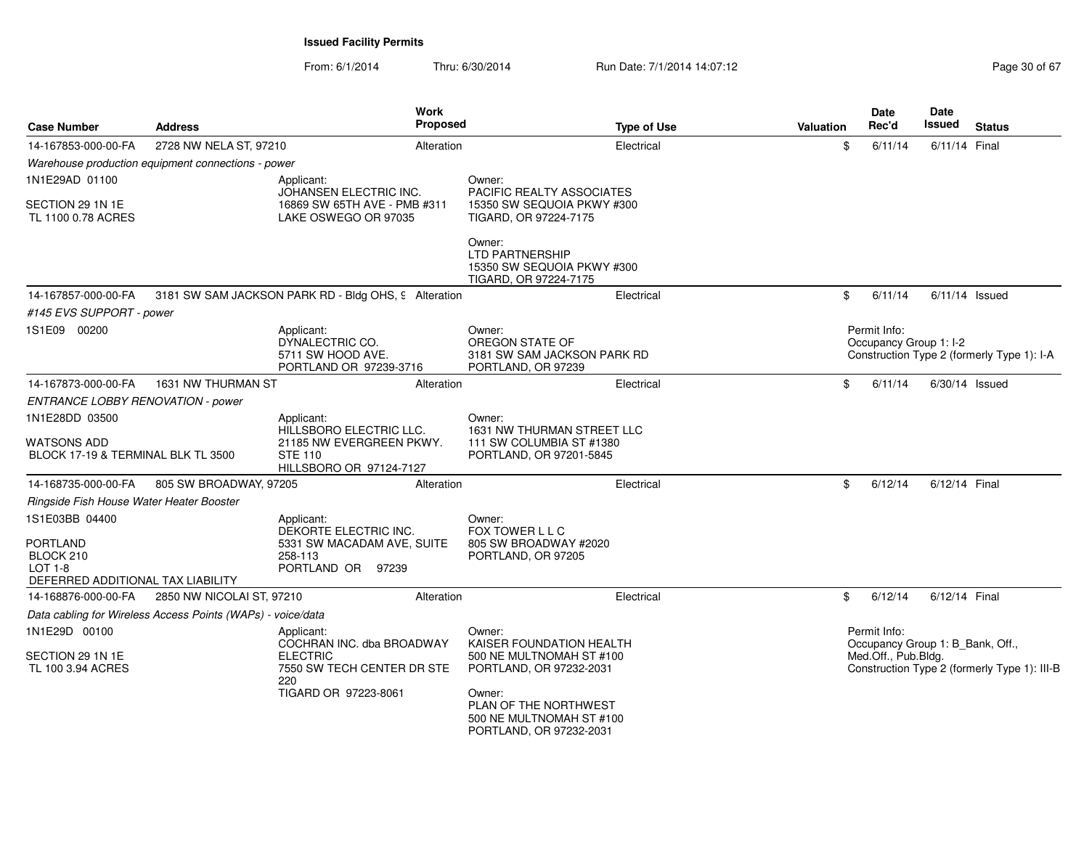From: 6/1/2014Thru: 6/30/2014 Run Date: 7/1/2014 14:07:12 Rege 30 of 67

| <b>Case Number</b>                                                           | <b>Address</b>                                              | <b>Work</b><br>Proposed                                                                                                 |                                                                                                                                                                                     | <b>Type of Use</b> | <b>Valuation</b> | Date<br>Rec'd                          | <b>Date</b><br><b>Issued</b><br><b>Status</b>                                    |
|------------------------------------------------------------------------------|-------------------------------------------------------------|-------------------------------------------------------------------------------------------------------------------------|-------------------------------------------------------------------------------------------------------------------------------------------------------------------------------------|--------------------|------------------|----------------------------------------|----------------------------------------------------------------------------------|
| 14-167853-000-00-FA                                                          | 2728 NW NELA ST, 97210                                      | Alteration                                                                                                              |                                                                                                                                                                                     | Electrical         | \$               | 6/11/14                                | 6/11/14 Final                                                                    |
|                                                                              | Warehouse production equipment connections - power          |                                                                                                                         |                                                                                                                                                                                     |                    |                  |                                        |                                                                                  |
| 1N1E29AD 01100                                                               |                                                             | Applicant:<br>JOHANSEN ELECTRIC INC.                                                                                    | Owner:<br>PACIFIC REALTY ASSOCIATES                                                                                                                                                 |                    |                  |                                        |                                                                                  |
| SECTION 29 1N 1E<br>TL 1100 0.78 ACRES                                       |                                                             | 16869 SW 65TH AVE - PMB #311<br>LAKE OSWEGO OR 97035                                                                    | 15350 SW SEQUOIA PKWY #300<br>TIGARD, OR 97224-7175                                                                                                                                 |                    |                  |                                        |                                                                                  |
|                                                                              |                                                             |                                                                                                                         | Owner:<br><b>LTD PARTNERSHIP</b><br>15350 SW SEQUOIA PKWY #300<br>TIGARD, OR 97224-7175                                                                                             |                    |                  |                                        |                                                                                  |
| 14-167857-000-00-FA                                                          |                                                             | 3181 SW SAM JACKSON PARK RD - Bldg OHS, 9 Alteration                                                                    |                                                                                                                                                                                     | Electrical         | \$               | 6/11/14                                | $6/11/14$ Issued                                                                 |
| #145 EVS SUPPORT - power                                                     |                                                             |                                                                                                                         |                                                                                                                                                                                     |                    |                  |                                        |                                                                                  |
| 1S1E09 00200                                                                 |                                                             | Applicant:<br>DYNALECTRIC CO.<br>5711 SW HOOD AVE.<br>PORTLAND OR 97239-3716                                            | Owner:<br>OREGON STATE OF<br>3181 SW SAM JACKSON PARK RD<br>PORTLAND, OR 97239                                                                                                      |                    |                  | Permit Info:<br>Occupancy Group 1: I-2 | Construction Type 2 (formerly Type 1): I-A                                       |
| 14-167873-000-00-FA                                                          | 1631 NW THURMAN ST                                          | Alteration                                                                                                              |                                                                                                                                                                                     | Electrical         | \$               | 6/11/14                                | $6/30/14$ Issued                                                                 |
| ENTRANCE LOBBY RENOVATION - power                                            |                                                             |                                                                                                                         |                                                                                                                                                                                     |                    |                  |                                        |                                                                                  |
| 1N1E28DD 03500<br>WATSONS ADD<br>BLOCK 17-19 & TERMINAL BLK TL 3500          |                                                             | Applicant:<br>HILLSBORO ELECTRIC LLC.<br>21185 NW EVERGREEN PKWY.<br><b>STE 110</b>                                     | Owner:<br>1631 NW THURMAN STREET LLC<br>111 SW COLUMBIA ST #1380<br>PORTLAND, OR 97201-5845                                                                                         |                    |                  |                                        |                                                                                  |
| 14-168735-000-00-FA                                                          | 805 SW BROADWAY, 97205                                      | HILLSBORO OR 97124-7127<br>Alteration                                                                                   |                                                                                                                                                                                     | Electrical         | \$               | 6/12/14                                | 6/12/14 Final                                                                    |
|                                                                              |                                                             |                                                                                                                         |                                                                                                                                                                                     |                    |                  |                                        |                                                                                  |
| Ringside Fish House Water Heater Booster<br>1S1E03BB 04400                   |                                                             |                                                                                                                         |                                                                                                                                                                                     |                    |                  |                                        |                                                                                  |
| <b>PORTLAND</b><br>BLOCK 210<br>LOT 1-8<br>DEFERRED ADDITIONAL TAX LIABILITY |                                                             | Applicant:<br>DEKORTE ELECTRIC INC.<br>5331 SW MACADAM AVE, SUITE<br>258-113<br>PORTLAND OR 97239                       | Owner:<br>FOX TOWER L L C<br>805 SW BROADWAY #2020<br>PORTLAND, OR 97205                                                                                                            |                    |                  |                                        |                                                                                  |
| 14-168876-000-00-FA                                                          | 2850 NW NICOLAI ST, 97210                                   | Alteration                                                                                                              |                                                                                                                                                                                     | Electrical         | \$               | 6/12/14                                | 6/12/14 Final                                                                    |
|                                                                              | Data cabling for Wireless Access Points (WAPs) - voice/data |                                                                                                                         |                                                                                                                                                                                     |                    |                  |                                        |                                                                                  |
| 1N1E29D 00100<br>SECTION 29 1N 1E<br>TL 100 3.94 ACRES                       |                                                             | Applicant:<br>COCHRAN INC. dba BROADWAY<br><b>ELECTRIC</b><br>7550 SW TECH CENTER DR STE<br>220<br>TIGARD OR 97223-8061 | Owner:<br>KAISER FOUNDATION HEALTH<br>500 NE MULTNOMAH ST #100<br>PORTLAND, OR 97232-2031<br>Owner:<br>PLAN OF THE NORTHWEST<br>500 NE MULTNOMAH ST #100<br>PORTLAND, OR 97232-2031 |                    |                  | Permit Info:<br>Med.Off., Pub.Bldg.    | Occupancy Group 1: B_Bank, Off.,<br>Construction Type 2 (formerly Type 1): III-B |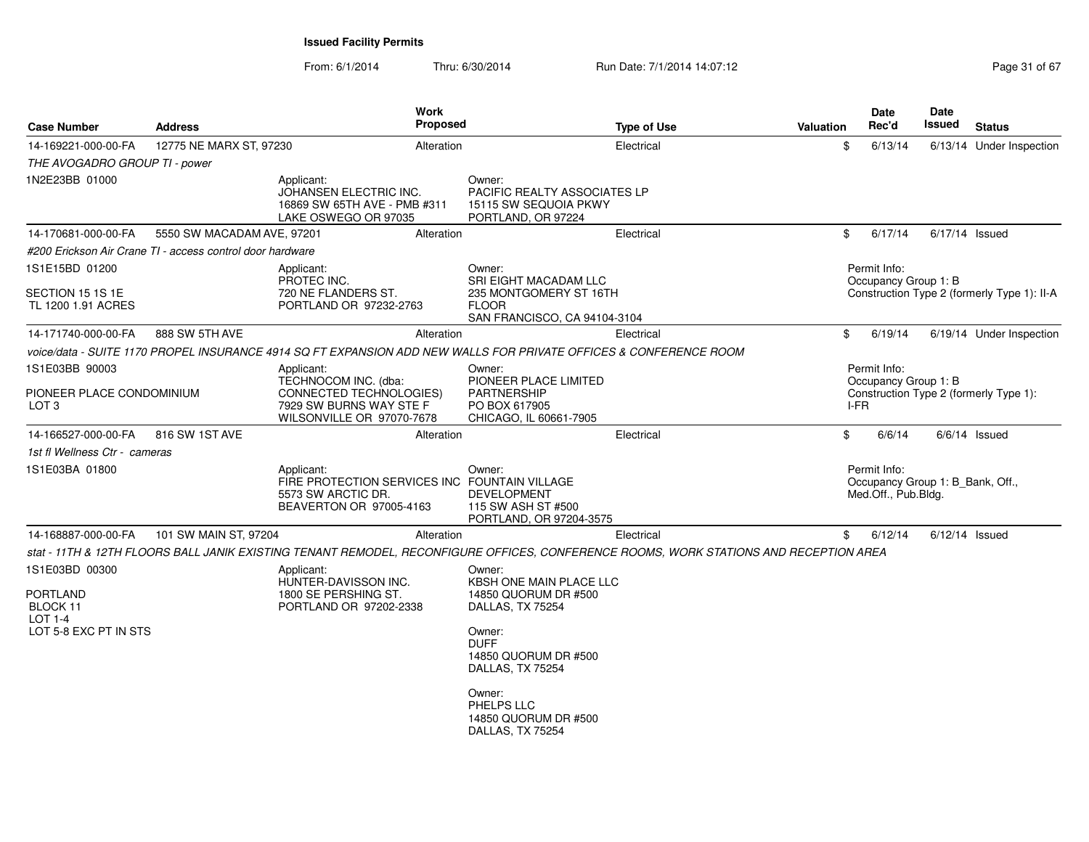From: 6/1/2014Thru: 6/30/2014 Run Date: 7/1/2014 14:07:12 Rege 31 of 67

| <b>Case Number</b>                                                                       | <b>Address</b>                                            | <b>Work</b><br><b>Proposed</b>                                                                                                        |                                                                                                                                                                                                                        | <b>Type of Use</b> | <b>Valuation</b> | Date<br>Rec'd                                                           | Date<br>Issued   | <b>Status</b>                               |
|------------------------------------------------------------------------------------------|-----------------------------------------------------------|---------------------------------------------------------------------------------------------------------------------------------------|------------------------------------------------------------------------------------------------------------------------------------------------------------------------------------------------------------------------|--------------------|------------------|-------------------------------------------------------------------------|------------------|---------------------------------------------|
| 14-169221-000-00-FA                                                                      | 12775 NE MARX ST, 97230                                   | Alteration                                                                                                                            |                                                                                                                                                                                                                        | Electrical         | \$               | 6/13/14                                                                 |                  | 6/13/14 Under Inspection                    |
| THE AVOGADRO GROUP TI - power                                                            |                                                           |                                                                                                                                       |                                                                                                                                                                                                                        |                    |                  |                                                                         |                  |                                             |
| 1N2E23BB 01000                                                                           |                                                           | Applicant:<br>JOHANSEN ELECTRIC INC.<br>16869 SW 65TH AVE - PMB #311<br>LAKE OSWEGO OR 97035                                          | Owner:<br>PACIFIC REALTY ASSOCIATES LP<br>15115 SW SEQUOIA PKWY<br>PORTLAND, OR 97224                                                                                                                                  |                    |                  |                                                                         |                  |                                             |
| 14-170681-000-00-FA                                                                      | 5550 SW MACADAM AVE, 97201                                | Alteration                                                                                                                            |                                                                                                                                                                                                                        | Electrical         | \$               | 6/17/14                                                                 | $6/17/14$ Issued |                                             |
|                                                                                          | #200 Erickson Air Crane TI - access control door hardware |                                                                                                                                       |                                                                                                                                                                                                                        |                    |                  |                                                                         |                  |                                             |
| 1S1E15BD 01200<br>SECTION 15 1S 1E                                                       |                                                           | Applicant:<br>PROTEC INC.<br>720 NE FLANDERS ST.                                                                                      | Owner:<br><b>SRI EIGHT MACADAM LLC</b><br>235 MONTGOMERY ST 16TH                                                                                                                                                       |                    |                  | Permit Info:<br>Occupancy Group 1: B                                    |                  | Construction Type 2 (formerly Type 1): II-A |
| TL 1200 1.91 ACRES                                                                       |                                                           | PORTLAND OR 97232-2763                                                                                                                | <b>FLOOR</b><br>SAN FRANCISCO, CA 94104-3104                                                                                                                                                                           |                    |                  |                                                                         |                  |                                             |
| 14-171740-000-00-FA                                                                      | 888 SW 5TH AVE                                            | Alteration                                                                                                                            |                                                                                                                                                                                                                        | Electrical         | \$               | 6/19/14                                                                 |                  | 6/19/14 Under Inspection                    |
|                                                                                          |                                                           | voice/data - SUITE 1170 PROPEL INSURANCE 4914 SQ FT EXPANSION ADD NEW WALLS FOR PRIVATE OFFICES & CONFERENCE ROOM                     |                                                                                                                                                                                                                        |                    |                  |                                                                         |                  |                                             |
| 1S1E03BB 90003                                                                           |                                                           | Applicant:                                                                                                                            | Owner:                                                                                                                                                                                                                 |                    |                  | Permit Info:                                                            |                  |                                             |
| PIONEER PLACE CONDOMINIUM<br>LOT <sub>3</sub>                                            |                                                           | TECHNOCOM INC. (dba:<br>CONNECTED TECHNOLOGIES)<br>7929 SW BURNS WAY STE F<br>WILSONVILLE OR 97070-7678                               | PIONEER PLACE LIMITED<br><b>PARTNERSHIP</b><br>PO BOX 617905<br>CHICAGO, IL 60661-7905                                                                                                                                 |                    | I-FR             | Occupancy Group 1: B                                                    |                  | Construction Type 2 (formerly Type 1):      |
| 14-166527-000-00-FA                                                                      | 816 SW 1ST AVE                                            | Alteration                                                                                                                            |                                                                                                                                                                                                                        | Electrical         | \$               | 6/6/14                                                                  |                  | $6/6/14$ Issued                             |
| 1st fl Wellness Ctr - cameras                                                            |                                                           |                                                                                                                                       |                                                                                                                                                                                                                        |                    |                  |                                                                         |                  |                                             |
| 1S1E03BA 01800                                                                           |                                                           | Applicant:<br>FIRE PROTECTION SERVICES INC FOUNTAIN VILLAGE<br>5573 SW ARCTIC DR.<br>BEAVERTON OR 97005-4163                          | Owner:<br><b>DEVELOPMENT</b><br>115 SW ASH ST #500<br>PORTLAND, OR 97204-3575                                                                                                                                          |                    |                  | Permit Info:<br>Occupancy Group 1: B Bank, Off.,<br>Med.Off., Pub.Bldg. |                  |                                             |
| 14-168887-000-00-FA                                                                      | 101 SW MAIN ST, 97204                                     | Alteration                                                                                                                            |                                                                                                                                                                                                                        | Electrical         | \$               | 6/12/14                                                                 | $6/12/14$ Issued |                                             |
|                                                                                          |                                                           | stat - 11TH & 12TH FLOORS BALL JANIK EXISTING TENANT REMODEL, RECONFIGURE OFFICES, CONFERENCE ROOMS, WORK STATIONS AND RECEPTION AREA |                                                                                                                                                                                                                        |                    |                  |                                                                         |                  |                                             |
| 1S1E03BD 00300<br><b>PORTLAND</b><br>BLOCK 11<br><b>LOT 1-4</b><br>LOT 5-8 EXC PT IN STS |                                                           | Applicant:<br>HUNTER-DAVISSON INC.<br>1800 SE PERSHING ST.<br>PORTLAND OR 97202-2338                                                  | Owner:<br>KBSH ONE MAIN PLACE LLC<br>14850 QUORUM DR #500<br>DALLAS, TX 75254<br>Owner:<br><b>DUFF</b><br>14850 QUORUM DR #500<br>DALLAS, TX 75254<br>Owner:<br>PHELPS LLC<br>14850 QUORUM DR #500<br>DALLAS, TX 75254 |                    |                  |                                                                         |                  |                                             |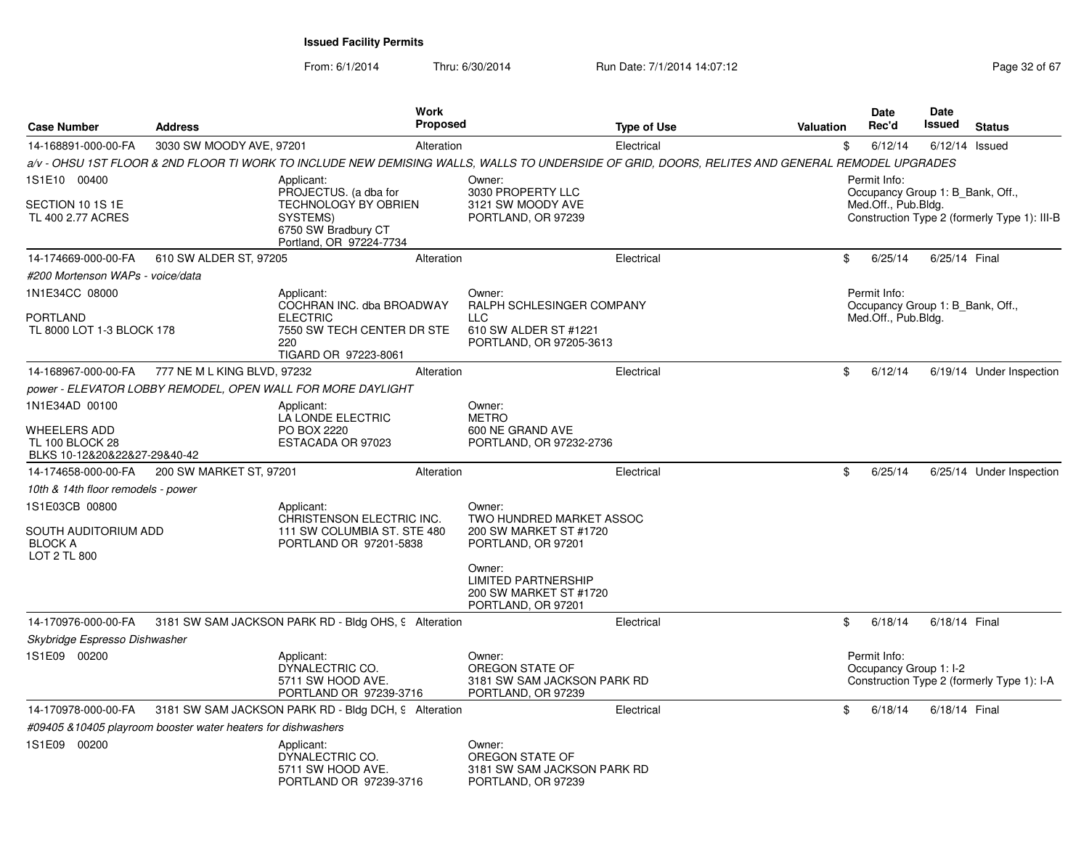From: 6/1/2014Thru: 6/30/2014 Run Date: 7/1/2014 14:07:12 Rege 32 of 67

| <b>Case Number</b>                                                              | <b>Address</b>                                                | <b>Work</b><br>Proposed                                                                                                                         |                                                                                                       | <b>Type of Use</b> | Valuation | <b>Date</b><br>Rec'd                | Date<br><b>Issued</b>            | <b>Status</b>                                |
|---------------------------------------------------------------------------------|---------------------------------------------------------------|-------------------------------------------------------------------------------------------------------------------------------------------------|-------------------------------------------------------------------------------------------------------|--------------------|-----------|-------------------------------------|----------------------------------|----------------------------------------------|
| 14-168891-000-00-FA                                                             | 3030 SW MOODY AVE, 97201                                      | Alteration                                                                                                                                      |                                                                                                       | Electrical         |           | \$<br>6/12/14                       |                                  | $6/12/14$ Issued                             |
|                                                                                 |                                                               | a/v - OHSU 1ST FLOOR & 2ND FLOOR TI WORK TO INCLUDE NEW DEMISING WALLS, WALLS TO UNDERSIDE OF GRID, DOORS, RELITES AND GENERAL REMODEL UPGRADES |                                                                                                       |                    |           |                                     |                                  |                                              |
| 1S1E10 00400<br>SECTION 10 1S 1E<br>TL 400 2.77 ACRES                           |                                                               | Applicant:<br>PROJECTUS. (a dba for<br>TECHNOLOGY BY OBRIEN<br>SYSTEMS)<br>6750 SW Bradbury CT<br>Portland, OR 97224-7734                       | Owner:<br>3030 PROPERTY LLC<br>3121 SW MOODY AVE<br>PORTLAND, OR 97239                                |                    |           | Permit Info:<br>Med.Off., Pub.Bldg. | Occupancy Group 1: B Bank, Off., | Construction Type 2 (formerly Type 1): III-B |
| 14-174669-000-00-FA                                                             | 610 SW ALDER ST, 97205                                        | Alteration                                                                                                                                      |                                                                                                       | Electrical         |           | \$<br>6/25/14                       | 6/25/14 Final                    |                                              |
| #200 Mortenson WAPs - voice/data                                                |                                                               |                                                                                                                                                 |                                                                                                       |                    |           |                                     |                                  |                                              |
| 1N1E34CC 08000<br>PORTLAND<br>TL 8000 LOT 1-3 BLOCK 178                         |                                                               | Applicant:<br>COCHRAN INC. dba BROADWAY<br><b>ELECTRIC</b><br>7550 SW TECH CENTER DR STE<br>220<br>TIGARD OR 97223-8061                         | Owner:<br>RALPH SCHLESINGER COMPANY<br><b>LLC</b><br>610 SW ALDER ST #1221<br>PORTLAND, OR 97205-3613 |                    |           | Permit Info:<br>Med.Off., Pub.Bldg. | Occupancy Group 1: B_Bank, Off., |                                              |
| 14-168967-000-00-FA                                                             | 777 NE M L KING BLVD, 97232                                   | Alteration                                                                                                                                      |                                                                                                       | Electrical         |           | \$<br>6/12/14                       |                                  | 6/19/14 Under Inspection                     |
|                                                                                 |                                                               | power - ELEVATOR LOBBY REMODEL, OPEN WALL FOR MORE DAYLIGHT                                                                                     |                                                                                                       |                    |           |                                     |                                  |                                              |
| 1N1E34AD 00100                                                                  |                                                               | Applicant:<br>LA LONDE ELECTRIC                                                                                                                 | Owner:<br><b>METRO</b>                                                                                |                    |           |                                     |                                  |                                              |
| WHEELERS ADD<br><b>TL 100 BLOCK 28</b><br>BLKS 10-12&20&22&27-29&40-42          |                                                               | PO BOX 2220<br>ESTACADA OR 97023                                                                                                                | 600 NE GRAND AVE<br>PORTLAND, OR 97232-2736                                                           |                    |           |                                     |                                  |                                              |
| 14-174658-000-00-FA                                                             | 200 SW MARKET ST, 97201                                       | Alteration                                                                                                                                      |                                                                                                       | Electrical         |           | \$<br>6/25/14                       |                                  | 6/25/14 Under Inspection                     |
| 10th & 14th floor remodels - power                                              |                                                               |                                                                                                                                                 |                                                                                                       |                    |           |                                     |                                  |                                              |
| 1S1E03CB 00800<br>SOUTH AUDITORIUM ADD<br><b>BLOCK A</b><br><b>LOT 2 TL 800</b> |                                                               | Applicant:<br>CHRISTENSON ELECTRIC INC.<br>111 SW COLUMBIA ST. STE 480<br>PORTLAND OR 97201-5838                                                | Owner:<br>TWO HUNDRED MARKET ASSOC<br>200 SW MARKET ST #1720<br>PORTLAND, OR 97201                    |                    |           |                                     |                                  |                                              |
|                                                                                 |                                                               |                                                                                                                                                 | Owner:<br><b>LIMITED PARTNERSHIP</b><br>200 SW MARKET ST #1720<br>PORTLAND, OR 97201                  |                    |           |                                     |                                  |                                              |
| 14-170976-000-00-FA                                                             |                                                               | 3181 SW SAM JACKSON PARK RD - Bldg OHS, 9 Alteration                                                                                            |                                                                                                       | Electrical         |           | \$<br>6/18/14                       | 6/18/14 Final                    |                                              |
| Skybridge Espresso Dishwasher                                                   |                                                               |                                                                                                                                                 |                                                                                                       |                    |           |                                     |                                  |                                              |
| 1S1E09 00200                                                                    |                                                               | Applicant:<br>DYNALECTRIC CO.<br>5711 SW HOOD AVE.<br>PORTLAND OR 97239-3716                                                                    | Owner:<br>OREGON STATE OF<br>3181 SW SAM JACKSON PARK RD<br>PORTLAND, OR 97239                        |                    |           | Permit Info:                        | Occupancy Group 1: I-2           | Construction Type 2 (formerly Type 1): I-A   |
| 14-170978-000-00-FA                                                             |                                                               | 3181 SW SAM JACKSON PARK RD - Bldg DCH, 9 Alteration                                                                                            |                                                                                                       | Electrical         |           | \$<br>6/18/14                       | 6/18/14 Final                    |                                              |
|                                                                                 | #09405 & 10405 playroom booster water heaters for dishwashers |                                                                                                                                                 |                                                                                                       |                    |           |                                     |                                  |                                              |
| 1S1E09 00200                                                                    |                                                               | Applicant:<br>DYNALECTRIC CO.<br>5711 SW HOOD AVE.<br>PORTLAND OR 97239-3716                                                                    | Owner:<br>OREGON STATE OF<br>3181 SW SAM JACKSON PARK RD<br>PORTLAND, OR 97239                        |                    |           |                                     |                                  |                                              |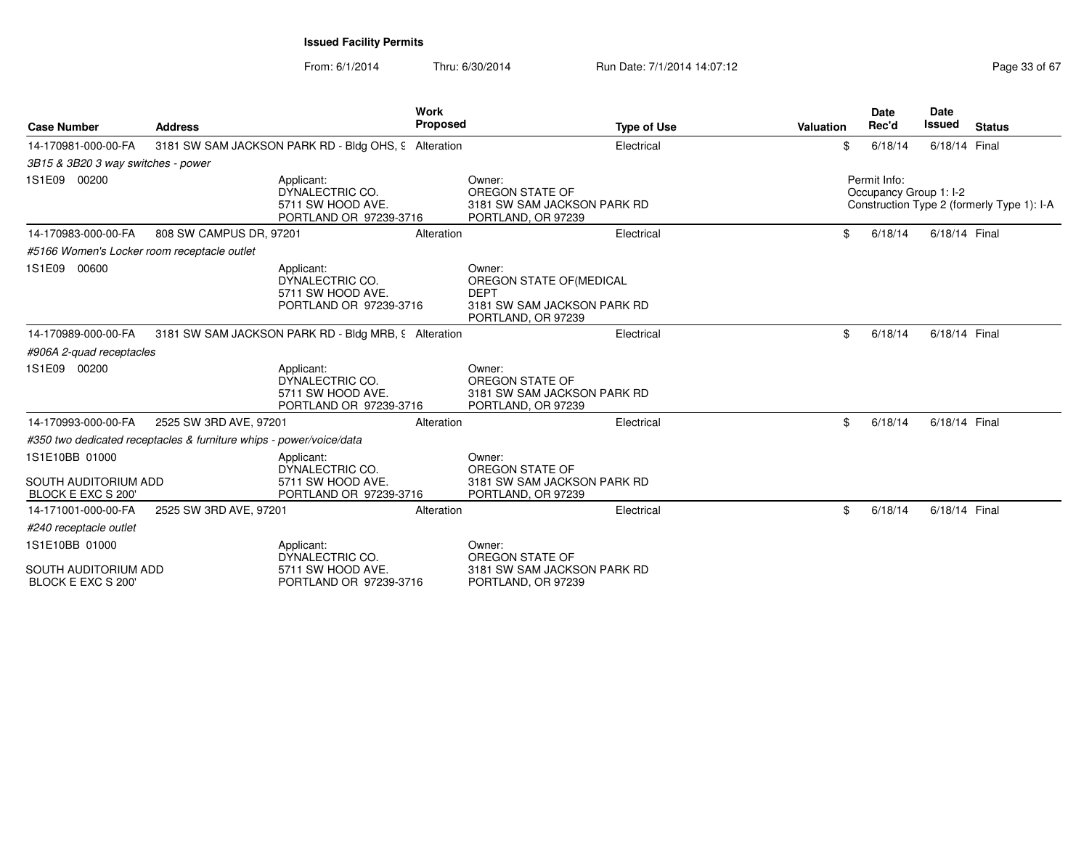From: 6/1/2014Thru: 6/30/2014 Run Date: 7/1/2014 14:07:12 Rege 33 of 67

| <b>Case Number</b>                                | <b>Address</b>                                                      |                                                                              | Work<br>Proposed | <b>Type of Use</b>                                                                                     | Valuation | <b>Date</b><br>Rec'd                   | <b>Date</b><br><b>Issued</b> | <b>Status</b>                              |
|---------------------------------------------------|---------------------------------------------------------------------|------------------------------------------------------------------------------|------------------|--------------------------------------------------------------------------------------------------------|-----------|----------------------------------------|------------------------------|--------------------------------------------|
| 14-170981-000-00-FA                               |                                                                     | 3181 SW SAM JACKSON PARK RD - Bldg OHS, 9 Alteration                         |                  | Electrical                                                                                             | \$        | 6/18/14                                | 6/18/14 Final                |                                            |
| 3B15 & 3B20 3 way switches - power                |                                                                     |                                                                              |                  |                                                                                                        |           |                                        |                              |                                            |
| 1S1E09 00200                                      |                                                                     | Applicant:<br>DYNALECTRIC CO.<br>5711 SW HOOD AVE.<br>PORTLAND OR 97239-3716 |                  | Owner:<br>OREGON STATE OF<br>3181 SW SAM JACKSON PARK RD<br>PORTLAND, OR 97239                         |           | Permit Info:<br>Occupancy Group 1: I-2 |                              | Construction Type 2 (formerly Type 1): I-A |
| 14-170983-000-00-FA                               | 808 SW CAMPUS DR, 97201                                             |                                                                              | Alteration       | Electrical                                                                                             | \$        | 6/18/14                                | 6/18/14 Final                |                                            |
| #5166 Women's Locker room receptacle outlet       |                                                                     |                                                                              |                  |                                                                                                        |           |                                        |                              |                                            |
| 1S1E09 00600                                      |                                                                     | Applicant:<br>DYNALECTRIC CO.<br>5711 SW HOOD AVE.<br>PORTLAND OR 97239-3716 |                  | Owner:<br>OREGON STATE OF (MEDICAL<br><b>DEPT</b><br>3181 SW SAM JACKSON PARK RD<br>PORTLAND, OR 97239 |           |                                        |                              |                                            |
| 14-170989-000-00-FA                               |                                                                     | 3181 SW SAM JACKSON PARK RD - Bldg MRB, 9 Alteration                         |                  | Electrical                                                                                             | \$        | 6/18/14                                | 6/18/14 Final                |                                            |
| #906A 2-quad receptacles                          |                                                                     |                                                                              |                  |                                                                                                        |           |                                        |                              |                                            |
| 1S1E09 00200                                      |                                                                     | Applicant:<br>DYNALECTRIC CO.<br>5711 SW HOOD AVE.<br>PORTLAND OR 97239-3716 |                  | Owner:<br>OREGON STATE OF<br>3181 SW SAM JACKSON PARK RD<br>PORTLAND, OR 97239                         |           |                                        |                              |                                            |
| 14-170993-000-00-FA                               | 2525 SW 3RD AVE, 97201                                              |                                                                              | Alteration       | Electrical                                                                                             | \$        | 6/18/14                                | 6/18/14 Final                |                                            |
|                                                   | #350 two dedicated receptacles & furniture whips - power/voice/data |                                                                              |                  |                                                                                                        |           |                                        |                              |                                            |
| 1S1E10BB 01000                                    |                                                                     | Applicant:<br>DYNALECTRIC CO.                                                |                  | Owner:<br>OREGON STATE OF                                                                              |           |                                        |                              |                                            |
| <b>SOUTH AUDITORIUM ADD</b><br>BLOCK E EXC S 200' |                                                                     | 5711 SW HOOD AVE.<br>PORTLAND OR 97239-3716                                  |                  | 3181 SW SAM JACKSON PARK RD<br>PORTLAND, OR 97239                                                      |           |                                        |                              |                                            |
| 14-171001-000-00-FA                               | 2525 SW 3RD AVE, 97201                                              |                                                                              | Alteration       | Electrical                                                                                             | \$.       | 6/18/14                                | 6/18/14 Final                |                                            |
| #240 receptacle outlet                            |                                                                     |                                                                              |                  |                                                                                                        |           |                                        |                              |                                            |
| 1S1E10BB 01000                                    |                                                                     | Applicant:<br>DYNALECTRIC CO.                                                |                  | Owner:<br>OREGON STATE OF                                                                              |           |                                        |                              |                                            |
| SOUTH AUDITORIUM ADD<br>BLOCK E EXC S 200'        |                                                                     | 5711 SW HOOD AVE.<br>PORTLAND OR 97239-3716                                  |                  | 3181 SW SAM JACKSON PARK RD<br>PORTLAND, OR 97239                                                      |           |                                        |                              |                                            |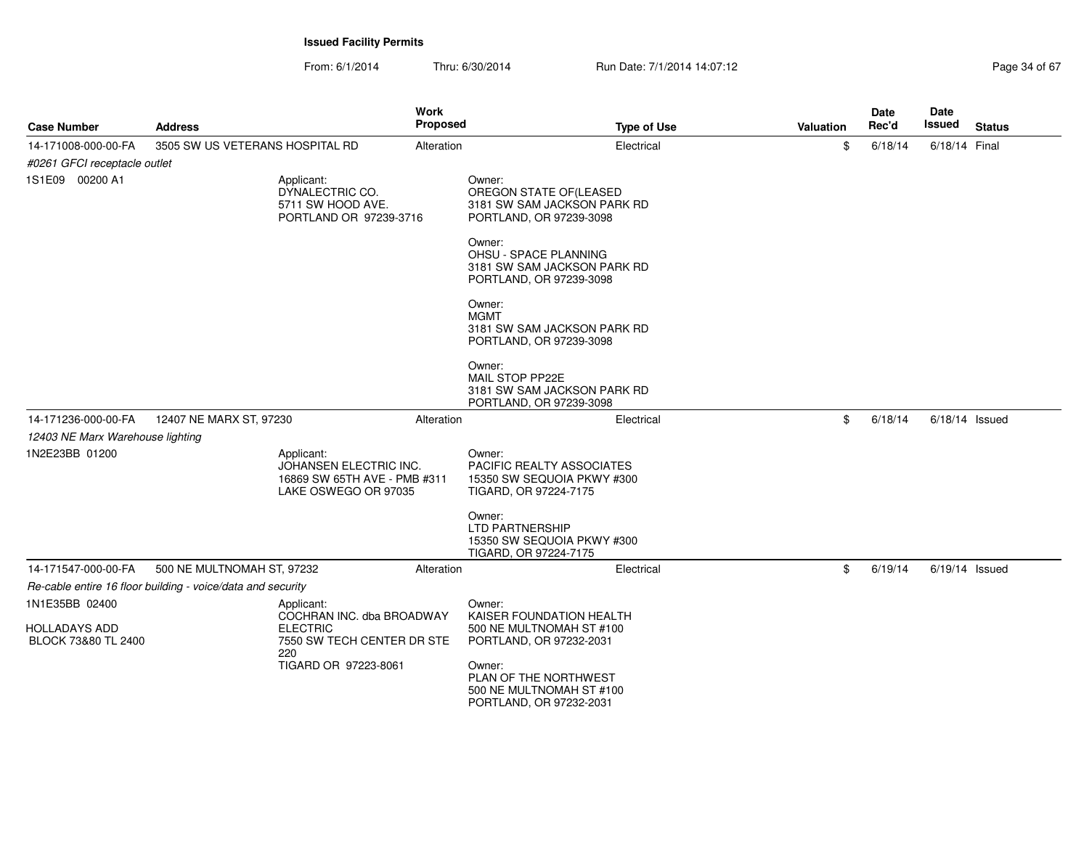From: 6/1/2014Thru: 6/30/2014 Run Date: 7/1/2014 14:07:12 Research 2010 12:07:12

| <b>Case Number</b>               | Address                                                                                      | <b>Work</b><br><b>Proposed</b> | <b>Type of Use</b>                                                                          | <b>Valuation</b> | Date<br>Rec'd | <b>Date</b><br>Issued | <b>Status</b> |
|----------------------------------|----------------------------------------------------------------------------------------------|--------------------------------|---------------------------------------------------------------------------------------------|------------------|---------------|-----------------------|---------------|
| 14-171008-000-00-FA              | 3505 SW US VETERANS HOSPITAL RD                                                              | Alteration                     | Electrical                                                                                  | \$               | 6/18/14       | 6/18/14 Final         |               |
| #0261 GFCI receptacle outlet     |                                                                                              |                                |                                                                                             |                  |               |                       |               |
| 1S1E09 00200 A1                  | Applicant:<br>DYNALECTRIC CO.<br>5711 SW HOOD AVE.<br>PORTLAND OR 97239-3716                 |                                | Owner:<br>OREGON STATE OF (LEASED<br>3181 SW SAM JACKSON PARK RD<br>PORTLAND, OR 97239-3098 |                  |               |                       |               |
|                                  |                                                                                              |                                | Owner:<br>OHSU - SPACE PLANNING<br>3181 SW SAM JACKSON PARK RD<br>PORTLAND, OR 97239-3098   |                  |               |                       |               |
|                                  |                                                                                              |                                | Owner:<br><b>MGMT</b><br>3181 SW SAM JACKSON PARK RD<br>PORTLAND, OR 97239-3098             |                  |               |                       |               |
|                                  |                                                                                              |                                | Owner:<br>MAIL STOP PP22E<br>3181 SW SAM JACKSON PARK RD<br>PORTLAND, OR 97239-3098         |                  |               |                       |               |
| 14-171236-000-00-FA              | 12407 NE MARX ST, 97230                                                                      | Alteration                     | Electrical                                                                                  | \$               | 6/18/14       | $6/18/14$ Issued      |               |
| 12403 NE Marx Warehouse lighting |                                                                                              |                                |                                                                                             |                  |               |                       |               |
| 1N2E23BB 01200                   | Applicant:<br>JOHANSEN ELECTRIC INC.<br>16869 SW 65TH AVE - PMB #311<br>LAKE OSWEGO OR 97035 |                                | Owner:<br>PACIFIC REALTY ASSOCIATES<br>15350 SW SEQUOIA PKWY #300<br>TIGARD, OR 97224-7175  |                  |               |                       |               |
|                                  |                                                                                              |                                | Owner:<br><b>LTD PARTNERSHIP</b><br>15350 SW SEQUOIA PKWY #300<br>TIGARD, OR 97224-7175     |                  |               |                       |               |
| 14-171547-000-00-FA              | 500 NE MULTNOMAH ST, 97232                                                                   | Alteration                     | Electrical                                                                                  | \$               | 6/19/14       | $6/19/14$ Issued      |               |
|                                  | Re-cable entire 16 floor building - voice/data and security                                  |                                |                                                                                             |                  |               |                       |               |
| 1N1E35BB 02400                   | Applicant:                                                                                   |                                | Owner:                                                                                      |                  |               |                       |               |
| <b>HOLLADAYS ADD</b>             | COCHRAN INC. dba BROADWAY<br><b>ELECTRIC</b>                                                 |                                | KAISER FOUNDATION HEALTH<br>500 NE MULTNOMAH ST #100                                        |                  |               |                       |               |
| BLOCK 73&80 TL 2400              | 7550 SW TECH CENTER DR STE<br>220                                                            |                                | PORTLAND, OR 97232-2031                                                                     |                  |               |                       |               |
|                                  | TIGARD OR 97223-8061                                                                         |                                | Owner:<br>PLAN OF THE NORTHWEST<br>500 NE MULTNOMAH ST #100<br>PORTLAND, OR 97232-2031      |                  |               |                       |               |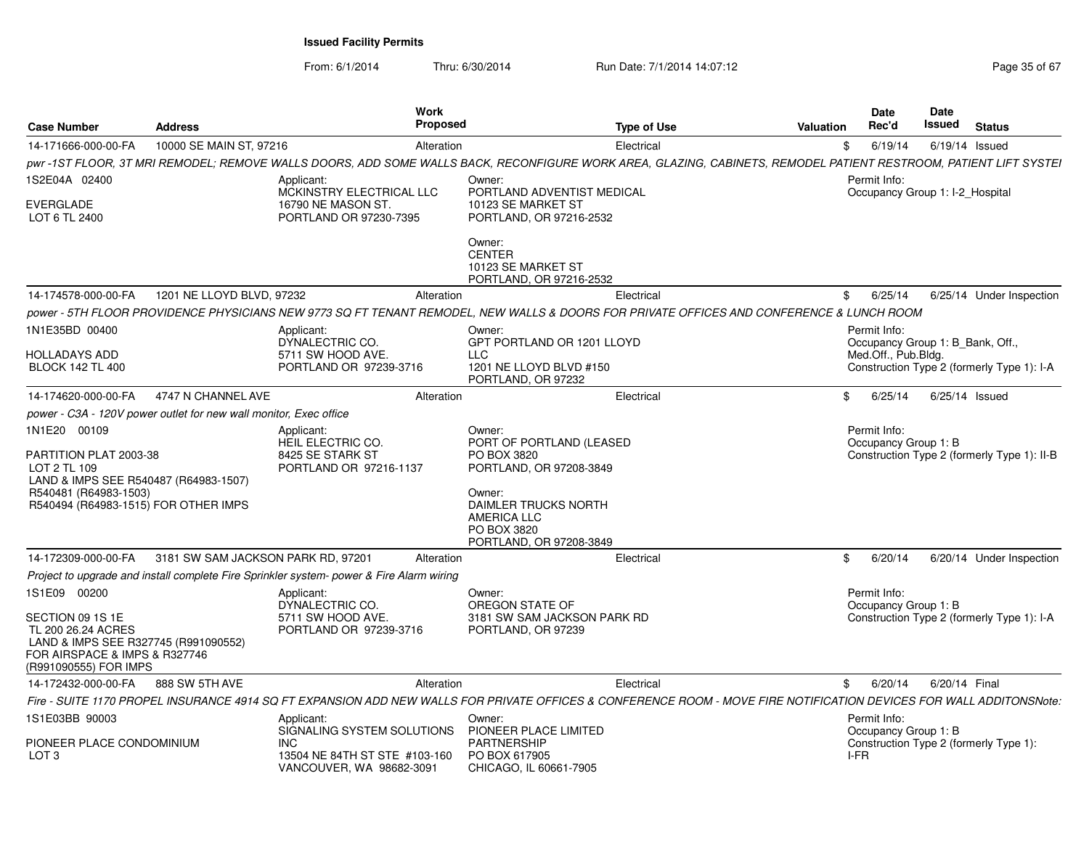From: 6/1/2014Thru: 6/30/2014 Run Date: 7/1/2014 14:07:12 Research 2010 12:07:12

| <b>Case Number</b>                                                                                                                       | <b>Address</b>                     | <b>Work</b><br>Proposed                                                                                                                                             |                                                                                         | <b>Type of Use</b> | <b>Valuation</b> | Date<br>Rec'd                                    | Date<br>Issued   | <b>Status</b>                               |
|------------------------------------------------------------------------------------------------------------------------------------------|------------------------------------|---------------------------------------------------------------------------------------------------------------------------------------------------------------------|-----------------------------------------------------------------------------------------|--------------------|------------------|--------------------------------------------------|------------------|---------------------------------------------|
| 14-171666-000-00-FA                                                                                                                      | 10000 SE MAIN ST, 97216            | Alteration                                                                                                                                                          |                                                                                         | Electrical         | \$               | 6/19/14                                          | $6/19/14$ Issued |                                             |
|                                                                                                                                          |                                    | pwr -1ST FLOOR, 3T MRI REMODEL; REMOVE WALLS DOORS, ADD SOME WALLS BACK, RECONFIGURE WORK AREA, GLAZING, CABINETS, REMODEL PATIENT RESTROOM, PATIENT LIFT SYSTEI    |                                                                                         |                    |                  |                                                  |                  |                                             |
| 1S2E04A 02400                                                                                                                            |                                    | Applicant:<br>MCKINSTRY ELECTRICAL LLC                                                                                                                              | Owner:<br>PORTLAND ADVENTIST MEDICAL                                                    |                    |                  | Permit Info:<br>Occupancy Group 1: I-2_Hospital  |                  |                                             |
| EVERGLADE<br>LOT 6 TL 2400                                                                                                               |                                    | 16790 NE MASON ST.<br>PORTLAND OR 97230-7395                                                                                                                        | 10123 SE MARKET ST<br>PORTLAND, OR 97216-2532                                           |                    |                  |                                                  |                  |                                             |
|                                                                                                                                          |                                    |                                                                                                                                                                     | Owner:<br><b>CENTER</b><br>10123 SE MARKET ST<br>PORTLAND, OR 97216-2532                |                    |                  |                                                  |                  |                                             |
| 14-174578-000-00-FA                                                                                                                      | 1201 NE LLOYD BLVD, 97232          | Alteration                                                                                                                                                          |                                                                                         | Electrical         | \$               | 6/25/14                                          |                  | 6/25/14 Under Inspection                    |
|                                                                                                                                          |                                    | power - 5TH FLOOR PROVIDENCE PHYSICIANS NEW 9773 SQ FT TENANT REMODEL, NEW WALLS & DOORS FOR PRIVATE OFFICES AND CONFERENCE & LUNCH ROOM                            |                                                                                         |                    |                  |                                                  |                  |                                             |
| 1N1E35BD 00400                                                                                                                           |                                    | Applicant:<br>DYNALECTRIC CO.                                                                                                                                       | Owner:<br>GPT PORTLAND OR 1201 LLOYD                                                    |                    |                  | Permit Info:<br>Occupancy Group 1: B Bank, Off., |                  |                                             |
| HOLLADAYS ADD                                                                                                                            |                                    | 5711 SW HOOD AVE.                                                                                                                                                   | <b>LLC</b>                                                                              |                    |                  | Med.Off., Pub.Bldg.                              |                  |                                             |
| <b>BLOCK 142 TL 400</b>                                                                                                                  |                                    | PORTLAND OR 97239-3716                                                                                                                                              | 1201 NE LLOYD BLVD #150<br>PORTLAND, OR 97232                                           |                    |                  |                                                  |                  | Construction Type 2 (formerly Type 1): I-A  |
| 14-174620-000-00-FA                                                                                                                      | 4747 N CHANNEL AVE                 | Alteration                                                                                                                                                          |                                                                                         | Electrical         | \$               | 6/25/14                                          | $6/25/14$ Issued |                                             |
| power - C3A - 120V power outlet for new wall monitor, Exec office                                                                        |                                    |                                                                                                                                                                     |                                                                                         |                    |                  |                                                  |                  |                                             |
| 1N1E20 00109<br>PARTITION PLAT 2003-38                                                                                                   |                                    | Applicant:<br>HEIL ELECTRIC CO.<br>8425 SE STARK ST                                                                                                                 | Owner:<br>PORT OF PORTLAND (LEASED                                                      |                    |                  | Permit Info:<br>Occupancy Group 1: B             |                  |                                             |
| LOT 2 TL 109<br>LAND & IMPS SEE R540487 (R64983-1507)                                                                                    |                                    | PORTLAND OR 97216-1137                                                                                                                                              | PO BOX 3820<br>PORTLAND, OR 97208-3849                                                  |                    |                  |                                                  |                  | Construction Type 2 (formerly Type 1): II-B |
| R540481 (R64983-1503)<br>R540494 (R64983-1515) FOR OTHER IMPS                                                                            |                                    |                                                                                                                                                                     | Owner:<br>DAIMLER TRUCKS NORTH<br>AMERICA LLC<br>PO BOX 3820<br>PORTLAND, OR 97208-3849 |                    |                  |                                                  |                  |                                             |
| 14-172309-000-00-FA                                                                                                                      | 3181 SW SAM JACKSON PARK RD, 97201 | Alteration                                                                                                                                                          |                                                                                         | Electrical         | \$               | 6/20/14                                          |                  | 6/20/14 Under Inspection                    |
|                                                                                                                                          |                                    | Project to upgrade and install complete Fire Sprinkler system- power & Fire Alarm wiring                                                                            |                                                                                         |                    |                  |                                                  |                  |                                             |
| 1S1E09 00200                                                                                                                             |                                    | Applicant:<br>DYNALECTRIC CO.                                                                                                                                       | Owner:<br>OREGON STATE OF                                                               |                    |                  | Permit Info:<br>Occupancy Group 1: B             |                  |                                             |
| SECTION 09 1S 1E<br>TL 200 26.24 ACRES<br>LAND & IMPS SEE R327745 (R991090552)<br>FOR AIRSPACE & IMPS & R327746<br>(R991090555) FOR IMPS |                                    | 5711 SW HOOD AVE.<br>PORTLAND OR 97239-3716                                                                                                                         | 3181 SW SAM JACKSON PARK RD<br>PORTLAND, OR 97239                                       |                    |                  |                                                  |                  | Construction Type 2 (formerly Type 1): I-A  |
| 14-172432-000-00-FA                                                                                                                      | 888 SW 5TH AVE                     | Alteration                                                                                                                                                          |                                                                                         | Electrical         | \$               | 6/20/14                                          | 6/20/14 Final    |                                             |
|                                                                                                                                          |                                    | Fire - SUITE 1170 PROPEL INSURANCE 4914 SQ FT EXPANSION ADD NEW WALLS FOR PRIVATE OFFICES & CONFERENCE ROOM - MOVE FIRE NOTIFICATION DEVICES FOR WALL ADDITONSNote: |                                                                                         |                    |                  |                                                  |                  |                                             |
| 1S1E03BB 90003                                                                                                                           |                                    | Applicant:                                                                                                                                                          | Owner:                                                                                  |                    |                  | Permit Info:                                     |                  |                                             |
| PIONEER PLACE CONDOMINIUM<br>LOT <sub>3</sub>                                                                                            |                                    | SIGNALING SYSTEM SOLUTIONS<br><b>INC</b><br>13504 NE 84TH ST STE #103-160<br>VANCOUVER, WA 98682-3091                                                               | PIONEER PLACE LIMITED<br><b>PARTNERSHIP</b><br>PO BOX 617905<br>CHICAGO, IL 60661-7905  |                    | I-FR             | Occupancy Group 1: B                             |                  | Construction Type 2 (formerly Type 1):      |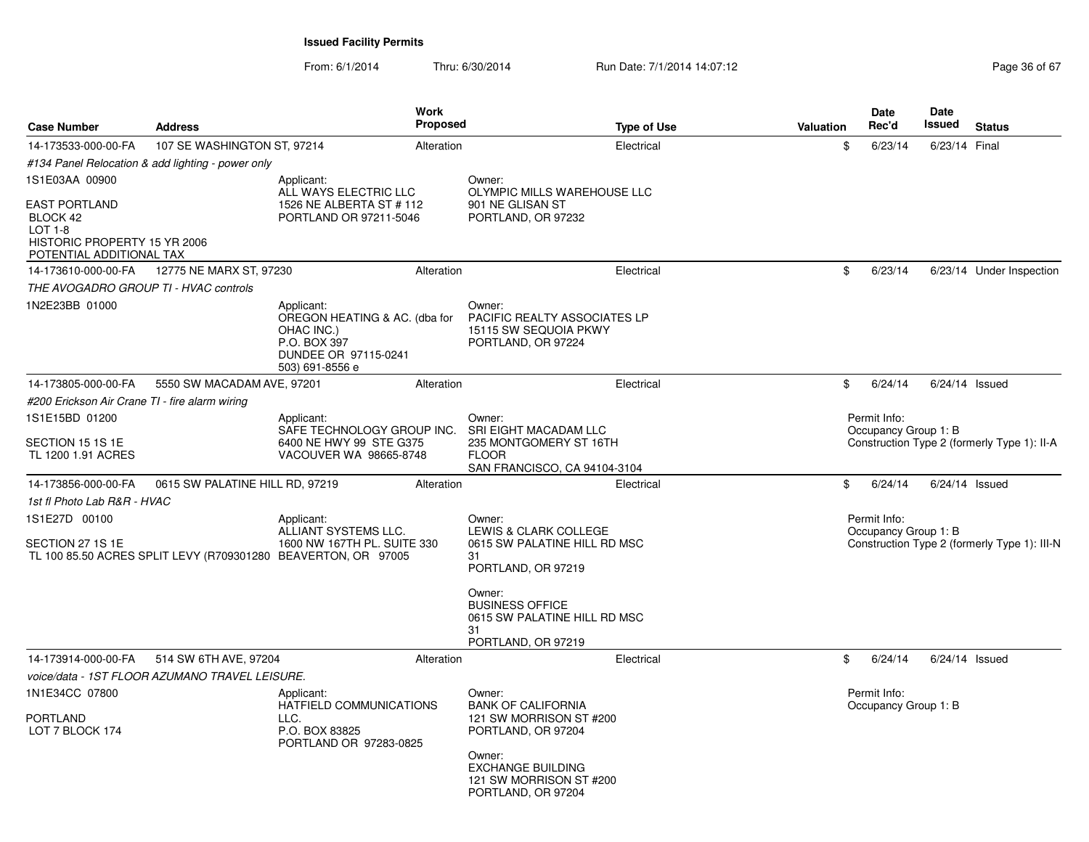From: 6/1/2014Thru: 6/30/2014 Run Date: 7/1/2014 14:07:12 Research 2010 2014 14:07:12

| <b>Case Number</b>                                                   | <b>Address</b>                                    | <b>Work</b><br><b>Proposed</b>                                                                                       |                                                                                                                                                                             | <b>Type of Use</b> | <b>Valuation</b>                                                    | Date<br>Rec'd                        | Date<br><b>Issued</b> | <b>Status</b>                                |
|----------------------------------------------------------------------|---------------------------------------------------|----------------------------------------------------------------------------------------------------------------------|-----------------------------------------------------------------------------------------------------------------------------------------------------------------------------|--------------------|---------------------------------------------------------------------|--------------------------------------|-----------------------|----------------------------------------------|
| 14-173533-000-00-FA                                                  | 107 SE WASHINGTON ST, 97214                       | Alteration                                                                                                           |                                                                                                                                                                             | Electrical         | \$                                                                  | 6/23/14                              | 6/23/14 Final         |                                              |
|                                                                      | #134 Panel Relocation & add lighting - power only |                                                                                                                      |                                                                                                                                                                             |                    |                                                                     |                                      |                       |                                              |
| 1S1E03AA 00900<br><b>EAST PORTLAND</b><br>BLOCK 42<br><b>LOT 1-8</b> |                                                   | Applicant:<br>ALL WAYS ELECTRIC LLC<br>1526 NE ALBERTA ST # 112<br>PORTLAND OR 97211-5046                            | Owner:<br>OLYMPIC MILLS WAREHOUSE LLC<br>901 NE GLISAN ST<br>PORTLAND, OR 97232                                                                                             |                    |                                                                     |                                      |                       |                                              |
| HISTORIC PROPERTY 15 YR 2006<br>POTENTIAL ADDITIONAL TAX             |                                                   |                                                                                                                      |                                                                                                                                                                             |                    |                                                                     |                                      |                       |                                              |
| 14-173610-000-00-FA                                                  | 12775 NE MARX ST, 97230                           | Alteration                                                                                                           |                                                                                                                                                                             | Electrical         | \$                                                                  | 6/23/14                              |                       | 6/23/14 Under Inspection                     |
| THE AVOGADRO GROUP TI - HVAC controls                                |                                                   |                                                                                                                      |                                                                                                                                                                             |                    |                                                                     |                                      |                       |                                              |
| 1N2E23BB 01000                                                       |                                                   | Applicant:<br>OREGON HEATING & AC. (dba for<br>OHAC INC.)<br>P.O. BOX 397<br>DUNDEE OR 97115-0241<br>503) 691-8556 e | Owner:<br>PACIFIC REALTY ASSOCIATES LP<br>15115 SW SEQUOIA PKWY<br>PORTLAND, OR 97224                                                                                       |                    |                                                                     |                                      |                       |                                              |
| 14-173805-000-00-FA                                                  | 5550 SW MACADAM AVE, 97201                        | Alteration                                                                                                           |                                                                                                                                                                             | Electrical         | \$                                                                  | 6/24/14                              | $6/24/14$ Issued      |                                              |
| #200 Erickson Air Crane TI - fire alarm wiring                       |                                                   |                                                                                                                      |                                                                                                                                                                             |                    |                                                                     |                                      |                       |                                              |
| 1S1E15BD 01200                                                       | Applicant:                                        |                                                                                                                      | Owner:                                                                                                                                                                      |                    |                                                                     | Permit Info:                         |                       |                                              |
| SECTION 15 1S 1E<br>TL 1200 1.91 ACRES                               |                                                   | SAFE TECHNOLOGY GROUP INC.<br>6400 NE HWY 99 STE G375<br>VACOUVER WA 98665-8748                                      | SRI EIGHT MACADAM LLC<br>235 MONTGOMERY ST 16TH<br><b>FLOOR</b><br>SAN FRANCISCO, CA 94104-3104                                                                             |                    | Occupancy Group 1: B<br>Construction Type 2 (formerly Type 1): II-A |                                      |                       |                                              |
| 14-173856-000-00-FA                                                  | 0615 SW PALATINE HILL RD, 97219                   | Alteration                                                                                                           |                                                                                                                                                                             | Electrical         | \$                                                                  | 6/24/14                              | $6/24/14$ Issued      |                                              |
| 1st fl Photo Lab R&R - HVAC                                          |                                                   |                                                                                                                      |                                                                                                                                                                             |                    |                                                                     |                                      |                       |                                              |
| 1S1E27D 00100                                                        |                                                   | Applicant:                                                                                                           | Owner:<br>LEWIS & CLARK COLLEGE<br>0615 SW PALATINE HILL RD MSC<br>31<br>PORTLAND, OR 97219                                                                                 |                    |                                                                     | Permit Info:<br>Occupancy Group 1: B |                       |                                              |
| SECTION 27 1S 1E                                                     |                                                   | ALLIANT SYSTEMS LLC.<br>1600 NW 167TH PL, SUITE 330<br>TL 100 85.50 ACRES SPLIT LEVY (R709301280 BEAVERTON, OR 97005 |                                                                                                                                                                             |                    |                                                                     |                                      |                       | Construction Type 2 (formerly Type 1): III-N |
|                                                                      |                                                   |                                                                                                                      | Owner:<br><b>BUSINESS OFFICE</b><br>0615 SW PALATINE HILL RD MSC<br>31<br>PORTLAND, OR 97219                                                                                |                    |                                                                     |                                      |                       |                                              |
| 14-173914-000-00-FA                                                  | 514 SW 6TH AVE, 97204                             | Alteration                                                                                                           |                                                                                                                                                                             | Electrical         | \$                                                                  | 6/24/14                              | $6/24/14$ Issued      |                                              |
|                                                                      | voice/data - 1ST FLOOR AZUMANO TRAVEL LEISURE.    |                                                                                                                      |                                                                                                                                                                             |                    |                                                                     |                                      |                       |                                              |
| 1N1E34CC 07800                                                       |                                                   | Applicant:                                                                                                           | Owner:<br><b>BANK OF CALIFORNIA</b><br>121 SW MORRISON ST #200<br>PORTLAND, OR 97204<br>Owner:<br><b>EXCHANGE BUILDING</b><br>121 SW MORRISON ST #200<br>PORTLAND, OR 97204 |                    |                                                                     | Permit Info:                         |                       |                                              |
| <b>PORTLAND</b><br>LOT 7 BLOCK 174                                   |                                                   | HATFIELD COMMUNICATIONS<br>LLC.<br>P.O. BOX 83825<br>PORTLAND OR 97283-0825                                          |                                                                                                                                                                             |                    |                                                                     | Occupancy Group 1: B                 |                       |                                              |
|                                                                      |                                                   |                                                                                                                      |                                                                                                                                                                             |                    |                                                                     |                                      |                       |                                              |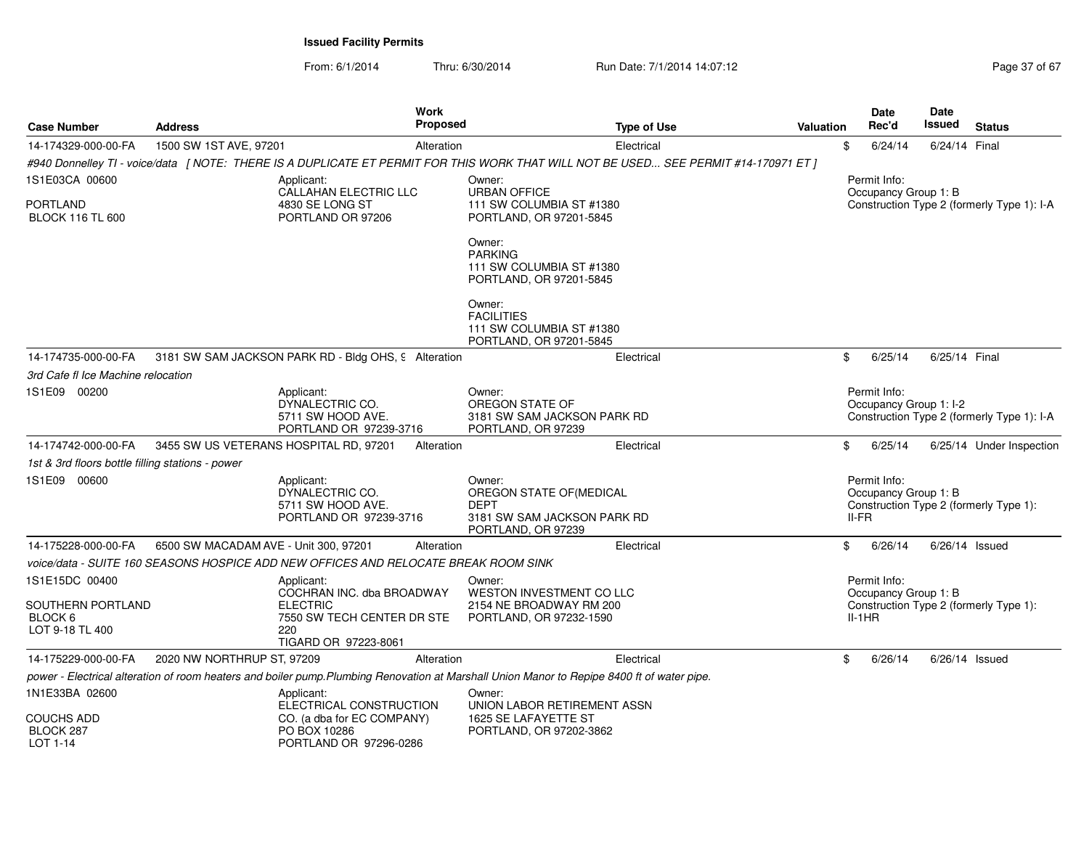From: 6/1/2014Thru: 6/30/2014 Run Date: 7/1/2014 14:07:12 Rege 37 of 67

| <b>Case Number</b>                               | <b>Address</b>                         |                                                                                     | <b>Work</b><br><b>Proposed</b> | <b>Type of Use</b>                                                                                                                          | Valuation | <b>Date</b><br>Rec'd                          | Date<br>Issued   | <b>Status</b>                              |
|--------------------------------------------------|----------------------------------------|-------------------------------------------------------------------------------------|--------------------------------|---------------------------------------------------------------------------------------------------------------------------------------------|-----------|-----------------------------------------------|------------------|--------------------------------------------|
| 14-174329-000-00-FA                              | 1500 SW 1ST AVE, 97201                 |                                                                                     | Alteration                     | Electrical                                                                                                                                  | \$        | 6/24/14                                       | 6/24/14 Final    |                                            |
|                                                  |                                        |                                                                                     |                                | #940 Donnelley TI - voice/data 「NOTE: THERE IS A DUPLICATE ET PERMIT FOR THIS WORK THAT WILL NOT BE USED SEE PERMIT #14-170971 ET ]         |           |                                               |                  |                                            |
| 1S1E03CA 00600                                   |                                        | Applicant:                                                                          |                                | Owner:                                                                                                                                      |           | Permit Info:                                  |                  |                                            |
| PORTLAND<br><b>BLOCK 116 TL 600</b>              |                                        | CALLAHAN ELECTRIC LLC<br>4830 SE LONG ST<br>PORTLAND OR 97206                       |                                | <b>URBAN OFFICE</b><br>111 SW COLUMBIA ST #1380<br>PORTLAND, OR 97201-5845                                                                  |           | Occupancy Group 1: B                          |                  | Construction Type 2 (formerly Type 1): I-A |
|                                                  |                                        |                                                                                     |                                | Owner:<br><b>PARKING</b><br>111 SW COLUMBIA ST #1380<br>PORTLAND, OR 97201-5845                                                             |           |                                               |                  |                                            |
|                                                  |                                        |                                                                                     |                                | Owner:<br><b>FACILITIES</b><br>111 SW COLUMBIA ST #1380<br>PORTLAND, OR 97201-5845                                                          |           |                                               |                  |                                            |
| 14-174735-000-00-FA                              |                                        | 3181 SW SAM JACKSON PARK RD - Bldg OHS, 9 Alteration                                |                                | Electrical                                                                                                                                  | \$        | 6/25/14                                       | 6/25/14 Final    |                                            |
| 3rd Cafe fl Ice Machine relocation               |                                        |                                                                                     |                                |                                                                                                                                             |           |                                               |                  |                                            |
| 1S1E09 00200                                     |                                        | Applicant:<br>DYNALECTRIC CO.<br>5711 SW HOOD AVE.<br>PORTLAND OR 97239-3716        |                                | Owner:<br>OREGON STATE OF<br>3181 SW SAM JACKSON PARK RD<br>PORTLAND, OR 97239                                                              |           | Permit Info:<br>Occupancy Group 1: I-2        |                  | Construction Type 2 (formerly Type 1): I-A |
| 14-174742-000-00-FA                              | 3455 SW US VETERANS HOSPITAL RD, 97201 |                                                                                     | Alteration                     | Electrical                                                                                                                                  | \$        | 6/25/14                                       |                  | 6/25/14 Under Inspection                   |
| 1st & 3rd floors bottle filling stations - power |                                        |                                                                                     |                                |                                                                                                                                             |           |                                               |                  |                                            |
| 1S1E09 00600                                     |                                        | Applicant:<br>DYNALECTRIC CO.<br>5711 SW HOOD AVE.<br>PORTLAND OR 97239-3716        |                                | Owner:<br>OREGON STATE OF(MEDICAL<br><b>DEPT</b><br>3181 SW SAM JACKSON PARK RD<br>PORTLAND, OR 97239                                       |           | Permit Info:<br>Occupancy Group 1: B<br>II-FR |                  | Construction Type 2 (formerly Type 1):     |
| 14-175228-000-00-FA                              | 6500 SW MACADAM AVE - Unit 300, 97201  |                                                                                     | Alteration                     | Electrical                                                                                                                                  | \$        | 6/26/14                                       | $6/26/14$ Issued |                                            |
|                                                  |                                        | voice/data - SUITE 160 SEASONS HOSPICE ADD NEW OFFICES AND RELOCATE BREAK ROOM SINK |                                |                                                                                                                                             |           |                                               |                  |                                            |
| 1S1E15DC 00400                                   |                                        | Applicant:<br>COCHRAN INC. dba BROADWAY                                             |                                | Owner:<br>WESTON INVESTMENT CO LLC                                                                                                          |           | Permit Info:<br>Occupancy Group 1: B          |                  |                                            |
| SOUTHERN PORTLAND<br>BLOCK 6<br>LOT 9-18 TL 400  |                                        | <b>ELECTRIC</b><br>7550 SW TECH CENTER DR STE<br>220<br>TIGARD OR 97223-8061        |                                | 2154 NE BROADWAY RM 200<br>PORTLAND, OR 97232-1590                                                                                          |           | $II-1HR$                                      |                  | Construction Type 2 (formerly Type 1):     |
| 14-175229-000-00-FA                              | 2020 NW NORTHRUP ST, 97209             |                                                                                     | Alteration                     | Electrical                                                                                                                                  | \$        | 6/26/14                                       | $6/26/14$ Issued |                                            |
|                                                  |                                        |                                                                                     |                                | power - Electrical alteration of room heaters and boiler pump. Plumbing Renovation at Marshall Union Manor to Repipe 8400 ft of water pipe. |           |                                               |                  |                                            |
| 1N1E33BA 02600                                   |                                        | Applicant:<br>ELECTRICAL CONSTRUCTION                                               |                                | Owner:<br>UNION LABOR RETIREMENT ASSN                                                                                                       |           |                                               |                  |                                            |
| COUCHS ADD<br>BLOCK 287<br>$1$ OT 1-14           |                                        | CO. (a dba for EC COMPANY)<br>PO BOX 10286<br>PORTLAND OR 97296-0286                |                                | 1625 SE LAFAYETTE ST<br>PORTLAND, OR 97202-3862                                                                                             |           |                                               |                  |                                            |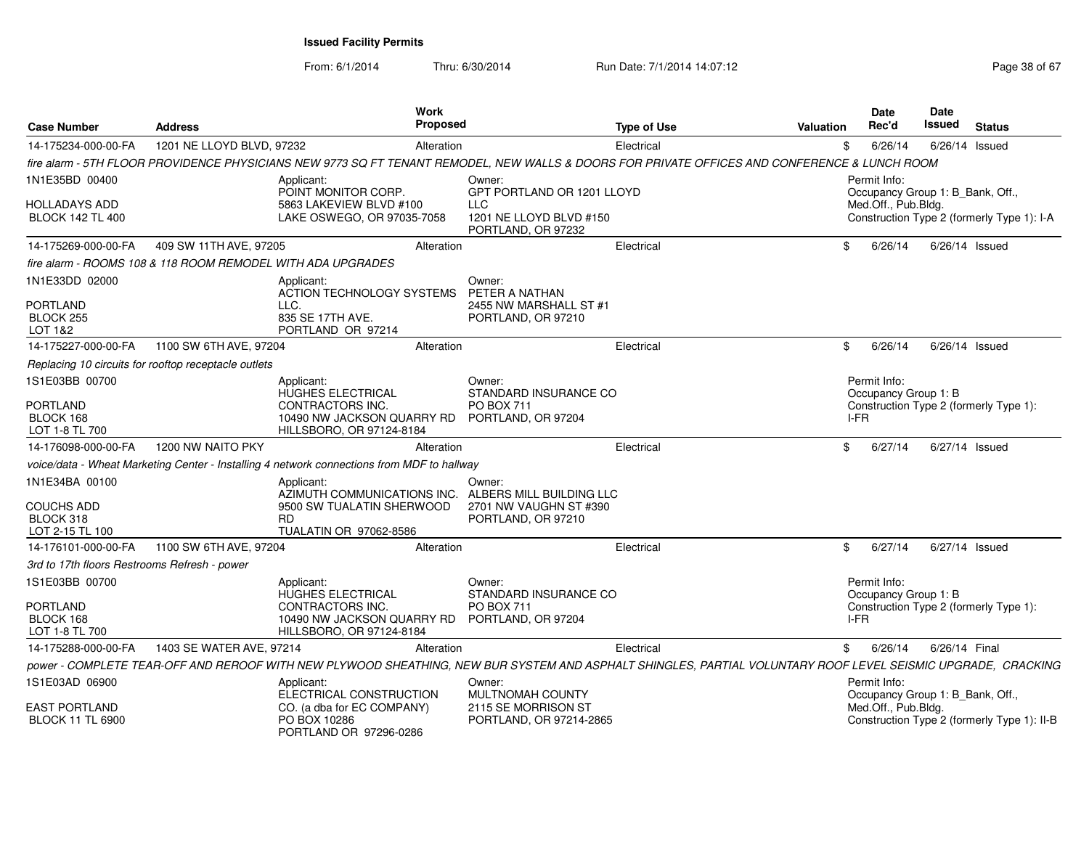| <b>Case Number</b>                              | <b>Address</b>                                              | Work<br><b>Proposed</b>                                                                    |                                                             | <b>Type of Use</b>                                                                                                                                           | <b>Valuation</b> | Date<br>Rec'd                                    | Date<br><b>Issued</b> | <b>Status</b>                               |
|-------------------------------------------------|-------------------------------------------------------------|--------------------------------------------------------------------------------------------|-------------------------------------------------------------|--------------------------------------------------------------------------------------------------------------------------------------------------------------|------------------|--------------------------------------------------|-----------------------|---------------------------------------------|
| 14-175234-000-00-FA                             | 1201 NE LLOYD BLVD, 97232                                   | Alteration                                                                                 |                                                             | Electrical                                                                                                                                                   | \$               | 6/26/14                                          | $6/26/14$ Issued      |                                             |
|                                                 |                                                             |                                                                                            |                                                             | fire alarm - 5TH FLOOR PROVIDENCE PHYSICIANS NEW 9773 SQ FT TENANT REMODEL, NEW WALLS & DOORS FOR PRIVATE OFFICES AND CONFERENCE & LUNCH ROOM                |                  |                                                  |                       |                                             |
| 1N1E35BD 00400                                  |                                                             | Applicant:<br>POINT MONITOR CORP.                                                          | Owner:<br>GPT PORTLAND OR 1201 LLOYD                        |                                                                                                                                                              |                  | Permit Info:<br>Occupancy Group 1: B_Bank, Off., |                       |                                             |
| <b>HOLLADAYS ADD</b><br><b>BLOCK 142 TL 400</b> |                                                             | 5863 LAKEVIEW BLVD #100<br>LAKE OSWEGO, OR 97035-7058                                      | <b>LLC</b><br>1201 NE LLOYD BLVD #150<br>PORTLAND, OR 97232 |                                                                                                                                                              |                  | Med.Off., Pub.Bldg.                              |                       | Construction Type 2 (formerly Type 1): I-A  |
| 14-175269-000-00-FA                             | 409 SW 11TH AVE, 97205                                      | Alteration                                                                                 |                                                             | Electrical                                                                                                                                                   | \$.              | 6/26/14                                          | 6/26/14 Issued        |                                             |
|                                                 | fire alarm - ROOMS 108 & 118 ROOM REMODEL WITH ADA UPGRADES |                                                                                            |                                                             |                                                                                                                                                              |                  |                                                  |                       |                                             |
| 1N1E33DD 02000                                  |                                                             | Applicant:<br><b>ACTION TECHNOLOGY SYSTEMS</b>                                             | Owner:<br>PETER A NATHAN                                    |                                                                                                                                                              |                  |                                                  |                       |                                             |
| <b>PORTLAND</b><br>BLOCK 255<br>LOT 1&2         | LLC.                                                        | 835 SE 17TH AVE.<br>PORTLAND OR 97214                                                      | 2455 NW MARSHALL ST #1<br>PORTLAND, OR 97210                |                                                                                                                                                              |                  |                                                  |                       |                                             |
| 14-175227-000-00-FA                             | 1100 SW 6TH AVE, 97204                                      | Alteration                                                                                 |                                                             | Electrical                                                                                                                                                   | \$               | 6/26/14                                          | $6/26/14$ Issued      |                                             |
|                                                 | Replacing 10 circuits for rooftop receptacle outlets        |                                                                                            |                                                             |                                                                                                                                                              |                  |                                                  |                       |                                             |
| 1S1E03BB 00700                                  |                                                             | Applicant:<br>HUGHES ELECTRICAL                                                            | Owner:<br>STANDARD INSURANCE CO                             |                                                                                                                                                              |                  | Permit Info:<br>Occupancy Group 1: B             |                       |                                             |
| <b>PORTLAND</b><br>BLOCK 168<br>LOT 1-8 TL 700  |                                                             | CONTRACTORS INC.<br>10490 NW JACKSON QUARRY RD<br>HILLSBORO, OR 97124-8184                 | <b>PO BOX 711</b><br>PORTLAND, OR 97204                     |                                                                                                                                                              |                  | I-FR                                             |                       | Construction Type 2 (formerly Type 1):      |
| 14-176098-000-00-FA                             | 1200 NW NAITO PKY                                           | Alteration                                                                                 |                                                             | Electrical                                                                                                                                                   | \$               | 6/27/14                                          | 6/27/14 Issued        |                                             |
|                                                 |                                                             | voice/data - Wheat Marketing Center - Installing 4 network connections from MDF to hallway |                                                             |                                                                                                                                                              |                  |                                                  |                       |                                             |
| 1N1E34BA 00100                                  |                                                             | Applicant:<br>AZIMUTH COMMUNICATIONS INC.                                                  | Owner:<br>ALBERS MILL BUILDING LLC                          |                                                                                                                                                              |                  |                                                  |                       |                                             |
| COUCHS ADD<br>BLOCK 318<br>LOT 2-15 TL 100      | <b>RD</b>                                                   | 9500 SW TUALATIN SHERWOOD<br>TUALATIN OR 97062-8586                                        | 2701 NW VAUGHN ST #390<br>PORTLAND, OR 97210                |                                                                                                                                                              |                  |                                                  |                       |                                             |
| 14-176101-000-00-FA                             | 1100 SW 6TH AVE, 97204                                      | Alteration                                                                                 |                                                             | Electrical                                                                                                                                                   | \$               | 6/27/14                                          | 6/27/14 Issued        |                                             |
| 3rd to 17th floors Restrooms Refresh - power    |                                                             |                                                                                            |                                                             |                                                                                                                                                              |                  |                                                  |                       |                                             |
| 1S1E03BB 00700                                  |                                                             | Applicant:<br><b>HUGHES ELECTRICAL</b>                                                     | Owner:<br>STANDARD INSURANCE CO                             |                                                                                                                                                              |                  | Permit Info:<br>Occupancy Group 1: B             |                       |                                             |
| PORTLAND<br>BLOCK 168<br>LOT 1-8 TL 700         |                                                             | CONTRACTORS INC.<br>10490 NW JACKSON QUARRY RD<br>HILLSBORO, OR 97124-8184                 | <b>PO BOX 711</b><br>PORTLAND, OR 97204                     |                                                                                                                                                              |                  | I-FR                                             |                       | Construction Type 2 (formerly Type 1):      |
| 14-175288-000-00-FA                             | 1403 SE WATER AVE, 97214                                    | Alteration                                                                                 |                                                             | Electrical                                                                                                                                                   | \$               | 6/26/14                                          | 6/26/14 Final         |                                             |
|                                                 |                                                             |                                                                                            |                                                             | power - COMPLETE TEAR-OFF AND REROOF WITH NEW PLYWOOD SHEATHING, NEW BUR SYSTEM AND ASPHALT SHINGLES, PARTIAL VOLUNTARY ROOF LEVEL SEISMIC UPGRADE, CRACKING |                  |                                                  |                       |                                             |
| 1S1E03AD 06900                                  |                                                             | Applicant:<br>ELECTRICAL CONSTRUCTION                                                      | Owner:<br>MULTNOMAH COUNTY                                  |                                                                                                                                                              |                  | Permit Info:<br>Occupancy Group 1: B_Bank, Off., |                       |                                             |
| <b>EAST PORTLAND</b><br><b>BLOCK 11 TL 6900</b> |                                                             | CO. (a dba for EC COMPANY)<br>PO BOX 10286<br>PORTLAND OR 97296-0286                       | 2115 SE MORRISON ST<br>PORTLAND, OR 97214-2865              |                                                                                                                                                              |                  | Med.Off., Pub.Bldg.                              |                       | Construction Type 2 (formerly Type 1): II-B |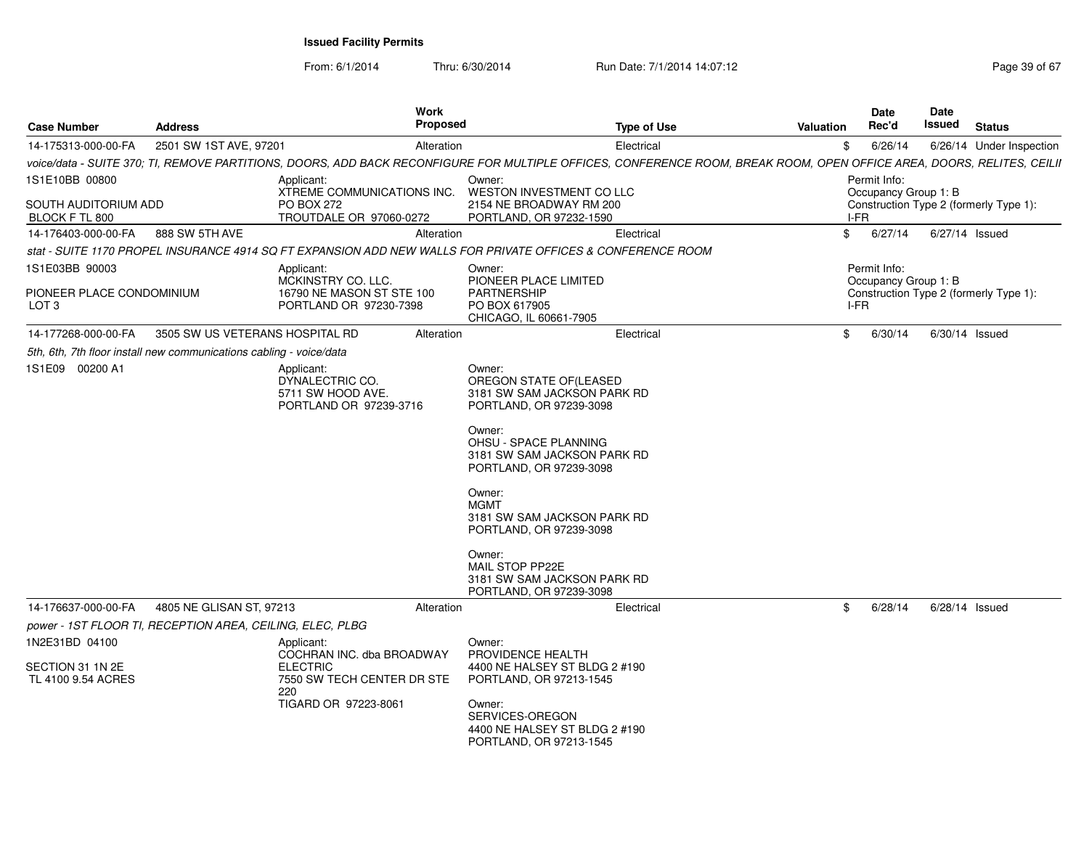| <b>Case Number</b>                            | <b>Address</b>                                                      | <b>Work</b><br><b>Proposed</b>                                                                                                                                         |                                                                                                                                                                                                                                                                                                                                                                          | <b>Type of Use</b> | Valuation | <b>Date</b><br>Rec'd                 | <b>Date</b><br>Issued | <b>Status</b>                          |
|-----------------------------------------------|---------------------------------------------------------------------|------------------------------------------------------------------------------------------------------------------------------------------------------------------------|--------------------------------------------------------------------------------------------------------------------------------------------------------------------------------------------------------------------------------------------------------------------------------------------------------------------------------------------------------------------------|--------------------|-----------|--------------------------------------|-----------------------|----------------------------------------|
| 14-175313-000-00-FA                           | 2501 SW 1ST AVE, 97201                                              | Alteration                                                                                                                                                             |                                                                                                                                                                                                                                                                                                                                                                          | Electrical         | \$        | 6/26/14                              |                       | 6/26/14 Under Inspection               |
|                                               |                                                                     | voice/data - SUITE 370; TI, REMOVE PARTITIONS, DOORS, ADD BACK RECONFIGURE FOR MULTIPLE OFFICES, CONFERENCE ROOM, BREAK ROOM, OPEN OFFICE AREA, DOORS, RELITES, CEILII |                                                                                                                                                                                                                                                                                                                                                                          |                    |           |                                      |                       |                                        |
| 1S1E10BB 00800                                |                                                                     | Applicant:<br>XTREME COMMUNICATIONS INC.                                                                                                                               | Owner:<br>WESTON INVESTMENT CO LLC                                                                                                                                                                                                                                                                                                                                       |                    |           | Permit Info:<br>Occupancy Group 1: B |                       |                                        |
| SOUTH AUDITORIUM ADD<br>BLOCK F TL 800        |                                                                     | <b>PO BOX 272</b><br>TROUTDALE OR 97060-0272                                                                                                                           | 2154 NE BROADWAY RM 200<br>PORTLAND, OR 97232-1590                                                                                                                                                                                                                                                                                                                       |                    | I-FR      |                                      |                       | Construction Type 2 (formerly Type 1): |
| 14-176403-000-00-FA                           | 888 SW 5TH AVE                                                      | Alteration                                                                                                                                                             |                                                                                                                                                                                                                                                                                                                                                                          | Electrical         | \$        | 6/27/14                              | 6/27/14 Issued        |                                        |
|                                               |                                                                     | stat - SUITE 1170 PROPEL INSURANCE 4914 SQ FT EXPANSION ADD NEW WALLS FOR PRIVATE OFFICES & CONFERENCE ROOM                                                            |                                                                                                                                                                                                                                                                                                                                                                          |                    |           |                                      |                       |                                        |
| 1S1E03BB 90003                                |                                                                     | Applicant:                                                                                                                                                             | Owner:                                                                                                                                                                                                                                                                                                                                                                   |                    |           | Permit Info:                         |                       |                                        |
| PIONEER PLACE CONDOMINIUM<br>LOT <sub>3</sub> |                                                                     | MCKINSTRY CO. LLC.<br>16790 NE MASON ST STE 100<br>PORTLAND OR 97230-7398                                                                                              | PIONEER PLACE LIMITED<br><b>PARTNERSHIP</b><br>PO BOX 617905<br>CHICAGO, IL 60661-7905                                                                                                                                                                                                                                                                                   |                    | I-FR      | Occupancy Group 1: B                 |                       | Construction Type 2 (formerly Type 1): |
| 14-177268-000-00-FA                           | 3505 SW US VETERANS HOSPITAL RD                                     | Alteration                                                                                                                                                             |                                                                                                                                                                                                                                                                                                                                                                          | Electrical         | \$        | 6/30/14                              |                       | $6/30/14$ Issued                       |
|                                               | 5th, 6th, 7th floor install new communications cabling - voice/data |                                                                                                                                                                        |                                                                                                                                                                                                                                                                                                                                                                          |                    |           |                                      |                       |                                        |
| 1S1E09 00200 A1                               |                                                                     | Applicant:<br>DYNALECTRIC CO.<br>5711 SW HOOD AVE.<br>PORTLAND OR 97239-3716                                                                                           | Owner:<br>OREGON STATE OF(LEASED<br>3181 SW SAM JACKSON PARK RD<br>PORTLAND, OR 97239-3098<br>Owner:<br><b>OHSU - SPACE PLANNING</b><br>3181 SW SAM JACKSON PARK RD<br>PORTLAND, OR 97239-3098<br>Owner:<br><b>MGMT</b><br>3181 SW SAM JACKSON PARK RD<br>PORTLAND, OR 97239-3098<br>Owner:<br>MAIL STOP PP22E<br>3181 SW SAM JACKSON PARK RD<br>PORTLAND, OR 97239-3098 |                    |           |                                      |                       |                                        |
| 14-176637-000-00-FA                           | 4805 NE GLISAN ST, 97213                                            | Alteration                                                                                                                                                             |                                                                                                                                                                                                                                                                                                                                                                          | Electrical         | \$        | 6/28/14                              | $6/28/14$ Issued      |                                        |
|                                               | power - 1ST FLOOR TI, RECEPTION AREA, CEILING, ELEC, PLBG           |                                                                                                                                                                        |                                                                                                                                                                                                                                                                                                                                                                          |                    |           |                                      |                       |                                        |
| 1N2E31BD 04100                                |                                                                     | Applicant:<br>COCHRAN INC. dba BROADWAY                                                                                                                                | Owner:<br>PROVIDENCE HEALTH                                                                                                                                                                                                                                                                                                                                              |                    |           |                                      |                       |                                        |
| SECTION 31 1N 2E<br>TL 4100 9.54 ACRES        |                                                                     | <b>ELECTRIC</b><br>7550 SW TECH CENTER DR STE                                                                                                                          | 4400 NE HALSEY ST BLDG 2 #190<br>PORTLAND, OR 97213-1545                                                                                                                                                                                                                                                                                                                 |                    |           |                                      |                       |                                        |
|                                               |                                                                     | 220<br>TIGARD OR 97223-8061                                                                                                                                            | Owner:<br>SERVICES-OREGON<br>4400 NE HALSEY ST BLDG 2 #190<br>PORTLAND, OR 97213-1545                                                                                                                                                                                                                                                                                    |                    |           |                                      |                       |                                        |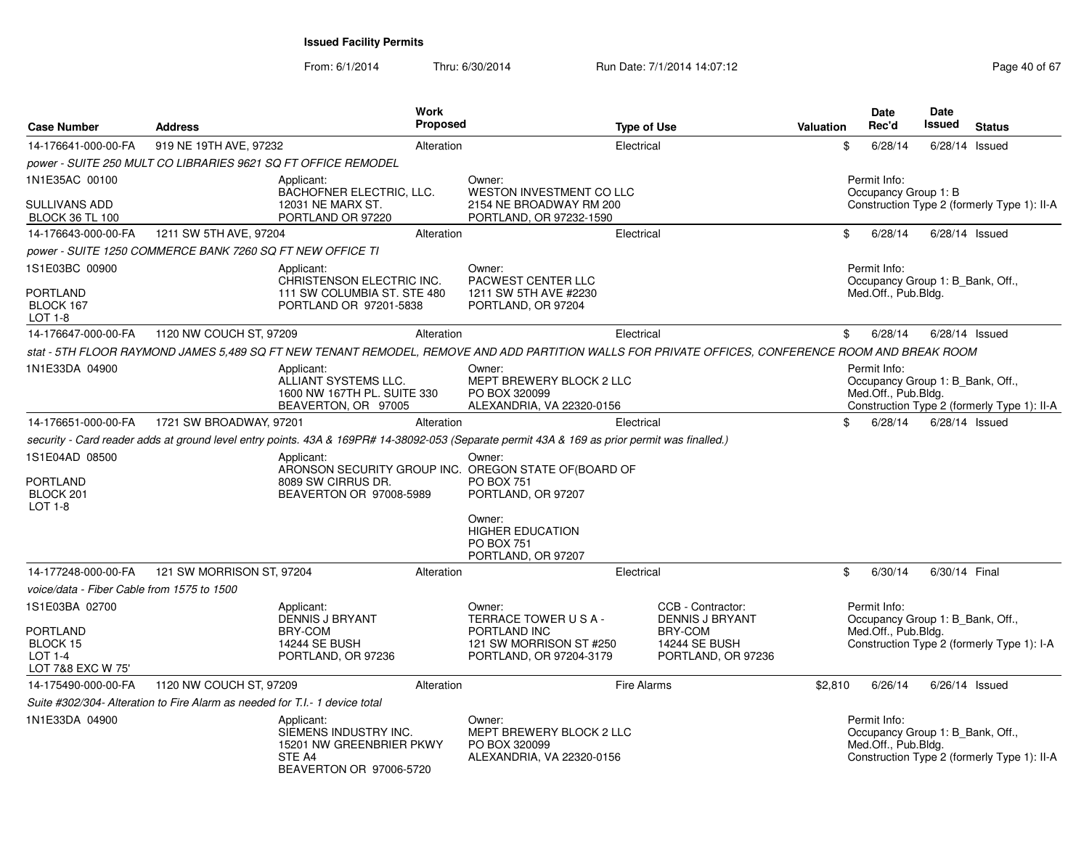| <b>Case Number</b>                                            | <b>Address</b>                                                              |                                                                                                      | <b>Work</b><br>Proposed |                                                                                                                                                   | <b>Type of Use</b> |                                                       | Valuation |              | <b>Date</b><br>Rec'd | Date<br>Issued                   | <b>Status</b>                               |
|---------------------------------------------------------------|-----------------------------------------------------------------------------|------------------------------------------------------------------------------------------------------|-------------------------|---------------------------------------------------------------------------------------------------------------------------------------------------|--------------------|-------------------------------------------------------|-----------|--------------|----------------------|----------------------------------|---------------------------------------------|
| 14-176641-000-00-FA                                           | 919 NE 19TH AVE, 97232                                                      |                                                                                                      | Alteration              |                                                                                                                                                   | Electrical         |                                                       |           | \$           | 6/28/14              | 6/28/14                          | Issued                                      |
|                                                               |                                                                             | power - SUITE 250 MULT CO LIBRARIES 9621 SQ FT OFFICE REMODEL                                        |                         |                                                                                                                                                   |                    |                                                       |           |              |                      |                                  |                                             |
| 1N1E35AC 00100                                                |                                                                             | Applicant:<br>BACHOFNER ELECTRIC, LLC.                                                               |                         | Owner:<br>WESTON INVESTMENT CO LLC                                                                                                                |                    |                                                       |           | Permit Info: | Occupancy Group 1: B |                                  |                                             |
| <b>SULLIVANS ADD</b><br><b>BLOCK 36 TL 100</b>                |                                                                             | 12031 NE MARX ST.<br>PORTLAND OR 97220                                                               |                         | 2154 NE BROADWAY RM 200<br>PORTLAND, OR 97232-1590                                                                                                |                    |                                                       |           |              |                      |                                  | Construction Type 2 (formerly Type 1): II-A |
| 14-176643-000-00-FA                                           | 1211 SW 5TH AVE, 97204                                                      |                                                                                                      | Alteration              |                                                                                                                                                   | Electrical         |                                                       |           | \$           | 6/28/14              | $6/28/14$ Issued                 |                                             |
|                                                               | power - SUITE 1250 COMMERCE BANK 7260 SQ FT NEW OFFICE TI                   |                                                                                                      |                         |                                                                                                                                                   |                    |                                                       |           |              |                      |                                  |                                             |
| 1S1E03BC 00900                                                |                                                                             | Applicant:<br>CHRISTENSON ELECTRIC INC.                                                              |                         | Owner:<br>PACWEST CENTER LLC                                                                                                                      |                    |                                                       |           | Permit Info: |                      | Occupancy Group 1: B_Bank, Off., |                                             |
| <b>PORTLAND</b><br>BLOCK 167<br>LOT 1-8                       |                                                                             | 111 SW COLUMBIA ST. STE 480<br>PORTLAND OR 97201-5838                                                |                         | 1211 SW 5TH AVE #2230<br>PORTLAND, OR 97204                                                                                                       |                    |                                                       |           |              | Med.Off., Pub.Bldg.  |                                  |                                             |
| 14-176647-000-00-FA                                           | 1120 NW COUCH ST, 97209                                                     |                                                                                                      | Alteration              |                                                                                                                                                   | Electrical         |                                                       |           | \$           | 6/28/14              | $6/28/14$ Issued                 |                                             |
|                                                               |                                                                             |                                                                                                      |                         | stat - 5TH FLOOR RAYMOND JAMES 5,489 SQ FT NEW TENANT REMODEL, REMOVE AND ADD PARTITION WALLS FOR PRIVATE OFFICES, CONFERENCE ROOM AND BREAK ROOM |                    |                                                       |           |              |                      |                                  |                                             |
| 1N1E33DA 04900                                                |                                                                             | Applicant:<br>ALLIANT SYSTEMS LLC.<br>1600 NW 167TH PL. SUITE 330<br>BEAVERTON, OR 97005             |                         | Owner:<br>MEPT BREWERY BLOCK 2 LLC<br>PO BOX 320099<br>ALEXANDRIA, VA 22320-0156                                                                  |                    |                                                       |           | Permit Info: | Med.Off., Pub.Bldg.  | Occupancy Group 1: B_Bank, Off., | Construction Type 2 (formerly Type 1): II-A |
| 14-176651-000-00-FA                                           | 1721 SW BROADWAY, 97201                                                     |                                                                                                      | Alteration              |                                                                                                                                                   | Electrical         |                                                       |           | \$           | 6/28/14              | 6/28/14 Issued                   |                                             |
|                                                               |                                                                             |                                                                                                      |                         | security - Card reader adds at ground level entry points. 43A & 169PR# 14-38092-053 (Separate permit 43A & 169 as prior permit was finalled.)     |                    |                                                       |           |              |                      |                                  |                                             |
| 1S1E04AD 08500<br>PORTLAND<br>BLOCK 201<br>LOT $1-8$          |                                                                             | Applicant:<br>8089 SW CIRRUS DR.<br>BEAVERTON OR 97008-5989                                          |                         | Owner:<br>ARONSON SECURITY GROUP INC. OREGON STATE OF (BOARD OF<br><b>PO BOX 751</b><br>PORTLAND, OR 97207                                        |                    |                                                       |           |              |                      |                                  |                                             |
|                                                               |                                                                             |                                                                                                      |                         | Owner:<br><b>HIGHER EDUCATION</b><br><b>PO BOX 751</b><br>PORTLAND, OR 97207                                                                      |                    |                                                       |           |              |                      |                                  |                                             |
| 14-177248-000-00-FA                                           | 121 SW MORRISON ST, 97204                                                   |                                                                                                      | Alteration              |                                                                                                                                                   | Electrical         |                                                       |           | \$           | 6/30/14              | 6/30/14 Final                    |                                             |
| voice/data - Fiber Cable from 1575 to 1500                    |                                                                             |                                                                                                      |                         |                                                                                                                                                   |                    |                                                       |           |              |                      |                                  |                                             |
| 1S1E03BA 02700                                                |                                                                             | Applicant:<br><b>DENNIS J BRYANT</b>                                                                 |                         | Owner:<br>TERRACE TOWER USA-                                                                                                                      |                    | CCB - Contractor:<br><b>DENNIS J BRYANT</b>           |           | Permit Info: |                      | Occupancy Group 1: B_Bank, Off., |                                             |
| <b>PORTLAND</b><br>BLOCK 15<br>$LOT 1-4$<br>LOT 7&8 EXC W 75' |                                                                             | BRY-COM<br><b>14244 SE BUSH</b><br>PORTLAND, OR 97236                                                |                         | PORTLAND INC<br>121 SW MORRISON ST #250<br>PORTLAND, OR 97204-3179                                                                                |                    | BRY-COM<br><b>14244 SE BUSH</b><br>PORTLAND, OR 97236 |           |              | Med.Off., Pub.Bldg.  |                                  | Construction Type 2 (formerly Type 1): I-A  |
| 14-175490-000-00-FA                                           | 1120 NW COUCH ST, 97209                                                     |                                                                                                      | Alteration              |                                                                                                                                                   | Fire Alarms        |                                                       | \$2,810   |              | 6/26/14              | 6/26/14 Issued                   |                                             |
|                                                               | Suite #302/304- Alteration to Fire Alarm as needed for T.I.- 1 device total |                                                                                                      |                         |                                                                                                                                                   |                    |                                                       |           |              |                      |                                  |                                             |
| 1N1E33DA 04900                                                |                                                                             | Applicant:<br>SIEMENS INDUSTRY INC.<br>15201 NW GREENBRIER PKWY<br>STE A4<br>BEAVERTON OR 97006-5720 |                         | Owner:<br>MEPT BREWERY BLOCK 2 LLC<br>PO BOX 320099<br>ALEXANDRIA, VA 22320-0156                                                                  |                    |                                                       |           | Permit Info: | Med.Off., Pub.Bldg.  | Occupancy Group 1: B Bank, Off., | Construction Type 2 (formerly Type 1): II-A |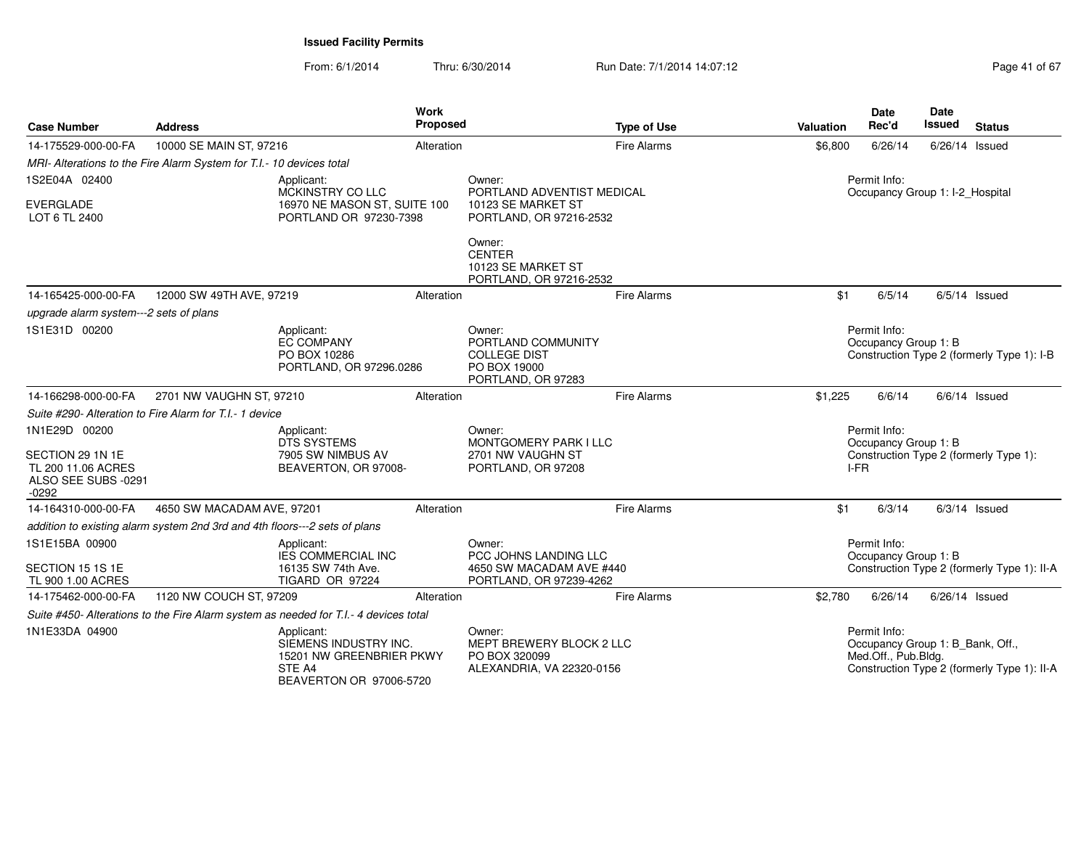| <b>Case Number</b>                                                                      | <b>Address</b>                                                             |                                                                                                      | <b>Work</b><br><b>Proposed</b> |                                                                                           | <b>Type of Use</b>      | <b>Valuation</b>                                                                       | <b>Date</b><br>Rec'd                                                               | Date<br><b>Issued</b>           | <b>Status</b>                               |
|-----------------------------------------------------------------------------------------|----------------------------------------------------------------------------|------------------------------------------------------------------------------------------------------|--------------------------------|-------------------------------------------------------------------------------------------|-------------------------|----------------------------------------------------------------------------------------|------------------------------------------------------------------------------------|---------------------------------|---------------------------------------------|
| 14-175529-000-00-FA                                                                     | 10000 SE MAIN ST, 97216                                                    |                                                                                                      | Alteration                     |                                                                                           | <b>Fire Alarms</b>      | \$6,800                                                                                | 6/26/14                                                                            | 6/26/14 Issued                  |                                             |
|                                                                                         | MRI- Alterations to the Fire Alarm System for T.I.- 10 devices total       |                                                                                                      |                                |                                                                                           |                         |                                                                                        |                                                                                    |                                 |                                             |
| 1S2E04A 02400                                                                           |                                                                            | Applicant:<br>MCKINSTRY CO LLC                                                                       |                                | Owner:                                                                                    |                         |                                                                                        | Permit Info:                                                                       |                                 |                                             |
| <b>EVERGLADE</b><br>LOT 6 TL 2400                                                       |                                                                            | 16970 NE MASON ST, SUITE 100<br>PORTLAND OR 97230-7398                                               |                                | PORTLAND ADVENTIST MEDICAL<br>10123 SE MARKET ST                                          | PORTLAND, OR 97216-2532 |                                                                                        |                                                                                    | Occupancy Group 1: I-2_Hospital |                                             |
|                                                                                         |                                                                            |                                                                                                      |                                | Owner:<br><b>CENTER</b><br>10123 SE MARKET ST<br>PORTLAND, OR 97216-2532                  |                         |                                                                                        |                                                                                    |                                 |                                             |
| 14-165425-000-00-FA                                                                     | 12000 SW 49TH AVE, 97219                                                   |                                                                                                      | Alteration                     |                                                                                           | <b>Fire Alarms</b>      | \$1                                                                                    | 6/5/14                                                                             |                                 | $6/5/14$ Issued                             |
| upgrade alarm system---2 sets of plans                                                  |                                                                            |                                                                                                      |                                |                                                                                           |                         |                                                                                        |                                                                                    |                                 |                                             |
| 1S1E31D 00200                                                                           |                                                                            | Applicant:<br><b>EC COMPANY</b><br>PO BOX 10286<br>PORTLAND, OR 97296.0286                           |                                | Owner:<br>PORTLAND COMMUNITY<br><b>COLLEGE DIST</b><br>PO BOX 19000<br>PORTLAND, OR 97283 |                         |                                                                                        | Permit Info:<br>Occupancy Group 1: B<br>Construction Type 2 (formerly Type 1): I-B |                                 |                                             |
| 14-166298-000-00-FA                                                                     | 2701 NW VAUGHN ST, 97210                                                   |                                                                                                      | Alteration                     |                                                                                           | <b>Fire Alarms</b>      | \$1,225                                                                                | 6/6/14                                                                             |                                 | $6/6/14$ Issued                             |
|                                                                                         | Suite #290- Alteration to Fire Alarm for T.I.- 1 device                    |                                                                                                      |                                |                                                                                           |                         |                                                                                        |                                                                                    |                                 |                                             |
| 1N1E29D 00200<br>SECTION 29 1N 1E<br>TL 200 11.06 ACRES<br>ALSO SEE SUBS -0291<br>-0292 |                                                                            | Applicant:<br><b>DTS SYSTEMS</b><br>7905 SW NIMBUS AV<br>BEAVERTON, OR 97008-                        |                                | Owner:<br>MONTGOMERY PARK I LLC<br>2701 NW VAUGHN ST<br>PORTLAND, OR 97208                |                         | Permit Info:<br>Occupancy Group 1: B<br>Construction Type 2 (formerly Type 1):<br>I-FR |                                                                                    |                                 |                                             |
| 14-164310-000-00-FA                                                                     | 4650 SW MACADAM AVE, 97201                                                 |                                                                                                      | Alteration                     |                                                                                           | <b>Fire Alarms</b>      | \$1                                                                                    | 6/3/14                                                                             |                                 | $6/3/14$ Issued                             |
|                                                                                         | addition to existing alarm system 2nd 3rd and 4th floors---2 sets of plans |                                                                                                      |                                |                                                                                           |                         |                                                                                        |                                                                                    |                                 |                                             |
| 1S1E15BA 00900                                                                          |                                                                            | Applicant:<br><b>IES COMMERCIAL INC</b>                                                              |                                | Owner:<br>PCC JOHNS LANDING LLC                                                           |                         |                                                                                        | Permit Info:<br>Occupancy Group 1: B                                               |                                 |                                             |
| SECTION 15 1S 1E<br>TL 900 1.00 ACRES                                                   |                                                                            | 16135 SW 74th Ave.<br>TIGARD OR 97224                                                                |                                | 4650 SW MACADAM AVE #440<br>PORTLAND, OR 97239-4262                                       |                         |                                                                                        |                                                                                    |                                 | Construction Type 2 (formerly Type 1): II-A |
| 14-175462-000-00-FA                                                                     | 1120 NW COUCH ST, 97209                                                    |                                                                                                      | Alteration                     |                                                                                           | <b>Fire Alarms</b>      | \$2,780                                                                                | 6/26/14                                                                            | 6/26/14 Issued                  |                                             |
|                                                                                         |                                                                            | Suite #450- Alterations to the Fire Alarm system as needed for T.I.- 4 devices total                 |                                |                                                                                           |                         |                                                                                        |                                                                                    |                                 |                                             |
| 1N1E33DA 04900                                                                          |                                                                            | Applicant:<br>SIEMENS INDUSTRY INC.<br>15201 NW GREENBRIER PKWY<br>STE A4<br>BEAVERTON OR 97006-5720 |                                | Owner:<br>MEPT BREWERY BLOCK 2 LLC<br>PO BOX 320099<br>ALEXANDRIA, VA 22320-0156          |                         |                                                                                        | Permit Info:<br>Occupancy Group 1: B_Bank, Off.,<br>Med.Off., Pub.Bldg.            |                                 | Construction Type 2 (formerly Type 1): II-A |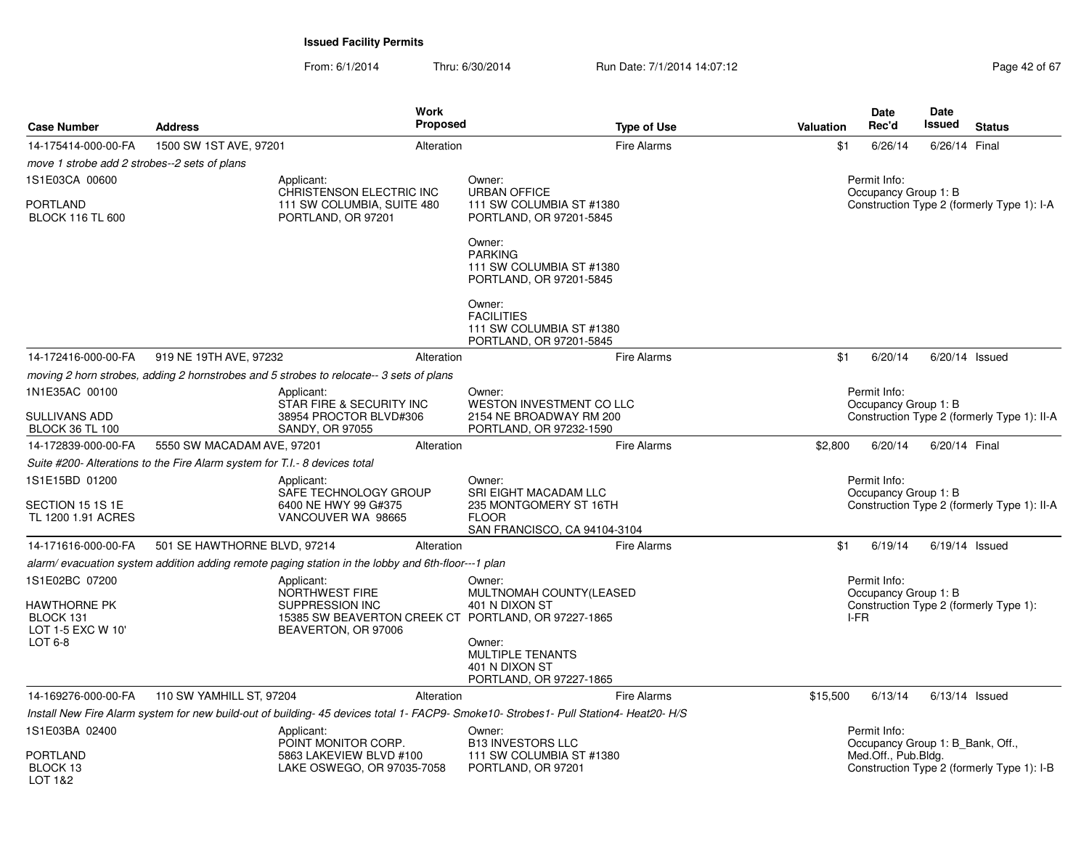| <b>Case Number</b>                             | <b>Address</b>                                                                                     | <b>Work</b><br><b>Proposed</b>                                                                | <b>Type of Use</b>                                                                                                                    | Valuation | Date<br>Rec'd                                    | Date<br>Issued   | <b>Status</b>                               |
|------------------------------------------------|----------------------------------------------------------------------------------------------------|-----------------------------------------------------------------------------------------------|---------------------------------------------------------------------------------------------------------------------------------------|-----------|--------------------------------------------------|------------------|---------------------------------------------|
| 14-175414-000-00-FA                            | 1500 SW 1ST AVE, 97201                                                                             | Alteration                                                                                    | <b>Fire Alarms</b>                                                                                                                    | \$1       | 6/26/14                                          | 6/26/14 Final    |                                             |
| move 1 strobe add 2 strobes--2 sets of plans   |                                                                                                    |                                                                                               |                                                                                                                                       |           |                                                  |                  |                                             |
| 1S1E03CA 00600                                 | Applicant:                                                                                         | <b>CHRISTENSON ELECTRIC INC</b>                                                               | Owner:<br><b>URBAN OFFICE</b>                                                                                                         |           | Permit Info:<br>Occupancy Group 1: B             |                  |                                             |
| PORTLAND<br><b>BLOCK 116 TL 600</b>            |                                                                                                    | 111 SW COLUMBIA, SUITE 480<br>PORTLAND, OR 97201                                              | 111 SW COLUMBIA ST #1380<br>PORTLAND, OR 97201-5845                                                                                   |           |                                                  |                  | Construction Type 2 (formerly Type 1): I-A  |
|                                                |                                                                                                    |                                                                                               | Owner:<br><b>PARKING</b><br>111 SW COLUMBIA ST #1380<br>PORTLAND, OR 97201-5845                                                       |           |                                                  |                  |                                             |
|                                                |                                                                                                    |                                                                                               | Owner:<br><b>FACILITIES</b><br>111 SW COLUMBIA ST #1380<br>PORTLAND, OR 97201-5845                                                    |           |                                                  |                  |                                             |
| 14-172416-000-00-FA                            | 919 NE 19TH AVE, 97232                                                                             | Alteration                                                                                    | <b>Fire Alarms</b>                                                                                                                    | \$1       | 6/20/14                                          | $6/20/14$ Issued |                                             |
|                                                | moving 2 horn strobes, adding 2 hornstrobes and 5 strobes to relocate--3 sets of plans             |                                                                                               |                                                                                                                                       |           |                                                  |                  |                                             |
| 1N1E35AC 00100                                 | Applicant:                                                                                         |                                                                                               | Owner:                                                                                                                                |           | Permit Info:                                     |                  |                                             |
| SULLIVANS ADD<br><b>BLOCK 36 TL 100</b>        |                                                                                                    | STAR FIRE & SECURITY INC<br>38954 PROCTOR BLVD#306<br>SANDY, OR 97055                         | WESTON INVESTMENT CO LLC<br>2154 NE BROADWAY RM 200<br>PORTLAND, OR 97232-1590                                                        |           | Occupancy Group 1: B                             |                  | Construction Type 2 (formerly Type 1): II-A |
| 14-172839-000-00-FA                            | 5550 SW MACADAM AVE, 97201                                                                         | Alteration                                                                                    | <b>Fire Alarms</b>                                                                                                                    | \$2,800   | 6/20/14                                          | 6/20/14 Final    |                                             |
|                                                | Suite #200- Alterations to the Fire Alarm system for T.I.- 8 devices total                         |                                                                                               |                                                                                                                                       |           |                                                  |                  |                                             |
| 1S1E15BD 01200                                 | Applicant:                                                                                         |                                                                                               | Owner:                                                                                                                                |           | Permit Info:                                     |                  |                                             |
|                                                |                                                                                                    | SAFE TECHNOLOGY GROUP                                                                         | SRI EIGHT MACADAM LLC                                                                                                                 |           | Occupancy Group 1: B                             |                  |                                             |
| SECTION 15 1S 1E<br>TL 1200 1.91 ACRES         |                                                                                                    | 6400 NE HWY 99 G#375<br>VANCOUVER WA 98665                                                    | 235 MONTGOMERY ST 16TH<br><b>FLOOR</b><br>SAN FRANCISCO, CA 94104-3104                                                                |           |                                                  |                  | Construction Type 2 (formerly Type 1): II-A |
| 14-171616-000-00-FA                            | 501 SE HAWTHORNE BLVD, 97214                                                                       | Alteration                                                                                    | Fire Alarms                                                                                                                           | \$1       | 6/19/14                                          | $6/19/14$ Issued |                                             |
|                                                | alarm/ evacuation system addition adding remote paging station in the lobby and 6th-floor---1 plan |                                                                                               |                                                                                                                                       |           |                                                  |                  |                                             |
| 1S1E02BC 07200                                 | Applicant:                                                                                         |                                                                                               | Owner:                                                                                                                                |           | Permit Info:                                     |                  |                                             |
|                                                |                                                                                                    | NORTHWEST FIRE                                                                                | MULTNOMAH COUNTY(LEASED                                                                                                               |           | Occupancy Group 1: B                             |                  |                                             |
| HAWTHORNE PK<br>BLOCK 131<br>LOT 1-5 EXC W 10' |                                                                                                    | SUPPRESSION INC<br>15385 SW BEAVERTON CREEK CT PORTLAND, OR 97227-1865<br>BEAVERTON, OR 97006 | 401 N DIXON ST                                                                                                                        |           | Construction Type 2 (formerly Type 1):<br>I-FR   |                  |                                             |
| LOT 6-8                                        |                                                                                                    |                                                                                               | Owner:<br>MULTIPLE TENANTS<br>401 N DIXON ST<br>PORTLAND, OR 97227-1865                                                               |           |                                                  |                  |                                             |
| 14-169276-000-00-FA                            | 110 SW YAMHILL ST, 97204                                                                           | Alteration                                                                                    | Fire Alarms                                                                                                                           | \$15,500  | 6/13/14                                          | $6/13/14$ Issued |                                             |
|                                                |                                                                                                    |                                                                                               | Install New Fire Alarm system for new build-out of building- 45 devices total 1- FACP9- Smoke10- Strobes1- Pull Station4- Heat20- H/S |           |                                                  |                  |                                             |
| 1S1E03BA 02400                                 | Applicant:                                                                                         | POINT MONITOR CORP.                                                                           | Owner:<br><b>B13 INVESTORS LLC</b>                                                                                                    |           | Permit Info:<br>Occupancy Group 1: B Bank, Off., |                  |                                             |
| PORTLAND<br>BLOCK 13<br>10T182                 |                                                                                                    | 5863 LAKEVIEW BLVD #100<br>LAKE OSWEGO, OR 97035-7058                                         | 111 SW COLUMBIA ST #1380<br>PORTLAND, OR 97201                                                                                        |           | Med.Off., Pub.Bldg.                              |                  | Construction Type 2 (formerly Type 1): I-B  |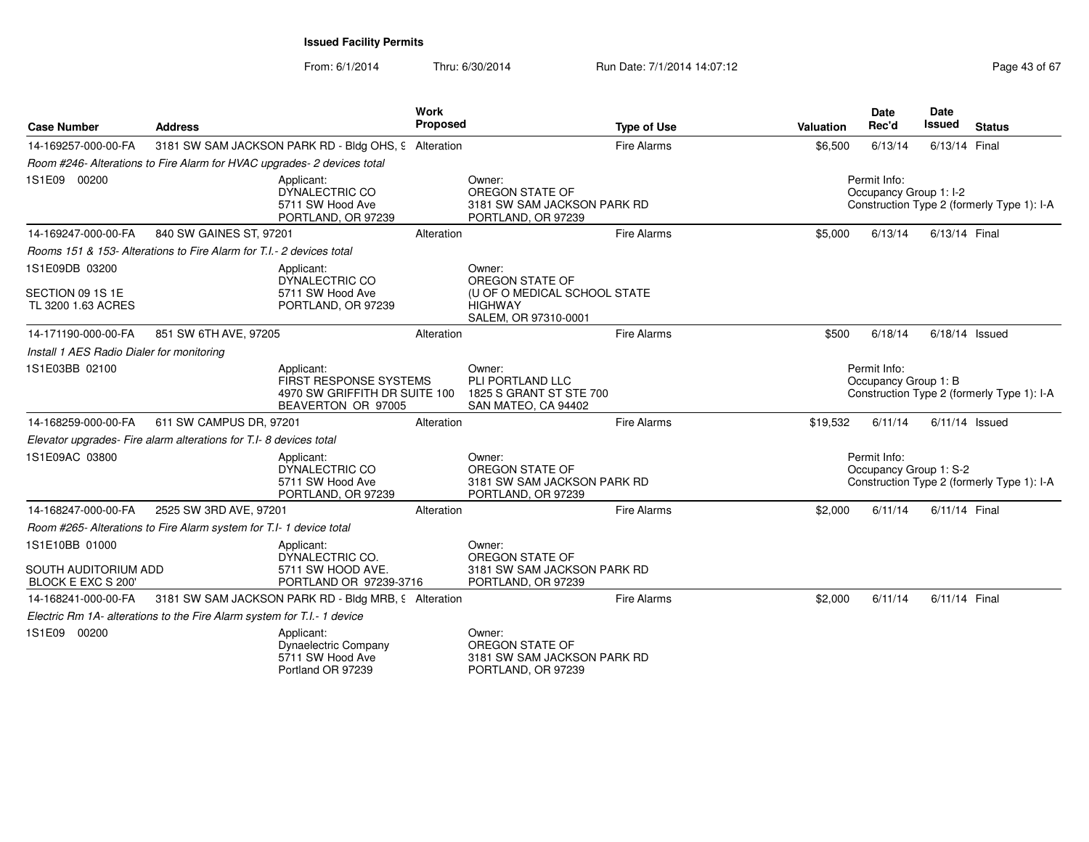From: 6/1/2014Thru: 6/30/2014 Run Date: 7/1/2014 14:07:12 Rege 43 of 67

| <b>Case Number</b>                                                                                                   | <b>Address</b>                                                          |                                                                                    | <b>Work</b><br>Proposed                                                      |                                                                                | <b>Type of Use</b> | Valuation                            | <b>Date</b><br>Rec'd                   | Date<br><b>Issued</b>                      | <b>Status</b>                              |
|----------------------------------------------------------------------------------------------------------------------|-------------------------------------------------------------------------|------------------------------------------------------------------------------------|------------------------------------------------------------------------------|--------------------------------------------------------------------------------|--------------------|--------------------------------------|----------------------------------------|--------------------------------------------|--------------------------------------------|
| 14-169257-000-00-FA                                                                                                  |                                                                         | 3181 SW SAM JACKSON PARK RD - Bldg OHS, 9 Alteration                               |                                                                              |                                                                                | Fire Alarms        | \$6,500                              | 6/13/14                                | 6/13/14 Final                              |                                            |
|                                                                                                                      | Room #246- Alterations to Fire Alarm for HVAC upgrades- 2 devices total |                                                                                    |                                                                              |                                                                                |                    |                                      |                                        |                                            |                                            |
| 1S1E09 00200                                                                                                         |                                                                         | Applicant:<br>DYNALECTRIC CO<br>5711 SW Hood Ave<br>PORTLAND, OR 97239             |                                                                              | Owner:<br>OREGON STATE OF<br>3181 SW SAM JACKSON PARK RD<br>PORTLAND, OR 97239 |                    |                                      | Permit Info:<br>Occupancy Group 1: I-2 |                                            | Construction Type 2 (formerly Type 1): I-A |
| 14-169247-000-00-FA                                                                                                  | 840 SW GAINES ST, 97201                                                 |                                                                                    | Alteration                                                                   |                                                                                | Fire Alarms        | \$5,000                              | 6/13/14                                | 6/13/14 Final                              |                                            |
|                                                                                                                      | Rooms 151 & 153- Alterations to Fire Alarm for T.I.- 2 devices total    |                                                                                    |                                                                              |                                                                                |                    |                                      |                                        |                                            |                                            |
| 1S1E09DB 03200                                                                                                       |                                                                         | Applicant:<br>DYNALECTRIC CO                                                       |                                                                              | Owner:<br>OREGON STATE OF                                                      |                    |                                      |                                        |                                            |                                            |
| SECTION 09 1S 1E<br>TL 3200 1.63 ACRES                                                                               |                                                                         | 5711 SW Hood Ave<br>PORTLAND, OR 97239                                             |                                                                              | (U OF O MEDICAL SCHOOL STATE<br><b>HIGHWAY</b><br>SALEM, OR 97310-0001         |                    |                                      |                                        |                                            |                                            |
| 14-171190-000-00-FA                                                                                                  | 851 SW 6TH AVE, 97205                                                   |                                                                                    | Alteration                                                                   |                                                                                | Fire Alarms        | \$500                                | 6/18/14                                |                                            | $6/18/14$ Issued                           |
| Install 1 AES Radio Dialer for monitoring                                                                            |                                                                         |                                                                                    |                                                                              |                                                                                |                    |                                      |                                        |                                            |                                            |
| 1S1E03BB 02100<br>Applicant:<br><b>FIRST RESPONSE SYSTEMS</b><br>4970 SW GRIFFITH DR SUITE 100<br>BEAVERTON OR 97005 |                                                                         |                                                                                    | Owner:<br>PLI PORTLAND LLC<br>1825 S GRANT ST STE 700<br>SAN MATEO, CA 94402 |                                                                                |                    | Permit Info:<br>Occupancy Group 1: B |                                        | Construction Type 2 (formerly Type 1): I-A |                                            |
| 14-168259-000-00-FA                                                                                                  | 611 SW CAMPUS DR, 97201                                                 |                                                                                    | Alteration                                                                   |                                                                                | Fire Alarms        | \$19,532                             | 6/11/14                                |                                            | $6/11/14$ Issued                           |
|                                                                                                                      | Elevator upgrades- Fire alarm alterations for T.I-8 devices total       |                                                                                    |                                                                              |                                                                                |                    |                                      |                                        |                                            |                                            |
| 1S1E09AC 03800                                                                                                       |                                                                         | Applicant:<br>DYNALECTRIC CO<br>5711 SW Hood Ave<br>PORTLAND, OR 97239             |                                                                              | Owner:<br>OREGON STATE OF<br>3181 SW SAM JACKSON PARK RD<br>PORTLAND, OR 97239 |                    |                                      | Permit Info:<br>Occupancy Group 1: S-2 |                                            | Construction Type 2 (formerly Type 1): I-A |
| 14-168247-000-00-FA                                                                                                  | 2525 SW 3RD AVE, 97201                                                  |                                                                                    | Alteration                                                                   |                                                                                | <b>Fire Alarms</b> | \$2,000                              | 6/11/14                                | 6/11/14 Final                              |                                            |
|                                                                                                                      | Room #265- Alterations to Fire Alarm system for T.I- 1 device total     |                                                                                    |                                                                              |                                                                                |                    |                                      |                                        |                                            |                                            |
| 1S1E10BB 01000                                                                                                       |                                                                         | Applicant:<br>DYNALECTRIC CO.                                                      |                                                                              | Owner:<br>OREGON STATE OF                                                      |                    |                                      |                                        |                                            |                                            |
| SOUTH AUDITORIUM ADD<br>BLOCK E EXC S 200'                                                                           |                                                                         | 5711 SW HOOD AVE.<br>PORTLAND OR 97239-3716                                        |                                                                              | 3181 SW SAM JACKSON PARK RD<br>PORTLAND, OR 97239                              |                    |                                      |                                        |                                            |                                            |
| 14-168241-000-00-FA                                                                                                  |                                                                         | 3181 SW SAM JACKSON PARK RD - Bldg MRB, 9 Alteration                               |                                                                              |                                                                                | Fire Alarms        | \$2,000                              | 6/11/14                                | 6/11/14 Final                              |                                            |
|                                                                                                                      | Electric Rm 1A- alterations to the Fire Alarm system for T.I.- 1 device |                                                                                    |                                                                              |                                                                                |                    |                                      |                                        |                                            |                                            |
| 1S1E09 00200                                                                                                         |                                                                         | Applicant:<br><b>Dynaelectric Company</b><br>5711 SW Hood Ave<br>Portland OR 97239 |                                                                              | Owner:<br>OREGON STATE OF<br>3181 SW SAM JACKSON PARK RD<br>PORTLAND, OR 97239 |                    |                                      |                                        |                                            |                                            |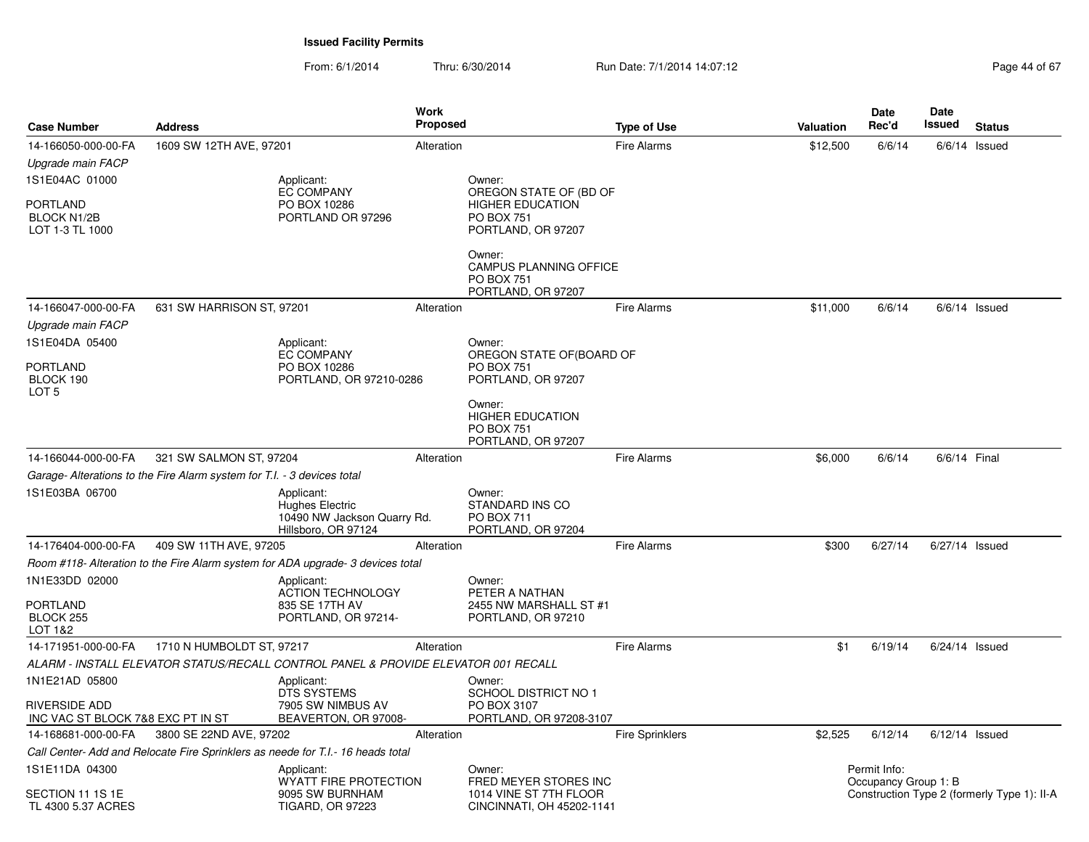| <b>Case Number</b>                                       | <b>Address</b>                                                          |                                                                                            | <b>Work</b><br><b>Proposed</b> |                                                                                              | <b>Type of Use</b>     | Valuation | Date<br>Rec'd                        | Date<br>Issued   | <b>Status</b>                               |
|----------------------------------------------------------|-------------------------------------------------------------------------|--------------------------------------------------------------------------------------------|--------------------------------|----------------------------------------------------------------------------------------------|------------------------|-----------|--------------------------------------|------------------|---------------------------------------------|
| 14-166050-000-00-FA                                      | 1609 SW 12TH AVE, 97201                                                 |                                                                                            | Alteration                     |                                                                                              | <b>Fire Alarms</b>     | \$12,500  | 6/6/14                               | 6/6/14           | Issued                                      |
| Upgrade main FACP                                        |                                                                         |                                                                                            |                                |                                                                                              |                        |           |                                      |                  |                                             |
| 1S1E04AC 01000                                           |                                                                         | Applicant:                                                                                 |                                | Owner:                                                                                       |                        |           |                                      |                  |                                             |
| PORTLAND<br><b>BLOCK N1/2B</b><br>LOT 1-3 TL 1000        |                                                                         | <b>EC COMPANY</b><br>PO BOX 10286<br>PORTLAND OR 97296                                     |                                | OREGON STATE OF (BD OF<br><b>HIGHER EDUCATION</b><br><b>PO BOX 751</b><br>PORTLAND, OR 97207 |                        |           |                                      |                  |                                             |
|                                                          |                                                                         |                                                                                            |                                | Owner:<br>CAMPUS PLANNING OFFICE<br><b>PO BOX 751</b><br>PORTLAND, OR 97207                  |                        |           |                                      |                  |                                             |
| 14-166047-000-00-FA                                      | 631 SW HARRISON ST, 97201                                               |                                                                                            | Alteration                     |                                                                                              | <b>Fire Alarms</b>     | \$11,000  | 6/6/14                               |                  | $6/6/14$ Issued                             |
| Upgrade main FACP                                        |                                                                         |                                                                                            |                                |                                                                                              |                        |           |                                      |                  |                                             |
| 1S1E04DA 05400                                           |                                                                         | Applicant:                                                                                 |                                | Owner:                                                                                       |                        |           |                                      |                  |                                             |
| PORTLAND<br>BLOCK 190<br>LOT <sub>5</sub>                |                                                                         | <b>EC COMPANY</b><br>PO BOX 10286<br>PORTLAND, OR 97210-0286                               |                                | OREGON STATE OF(BOARD OF<br><b>PO BOX 751</b><br>PORTLAND, OR 97207                          |                        |           |                                      |                  |                                             |
|                                                          |                                                                         |                                                                                            |                                | Owner:<br><b>HIGHER EDUCATION</b><br><b>PO BOX 751</b><br>PORTLAND, OR 97207                 |                        |           |                                      |                  |                                             |
| 14-166044-000-00-FA                                      | 321 SW SALMON ST, 97204                                                 |                                                                                            | Alteration                     |                                                                                              | <b>Fire Alarms</b>     | \$6,000   | 6/6/14                               | 6/6/14 Final     |                                             |
|                                                          | Garage- Alterations to the Fire Alarm system for T.I. - 3 devices total |                                                                                            |                                |                                                                                              |                        |           |                                      |                  |                                             |
| 1S1E03BA 06700                                           |                                                                         | Applicant:<br><b>Hughes Electric</b><br>10490 NW Jackson Quarry Rd.<br>Hillsboro, OR 97124 |                                | Owner:<br>STANDARD INS CO<br><b>PO BOX 711</b><br>PORTLAND, OR 97204                         |                        |           |                                      |                  |                                             |
| 14-176404-000-00-FA                                      | 409 SW 11TH AVE, 97205                                                  |                                                                                            | Alteration                     |                                                                                              | <b>Fire Alarms</b>     | \$300     | 6/27/14                              | 6/27/14 Issued   |                                             |
|                                                          |                                                                         | Room #118- Alteration to the Fire Alarm system for ADA upgrade- 3 devices total            |                                |                                                                                              |                        |           |                                      |                  |                                             |
| 1N1E33DD 02000<br>PORTLAND<br>BLOCK 255<br>LOT 1&2       |                                                                         | Applicant:<br><b>ACTION TECHNOLOGY</b><br>835 SE 17TH AV<br>PORTLAND, OR 97214-            |                                | Owner:<br>PETER A NATHAN<br>2455 NW MARSHALL ST #1<br>PORTLAND, OR 97210                     |                        |           |                                      |                  |                                             |
| 14-171951-000-00-FA                                      | 1710 N HUMBOLDT ST, 97217                                               |                                                                                            | Alteration                     |                                                                                              | <b>Fire Alarms</b>     | \$1       | 6/19/14                              | 6/24/14 Issued   |                                             |
|                                                          |                                                                         | ALARM - INSTALL ELEVATOR STATUS/RECALL CONTROL PANEL & PROVIDE ELEVATOR 001 RECALL         |                                |                                                                                              |                        |           |                                      |                  |                                             |
| 1N1E21AD 05800                                           |                                                                         | Applicant:<br>DTS SYSTEMS                                                                  |                                | Owner:<br>SCHOOL DISTRICT NO 1                                                               |                        |           |                                      |                  |                                             |
| RIVERSIDE ADD<br>INC VAC ST BLOCK 7&8 EXC PT IN ST       |                                                                         | 7905 SW NIMBUS AV<br>BEAVERTON, OR 97008-                                                  |                                | PO BOX 3107<br>PORTLAND, OR 97208-3107                                                       |                        |           |                                      |                  |                                             |
| 14-168681-000-00-FA                                      | 3800 SE 22ND AVE, 97202                                                 |                                                                                            | Alteration                     |                                                                                              | <b>Fire Sprinklers</b> | \$2,525   | 6/12/14                              | $6/12/14$ Issued |                                             |
|                                                          |                                                                         | Call Center- Add and Relocate Fire Sprinklers as neede for T.I.- 16 heads total            |                                |                                                                                              |                        |           |                                      |                  |                                             |
| 1S1E11DA 04300<br>SECTION 11 1S 1E<br>TL 4300 5.37 ACRES |                                                                         | Applicant:<br>WYATT FIRE PROTECTION<br>9095 SW BURNHAM<br><b>TIGARD, OR 97223</b>          |                                | Owner:<br>FRED MEYER STORES INC<br>1014 VINE ST 7TH FLOOR<br>CINCINNATI, OH 45202-1141       |                        |           | Permit Info:<br>Occupancy Group 1: B |                  | Construction Type 2 (formerly Type 1): II-A |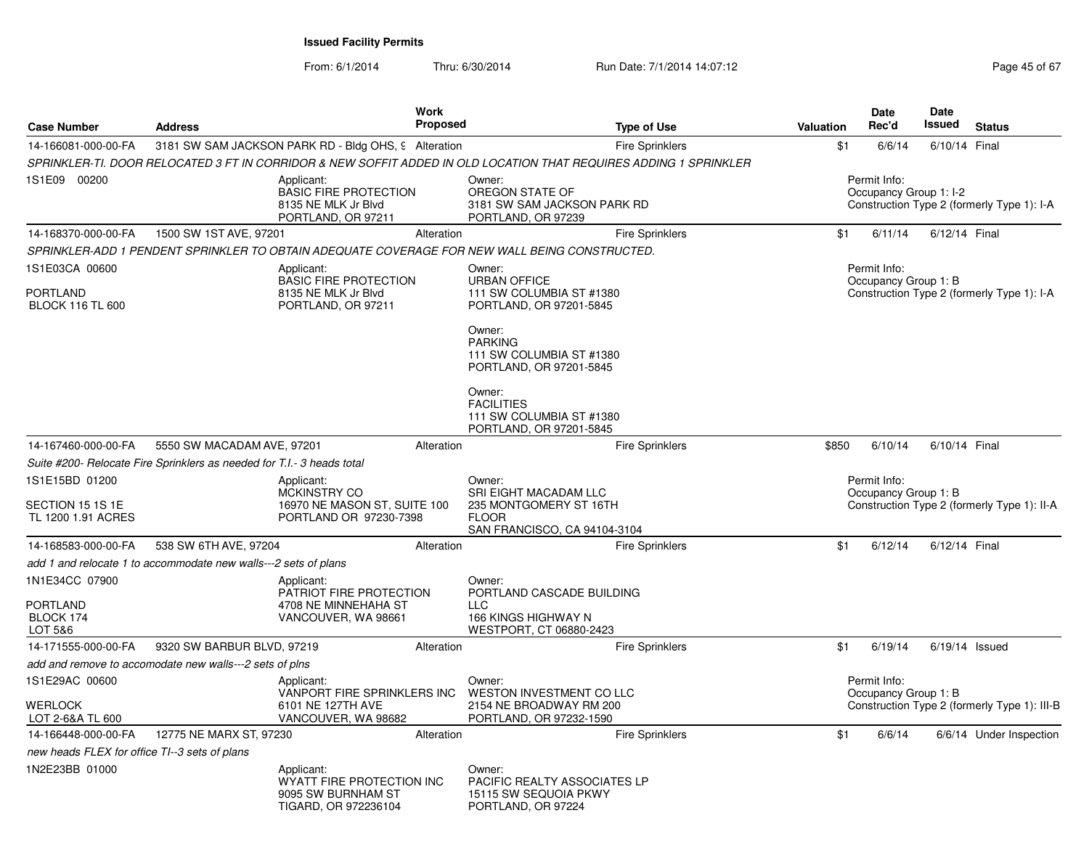| <b>Case Number</b>                                        | <b>Address</b>                                                         |                                                                                         | Work<br><b>Proposed</b> | <b>Type of Use</b>                                                                                                | Valuation | <b>Date</b><br>Rec'd                   | <b>Date</b><br>Issued | <b>Status</b>                                |
|-----------------------------------------------------------|------------------------------------------------------------------------|-----------------------------------------------------------------------------------------|-------------------------|-------------------------------------------------------------------------------------------------------------------|-----------|----------------------------------------|-----------------------|----------------------------------------------|
| 14-166081-000-00-FA                                       |                                                                        | 3181 SW SAM JACKSON PARK RD - Bldg OHS, 9 Alteration                                    |                         | Fire Sprinklers                                                                                                   | \$1       | 6/6/14                                 | 6/10/14 Final         |                                              |
|                                                           |                                                                        |                                                                                         |                         | SPRINKLER-TI. DOOR RELOCATED 3 FT IN CORRIDOR & NEW SOFFIT ADDED IN OLD LOCATION THAT REQUIRES ADDING 1 SPRINKLER |           |                                        |                       |                                              |
| 1S1E09 00200                                              |                                                                        | Applicant:<br><b>BASIC FIRE PROTECTION</b><br>8135 NE MLK Jr Blvd<br>PORTLAND, OR 97211 |                         | Owner:<br>OREGON STATE OF<br>3181 SW SAM JACKSON PARK RD<br>PORTLAND, OR 97239                                    |           | Permit Info:<br>Occupancy Group 1: I-2 |                       | Construction Type 2 (formerly Type 1): I-A   |
| 14-168370-000-00-FA                                       | 1500 SW 1ST AVE, 97201                                                 |                                                                                         | Alteration              | <b>Fire Sprinklers</b>                                                                                            | \$1       | 6/11/14                                | 6/12/14 Final         |                                              |
|                                                           |                                                                        |                                                                                         |                         | SPRINKLER-ADD 1 PENDENT SPRINKLER TO OBTAIN ADEQUATE COVERAGE FOR NEW WALL BEING CONSTRUCTED.                     |           |                                        |                       |                                              |
| 1S1E03CA 00600<br>PORTLAND<br><b>BLOCK 116 TL 600</b>     |                                                                        | Applicant:<br><b>BASIC FIRE PROTECTION</b><br>8135 NE MLK Jr Blvd<br>PORTLAND, OR 97211 |                         | Owner:<br><b>URBAN OFFICE</b><br>111 SW COLUMBIA ST #1380<br>PORTLAND, OR 97201-5845                              |           | Permit Info:<br>Occupancy Group 1: B   |                       | Construction Type 2 (formerly Type 1): I-A   |
|                                                           |                                                                        |                                                                                         |                         | Owner:<br><b>PARKING</b><br>111 SW COLUMBIA ST #1380<br>PORTLAND, OR 97201-5845                                   |           |                                        |                       |                                              |
|                                                           |                                                                        |                                                                                         |                         | Owner:<br><b>FACILITIES</b><br>111 SW COLUMBIA ST #1380<br>PORTLAND, OR 97201-5845                                |           |                                        |                       |                                              |
| 14-167460-000-00-FA                                       | 5550 SW MACADAM AVE, 97201                                             |                                                                                         | Alteration              | <b>Fire Sprinklers</b>                                                                                            | \$850     | 6/10/14                                | 6/10/14 Final         |                                              |
|                                                           | Suite #200- Relocate Fire Sprinklers as needed for T.I.- 3 heads total |                                                                                         |                         |                                                                                                                   |           |                                        |                       |                                              |
| 1S1E15BD 01200<br>SECTION 15 1S 1E<br>TL 1200 1.91 ACRES  |                                                                        | Applicant:<br>MCKINSTRY CO<br>16970 NE MASON ST, SUITE 100<br>PORTLAND OR 97230-7398    |                         | Owner:<br>SRI EIGHT MACADAM LLC<br>235 MONTGOMERY ST 16TH<br><b>FLOOR</b><br>SAN FRANCISCO, CA 94104-3104         |           | Permit Info:<br>Occupancy Group 1: B   |                       | Construction Type 2 (formerly Type 1): II-A  |
| 14-168583-000-00-FA                                       | 538 SW 6TH AVE, 97204                                                  |                                                                                         | Alteration              | <b>Fire Sprinklers</b>                                                                                            | \$1       | 6/12/14                                | 6/12/14 Final         |                                              |
|                                                           | add 1 and relocate 1 to accommodate new walls---2 sets of plans        |                                                                                         |                         |                                                                                                                   |           |                                        |                       |                                              |
| 1N1E34CC 07900<br><b>PORTLAND</b><br>BLOCK 174<br>LOT 5&6 |                                                                        | Applicant:<br>PATRIOT FIRE PROTECTION<br>4708 NE MINNEHAHA ST<br>VANCOUVER, WA 98661    |                         | Owner:<br>PORTLAND CASCADE BUILDING<br><b>LLC</b><br>166 KINGS HIGHWAY N<br>WESTPORT, CT 06880-2423               |           |                                        |                       |                                              |
| 14-171555-000-00-FA                                       | 9320 SW BARBUR BLVD, 97219                                             |                                                                                         | Alteration              | Fire Sprinklers                                                                                                   | \$1       | 6/19/14                                | $6/19/14$ Issued      |                                              |
|                                                           | add and remove to accomodate new walls---2 sets of plns                |                                                                                         |                         |                                                                                                                   |           |                                        |                       |                                              |
| 1S1E29AC 00600<br>WERLOCK<br>LOT 2-6&A TL 600             |                                                                        | Applicant:<br>VANPORT FIRE SPRINKLERS INC<br>6101 NE 127TH AVE<br>VANCOUVER, WA 98682   |                         | Owner:<br>WESTON INVESTMENT CO LLC<br>2154 NE BROADWAY RM 200<br>PORTLAND, OR 97232-1590                          |           | Permit Info:<br>Occupancy Group 1: B   |                       | Construction Type 2 (formerly Type 1): III-B |
| 14-166448-000-00-FA                                       | 12775 NE MARX ST, 97230                                                |                                                                                         | Alteration              | <b>Fire Sprinklers</b>                                                                                            | \$1       | 6/6/14                                 |                       | 6/6/14 Under Inspection                      |
| new heads FLEX for office TI--3 sets of plans             |                                                                        |                                                                                         |                         |                                                                                                                   |           |                                        |                       |                                              |
| 1N2E23BB 01000                                            |                                                                        | Applicant:<br>WYATT FIRE PROTECTION INC<br>9095 SW BURNHAM ST<br>TIGARD, OR 972236104   |                         | Owner:<br>PACIFIC REALTY ASSOCIATES LP<br>15115 SW SEQUOIA PKWY<br>PORTLAND, OR 97224                             |           |                                        |                       |                                              |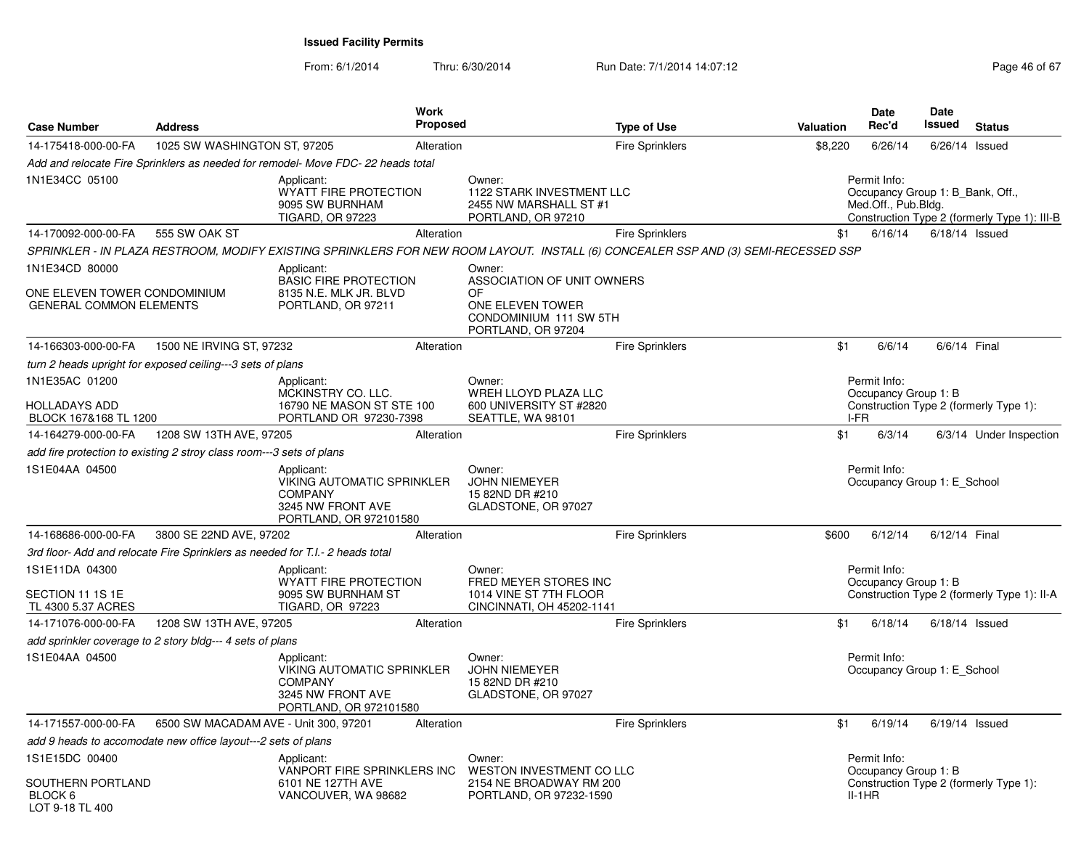| <b>Case Number</b>                                                               | <b>Address</b>               |                                                                                                                                    | <b>Work</b><br><b>Proposed</b> |                                                                                                                | <b>Type of Use</b>     | Valuation | <b>Date</b><br>Rec'd                                                                                                    | Date<br>Issued                         | <b>Status</b>                               |
|----------------------------------------------------------------------------------|------------------------------|------------------------------------------------------------------------------------------------------------------------------------|--------------------------------|----------------------------------------------------------------------------------------------------------------|------------------------|-----------|-------------------------------------------------------------------------------------------------------------------------|----------------------------------------|---------------------------------------------|
| 14-175418-000-00-FA                                                              | 1025 SW WASHINGTON ST, 97205 |                                                                                                                                    | Alteration                     |                                                                                                                | <b>Fire Sprinklers</b> | \$8,220   | 6/26/14                                                                                                                 | $6/26/14$ Issued                       |                                             |
|                                                                                  |                              | Add and relocate Fire Sprinklers as needed for remodel- Move FDC-22 heads total                                                    |                                |                                                                                                                |                        |           |                                                                                                                         |                                        |                                             |
| 1N1E34CC 05100                                                                   |                              | Applicant:<br><b>WYATT FIRE PROTECTION</b><br>9095 SW BURNHAM<br><b>TIGARD, OR 97223</b>                                           |                                | Owner:<br>1122 STARK INVESTMENT LLC<br>2455 NW MARSHALL ST #1<br>PORTLAND, OR 97210                            |                        |           | Permit Info:<br>Occupancy Group 1: B Bank, Off.,<br>Med.Off., Pub.Bldg.<br>Construction Type 2 (formerly Type 1): III-B |                                        |                                             |
| 14-170092-000-00-FA                                                              | 555 SW OAK ST                |                                                                                                                                    | Alteration                     |                                                                                                                | <b>Fire Sprinklers</b> | \$1       | 6/16/14                                                                                                                 | $6/18/14$ Issued                       |                                             |
|                                                                                  |                              | SPRINKLER - IN PLAZA RESTROOM, MODIFY EXISTING SPRINKLERS FOR NEW ROOM LAYOUT. INSTALL (6) CONCEALER SSP AND (3) SEMI-RECESSED SSP |                                |                                                                                                                |                        |           |                                                                                                                         |                                        |                                             |
| 1N1E34CD 80000<br>ONE ELEVEN TOWER CONDOMINIUM<br><b>GENERAL COMMON ELEMENTS</b> |                              | Applicant:<br><b>BASIC FIRE PROTECTION</b><br>8135 N.E. MLK JR. BLVD<br>PORTLAND, OR 97211                                         |                                | Owner:<br>ASSOCIATION OF UNIT OWNERS<br>0F<br>ONE ELEVEN TOWER<br>CONDOMINIUM 111 SW 5TH<br>PORTLAND, OR 97204 |                        |           |                                                                                                                         |                                        |                                             |
| 14-166303-000-00-FA                                                              | 1500 NE IRVING ST, 97232     |                                                                                                                                    | Alteration                     |                                                                                                                | <b>Fire Sprinklers</b> | \$1       | 6/6/14                                                                                                                  | 6/6/14 Final                           |                                             |
| turn 2 heads upright for exposed ceiling---3 sets of plans                       |                              |                                                                                                                                    |                                |                                                                                                                |                        |           |                                                                                                                         |                                        |                                             |
| 1N1E35AC 01200<br>HOLLADAYS ADD<br>BLOCK 167&168 TL 1200                         |                              | Applicant:<br>MCKINSTRY CO. LLC.<br>16790 NE MASON ST STE 100<br>PORTLAND OR 97230-7398                                            |                                | Owner:<br>WREH LLOYD PLAZA LLC<br>600 UNIVERSITY ST #2820<br>SEATTLE, WA 98101                                 |                        |           | Permit Info:<br>Occupancy Group 1: B<br>I-FR                                                                            | Construction Type 2 (formerly Type 1): |                                             |
| 14-164279-000-00-FA                                                              | 1208 SW 13TH AVE, 97205      |                                                                                                                                    | Alteration                     |                                                                                                                | <b>Fire Sprinklers</b> | \$1       | 6/3/14                                                                                                                  |                                        | 6/3/14 Under Inspection                     |
| add fire protection to existing 2 stroy class room---3 sets of plans             |                              |                                                                                                                                    |                                |                                                                                                                |                        |           |                                                                                                                         |                                        |                                             |
| 1S1E04AA 04500                                                                   |                              | Applicant:<br><b>VIKING AUTOMATIC SPRINKLER</b><br><b>COMPANY</b><br>3245 NW FRONT AVE<br>PORTLAND, OR 972101580                   |                                | Owner:<br><b>JOHN NIEMEYER</b><br>15 82ND DR #210<br>GLADSTONE, OR 97027                                       |                        |           | Permit Info:                                                                                                            | Occupancy Group 1: E School            |                                             |
| 14-168686-000-00-FA                                                              | 3800 SE 22ND AVE, 97202      |                                                                                                                                    | Alteration                     |                                                                                                                | Fire Sprinklers        | \$600     | 6/12/14                                                                                                                 | 6/12/14 Final                          |                                             |
|                                                                                  |                              | 3rd floor- Add and relocate Fire Sprinklers as needed for T.I.- 2 heads total                                                      |                                |                                                                                                                |                        |           |                                                                                                                         |                                        |                                             |
| 1S1E11DA 04300<br>SECTION 11 1S 1E<br>TL 4300 5.37 ACRES                         |                              | Applicant:<br>WYATT FIRE PROTECTION<br>9095 SW BURNHAM ST<br>TIGARD, OR 97223                                                      |                                | Owner:<br>FRED MEYER STORES INC<br>1014 VINE ST 7TH FLOOR<br>CINCINNATI, OH 45202-1141                         |                        |           | Permit Info:<br>Occupancy Group 1: B                                                                                    |                                        | Construction Type 2 (formerly Type 1): II-A |
| 14-171076-000-00-FA                                                              | 1208 SW 13TH AVE, 97205      |                                                                                                                                    | Alteration                     |                                                                                                                | <b>Fire Sprinklers</b> | \$1       | 6/18/14                                                                                                                 | $6/18/14$ Issued                       |                                             |
| add sprinkler coverage to 2 story bldg--- 4 sets of plans                        |                              |                                                                                                                                    |                                |                                                                                                                |                        |           |                                                                                                                         |                                        |                                             |
| 1S1E04AA 04500                                                                   |                              | Applicant:<br><b>VIKING AUTOMATIC SPRINKLER</b><br><b>COMPANY</b><br>3245 NW FRONT AVE<br>PORTLAND, OR 972101580                   |                                | Owner:<br><b>JOHN NIEMEYER</b><br>15 82ND DR #210<br>GLADSTONE, OR 97027                                       |                        |           | Permit Info:                                                                                                            | Occupancy Group 1: E School            |                                             |
| 14-171557-000-00-FA                                                              |                              | 6500 SW MACADAM AVE - Unit 300, 97201                                                                                              | Alteration                     |                                                                                                                | <b>Fire Sprinklers</b> | \$1       | 6/19/14                                                                                                                 | 6/19/14 Issued                         |                                             |
| add 9 heads to accomodate new office layout---2 sets of plans                    |                              |                                                                                                                                    |                                |                                                                                                                |                        |           |                                                                                                                         |                                        |                                             |
| 1S1E15DC 00400<br>SOUTHERN PORTLAND<br>BLOCK 6<br>LOT 9-18 TL 400                |                              | Applicant:<br>VANPORT FIRE SPRINKLERS INC<br>6101 NE 127TH AVE<br>VANCOUVER, WA 98682                                              |                                | Owner:<br><b>WESTON INVESTMENT CO LLC</b><br>2154 NE BROADWAY RM 200<br>PORTLAND, OR 97232-1590                |                        |           | Permit Info:<br>Occupancy Group 1: B<br>II-1HR                                                                          | Construction Type 2 (formerly Type 1): |                                             |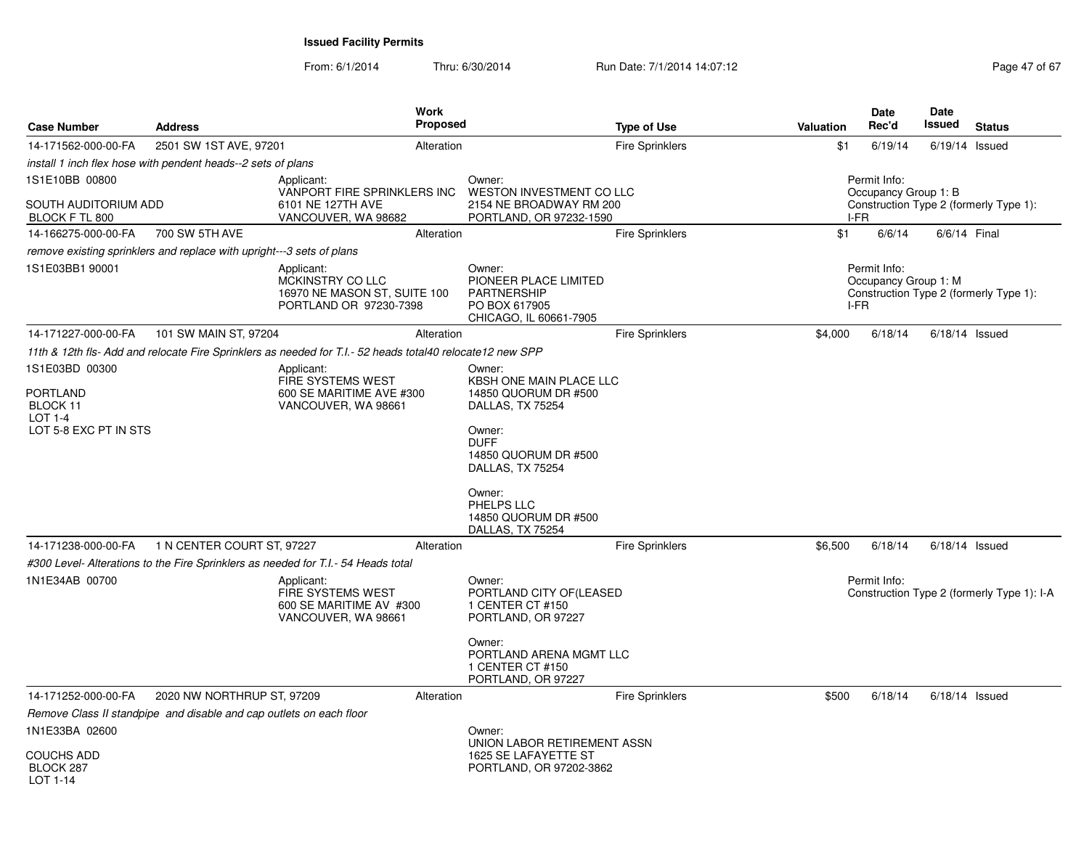From: 6/1/2014Thru: 6/30/2014 Run Date: 7/1/2014 14:07:12 Rege 47 of 67

| <b>Case Number</b>                            | <b>Address</b>                                                        | <b>Work</b><br><b>Proposed</b>                                                                            |                                                                                                                                       | <b>Type of Use</b>     | Valuation | Date<br>Rec'd                        | <b>Date</b><br>Issued | <b>Status</b>                              |
|-----------------------------------------------|-----------------------------------------------------------------------|-----------------------------------------------------------------------------------------------------------|---------------------------------------------------------------------------------------------------------------------------------------|------------------------|-----------|--------------------------------------|-----------------------|--------------------------------------------|
| 14-171562-000-00-FA                           | 2501 SW 1ST AVE, 97201                                                | Alteration                                                                                                |                                                                                                                                       | <b>Fire Sprinklers</b> | \$1       | 6/19/14                              |                       | $6/19/14$ Issued                           |
|                                               | install 1 inch flex hose with pendent heads--2 sets of plans          |                                                                                                           |                                                                                                                                       |                        |           |                                      |                       |                                            |
| 1S1E10BB 00800                                |                                                                       | Applicant:<br>VANPORT FIRE SPRINKLERS INC                                                                 | Owner:<br>WESTON INVESTMENT CO LLC                                                                                                    |                        |           | Permit Info:<br>Occupancy Group 1: B |                       |                                            |
| SOUTH AUDITORIUM ADD<br>BLOCK F TL 800        |                                                                       | 6101 NE 127TH AVE<br>VANCOUVER, WA 98682                                                                  | 2154 NE BROADWAY RM 200<br>PORTLAND, OR 97232-1590                                                                                    |                        | I-FR      |                                      |                       | Construction Type 2 (formerly Type 1):     |
| 14-166275-000-00-FA                           | 700 SW 5TH AVE                                                        | Alteration                                                                                                |                                                                                                                                       | <b>Fire Sprinklers</b> | \$1       | 6/6/14                               |                       | 6/6/14 Final                               |
|                                               | remove existing sprinklers and replace with upright---3 sets of plans |                                                                                                           |                                                                                                                                       |                        |           |                                      |                       |                                            |
| 1S1E03BB1 90001                               |                                                                       | Applicant:<br>MCKINSTRY CO LLC<br>16970 NE MASON ST, SUITE 100<br>PORTLAND OR 97230-7398                  | Owner:<br>PIONEER PLACE LIMITED<br><b>PARTNERSHIP</b><br>PO BOX 617905<br>CHICAGO, IL 60661-7905                                      |                        | I-FR      | Permit Info:<br>Occupancy Group 1: M |                       | Construction Type 2 (formerly Type 1):     |
| 14-171227-000-00-FA                           | 101 SW MAIN ST, 97204                                                 | Alteration                                                                                                |                                                                                                                                       | Fire Sprinklers        | \$4,000   | 6/18/14                              |                       | $6/18/14$ Issued                           |
|                                               |                                                                       | 11th & 12th fls- Add and relocate Fire Sprinklers as needed for T.I.- 52 heads total40 relocate12 new SPP |                                                                                                                                       |                        |           |                                      |                       |                                            |
| 1S1E03BD 00300<br><b>PORTLAND</b><br>BLOCK 11 |                                                                       | Applicant:<br>FIRE SYSTEMS WEST<br>600 SE MARITIME AVE #300<br>VANCOUVER, WA 98661                        | Owner:<br>KBSH ONE MAIN PLACE LLC<br>14850 QUORUM DR #500<br>DALLAS, TX 75254                                                         |                        |           |                                      |                       |                                            |
| <b>LOT 1-4</b><br>LOT 5-8 EXC PT IN STS       |                                                                       |                                                                                                           | Owner:<br><b>DUFF</b><br>14850 QUORUM DR #500<br>DALLAS, TX 75254<br>Owner:<br>PHELPS LLC<br>14850 QUORUM DR #500<br>DALLAS, TX 75254 |                        |           |                                      |                       |                                            |
| 14-171238-000-00-FA                           | 1 N CENTER COURT ST, 97227                                            | Alteration                                                                                                |                                                                                                                                       | <b>Fire Sprinklers</b> | \$6,500   | 6/18/14                              |                       | $6/18/14$ Issued                           |
|                                               |                                                                       | #300 Level- Alterations to the Fire Sprinklers as needed for T.I.- 54 Heads total                         |                                                                                                                                       |                        |           |                                      |                       |                                            |
| 1N1E34AB 00700                                |                                                                       | Applicant:<br>FIRE SYSTEMS WEST<br>600 SE MARITIME AV #300<br>VANCOUVER, WA 98661                         | Owner:<br>PORTLAND CITY OF (LEASED<br>1 CENTER CT #150<br>PORTLAND, OR 97227                                                          |                        |           | Permit Info:                         |                       | Construction Type 2 (formerly Type 1): I-A |
|                                               |                                                                       |                                                                                                           | Owner:<br>PORTLAND ARENA MGMT LLC<br>1 CENTER CT #150<br>PORTLAND, OR 97227                                                           |                        |           |                                      |                       |                                            |
| 14-171252-000-00-FA                           | 2020 NW NORTHRUP ST, 97209                                            | Alteration                                                                                                |                                                                                                                                       | <b>Fire Sprinklers</b> | \$500     | 6/18/14                              |                       | $6/18/14$ Issued                           |
|                                               | Remove Class II standpipe and disable and cap outlets on each floor   |                                                                                                           |                                                                                                                                       |                        |           |                                      |                       |                                            |
| 1N1E33BA 02600                                |                                                                       |                                                                                                           | Owner:<br>UNION LABOR RETIREMENT ASSN                                                                                                 |                        |           |                                      |                       |                                            |
| COUCHS ADD<br>BLOCK 287<br>LOT 1-14           |                                                                       |                                                                                                           | 1625 SE LAFAYETTE ST<br>PORTLAND, OR 97202-3862                                                                                       |                        |           |                                      |                       |                                            |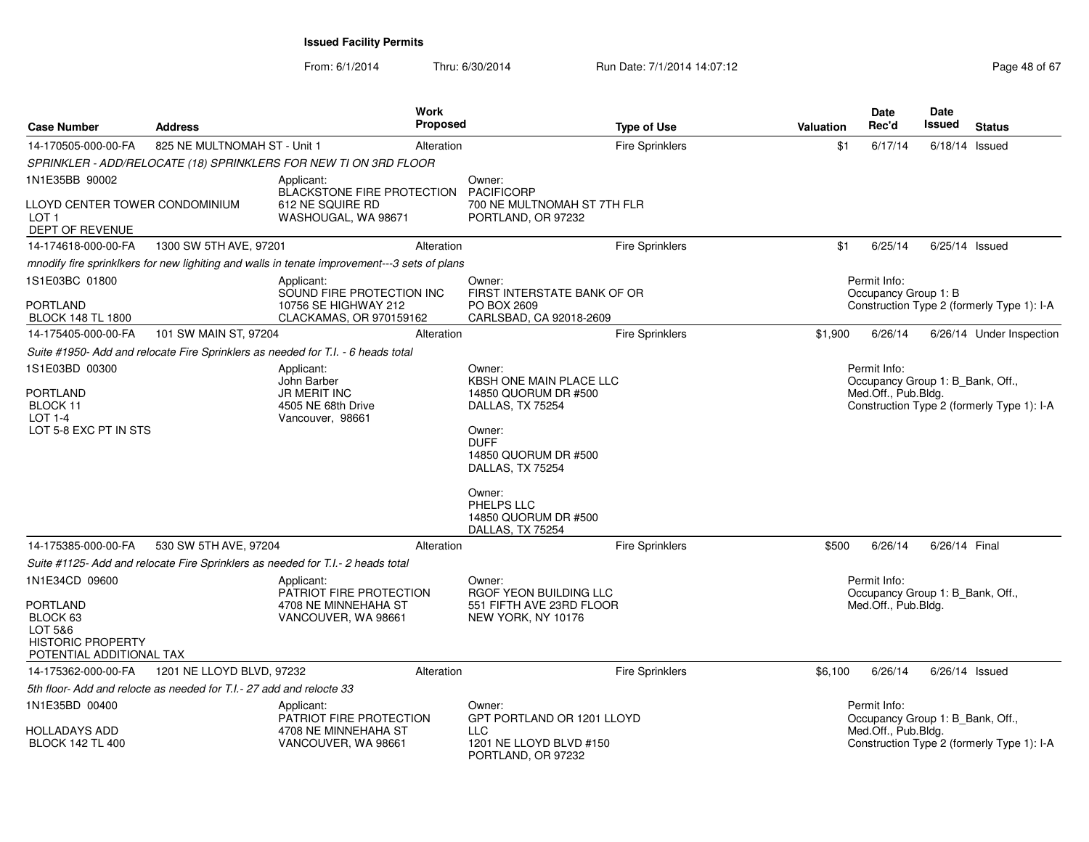| <b>Case Number</b>                                                                                               | <b>Address</b>                                                       | <b>Work</b><br><b>Proposed</b>                                                               |                                                                                                                                                                                                              | <b>Type of Use</b>     | <b>Valuation</b> | <b>Date</b><br>Rec'd                                                    | <b>Date</b><br>Issued | <b>Status</b>                              |
|------------------------------------------------------------------------------------------------------------------|----------------------------------------------------------------------|----------------------------------------------------------------------------------------------|--------------------------------------------------------------------------------------------------------------------------------------------------------------------------------------------------------------|------------------------|------------------|-------------------------------------------------------------------------|-----------------------|--------------------------------------------|
| 14-170505-000-00-FA                                                                                              | 825 NE MULTNOMAH ST - Unit 1                                         | Alteration                                                                                   |                                                                                                                                                                                                              | <b>Fire Sprinklers</b> | \$1              | 6/17/14                                                                 | $6/18/14$ Issued      |                                            |
|                                                                                                                  |                                                                      | SPRINKLER - ADD/RELOCATE (18) SPRINKLERS FOR NEW TI ON 3RD FLOOR                             |                                                                                                                                                                                                              |                        |                  |                                                                         |                       |                                            |
| 1N1E35BB 90002                                                                                                   |                                                                      | Applicant:                                                                                   | Owner:                                                                                                                                                                                                       |                        |                  |                                                                         |                       |                                            |
| LLOYD CENTER TOWER CONDOMINIUM<br>LOT <sub>1</sub><br>DEPT OF REVENUE                                            |                                                                      | <b>BLACKSTONE FIRE PROTECTION</b><br>612 NE SQUIRE RD<br>WASHOUGAL, WA 98671                 | <b>PACIFICORP</b><br>700 NE MULTNOMAH ST 7TH FLR<br>PORTLAND, OR 97232                                                                                                                                       |                        |                  |                                                                         |                       |                                            |
| 14-174618-000-00-FA                                                                                              | 1300 SW 5TH AVE, 97201                                               | Alteration                                                                                   |                                                                                                                                                                                                              | <b>Fire Sprinklers</b> | \$1              | 6/25/14                                                                 | $6/25/14$ Issued      |                                            |
|                                                                                                                  |                                                                      | mnodify fire sprinklkers for new lighiting and walls in tenate improvement---3 sets of plans |                                                                                                                                                                                                              |                        |                  |                                                                         |                       |                                            |
| 1S1E03BC 01800<br><b>PORTLAND</b><br><b>BLOCK 148 TL 1800</b>                                                    |                                                                      | Applicant:<br>SOUND FIRE PROTECTION INC<br>10756 SE HIGHWAY 212<br>CLACKAMAS, OR 970159162   | Owner:<br>FIRST INTERSTATE BANK OF OR<br>PO BOX 2609<br>CARLSBAD, CA 92018-2609                                                                                                                              |                        |                  | Permit Info:<br>Occupancy Group 1: B                                    |                       | Construction Type 2 (formerly Type 1): I-A |
| 14-175405-000-00-FA                                                                                              | 101 SW MAIN ST, 97204                                                | Alteration                                                                                   |                                                                                                                                                                                                              | <b>Fire Sprinklers</b> | \$1,900          | 6/26/14                                                                 |                       | 6/26/14 Under Inspection                   |
|                                                                                                                  |                                                                      | Suite #1950- Add and relocate Fire Sprinklers as needed for T.I. - 6 heads total             |                                                                                                                                                                                                              |                        |                  |                                                                         |                       |                                            |
| 1S1E03BD 00300                                                                                                   |                                                                      | Applicant:                                                                                   | Owner:                                                                                                                                                                                                       |                        |                  | Permit Info:                                                            |                       |                                            |
| <b>PORTLAND</b><br>BLOCK 11<br>LOT 1-4<br>LOT 5-8 EXC PT IN STS                                                  |                                                                      | John Barber<br><b>JR MERIT INC</b><br>4505 NE 68th Drive<br>Vancouver, 98661                 | KBSH ONE MAIN PLACE LLC<br>14850 QUORUM DR #500<br>DALLAS, TX 75254<br>Owner:<br><b>DUFF</b><br>14850 QUORUM DR #500<br>DALLAS, TX 75254<br>Owner:<br>PHELPS LLC<br>14850 QUORUM DR #500<br>DALLAS, TX 75254 |                        |                  | Occupancy Group 1: B_Bank, Off.,<br>Med.Off., Pub.Bldg.                 |                       | Construction Type 2 (formerly Type 1): I-A |
| 14-175385-000-00-FA                                                                                              | 530 SW 5TH AVE, 97204                                                | Alteration                                                                                   |                                                                                                                                                                                                              | <b>Fire Sprinklers</b> | \$500            | 6/26/14                                                                 | 6/26/14 Final         |                                            |
|                                                                                                                  |                                                                      | Suite #1125- Add and relocate Fire Sprinklers as needed for T.I.- 2 heads total              |                                                                                                                                                                                                              |                        |                  |                                                                         |                       |                                            |
| 1N1E34CD 09600<br><b>PORTLAND</b><br>BLOCK 63<br>LOT 5&6<br><b>HISTORIC PROPERTY</b><br>POTENTIAL ADDITIONAL TAX |                                                                      | Applicant:<br>PATRIOT FIRE PROTECTION<br>4708 NE MINNEHAHA ST<br>VANCOUVER, WA 98661         | Owner:<br>RGOF YEON BUILDING LLC<br>551 FIFTH AVE 23RD FLOOR<br>NEW YORK, NY 10176                                                                                                                           |                        |                  | Permit Info:<br>Occupancy Group 1: B_Bank, Off.,<br>Med.Off., Pub.Bldg. |                       |                                            |
| 14-175362-000-00-FA                                                                                              | 1201 NE LLOYD BLVD, 97232                                            | Alteration                                                                                   |                                                                                                                                                                                                              | <b>Fire Sprinklers</b> | \$6,100          | 6/26/14                                                                 | $6/26/14$ Issued      |                                            |
|                                                                                                                  | 5th floor- Add and relocte as needed for T.I.- 27 add and relocte 33 |                                                                                              |                                                                                                                                                                                                              |                        |                  |                                                                         |                       |                                            |
| 1N1E35BD 00400<br>HOLLADAYS ADD<br><b>BLOCK 142 TL 400</b>                                                       |                                                                      | Applicant:<br>PATRIOT FIRE PROTECTION<br>4708 NE MINNEHAHA ST<br>VANCOUVER, WA 98661         | Owner:<br>GPT PORTLAND OR 1201 LLOYD<br>LLC<br>1201 NE LLOYD BLVD #150                                                                                                                                       |                        |                  | Permit Info:<br>Occupancy Group 1: B Bank, Off.,<br>Med.Off., Pub.Bldg. |                       | Construction Type 2 (formerly Type 1): I-A |
|                                                                                                                  |                                                                      |                                                                                              | PORTLAND, OR 97232                                                                                                                                                                                           |                        |                  |                                                                         |                       |                                            |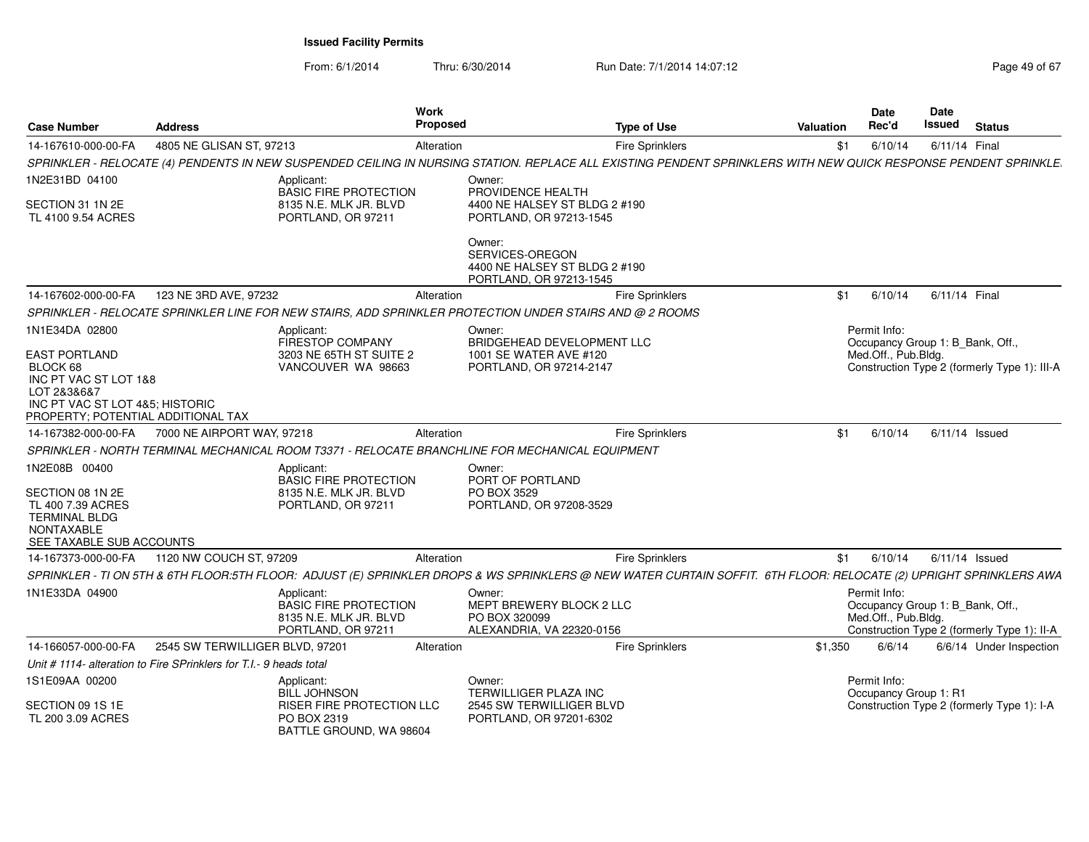From: 6/1/2014Thru: 6/30/2014 Run Date: 7/1/2014 14:07:12 Rege 49 of 67

| <b>Case Number</b>                                                                                                                                | <b>Address</b>                                                                                                                                                     | <b>Work</b><br>Proposed     | <b>Type of Use</b>                                       | <b>Valuation</b> | <b>Date</b><br>Rec'd                                                    | Date<br><b>Issued</b> | <b>Status</b>                                |
|---------------------------------------------------------------------------------------------------------------------------------------------------|--------------------------------------------------------------------------------------------------------------------------------------------------------------------|-----------------------------|----------------------------------------------------------|------------------|-------------------------------------------------------------------------|-----------------------|----------------------------------------------|
| 14-167610-000-00-FA                                                                                                                               | 4805 NE GLISAN ST, 97213                                                                                                                                           | Alteration                  | Fire Sprinklers                                          | \$1              | 6/10/14                                                                 | 6/11/14 Final         |                                              |
|                                                                                                                                                   | SPRINKLER - RELOCATE (4) PENDENTS IN NEW SUSPENDED CEILING IN NURSING STATION. REPLACE ALL EXISTING PENDENT SPRINKLERS WITH NEW QUICK RESPONSE PENDENT SPRINKLE.   |                             |                                                          |                  |                                                                         |                       |                                              |
| 1N2E31BD 04100                                                                                                                                    | Applicant:<br><b>BASIC FIRE PROTECTION</b>                                                                                                                         | Owner:<br>PROVIDENCE HEALTH |                                                          |                  |                                                                         |                       |                                              |
| SECTION 31 1N 2E<br>TL 4100 9.54 ACRES                                                                                                            | 8135 N.E. MLK JR. BLVD<br>PORTLAND, OR 97211                                                                                                                       |                             | 4400 NE HALSEY ST BLDG 2 #190<br>PORTLAND, OR 97213-1545 |                  |                                                                         |                       |                                              |
|                                                                                                                                                   |                                                                                                                                                                    | Owner:<br>SERVICES-OREGON   | 4400 NE HALSEY ST BLDG 2 #190<br>PORTLAND, OR 97213-1545 |                  |                                                                         |                       |                                              |
| 14-167602-000-00-FA                                                                                                                               | 123 NE 3RD AVE, 97232                                                                                                                                              | Alteration                  | Fire Sprinklers                                          | \$1              | 6/10/14                                                                 | 6/11/14 Final         |                                              |
|                                                                                                                                                   | SPRINKLER - RELOCATE SPRINKLER LINE FOR NEW STAIRS, ADD SPRINKLER PROTECTION UNDER STAIRS AND @ 2 ROOMS                                                            |                             |                                                          |                  |                                                                         |                       |                                              |
| 1N1E34DA 02800                                                                                                                                    | Applicant:<br><b>FIRESTOP COMPANY</b>                                                                                                                              | Owner:                      | BRIDGEHEAD DEVELOPMENT LLC                               |                  | Permit Info:<br>Occupancy Group 1: B_Bank, Off.,                        |                       |                                              |
| <b>EAST PORTLAND</b><br>BLOCK 68<br>INC PT VAC ST LOT 1&8<br>LOT 2&3&6&7<br>INC PT VAC ST LOT 4&5; HISTORIC<br>PROPERTY: POTENTIAL ADDITIONAL TAX | 3203 NE 65TH ST SUITE 2<br>VANCOUVER WA 98663                                                                                                                      |                             | 1001 SE WATER AVE #120<br>PORTLAND, OR 97214-2147        |                  | Med.Off., Pub.Bldg.                                                     |                       | Construction Type 2 (formerly Type 1): III-A |
| 14-167382-000-00-FA                                                                                                                               | 7000 NE AIRPORT WAY, 97218                                                                                                                                         | Alteration                  | <b>Fire Sprinklers</b>                                   | \$1              | 6/10/14                                                                 |                       | $6/11/14$ Issued                             |
|                                                                                                                                                   | SPRINKLER - NORTH TERMINAL MECHANICAL ROOM T3371 - RELOCATE BRANCHLINE FOR MECHANICAL EQUIPMENT                                                                    |                             |                                                          |                  |                                                                         |                       |                                              |
| 1N2E08B 00400                                                                                                                                     | Applicant:<br><b>BASIC FIRE PROTECTION</b>                                                                                                                         | Owner:<br>PORT OF PORTLAND  |                                                          |                  |                                                                         |                       |                                              |
| SECTION 08 1N 2E<br>TL 400 7.39 ACRES<br><b>TERMINAL BLDG</b><br>NONTAXABLE<br>SEE TAXABLE SUB ACCOUNTS                                           | 8135 N.E. MLK JR. BLVD<br>PORTLAND, OR 97211                                                                                                                       | PO BOX 3529                 | PORTLAND, OR 97208-3529                                  |                  |                                                                         |                       |                                              |
| 14-167373-000-00-FA                                                                                                                               | 1120 NW COUCH ST, 97209                                                                                                                                            | Alteration                  | Fire Sprinklers                                          | \$1              | 6/10/14                                                                 |                       | $6/11/14$ Issued                             |
|                                                                                                                                                   | SPRINKLER - TI ON 5TH & 6TH FLOOR:5TH FLOOR: ADJUST (E) SPRINKLER DROPS & WS SPRINKLERS @ NEW WATER CURTAIN SOFFIT. 6TH FLOOR: RELOCATE (2) UPRIGHT SPRINKLERS AWA |                             |                                                          |                  |                                                                         |                       |                                              |
| 1N1E33DA 04900                                                                                                                                    | Applicant:<br><b>BASIC FIRE PROTECTION</b><br>8135 N.E. MLK JR. BLVD<br>PORTLAND, OR 97211                                                                         | Owner:<br>PO BOX 320099     | MEPT BREWERY BLOCK 2 LLC<br>ALEXANDRIA, VA 22320-0156    |                  | Permit Info:<br>Occupancy Group 1: B_Bank, Off.,<br>Med.Off., Pub.Bldg. |                       | Construction Type 2 (formerly Type 1): II-A  |
| 14-166057-000-00-FA                                                                                                                               | 2545 SW TERWILLIGER BLVD, 97201                                                                                                                                    | Alteration                  | Fire Sprinklers                                          | \$1,350          | 6/6/14                                                                  |                       | 6/6/14 Under Inspection                      |
|                                                                                                                                                   | Unit # 1114- alteration to Fire SPrinklers for T.I.- 9 heads total                                                                                                 |                             |                                                          |                  |                                                                         |                       |                                              |
| 1S1E09AA 00200                                                                                                                                    | Applicant:<br><b>BILL JOHNSON</b>                                                                                                                                  | Owner:                      | TERWILLIGER PLAZA INC                                    |                  | Permit Info:<br>Occupancy Group 1: R1                                   |                       |                                              |
| SECTION 09 1S 1E<br>TL 200 3.09 ACRES                                                                                                             | <b>RISER FIRE PROTECTION LLC</b><br>PO BOX 2319<br>BATTLE GROUND, WA 98604                                                                                         |                             | 2545 SW TERWILLIGER BLVD<br>PORTLAND, OR 97201-6302      |                  |                                                                         |                       | Construction Type 2 (formerly Type 1): I-A   |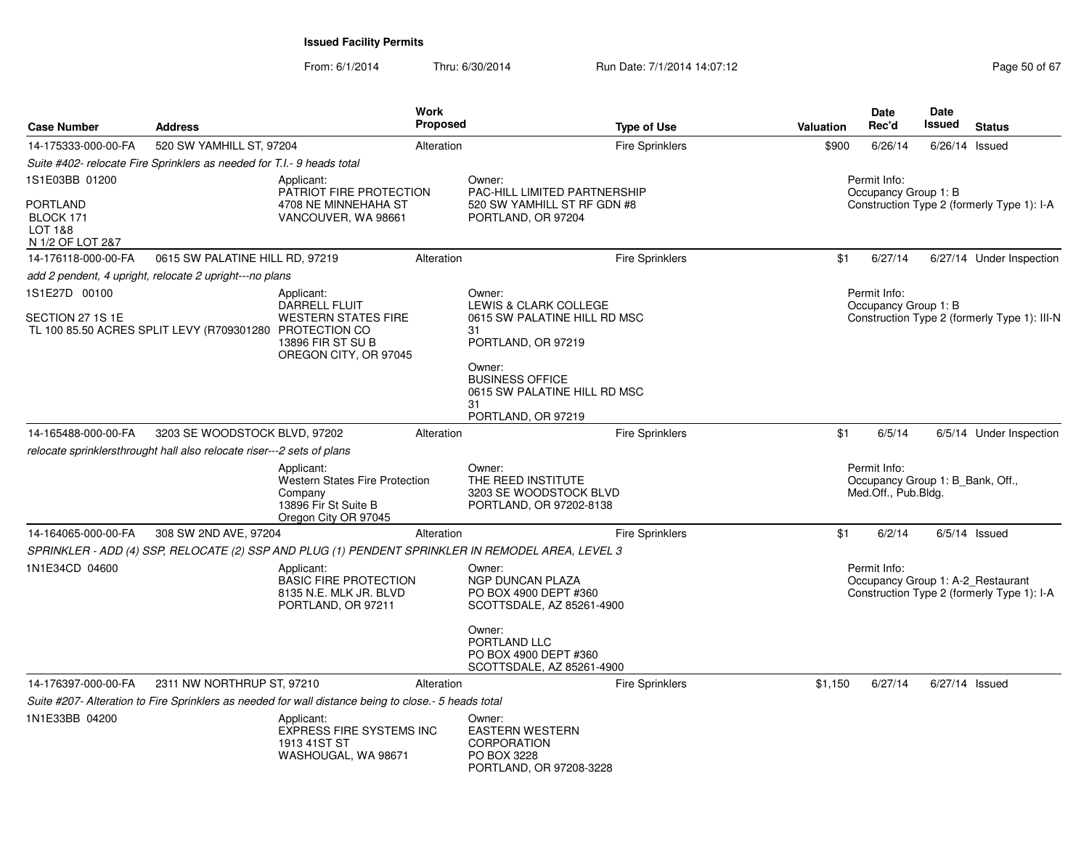| <b>Case Number</b>                                                            | <b>Address</b>                                                         |                                                                                                                | Work<br><b>Proposed</b> |                                                                                                   | <b>Type of Use</b>     | <b>Valuation</b> | <b>Date</b><br>Rec'd                                                    | <b>Date</b><br>Issued | <b>Status</b>                                                                   |
|-------------------------------------------------------------------------------|------------------------------------------------------------------------|----------------------------------------------------------------------------------------------------------------|-------------------------|---------------------------------------------------------------------------------------------------|------------------------|------------------|-------------------------------------------------------------------------|-----------------------|---------------------------------------------------------------------------------|
| 14-175333-000-00-FA                                                           | 520 SW YAMHILL ST, 97204                                               |                                                                                                                | Alteration              |                                                                                                   | <b>Fire Sprinklers</b> | \$900            | 6/26/14                                                                 |                       | $6/26/14$ Issued                                                                |
|                                                                               | Suite #402- relocate Fire Sprinklers as needed for T.I.- 9 heads total |                                                                                                                |                         |                                                                                                   |                        |                  |                                                                         |                       |                                                                                 |
| 1S1E03BB 01200<br><b>PORTLAND</b><br>BLOCK 171<br>LOT 1&8<br>N 1/2 OF LOT 2&7 |                                                                        | Applicant:<br>PATRIOT FIRE PROTECTION<br>4708 NE MINNEHAHA ST<br>VANCOUVER, WA 98661                           |                         | Owner:<br>PAC-HILL LIMITED PARTNERSHIP<br>520 SW YAMHILL ST RF GDN #8<br>PORTLAND, OR 97204       |                        |                  | Permit Info:<br>Occupancy Group 1: B                                    |                       | Construction Type 2 (formerly Type 1): I-A                                      |
| 14-176118-000-00-FA                                                           | 0615 SW PALATINE HILL RD, 97219                                        |                                                                                                                | Alteration              |                                                                                                   | Fire Sprinklers        | \$1              | 6/27/14                                                                 |                       | 6/27/14 Under Inspection                                                        |
|                                                                               | add 2 pendent, 4 upright, relocate 2 upright---no plans                |                                                                                                                |                         |                                                                                                   |                        |                  |                                                                         |                       |                                                                                 |
| 1S1E27D 00100<br>SECTION 27 1S 1E                                             | TL 100 85.50 ACRES SPLIT LEVY (R709301280 PROTECTION CO                | Applicant:<br>DARRELL FLUIT<br><b>WESTERN STATES FIRE</b><br>13896 FIR ST SU B<br>OREGON CITY, OR 97045        |                         | Owner:<br>LEWIS & CLARK COLLEGE<br>0615 SW PALATINE HILL RD MSC<br>31<br>PORTLAND, OR 97219       |                        |                  | Permit Info:<br>Occupancy Group 1: B                                    |                       | Construction Type 2 (formerly Type 1): III-N                                    |
|                                                                               |                                                                        |                                                                                                                |                         | Owner:<br><b>BUSINESS OFFICE</b><br>0615 SW PALATINE HILL RD MSC<br>31<br>PORTLAND, OR 97219      |                        |                  |                                                                         |                       |                                                                                 |
| 14-165488-000-00-FA                                                           | 3203 SE WOODSTOCK BLVD, 97202                                          |                                                                                                                | Alteration              |                                                                                                   | <b>Fire Sprinklers</b> | \$1              | 6/5/14                                                                  |                       | 6/5/14 Under Inspection                                                         |
|                                                                               | relocate sprinklersthrought hall also relocate riser---2 sets of plans |                                                                                                                |                         |                                                                                                   |                        |                  |                                                                         |                       |                                                                                 |
|                                                                               |                                                                        | Applicant:<br><b>Western States Fire Protection</b><br>Company<br>13896 Fir St Suite B<br>Oregon City OR 97045 |                         | Owner:<br>THE REED INSTITUTE<br>3203 SE WOODSTOCK BLVD<br>PORTLAND, OR 97202-8138                 |                        |                  | Permit Info:<br>Occupancy Group 1: B_Bank, Off.,<br>Med.Off., Pub.Bldg. |                       |                                                                                 |
| 14-164065-000-00-FA                                                           | 308 SW 2ND AVE, 97204                                                  |                                                                                                                | Alteration              |                                                                                                   | <b>Fire Sprinklers</b> | \$1              | 6/2/14                                                                  |                       | $6/5/14$ Issued                                                                 |
|                                                                               |                                                                        |                                                                                                                |                         | SPRINKLER - ADD (4) SSP, RELOCATE (2) SSP AND PLUG (1) PENDENT SPRINKLER IN REMODEL AREA, LEVEL 3 |                        |                  |                                                                         |                       |                                                                                 |
| 1N1E34CD 04600                                                                |                                                                        | Applicant:<br><b>BASIC FIRE PROTECTION</b><br>8135 N.E. MLK JR. BLVD<br>PORTLAND, OR 97211                     |                         | Owner:<br><b>NGP DUNCAN PLAZA</b><br>PO BOX 4900 DEPT #360<br>SCOTTSDALE, AZ 85261-4900           |                        |                  | Permit Info:                                                            |                       | Occupancy Group 1: A-2_Restaurant<br>Construction Type 2 (formerly Type 1): I-A |
|                                                                               |                                                                        |                                                                                                                |                         | Owner:<br>PORTLAND LLC<br>PO BOX 4900 DEPT #360<br>SCOTTSDALE, AZ 85261-4900                      |                        |                  |                                                                         |                       |                                                                                 |
| 14-176397-000-00-FA                                                           | 2311 NW NORTHRUP ST, 97210                                             |                                                                                                                | Alteration              |                                                                                                   | <b>Fire Sprinklers</b> | \$1,150          | 6/27/14                                                                 |                       | 6/27/14 Issued                                                                  |
|                                                                               |                                                                        | Suite #207- Alteration to Fire Sprinklers as needed for wall distance being to close.- 5 heads total           |                         |                                                                                                   |                        |                  |                                                                         |                       |                                                                                 |
| 1N1E33BB 04200                                                                |                                                                        | Applicant:<br><b>EXPRESS FIRE SYSTEMS INC</b><br>1913 41ST ST<br>WASHOUGAL, WA 98671                           |                         | Owner:<br><b>EASTERN WESTERN</b><br>CORPORATION<br>PO BOX 3228<br>PORTLAND, OR 97208-3228         |                        |                  |                                                                         |                       |                                                                                 |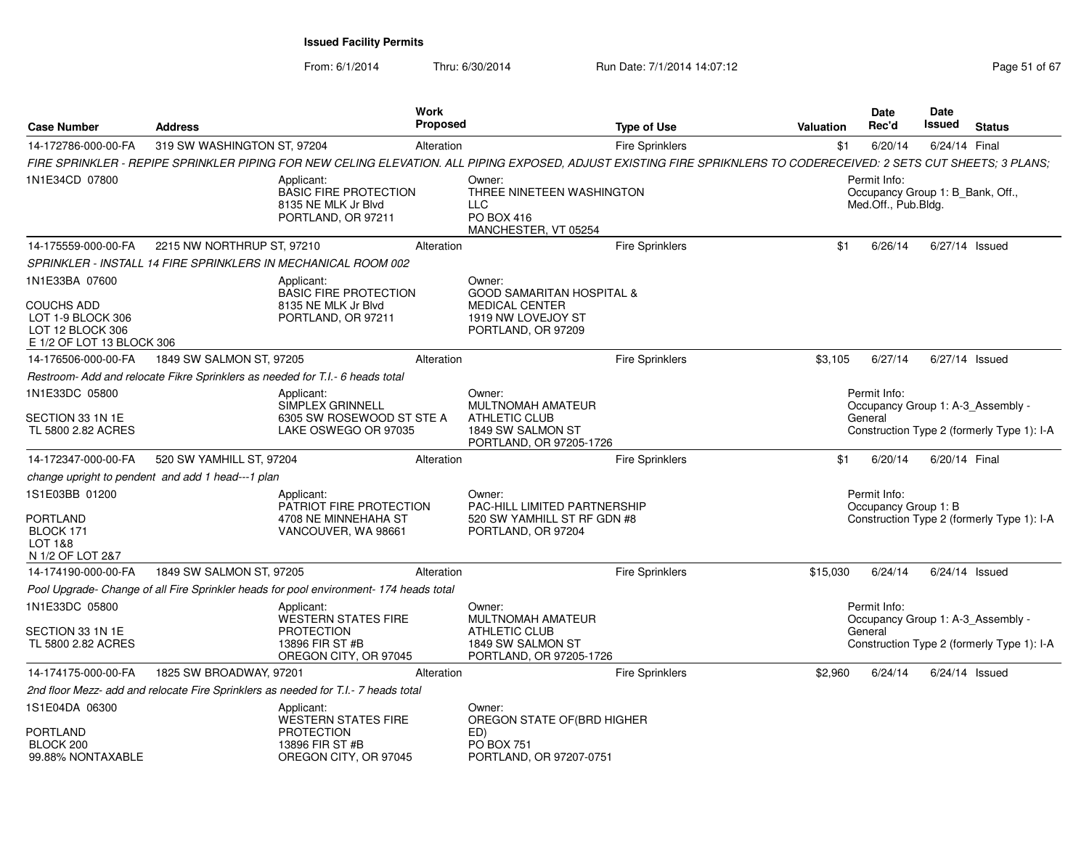From: 6/1/2014Thru: 6/30/2014 Run Date: 7/1/2014 14:07:12 Rege 51 of 67

| <b>Case Number</b>                                                     | <b>Address</b>                                    |                                                                                                           | <b>Work</b><br><b>Proposed</b> |                                                                                                                                                                     | <b>Type of Use</b>     | <b>Valuation</b> | <b>Date</b><br>Rec'd                                                    | <b>Date</b><br>Issued | <b>Status</b>                                                                   |
|------------------------------------------------------------------------|---------------------------------------------------|-----------------------------------------------------------------------------------------------------------|--------------------------------|---------------------------------------------------------------------------------------------------------------------------------------------------------------------|------------------------|------------------|-------------------------------------------------------------------------|-----------------------|---------------------------------------------------------------------------------|
| 14-172786-000-00-FA                                                    | 319 SW WASHINGTON ST, 97204                       |                                                                                                           | Alteration                     |                                                                                                                                                                     | Fire Sprinklers        | \$1              | 6/20/14                                                                 | 6/24/14 Final         |                                                                                 |
|                                                                        |                                                   |                                                                                                           |                                | FIRE SPRINKLER - REPIPE SPRINKLER PIPING FOR NEW CELING ELEVATION. ALL PIPING EXPOSED, ADJUST EXISTING FIRE SPRIKNLERS TO CODERECEIVED: 2 SETS CUT SHEETS; 3 PLANS; |                        |                  |                                                                         |                       |                                                                                 |
| 1N1E34CD 07800                                                         |                                                   | Applicant:<br><b>BASIC FIRE PROTECTION</b><br>8135 NE MLK Jr Blvd<br>PORTLAND, OR 97211                   |                                | Owner:<br>THREE NINETEEN WASHINGTON<br><b>LLC</b><br>PO BOX 416<br>MANCHESTER, VT 05254                                                                             |                        |                  | Permit Info:<br>Occupancy Group 1: B_Bank, Off.,<br>Med.Off., Pub.Bldg. |                       |                                                                                 |
| 14-175559-000-00-FA                                                    | 2215 NW NORTHRUP ST, 97210                        |                                                                                                           | Alteration                     |                                                                                                                                                                     | Fire Sprinklers        | \$1              | 6/26/14                                                                 |                       | $6/27/14$ Issued                                                                |
|                                                                        |                                                   | SPRINKLER - INSTALL 14 FIRE SPRINKLERS IN MECHANICAL ROOM 002                                             |                                |                                                                                                                                                                     |                        |                  |                                                                         |                       |                                                                                 |
| 1N1E33BA 07600<br>COUCHS ADD<br>LOT 1-9 BLOCK 306<br>LOT 12 BLOCK 306  |                                                   | Applicant:<br><b>BASIC FIRE PROTECTION</b><br>8135 NE MLK Jr Blyd<br>PORTLAND, OR 97211                   |                                | Owner:<br><b>GOOD SAMARITAN HOSPITAL &amp;</b><br><b>MEDICAL CENTER</b><br>1919 NW LOVEJOY ST<br>PORTLAND, OR 97209                                                 |                        |                  |                                                                         |                       |                                                                                 |
| E 1/2 OF LOT 13 BLOCK 306<br>14-176506-000-00-FA                       | 1849 SW SALMON ST, 97205                          |                                                                                                           | Alteration                     |                                                                                                                                                                     | <b>Fire Sprinklers</b> | \$3.105          | 6/27/14                                                                 |                       | 6/27/14 Issued                                                                  |
|                                                                        |                                                   |                                                                                                           |                                |                                                                                                                                                                     |                        |                  |                                                                         |                       |                                                                                 |
| 1N1E33DC 05800                                                         |                                                   | Restroom- Add and relocate Fikre Sprinklers as needed for T.I.- 6 heads total                             |                                | Owner:                                                                                                                                                              |                        |                  | Permit Info:                                                            |                       |                                                                                 |
| SECTION 33 1N 1E<br>TL 5800 2.82 ACRES                                 |                                                   | Applicant:<br><b>SIMPLEX GRINNELL</b><br>6305 SW ROSEWOOD ST STE A<br>LAKE OSWEGO OR 97035                |                                | <b>MULTNOMAH AMATEUR</b><br><b>ATHLETIC CLUB</b><br>1849 SW SALMON ST<br>PORTLAND, OR 97205-1726                                                                    |                        |                  | General                                                                 |                       | Occupancy Group 1: A-3_Assembly -<br>Construction Type 2 (formerly Type 1): I-A |
| 14-172347-000-00-FA                                                    | 520 SW YAMHILL ST, 97204                          |                                                                                                           | Alteration                     |                                                                                                                                                                     | <b>Fire Sprinklers</b> | \$1              | 6/20/14                                                                 | 6/20/14 Final         |                                                                                 |
|                                                                        | change upright to pendent and add 1 head---1 plan |                                                                                                           |                                |                                                                                                                                                                     |                        |                  |                                                                         |                       |                                                                                 |
| 1S1E03BB 01200<br>PORTLAND<br>BLOCK 171<br>LOT 1&8<br>N 1/2 OF LOT 2&7 |                                                   | Applicant:<br>PATRIOT FIRE PROTECTION<br>4708 NE MINNEHAHA ST<br>VANCOUVER, WA 98661                      |                                | Owner:<br>PAC-HILL LIMITED PARTNERSHIP<br>520 SW YAMHILL ST RF GDN #8<br>PORTLAND, OR 97204                                                                         |                        |                  | Permit Info:<br>Occupancy Group 1: B                                    |                       | Construction Type 2 (formerly Type 1): I-A                                      |
| 14-174190-000-00-FA                                                    | 1849 SW SALMON ST, 97205                          |                                                                                                           | Alteration                     |                                                                                                                                                                     | <b>Fire Sprinklers</b> | \$15,030         | 6/24/14                                                                 |                       | $6/24/14$ Issued                                                                |
|                                                                        |                                                   | Pool Upgrade- Change of all Fire Sprinkler heads for pool environment- 174 heads total                    |                                |                                                                                                                                                                     |                        |                  |                                                                         |                       |                                                                                 |
| 1N1E33DC 05800<br>SECTION 33 1N 1E<br>TL 5800 2.82 ACRES               |                                                   | Applicant:<br><b>WESTERN STATES FIRE</b><br><b>PROTECTION</b><br>13896 FIR ST #B<br>OREGON CITY, OR 97045 |                                | Owner:<br>MULTNOMAH AMATEUR<br><b>ATHLETIC CLUB</b><br>1849 SW SALMON ST<br>PORTLAND, OR 97205-1726                                                                 |                        |                  | Permit Info:<br>General                                                 |                       | Occupancy Group 1: A-3 Assembly -<br>Construction Type 2 (formerly Type 1): I-A |
| 14-174175-000-00-FA                                                    | 1825 SW BROADWAY, 97201                           |                                                                                                           | Alteration                     |                                                                                                                                                                     | <b>Fire Sprinklers</b> | \$2,960          | 6/24/14                                                                 |                       | $6/24/14$ Issued                                                                |
|                                                                        |                                                   | 2nd floor Mezz- add and relocate Fire Sprinklers as needed for T.I.- 7 heads total                        |                                |                                                                                                                                                                     |                        |                  |                                                                         |                       |                                                                                 |
| 1S1E04DA 06300                                                         |                                                   | Applicant:<br><b>WESTERN STATES FIRE</b>                                                                  |                                | Owner:<br>OREGON STATE OF(BRD HIGHER                                                                                                                                |                        |                  |                                                                         |                       |                                                                                 |
| PORTLAND<br>BLOCK 200<br>99.88% NONTAXABLE                             |                                                   | <b>PROTECTION</b><br>13896 FIR ST #B<br>OREGON CITY, OR 97045                                             |                                | ED)<br><b>PO BOX 751</b><br>PORTLAND, OR 97207-0751                                                                                                                 |                        |                  |                                                                         |                       |                                                                                 |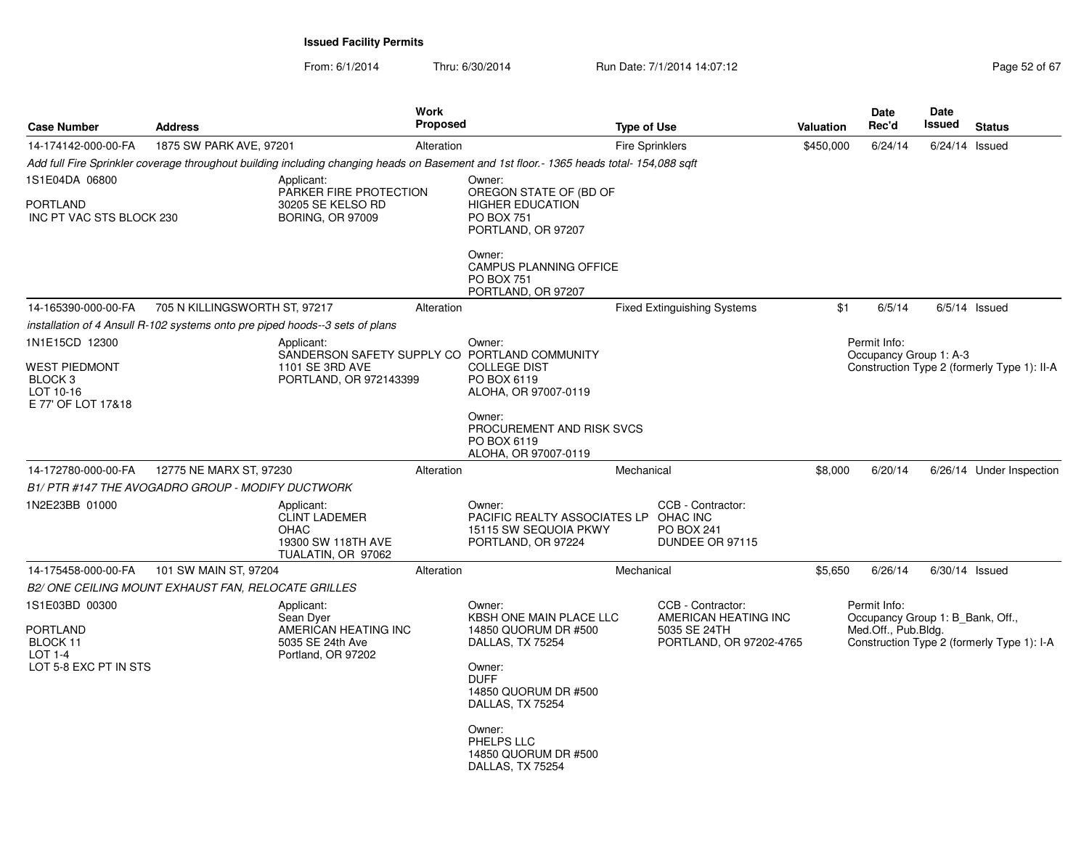| <b>Case Number</b>                                                                   | <b>Address</b>                |                                                                                           | <b>Work</b><br><b>Proposed</b> |                                                                                                                                                                                                                        | <b>Type of Use</b>     |                                                                                      | Valuation | Date<br>Rec'd                                                           | Date<br><b>Issued</b> | <b>Status</b>                               |
|--------------------------------------------------------------------------------------|-------------------------------|-------------------------------------------------------------------------------------------|--------------------------------|------------------------------------------------------------------------------------------------------------------------------------------------------------------------------------------------------------------------|------------------------|--------------------------------------------------------------------------------------|-----------|-------------------------------------------------------------------------|-----------------------|---------------------------------------------|
| 14-174142-000-00-FA                                                                  | 1875 SW PARK AVE, 97201       |                                                                                           | Alteration                     |                                                                                                                                                                                                                        | <b>Fire Sprinklers</b> |                                                                                      | \$450,000 | 6/24/14                                                                 | $6/24/14$ Issued      |                                             |
|                                                                                      |                               |                                                                                           |                                | Add full Fire Sprinkler coverage throughout building including changing heads on Basement and 1st floor.- 1365 heads total- 154,088 sqft                                                                               |                        |                                                                                      |           |                                                                         |                       |                                             |
| 1S1E04DA 06800                                                                       |                               | Applicant:<br>PARKER FIRE PROTECTION                                                      |                                | Owner:<br>OREGON STATE OF (BD OF                                                                                                                                                                                       |                        |                                                                                      |           |                                                                         |                       |                                             |
| <b>PORTLAND</b><br>INC PT VAC STS BLOCK 230                                          |                               | 30205 SE KELSO RD<br><b>BORING, OR 97009</b>                                              |                                | <b>HIGHER EDUCATION</b><br><b>PO BOX 751</b><br>PORTLAND, OR 97207                                                                                                                                                     |                        |                                                                                      |           |                                                                         |                       |                                             |
|                                                                                      |                               |                                                                                           |                                | Owner:<br><b>CAMPUS PLANNING OFFICE</b><br><b>PO BOX 751</b><br>PORTLAND, OR 97207                                                                                                                                     |                        |                                                                                      |           |                                                                         |                       |                                             |
| 14-165390-000-00-FA                                                                  | 705 N KILLINGSWORTH ST, 97217 |                                                                                           | Alteration                     |                                                                                                                                                                                                                        |                        | <b>Fixed Extinguishing Systems</b>                                                   | \$1       | 6/5/14                                                                  |                       | $6/5/14$ Issued                             |
| installation of 4 Ansull R-102 systems onto pre piped hoods--3 sets of plans         |                               |                                                                                           |                                |                                                                                                                                                                                                                        |                        |                                                                                      |           |                                                                         |                       |                                             |
| 1N1E15CD 12300<br><b>WEST PIEDMONT</b><br>BLOCK 3<br>LOT 10-16<br>E 77' OF LOT 17&18 |                               | Applicant:<br>1101 SE 3RD AVE<br>PORTLAND, OR 972143399                                   |                                | Owner:<br>SANDERSON SAFETY SUPPLY CO PORTLAND COMMUNITY<br><b>COLLEGE DIST</b><br>PO BOX 6119<br>ALOHA, OR 97007-0119                                                                                                  |                        |                                                                                      |           | Permit Info:<br>Occupancy Group 1: A-3                                  |                       | Construction Type 2 (formerly Type 1): II-A |
| 14-172780-000-00-FA                                                                  | 12775 NE MARX ST, 97230       |                                                                                           | Alteration                     | Owner:<br>PROCUREMENT AND RISK SVCS<br>PO BOX 6119<br>ALOHA, OR 97007-0119                                                                                                                                             | Mechanical             |                                                                                      | \$8,000   | 6/20/14                                                                 |                       |                                             |
|                                                                                      |                               |                                                                                           |                                |                                                                                                                                                                                                                        |                        |                                                                                      |           |                                                                         |                       | 6/26/14 Under Inspection                    |
| B1/ PTR #147 THE AVOGADRO GROUP - MODIFY DUCTWORK<br>1N2E23BB 01000                  |                               | Applicant:<br><b>CLINT LADEMER</b><br>OHAC<br>19300 SW 118TH AVE<br>TUALATIN, OR 97062    |                                | Owner:<br>PACIFIC REALTY ASSOCIATES LP OHAC INC<br>15115 SW SEQUOIA PKWY<br>PORTLAND, OR 97224                                                                                                                         |                        | CCB - Contractor:<br>PO BOX 241<br>DUNDEE OR 97115                                   |           |                                                                         |                       |                                             |
| 14-175458-000-00-FA                                                                  | 101 SW MAIN ST, 97204         |                                                                                           | Alteration                     |                                                                                                                                                                                                                        | Mechanical             |                                                                                      | \$5,650   | 6/26/14                                                                 | $6/30/14$ Issued      |                                             |
| B2/ONE CEILING MOUNT EXHAUST FAN, RELOCATE GRILLES                                   |                               |                                                                                           |                                |                                                                                                                                                                                                                        |                        |                                                                                      |           |                                                                         |                       |                                             |
| 1S1E03BD 00300<br>PORTLAND<br>BLOCK 11<br>LOT 1-4<br>LOT 5-8 EXC PT IN STS           |                               | Applicant:<br>Sean Dyer<br>AMERICAN HEATING INC<br>5035 SE 24th Ave<br>Portland, OR 97202 |                                | Owner:<br>KBSH ONE MAIN PLACE LLC<br>14850 QUORUM DR #500<br>DALLAS, TX 75254<br>Owner:<br><b>DUFF</b><br>14850 QUORUM DR #500<br>DALLAS, TX 75254<br>Owner:<br>PHELPS LLC<br>14850 QUORUM DR #500<br>DALLAS, TX 75254 |                        | CCB - Contractor:<br>AMERICAN HEATING INC<br>5035 SE 24TH<br>PORTLAND, OR 97202-4765 |           | Permit Info:<br>Occupancy Group 1: B Bank, Off.,<br>Med.Off., Pub.Bldg. |                       | Construction Type 2 (formerly Type 1): I-A  |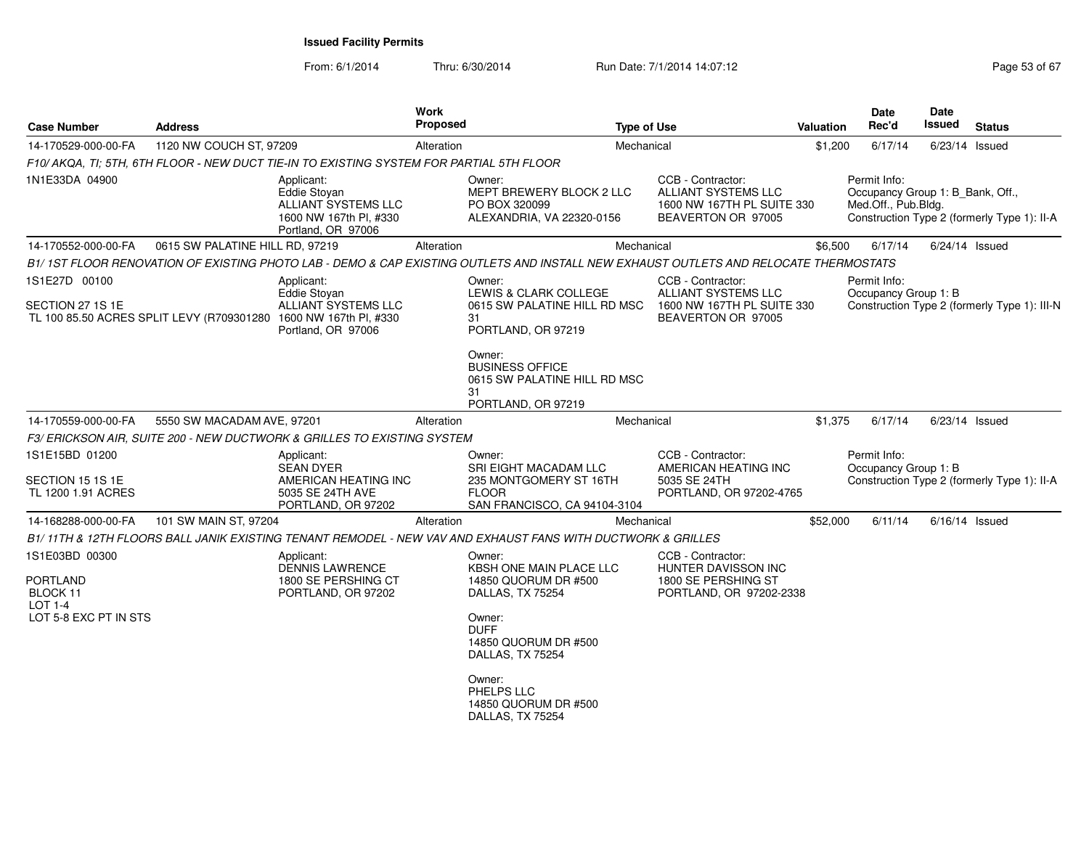| <b>Case Number</b>                       | <b>Address</b>                  |                                                                                                                                      | <b>Work</b><br><b>Proposed</b> |                                                                                                                                      | <b>Type of Use</b>                                                                                  | <b>Valuation</b> | Date<br>Rec'd                                                           | Date<br>Issued | <b>Status</b>                                |
|------------------------------------------|---------------------------------|--------------------------------------------------------------------------------------------------------------------------------------|--------------------------------|--------------------------------------------------------------------------------------------------------------------------------------|-----------------------------------------------------------------------------------------------------|------------------|-------------------------------------------------------------------------|----------------|----------------------------------------------|
| 14-170529-000-00-FA                      | 1120 NW COUCH ST, 97209         |                                                                                                                                      | Alteration                     |                                                                                                                                      | Mechanical                                                                                          | \$1,200          | 6/17/14                                                                 |                | $6/23/14$ Issued                             |
|                                          |                                 | F10/ AKQA. TI: 5TH. 6TH FLOOR - NEW DUCT TIE-IN TO EXISTING SYSTEM FOR PARTIAL 5TH FLOOR                                             |                                |                                                                                                                                      |                                                                                                     |                  |                                                                         |                |                                              |
| 1N1E33DA 04900                           |                                 | Applicant:<br>Eddie Stoyan<br>ALLIANT SYSTEMS LLC<br>1600 NW 167th Pl, #330<br>Portland, OR 97006                                    |                                | Owner:<br>MEPT BREWERY BLOCK 2 LLC<br>PO BOX 320099<br>ALEXANDRIA, VA 22320-0156                                                     | CCB - Contractor:<br><b>ALLIANT SYSTEMS LLC</b><br>1600 NW 167TH PL SUITE 330<br>BEAVERTON OR 97005 |                  | Permit Info:<br>Occupancy Group 1: B_Bank, Off.,<br>Med.Off., Pub.Bldg. |                | Construction Type 2 (formerly Type 1): II-A  |
| 14-170552-000-00-FA                      | 0615 SW PALATINE HILL RD, 97219 |                                                                                                                                      | Alteration                     |                                                                                                                                      | Mechanical                                                                                          | \$6,500          | 6/17/14                                                                 |                | $6/24/14$ Issued                             |
|                                          |                                 |                                                                                                                                      |                                | B1/1ST FLOOR RENOVATION OF EXISTING PHOTO LAB - DEMO & CAP EXISTING OUTLETS AND INSTALL NEW EXHAUST OUTLETS AND RELOCATE THERMOSTATS |                                                                                                     |                  |                                                                         |                |                                              |
| 1S1E27D 00100                            |                                 | Applicant:                                                                                                                           |                                | Owner:                                                                                                                               | CCB - Contractor:                                                                                   |                  | Permit Info:                                                            |                |                                              |
| SECTION 27 1S 1E                         |                                 | <b>Eddie Stovan</b><br>ALLIANT SYSTEMS LLC<br>TL 100 85.50 ACRES SPLIT LEVY (R709301280 1600 NW 167th PI, #330<br>Portland, OR 97006 |                                | LEWIS & CLARK COLLEGE<br>0615 SW PALATINE HILL RD MSC<br>31<br>PORTLAND, OR 97219                                                    | ALLIANT SYSTEMS LLC<br>1600 NW 167TH PL SUITE 330<br>BEAVERTON OR 97005                             |                  | Occupancy Group 1: B                                                    |                | Construction Type 2 (formerly Type 1): III-N |
|                                          |                                 |                                                                                                                                      |                                | Owner:<br><b>BUSINESS OFFICE</b><br>0615 SW PALATINE HILL RD MSC<br>31<br>PORTLAND, OR 97219                                         |                                                                                                     |                  |                                                                         |                |                                              |
| 14-170559-000-00-FA                      | 5550 SW MACADAM AVE, 97201      |                                                                                                                                      | Alteration                     |                                                                                                                                      | Mechanical                                                                                          | \$1,375          | 6/17/14                                                                 |                | $6/23/14$ Issued                             |
|                                          |                                 | F3/ERICKSON AIR, SUITE 200 - NEW DUCTWORK & GRILLES TO EXISTING SYSTEM                                                               |                                |                                                                                                                                      |                                                                                                     |                  |                                                                         |                |                                              |
| 1S1E15BD 01200                           |                                 | Applicant:<br><b>SEAN DYER</b>                                                                                                       |                                | Owner:<br><b>SRI EIGHT MACADAM LLC</b>                                                                                               | CCB - Contractor:<br>AMERICAN HEATING INC                                                           |                  | Permit Info:<br>Occupancy Group 1: B                                    |                |                                              |
| SECTION 15 1S 1E<br>TL 1200 1.91 ACRES   |                                 | AMERICAN HEATING INC<br>5035 SE 24TH AVE<br>PORTLAND, OR 97202                                                                       |                                | 235 MONTGOMERY ST 16TH<br><b>FLOOR</b><br>SAN FRANCISCO, CA 94104-3104                                                               | 5035 SE 24TH<br>PORTLAND, OR 97202-4765                                                             |                  |                                                                         |                | Construction Type 2 (formerly Type 1): II-A  |
| 14-168288-000-00-FA                      | 101 SW MAIN ST, 97204           |                                                                                                                                      | Alteration                     |                                                                                                                                      | Mechanical                                                                                          | \$52,000         | 6/11/14                                                                 |                | $6/16/14$ Issued                             |
|                                          |                                 |                                                                                                                                      |                                | B1/11TH & 12TH FLOORS BALL JANIK EXISTING TENANT REMODEL - NEW VAV AND EXHAUST FANS WITH DUCTWORK & GRILLES                          |                                                                                                     |                  |                                                                         |                |                                              |
| 1S1E03BD 00300                           |                                 | Applicant:<br><b>DENNIS LAWRENCE</b>                                                                                                 |                                | Owner:<br>KBSH ONE MAIN PLACE LLC                                                                                                    | CCB - Contractor:<br>HUNTER DAVISSON INC                                                            |                  |                                                                         |                |                                              |
| <b>PORTLAND</b><br>BLOCK 11<br>$LOT 1-4$ |                                 | 1800 SE PERSHING CT<br>PORTLAND, OR 97202                                                                                            |                                | 14850 QUORUM DR #500<br>DALLAS, TX 75254                                                                                             | 1800 SE PERSHING ST<br>PORTLAND, OR 97202-2338                                                      |                  |                                                                         |                |                                              |
| LOT 5-8 EXC PT IN STS                    |                                 |                                                                                                                                      |                                | Owner:<br><b>DUFF</b><br>14850 QUORUM DR #500<br>DALLAS, TX 75254                                                                    |                                                                                                     |                  |                                                                         |                |                                              |
|                                          |                                 |                                                                                                                                      |                                | Owner:<br>PHELPS LLC<br>14850 QUORUM DR #500<br>DALLAS, TX 75254                                                                     |                                                                                                     |                  |                                                                         |                |                                              |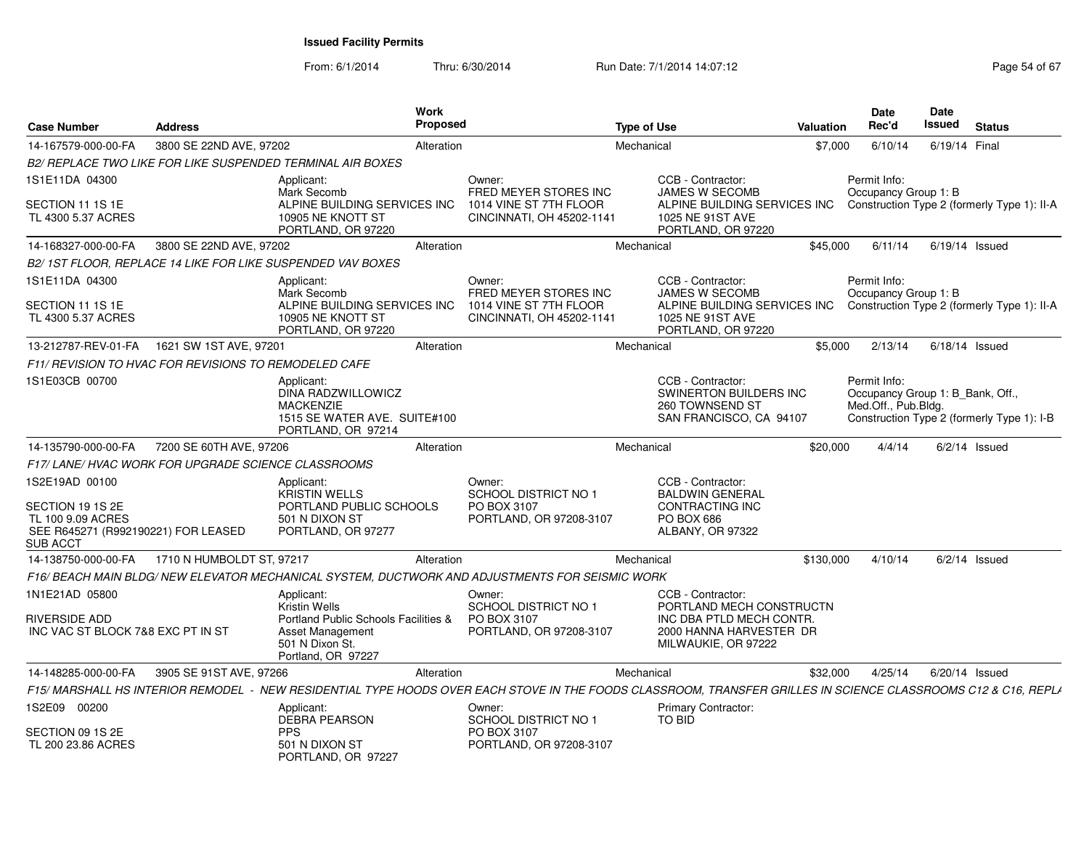| <b>Case Number</b>                                                                              | <b>Address</b>                                               |                                                                                                            | Work<br>Proposed |                                                                                                 | <b>Type of Use</b>                                                                                                         | Valuation | <b>Date</b><br>Rec'd                                                  | <b>Date</b><br>Issued | <b>Status</b>                               |
|-------------------------------------------------------------------------------------------------|--------------------------------------------------------------|------------------------------------------------------------------------------------------------------------|------------------|-------------------------------------------------------------------------------------------------|----------------------------------------------------------------------------------------------------------------------------|-----------|-----------------------------------------------------------------------|-----------------------|---------------------------------------------|
| 14-167579-000-00-FA                                                                             | 3800 SE 22ND AVE, 97202                                      |                                                                                                            | Alteration       |                                                                                                 | Mechanical                                                                                                                 | \$7,000   | 6/10/14                                                               | 6/19/14 Final         |                                             |
|                                                                                                 |                                                              | B2/ REPLACE TWO LIKE FOR LIKE SUSPENDED TERMINAL AIR BOXES                                                 |                  |                                                                                                 |                                                                                                                            |           |                                                                       |                       |                                             |
| 1S1E11DA 04300                                                                                  |                                                              | Applicant:<br>Mark Secomb                                                                                  |                  | Owner:<br><b>FRED MEYER STORES INC</b>                                                          | CCB - Contractor:<br><b>JAMES W SECOMB</b>                                                                                 |           | Permit Info:<br>Occupancy Group 1: B                                  |                       |                                             |
| SECTION 11 1S 1E<br>TL 4300 5.37 ACRES                                                          |                                                              | ALPINE BUILDING SERVICES INC<br>10905 NE KNOTT ST<br>PORTLAND, OR 97220                                    |                  | 1014 VINE ST 7TH FLOOR<br>CINCINNATI, OH 45202-1141                                             | ALPINE BUILDING SERVICES INC<br>1025 NE 91ST AVE<br>PORTLAND, OR 97220                                                     |           |                                                                       |                       | Construction Type 2 (formerly Type 1): II-A |
| 14-168327-000-00-FA                                                                             | 3800 SE 22ND AVE, 97202                                      |                                                                                                            | Alteration       |                                                                                                 | Mechanical                                                                                                                 | \$45,000  | 6/11/14                                                               |                       | $6/19/14$ Issued                            |
|                                                                                                 |                                                              | B2/1ST FLOOR, REPLACE 14 LIKE FOR LIKE SUSPENDED VAV BOXES                                                 |                  |                                                                                                 |                                                                                                                            |           |                                                                       |                       |                                             |
| 1S1E11DA 04300                                                                                  |                                                              | Applicant:<br>Mark Secomb                                                                                  |                  | Owner:<br>FRED MEYER STORES INC                                                                 | CCB - Contractor:<br><b>JAMES W SECOMB</b>                                                                                 |           | Permit Info:<br>Occupancy Group 1: B                                  |                       |                                             |
| SECTION 11 1S 1E<br>TL 4300 5.37 ACRES                                                          |                                                              | ALPINE BUILDING SERVICES INC<br>10905 NE KNOTT ST<br>PORTLAND, OR 97220                                    |                  | 1014 VINE ST 7TH FLOOR<br>CINCINNATI, OH 45202-1141                                             | ALPINE BUILDING SERVICES INC<br>1025 NE 91ST AVE<br>PORTLAND, OR 97220                                                     |           |                                                                       |                       | Construction Type 2 (formerly Type 1): II-A |
| 13-212787-REV-01-FA                                                                             | 1621 SW 1ST AVE, 97201                                       |                                                                                                            | Alteration       |                                                                                                 | Mechanical                                                                                                                 | \$5,000   | 2/13/14                                                               |                       | $6/18/14$ Issued                            |
|                                                                                                 | <b>F11/ REVISION TO HVAC FOR REVISIONS TO REMODELED CAFE</b> |                                                                                                            |                  |                                                                                                 |                                                                                                                            |           |                                                                       |                       |                                             |
| 1S1E03CB 00700                                                                                  |                                                              | Applicant:<br>DINA RADZWILLOWICZ<br><b>MACKENZIE</b><br>1515 SE WATER AVE. SUITE#100<br>PORTLAND, OR 97214 |                  |                                                                                                 | CCB - Contractor:<br>SWINERTON BUILDERS INC<br>260 TOWNSEND ST<br>SAN FRANCISCO, CA 94107                                  |           | Permit Info:<br>Occupancy Group 1: B Bank, Off<br>Med.Off., Pub.Bldg. |                       | Construction Type 2 (formerly Type 1): I-B  |
| 14-135790-000-00-FA                                                                             | 7200 SE 60TH AVE, 97206                                      |                                                                                                            | Alteration       |                                                                                                 | Mechanical                                                                                                                 | \$20,000  | 4/4/14                                                                |                       | $6/2/14$ Issued                             |
|                                                                                                 | F17/LANE/HVAC WORK FOR UPGRADE SCIENCE CLASSROOMS            |                                                                                                            |                  |                                                                                                 |                                                                                                                            |           |                                                                       |                       |                                             |
| 1S2E19AD 00100                                                                                  |                                                              | Applicant:<br><b>KRISTIN WELLS</b>                                                                         |                  | Owner:<br><b>SCHOOL DISTRICT NO 1</b>                                                           | CCB - Contractor:<br><b>BALDWIN GENERAL</b>                                                                                |           |                                                                       |                       |                                             |
| SECTION 19 1S 2E<br>TL 100 9.09 ACRES<br>SEE R645271 (R992190221) FOR LEASED<br><b>SUB ACCT</b> |                                                              | PORTLAND PUBLIC SCHOOLS<br>501 N DIXON ST<br>PORTLAND, OR 97277                                            |                  | PO BOX 3107<br>PORTLAND, OR 97208-3107                                                          | CONTRACTING INC<br><b>PO BOX 686</b><br>ALBANY, OR 97322                                                                   |           |                                                                       |                       |                                             |
| 14-138750-000-00-FA                                                                             | 1710 N HUMBOLDT ST, 97217                                    |                                                                                                            | Alteration       |                                                                                                 | Mechanical                                                                                                                 | \$130,000 | 4/10/14                                                               |                       | $6/2/14$ Issued                             |
|                                                                                                 |                                                              |                                                                                                            |                  | F16/ BEACH MAIN BLDG/ NEW ELEVATOR MECHANICAL SYSTEM. DUCTWORK AND ADJUSTMENTS FOR SEISMIC WORK |                                                                                                                            |           |                                                                       |                       |                                             |
| 1N1E21AD 05800                                                                                  |                                                              | Applicant:<br><b>Kristin Wells</b>                                                                         |                  | Owner:<br>SCHOOL DISTRICT NO 1                                                                  | CCB - Contractor:<br>PORTLAND MECH CONSTRUCTN                                                                              |           |                                                                       |                       |                                             |
| <b>RIVERSIDE ADD</b><br>INC VAC ST BLOCK 7&8 EXC PT IN ST                                       |                                                              | Portland Public Schools Facilities &<br>Asset Management<br>501 N Dixon St.<br>Portland, OR 97227          |                  | PO BOX 3107<br>PORTLAND, OR 97208-3107                                                          | INC DBA PTLD MECH CONTR.<br>2000 HANNA HARVESTER DR<br>MILWAUKIE, OR 97222                                                 |           |                                                                       |                       |                                             |
| 14-148285-000-00-FA                                                                             | 3905 SE 91ST AVE, 97266                                      |                                                                                                            | Alteration       |                                                                                                 | Mechanical                                                                                                                 | \$32,000  | 4/25/14                                                               |                       | 6/20/14 Issued                              |
| <b>F15/ MARSHALL HS INTERIOR REMODEL</b>                                                        |                                                              |                                                                                                            |                  |                                                                                                 | NEW RESIDENTIAL TYPE HOODS OVER EACH STOVE IN THE FOODS CLASSROOM. TRANSFER GRILLES IN SCIENCE CLASSROOMS C12 & C16. REPLA |           |                                                                       |                       |                                             |
| 1S2E09 00200                                                                                    |                                                              | Applicant:<br><b>DEBRA PEARSON</b>                                                                         |                  | Owner:<br>SCHOOL DISTRICT NO 1                                                                  | <b>Primary Contractor:</b><br>TO BID                                                                                       |           |                                                                       |                       |                                             |
| SECTION 09 1S 2E<br>TL 200 23.86 ACRES                                                          |                                                              | <b>PPS</b><br>501 N DIXON ST<br>PORTLAND, OR 97227                                                         |                  | PO BOX 3107<br>PORTLAND, OR 97208-3107                                                          |                                                                                                                            |           |                                                                       |                       |                                             |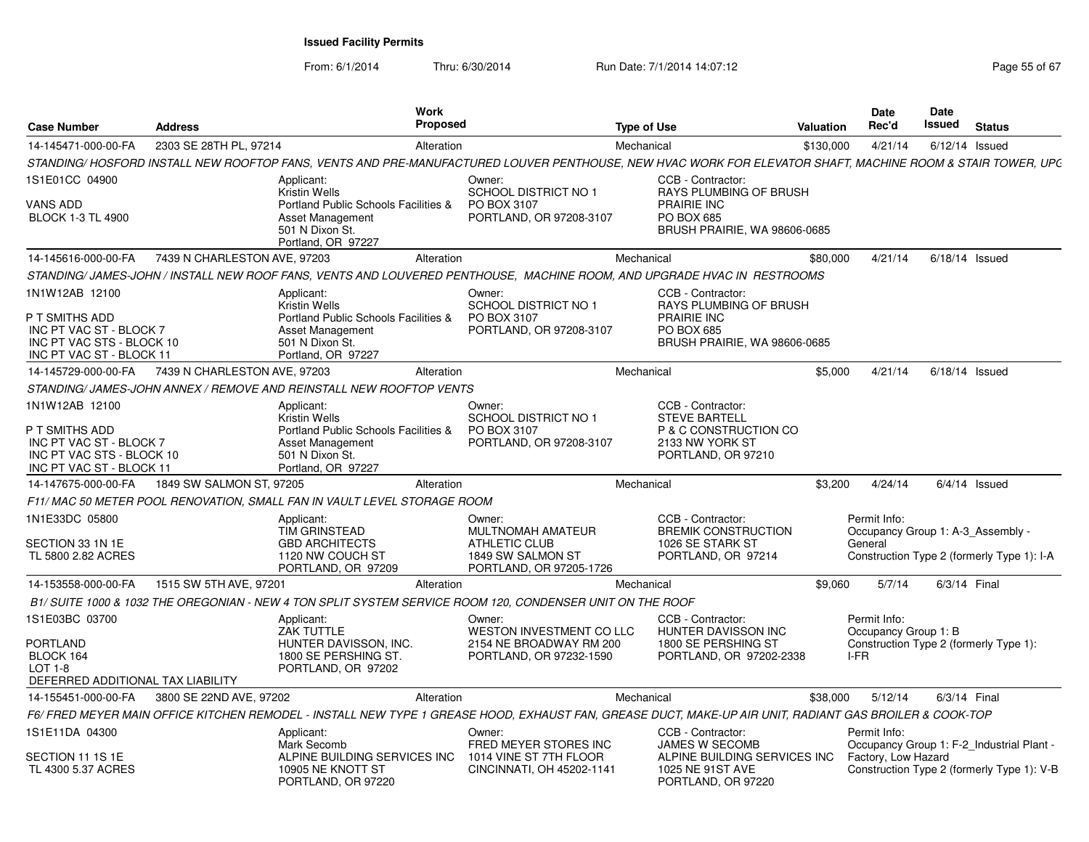| <b>Case Number</b>                                                                                                   | Address                      | <b>Work</b><br><b>Proposed</b>                                                                                                                             |                                                                                                     | <b>Type of Use</b> |                                                                                                             | <b>Valuation</b> | <b>Date</b><br>Rec'd                                         | <b>Date</b><br>Issued | <b>Status</b>                              |
|----------------------------------------------------------------------------------------------------------------------|------------------------------|------------------------------------------------------------------------------------------------------------------------------------------------------------|-----------------------------------------------------------------------------------------------------|--------------------|-------------------------------------------------------------------------------------------------------------|------------------|--------------------------------------------------------------|-----------------------|--------------------------------------------|
| 14-145471-000-00-FA                                                                                                  | 2303 SE 28TH PL, 97214       | Alteration                                                                                                                                                 |                                                                                                     | Mechanical         |                                                                                                             | \$130,000        | 4/21/14                                                      | $6/12/14$ Issued      |                                            |
|                                                                                                                      |                              | STANDING/ HOSFORD INSTALL NEW ROOFTOP FANS, VENTS AND PRE-MANUFACTURED LOUVER PENTHOUSE, NEW HVAC WORK FOR ELEVATOR SHAFT, MACHINE ROOM & STAIR TOWER, UPC |                                                                                                     |                    |                                                                                                             |                  |                                                              |                       |                                            |
| 1S1E01CC 04900                                                                                                       |                              | Applicant:                                                                                                                                                 | Owner:                                                                                              |                    | CCB - Contractor:                                                                                           |                  |                                                              |                       |                                            |
| VANS ADD<br><b>BLOCK 1-3 TL 4900</b>                                                                                 |                              | <b>Kristin Wells</b><br>Portland Public Schools Facilities &<br>Asset Management<br>501 N Dixon St.<br>Portland, OR 97227                                  | <b>SCHOOL DISTRICT NO 1</b><br>PO BOX 3107<br>PORTLAND, OR 97208-3107                               |                    | RAYS PLUMBING OF BRUSH<br><b>PRAIRIE INC</b><br>PO BOX 685<br>BRUSH PRAIRIE, WA 98606-0685                  |                  |                                                              |                       |                                            |
| 14-145616-000-00-FA                                                                                                  | 7439 N CHARLESTON AVE, 97203 | Alteration                                                                                                                                                 |                                                                                                     | Mechanical         |                                                                                                             | \$80,000         | 4/21/14                                                      | $6/18/14$ Issued      |                                            |
|                                                                                                                      |                              | STANDING/JAMES-JOHN/INSTALL NEW ROOF FANS, VENTS AND LOUVERED PENTHOUSE, MACHINE ROOM, AND UPGRADE HVAC IN RESTROOMS                                       |                                                                                                     |                    |                                                                                                             |                  |                                                              |                       |                                            |
| 1N1W12AB 12100                                                                                                       |                              | Applicant:<br>Kristin Wells                                                                                                                                | Owner:<br><b>SCHOOL DISTRICT NO 1</b>                                                               |                    | CCB - Contractor:<br>RAYS PLUMBING OF BRUSH                                                                 |                  |                                                              |                       |                                            |
| P T SMITHS ADD<br>INC PT VAC ST - BLOCK 7<br>INC PT VAC STS - BLOCK 10<br>INC PT VAC ST - BLOCK 11                   |                              | Portland Public Schools Facilities &<br>Asset Management<br>501 N Dixon St.<br>Portland, OR 97227                                                          | PO BOX 3107<br>PORTLAND, OR 97208-3107                                                              |                    | <b>PRAIRIE INC</b><br>PO BOX 685<br>BRUSH PRAIRIE, WA 98606-0685                                            |                  |                                                              |                       |                                            |
| 14-145729-000-00-FA                                                                                                  | 7439 N CHARLESTON AVE, 97203 | Alteration                                                                                                                                                 |                                                                                                     | Mechanical         |                                                                                                             | \$5,000          | 4/21/14                                                      | $6/18/14$ Issued      |                                            |
|                                                                                                                      |                              | STANDING/JAMES-JOHN ANNEX / REMOVE AND REINSTALL NEW ROOFTOP VENTS                                                                                         |                                                                                                     |                    |                                                                                                             |                  |                                                              |                       |                                            |
| 1N1W12AB 12100<br>P T SMITHS ADD<br>INC PT VAC ST - BLOCK 7<br>INC PT VAC STS - BLOCK 10<br>INC PT VAC ST - BLOCK 11 |                              | Applicant:<br>Kristin Wells<br>Portland Public Schools Facilities &<br>Asset Management<br>501 N Dixon St.<br>Portland, OR 97227                           | Owner:<br>SCHOOL DISTRICT NO 1<br>PO BOX 3107<br>PORTLAND, OR 97208-3107                            |                    | CCB - Contractor:<br><b>STEVE BARTELL</b><br>P & C CONSTRUCTION CO<br>2133 NW YORK ST<br>PORTLAND, OR 97210 |                  |                                                              |                       |                                            |
| 14-147675-000-00-FA                                                                                                  | 1849 SW SALMON ST, 97205     | Alteration                                                                                                                                                 |                                                                                                     | Mechanical         |                                                                                                             | \$3,200          | 4/24/14                                                      |                       | $6/4/14$ Issued                            |
|                                                                                                                      |                              | F11/ MAC 50 METER POOL RENOVATION, SMALL FAN IN VAULT LEVEL STORAGE ROOM                                                                                   |                                                                                                     |                    |                                                                                                             |                  |                                                              |                       |                                            |
| 1N1E33DC 05800<br>SECTION 33 1N 1E<br>TL 5800 2.82 ACRES                                                             |                              | Applicant:<br>TIM GRINSTEAD<br><b>GBD ARCHITECTS</b><br>1120 NW COUCH ST<br>PORTLAND, OR 97209                                                             | Owner:<br><b>MULTNOMAH AMATEUR</b><br>ATHLETIC CLUB<br>1849 SW SALMON ST<br>PORTLAND, OR 97205-1726 |                    | CCB - Contractor:<br><b>BREMIK CONSTRUCTION</b><br>1026 SE STARK ST<br>PORTLAND, OR 97214                   |                  | Permit Info:<br>Occupancy Group 1: A-3 Assembly -<br>General |                       | Construction Type 2 (formerly Type 1): I-A |
| 14-153558-000-00-FA                                                                                                  | 1515 SW 5TH AVE, 97201       | Alteration                                                                                                                                                 |                                                                                                     | Mechanical         |                                                                                                             | \$9,060          | 5/7/14                                                       | 6/3/14 Final          |                                            |
|                                                                                                                      |                              | B1/SUITE 1000 & 1032 THE OREGONIAN - NEW 4 TON SPLIT SYSTEM SERVICE ROOM 120, CONDENSER UNIT ON THE ROOF                                                   |                                                                                                     |                    |                                                                                                             |                  |                                                              |                       |                                            |
| IS1E03BC 03700                                                                                                       |                              | Applicant:<br>ZAK TUTTLE                                                                                                                                   | Owner:<br>WESTON INVESTMENT CO LLC                                                                  |                    | CCB - Contractor:<br>HUNTER DAVISSON INC                                                                    |                  | Permit Info:<br>Occupancy Group 1: B                         |                       |                                            |
| <b>PORTLAND</b><br>BLOCK 164<br>LOT 1-8<br>DEFERRED ADDITIONAL TAX LIABILITY                                         |                              | HUNTER DAVISSON. INC.<br>1800 SE PERSHING ST.<br>PORTLAND, OR 97202                                                                                        | 2154 NE BROADWAY RM 200<br>PORTLAND, OR 97232-1590                                                  |                    | 1800 SE PERSHING ST<br>PORTLAND, OR 97202-2338                                                              |                  | I-FR                                                         |                       | Construction Type 2 (formerly Type 1):     |
| 14-155451-000-00-FA                                                                                                  | 3800 SE 22ND AVE, 97202      | Alteration                                                                                                                                                 |                                                                                                     | Mechanical         |                                                                                                             | \$38,000         | 5/12/14                                                      | 6/3/14 Final          |                                            |
|                                                                                                                      |                              | F6/ FRED MEYER MAIN OFFICE KITCHEN REMODEL - INSTALL NEW TYPE 1 GREASE HOOD, EXHAUST FAN, GREASE DUCT, MAKE-UP AIR UNIT, RADIANT GAS BROILER & COOK-TOP    |                                                                                                     |                    |                                                                                                             |                  |                                                              |                       |                                            |
| 1S1E11DA 04300                                                                                                       |                              | Applicant:<br>Mark Secomb                                                                                                                                  | Owner:<br>FRED MEYER STORES INC                                                                     |                    | CCB - Contractor:<br><b>JAMES W SECOMB</b>                                                                  |                  | Permit Info:                                                 |                       | Occupancy Group 1: F-2 Industrial Plant -  |
| SECTION 11 1S 1E<br>TL 4300 5.37 ACRES                                                                               |                              | ALPINE BUILDING SERVICES INC<br>10905 NE KNOTT ST<br>PORTLAND, OR 97220                                                                                    | 1014 VINE ST 7TH FLOOR<br>CINCINNATI, OH 45202-1141                                                 |                    | ALPINE BUILDING SERVICES INC<br>1025 NE 91ST AVE<br>PORTLAND, OR 97220                                      |                  | Factory, Low Hazard                                          |                       | Construction Type 2 (formerly Type 1): V-B |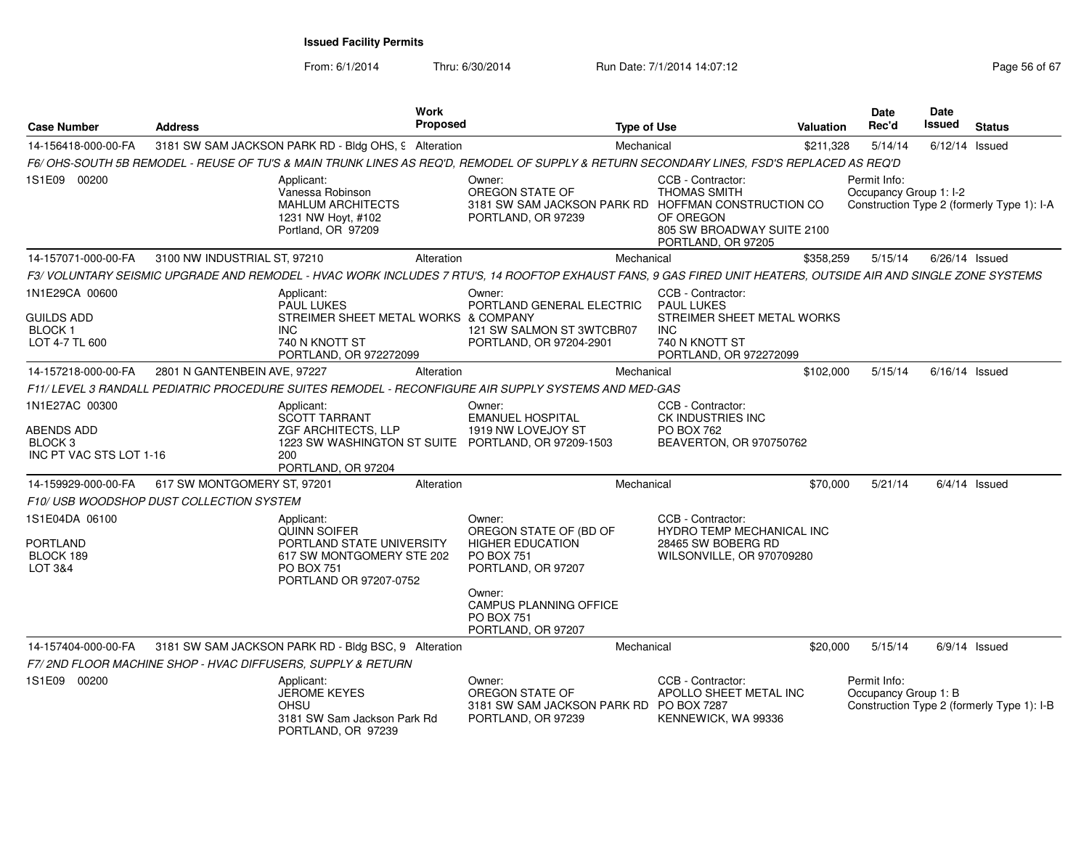From: 6/1/2014

Thru: 6/30/2014 Run Date: 7/1/2014 14:07:12 Research 2010 12:07:12

| <b>Case Number</b>                                                     | <b>Address</b>                          | <b>Work</b><br><b>Proposed</b>                                                                                                                                 | <b>Type of Use</b>                                                                                               |                                                                                                          | Valuation | Date<br>Rec'd                          | <b>Date</b><br>Issued | <b>Status</b>                              |
|------------------------------------------------------------------------|-----------------------------------------|----------------------------------------------------------------------------------------------------------------------------------------------------------------|------------------------------------------------------------------------------------------------------------------|----------------------------------------------------------------------------------------------------------|-----------|----------------------------------------|-----------------------|--------------------------------------------|
| 14-156418-000-00-FA                                                    |                                         | 3181 SW SAM JACKSON PARK RD - Bldg OHS, 9 Alteration                                                                                                           | Mechanical                                                                                                       |                                                                                                          | \$211.328 | 5/14/14                                |                       | $6/12/14$ Issued                           |
|                                                                        |                                         | F6/ OHS-SOUTH 5B REMODEL - REUSE OF TU'S & MAIN TRUNK LINES AS REQ'D, REMODEL OF SUPPLY & RETURN SECONDARY LINES, FSD'S REPLACED AS REQ'D                      |                                                                                                                  |                                                                                                          |           |                                        |                       |                                            |
| 1S1E09 00200                                                           |                                         | Applicant:<br>Vanessa Robinson<br><b>MAHLUM ARCHITECTS</b><br>1231 NW Hoyt, #102<br>Portland, OR 97209                                                         | Owner:<br>OREGON STATE OF<br>3181 SW SAM JACKSON PARK RD HOFFMAN CONSTRUCTION CO<br>PORTLAND, OR 97239           | CCB - Contractor:<br>THOMAS SMITH<br>OF OREGON<br>805 SW BROADWAY SUITE 2100<br>PORTLAND, OR 97205       |           | Permit Info:<br>Occupancy Group 1: I-2 |                       | Construction Type 2 (formerly Type 1): I-A |
| 14-157071-000-00-FA                                                    | 3100 NW INDUSTRIAL ST, 97210            | Alteration                                                                                                                                                     | Mechanical                                                                                                       |                                                                                                          | \$358,259 | 5/15/14                                |                       | $6/26/14$ Issued                           |
|                                                                        |                                         | F3/ VOLUNTARY SEISMIC UPGRADE AND REMODEL - HVAC WORK INCLUDES 7 RTU'S, 14 ROOFTOP EXHAUST FANS, 9 GAS FIRED UNIT HEATERS, OUTSIDE AIR AND SINGLE ZONE SYSTEMS |                                                                                                                  |                                                                                                          |           |                                        |                       |                                            |
| 1N1E29CA 00600<br><b>GUILDS ADD</b><br><b>BLOCK1</b><br>LOT 4-7 TL 600 |                                         | Applicant:<br><b>PAUL LUKES</b><br>STREIMER SHEET METAL WORKS & COMPANY<br><b>INC</b><br>740 N KNOTT ST                                                        | Owner:<br>PORTLAND GENERAL ELECTRIC<br>121 SW SALMON ST 3WTCBR07<br>PORTLAND, OR 97204-2901                      | CCB - Contractor:<br><b>PAUL LUKES</b><br>STREIMER SHEET METAL WORKS<br><b>INC</b><br>740 N KNOTT ST     |           |                                        |                       |                                            |
|                                                                        |                                         | PORTLAND, OR 972272099                                                                                                                                         |                                                                                                                  | PORTLAND, OR 972272099                                                                                   |           |                                        |                       |                                            |
| 14-157218-000-00-FA                                                    | 2801 N GANTENBEIN AVE, 97227            | Alteration                                                                                                                                                     | Mechanical                                                                                                       |                                                                                                          | \$102,000 | 5/15/14                                |                       | $6/16/14$ Issued                           |
|                                                                        |                                         | F11/ LEVEL 3 RANDALL PEDIATRIC PROCEDURE SUITES REMODEL - RECONFIGURE AIR SUPPLY SYSTEMS AND MED-GAS                                                           |                                                                                                                  |                                                                                                          |           |                                        |                       |                                            |
| 1N1E27AC 00300<br>ABENDS ADD<br>BLOCK 3<br>INC PT VAC STS LOT 1-16     |                                         | Applicant:<br><b>SCOTT TARRANT</b><br><b>ZGF ARCHITECTS, LLP</b><br>1223 SW WASHINGTON ST SUITE PORTLAND, OR 97209-1503<br>200<br>PORTLAND, OR 97204           | Owner:<br><b>EMANUEL HOSPITAL</b><br>1919 NW LOVEJOY ST                                                          | CCB - Contractor:<br>CK INDUSTRIES INC<br><b>PO BOX 762</b><br>BEAVERTON, OR 970750762                   |           |                                        |                       |                                            |
| 14-159929-000-00-FA                                                    | 617 SW MONTGOMERY ST, 97201             | Alteration                                                                                                                                                     | Mechanical                                                                                                       |                                                                                                          | \$70,000  | 5/21/14                                |                       | $6/4/14$ Issued                            |
|                                                                        | F10/USB WOODSHOP DUST COLLECTION SYSTEM |                                                                                                                                                                |                                                                                                                  |                                                                                                          |           |                                        |                       |                                            |
| 1S1E04DA 06100<br>PORTLAND<br>BLOCK 189<br>LOT 3&4                     |                                         | Applicant:<br><b>QUINN SOIFER</b><br>PORTLAND STATE UNIVERSITY<br>617 SW MONTGOMERY STE 202<br><b>PO BOX 751</b><br>PORTLAND OR 97207-0752                     | Owner:<br>OREGON STATE OF (BD OF<br><b>HIGHER EDUCATION</b><br><b>PO BOX 751</b><br>PORTLAND, OR 97207<br>Owner: | CCB - Contractor:<br><b>HYDRO TEMP MECHANICAL INC</b><br>28465 SW BOBERG RD<br>WILSONVILLE, OR 970709280 |           |                                        |                       |                                            |
|                                                                        |                                         |                                                                                                                                                                | <b>CAMPUS PLANNING OFFICE</b><br><b>PO BOX 751</b><br>PORTLAND, OR 97207                                         |                                                                                                          |           |                                        |                       |                                            |
| 14-157404-000-00-FA                                                    |                                         | 3181 SW SAM JACKSON PARK RD - Bldg BSC, 9 Alteration                                                                                                           | Mechanical                                                                                                       |                                                                                                          | \$20,000  | 5/15/14                                |                       | $6/9/14$ Issued                            |
|                                                                        |                                         | F7/2ND FLOOR MACHINE SHOP - HVAC DIFFUSERS, SUPPLY & RETURN                                                                                                    |                                                                                                                  |                                                                                                          |           |                                        |                       |                                            |
| 1S1E09 00200                                                           |                                         | Applicant:<br><b>JEROME KEYES</b><br><b>OHSU</b><br>3181 SW Sam Jackson Park Rd<br>PORTLAND, OR 97239                                                          | Owner:<br>OREGON STATE OF<br>3181 SW SAM JACKSON PARK RD PO BOX 7287<br>PORTLAND, OR 97239                       | CCB - Contractor:<br>APOLLO SHEET METAL INC<br>KENNEWICK, WA 99336                                       |           | Permit Info:<br>Occupancy Group 1: B   |                       | Construction Type 2 (formerly Type 1): I-B |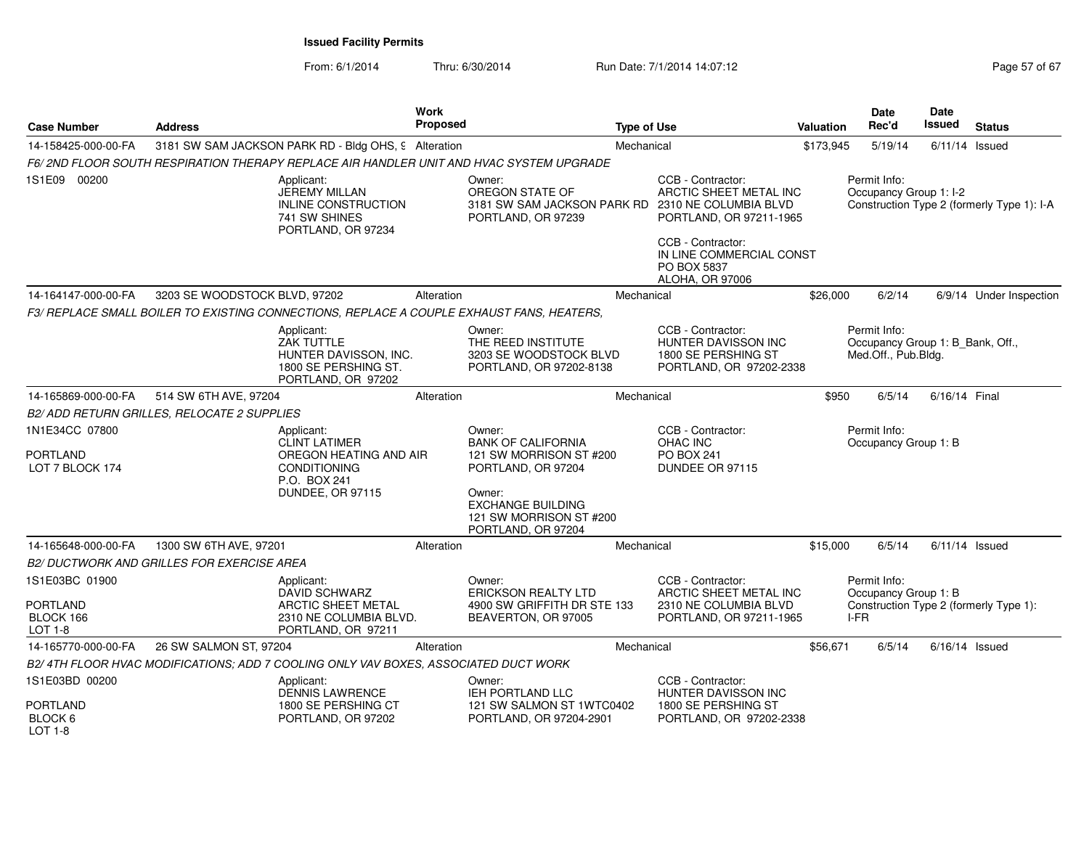| <b>Case Number</b>                            | <b>Address</b>                                                                                       | Work<br><b>Proposed</b>                                             | <b>Type of Use</b>                                                                                                                                                          |                                                                                                 | Valuation | <b>Date</b><br>Rec'd                                                    | <b>Date</b><br><b>Issued</b> | <b>Status</b>                              |
|-----------------------------------------------|------------------------------------------------------------------------------------------------------|---------------------------------------------------------------------|-----------------------------------------------------------------------------------------------------------------------------------------------------------------------------|-------------------------------------------------------------------------------------------------|-----------|-------------------------------------------------------------------------|------------------------------|--------------------------------------------|
| 14-158425-000-00-FA                           | 3181 SW SAM JACKSON PARK RD - Bldg OHS, 9 Alteration                                                 |                                                                     | Mechanical                                                                                                                                                                  |                                                                                                 | \$173,945 | 5/19/14                                                                 | $6/11/14$ Issued             |                                            |
|                                               | F6/2ND FLOOR SOUTH RESPIRATION THERAPY REPLACE AIR HANDLER UNIT AND HVAC SYSTEM UPGRADE              |                                                                     |                                                                                                                                                                             |                                                                                                 |           |                                                                         |                              |                                            |
| 1S1E09 00200                                  | Applicant:<br>JEREMY MILLAN<br>741 SW SHINES<br>PORTLAND, OR 97234                                   | INLINE CONSTRUCTION                                                 | Owner:<br>OREGON STATE OF<br>3181 SW SAM JACKSON PARK RD<br>PORTLAND, OR 97239                                                                                              | CCB - Contractor:<br>ARCTIC SHEET METAL INC<br>2310 NE COLUMBIA BLVD<br>PORTLAND, OR 97211-1965 |           | Permit Info:<br>Occupancy Group 1: I-2                                  |                              | Construction Type 2 (formerly Type 1): I-A |
|                                               |                                                                                                      |                                                                     |                                                                                                                                                                             | CCB - Contractor:<br>IN LINE COMMERCIAL CONST<br>PO BOX 5837<br>ALOHA, OR 97006                 |           |                                                                         |                              |                                            |
| 14-164147-000-00-FA                           | 3203 SE WOODSTOCK BLVD, 97202                                                                        | Alteration                                                          | Mechanical                                                                                                                                                                  |                                                                                                 | \$26,000  | 6/2/14                                                                  |                              | 6/9/14 Under Inspection                    |
|                                               | F3/ REPLACE SMALL BOILER TO EXISTING CONNECTIONS, REPLACE A COUPLE EXHAUST FANS, HEATERS,            |                                                                     |                                                                                                                                                                             |                                                                                                 |           |                                                                         |                              |                                            |
|                                               | Applicant:<br>ZAK TUTTLE                                                                             | HUNTER DAVISSON, INC.<br>1800 SE PERSHING ST.<br>PORTLAND, OR 97202 | Owner:<br>THE REED INSTITUTE<br>3203 SE WOODSTOCK BLVD<br>PORTLAND, OR 97202-8138                                                                                           | CCB - Contractor:<br>HUNTER DAVISSON INC<br>1800 SE PERSHING ST<br>PORTLAND, OR 97202-2338      |           | Permit Info:<br>Occupancy Group 1: B_Bank, Off.,<br>Med.Off., Pub.Bldg. |                              |                                            |
| 14-165869-000-00-FA                           | 514 SW 6TH AVE, 97204                                                                                | Alteration                                                          | Mechanical                                                                                                                                                                  |                                                                                                 | \$950     | 6/5/14                                                                  | 6/16/14 Final                |                                            |
|                                               | B2/ ADD RETURN GRILLES, RELOCATE 2 SUPPLIES                                                          |                                                                     |                                                                                                                                                                             |                                                                                                 |           |                                                                         |                              |                                            |
| 1N1E34CC 07800<br>PORTLAND<br>LOT 7 BLOCK 174 | Applicant:<br><b>CLINT LATIMER</b><br><b>CONDITIONING</b><br>P.O. BOX 241<br><b>DUNDEE, OR 97115</b> | OREGON HEATING AND AIR                                              | Owner:<br><b>BANK OF CALIFORNIA</b><br>121 SW MORRISON ST #200<br>PORTLAND, OR 97204<br>Owner:<br><b>EXCHANGE BUILDING</b><br>121 SW MORRISON ST #200<br>PORTLAND, OR 97204 | CCB - Contractor:<br>OHAC INC<br>PO BOX 241<br>DUNDEE OR 97115                                  |           | Permit Info:<br>Occupancy Group 1: B                                    |                              |                                            |
| 14-165648-000-00-FA                           | 1300 SW 6TH AVE, 97201                                                                               | Alteration                                                          | Mechanical                                                                                                                                                                  |                                                                                                 | \$15,000  | 6/5/14                                                                  | $6/11/14$ Issued             |                                            |
|                                               | <b>B2/ DUCTWORK AND GRILLES FOR EXERCISE AREA</b>                                                    |                                                                     |                                                                                                                                                                             |                                                                                                 |           |                                                                         |                              |                                            |
| 1S1E03BC 01900                                | Applicant:<br><b>DAVID SCHWARZ</b>                                                                   |                                                                     | Owner:<br><b>ERICKSON REALTY LTD</b>                                                                                                                                        | CCB - Contractor:<br>ARCTIC SHEET METAL INC                                                     |           | Permit Info:<br>Occupancy Group 1: B                                    |                              |                                            |
| <b>PORTLAND</b><br>BLOCK 166<br>LOT 1-8       | PORTLAND, OR 97211                                                                                   | ARCTIC SHEET METAL<br>2310 NE COLUMBIA BLVD.                        | 4900 SW GRIFFITH DR STE 133<br>BEAVERTON, OR 97005                                                                                                                          | 2310 NE COLUMBIA BLVD<br>PORTLAND, OR 97211-1965                                                |           | I-FR                                                                    |                              | Construction Type 2 (formerly Type 1):     |
| 14-165770-000-00-FA                           | 26 SW SALMON ST, 97204                                                                               | Alteration                                                          | Mechanical                                                                                                                                                                  |                                                                                                 | \$56,671  | 6/5/14                                                                  | $6/16/14$ Issued             |                                            |
|                                               | B2/4TH FLOOR HVAC MODIFICATIONS: ADD 7 COOLING ONLY VAV BOXES, ASSOCIATED DUCT WORK                  |                                                                     |                                                                                                                                                                             |                                                                                                 |           |                                                                         |                              |                                            |
| 1S1E03BD 00200                                | Applicant:<br>DENNIS LAWRENCE                                                                        |                                                                     | Owner:<br>IEH PORTLAND LLC                                                                                                                                                  | CCB - Contractor:<br>HUNTER DAVISSON INC                                                        |           |                                                                         |                              |                                            |
| <b>PORTLAND</b><br>BLOCK 6<br>$IOT 1-8$       | PORTLAND, OR 97202                                                                                   | 1800 SE PERSHING CT                                                 | 121 SW SALMON ST 1WTC0402<br>PORTLAND, OR 97204-2901                                                                                                                        | 1800 SE PERSHING ST<br>PORTLAND, OR 97202-2338                                                  |           |                                                                         |                              |                                            |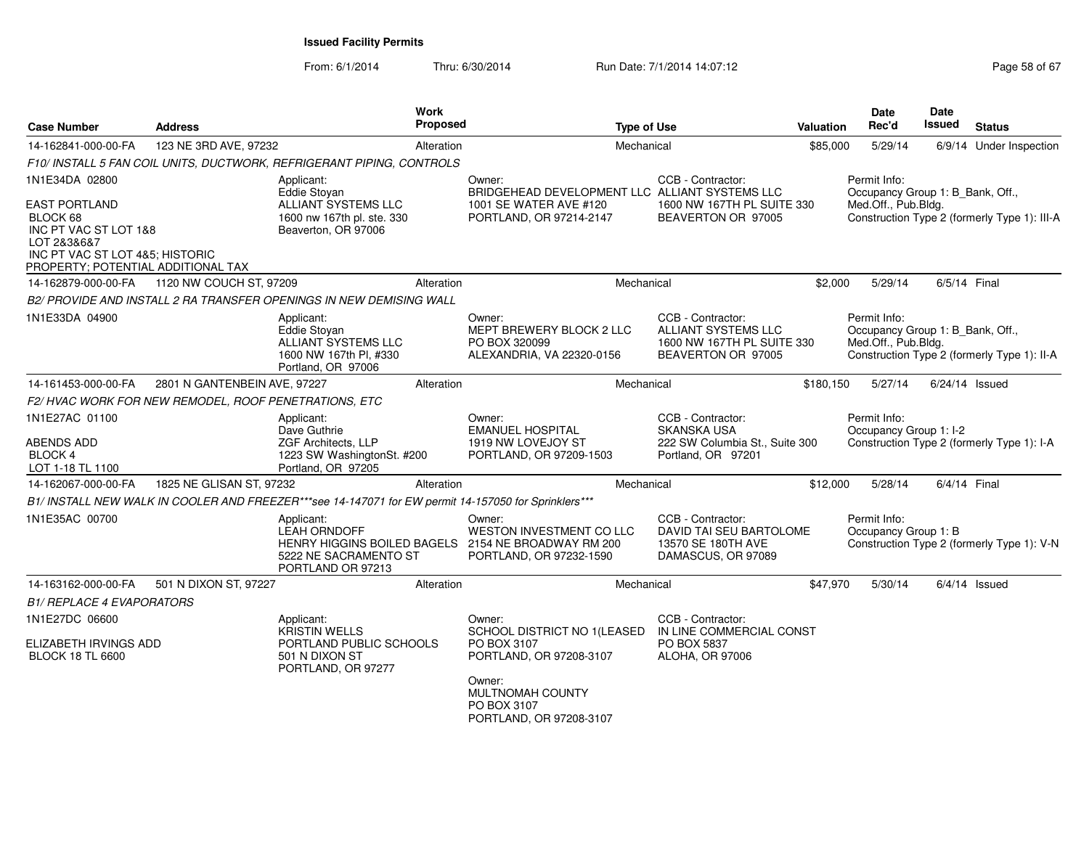| <b>Case Number</b>                                                                                                                                | <b>Address</b>                                       |                                                                                                         | <b>Work</b><br>Proposed | <b>Type of Use</b>                                                                       |                                                                                                     | Valuation | Date<br>Rec'd                                                           | Date<br>Issued | <b>Status</b>                                |
|---------------------------------------------------------------------------------------------------------------------------------------------------|------------------------------------------------------|---------------------------------------------------------------------------------------------------------|-------------------------|------------------------------------------------------------------------------------------|-----------------------------------------------------------------------------------------------------|-----------|-------------------------------------------------------------------------|----------------|----------------------------------------------|
| 14-162841-000-00-FA                                                                                                                               | 123 NE 3RD AVE, 97232                                |                                                                                                         | Alteration              | Mechanical                                                                               |                                                                                                     | \$85,000  | 5/29/14                                                                 |                | 6/9/14 Under Inspection                      |
|                                                                                                                                                   |                                                      | F10/ INSTALL 5 FAN COIL UNITS, DUCTWORK, REFRIGERANT PIPING, CONTROLS                                   |                         |                                                                                          |                                                                                                     |           |                                                                         |                |                                              |
| 1N1E34DA 02800                                                                                                                                    |                                                      | Applicant:<br>Eddie Stovan                                                                              |                         | Owner:<br>BRIDGEHEAD DEVELOPMENT LLC ALLIANT SYSTEMS LLC                                 | CCB - Contractor:                                                                                   |           | Permit Info:<br>Occupancy Group 1: B_Bank, Off.,                        |                |                                              |
| <b>EAST PORTLAND</b><br>BLOCK 68<br>INC PT VAC ST LOT 1&8<br>LOT 2&3&6&7<br>INC PT VAC ST LOT 4&5; HISTORIC<br>PROPERTY; POTENTIAL ADDITIONAL TAX |                                                      | ALLIANT SYSTEMS LLC<br>1600 nw 167th pl. ste. 330<br>Beaverton, OR 97006                                |                         | 1001 SE WATER AVE #120<br>PORTLAND, OR 97214-2147                                        | 1600 NW 167TH PL SUITE 330<br>BEAVERTON OR 97005                                                    |           | Med.Off., Pub.Bldg.                                                     |                | Construction Type 2 (formerly Type 1): III-A |
| 14-162879-000-00-FA                                                                                                                               | 1120 NW COUCH ST, 97209                              |                                                                                                         | Alteration              | Mechanical                                                                               |                                                                                                     | \$2,000   | 5/29/14                                                                 | 6/5/14 Final   |                                              |
|                                                                                                                                                   |                                                      | B2/ PROVIDE AND INSTALL 2 RA TRANSFER OPENINGS IN NEW DEMISING WALL                                     |                         |                                                                                          |                                                                                                     |           |                                                                         |                |                                              |
| 1N1E33DA 04900                                                                                                                                    |                                                      | Applicant:<br>Eddie Stoyan<br>ALLIANT SYSTEMS LLC<br>1600 NW 167th Pl, #330<br>Portland, OR 97006       |                         | Owner:<br>MEPT BREWERY BLOCK 2 LLC<br>PO BOX 320099<br>ALEXANDRIA, VA 22320-0156         | CCB - Contractor:<br><b>ALLIANT SYSTEMS LLC</b><br>1600 NW 167TH PL SUITE 330<br>BEAVERTON OR 97005 |           | Permit Info:<br>Occupancy Group 1: B_Bank, Off.,<br>Med.Off., Pub.Bldg. |                | Construction Type 2 (formerly Type 1): II-A  |
| 14-161453-000-00-FA                                                                                                                               | 2801 N GANTENBEIN AVE, 97227                         |                                                                                                         | Alteration              | Mechanical                                                                               |                                                                                                     | \$180,150 | 5/27/14                                                                 |                | $6/24/14$ Issued                             |
|                                                                                                                                                   | F2/HVAC WORK FOR NEW REMODEL, ROOF PENETRATIONS, ETC |                                                                                                         |                         |                                                                                          |                                                                                                     |           |                                                                         |                |                                              |
| 1N1E27AC 01100                                                                                                                                    |                                                      | Applicant:<br>Dave Guthrie                                                                              |                         | Owner:<br><b>EMANUEL HOSPITAL</b>                                                        | CCB - Contractor:<br><b>SKANSKA USA</b>                                                             |           | Permit Info:<br>Occupancy Group 1: I-2                                  |                |                                              |
| <b>ABENDS ADD</b><br>BLOCK 4<br>LOT 1-18 TL 1100                                                                                                  |                                                      | ZGF Architects, LLP<br>1223 SW WashingtonSt. #200<br>Portland, OR 97205                                 |                         | 1919 NW LOVEJOY ST<br>PORTLAND, OR 97209-1503                                            | 222 SW Columbia St., Suite 300<br>Portland, OR 97201                                                |           |                                                                         |                | Construction Type 2 (formerly Type 1): I-A   |
| 14-162067-000-00-FA                                                                                                                               | 1825 NE GLISAN ST, 97232                             |                                                                                                         | Alteration              | Mechanical                                                                               |                                                                                                     | \$12,000  | 5/28/14                                                                 | 6/4/14 Final   |                                              |
|                                                                                                                                                   |                                                      | B1/ INSTALL NEW WALK IN COOLER AND FREEZER***see 14-147071 for EW permit 14-157050 for Sprinklers***    |                         |                                                                                          |                                                                                                     |           |                                                                         |                |                                              |
| 1N1E35AC 00700                                                                                                                                    |                                                      | Applicant:<br>LEAH ORNDOFF<br>HENRY HIGGINS BOILED BAGELS<br>5222 NE SACRAMENTO ST<br>PORTLAND OR 97213 |                         | Owner:<br>WESTON INVESTMENT CO LLC<br>2154 NE BROADWAY RM 200<br>PORTLAND, OR 97232-1590 | CCB - Contractor:<br>DAVID TAI SEU BARTOLOME<br>13570 SE 180TH AVE<br>DAMASCUS, OR 97089            |           | Permit Info:<br>Occupancy Group 1: B                                    |                | Construction Type 2 (formerly Type 1): V-N   |
| 14-163162-000-00-FA                                                                                                                               | 501 N DIXON ST, 97227                                |                                                                                                         | Alteration              | Mechanical                                                                               |                                                                                                     | \$47,970  | 5/30/14                                                                 |                | $6/4/14$ Issued                              |
| <i><b>B1/ REPLACE 4 EVAPORATORS</b></i>                                                                                                           |                                                      |                                                                                                         |                         |                                                                                          |                                                                                                     |           |                                                                         |                |                                              |
| 1N1E27DC 06600<br>ELIZABETH IRVINGS ADD<br><b>BLOCK 18 TL 6600</b>                                                                                |                                                      | Applicant:<br><b>KRISTIN WELLS</b><br>PORTLAND PUBLIC SCHOOLS<br>501 N DIXON ST<br>PORTLAND, OR 97277   |                         | Owner:<br>SCHOOL DISTRICT NO 1(LEASED<br>PO BOX 3107<br>PORTLAND, OR 97208-3107          | CCB - Contractor:<br>IN LINE COMMERCIAL CONST<br>PO BOX 5837<br>ALOHA, OR 97006                     |           |                                                                         |                |                                              |
|                                                                                                                                                   |                                                      |                                                                                                         |                         | Owner:<br>MULTNOMAH COUNTY<br>PO BOX 3107<br>PORTLAND, OR 97208-3107                     |                                                                                                     |           |                                                                         |                |                                              |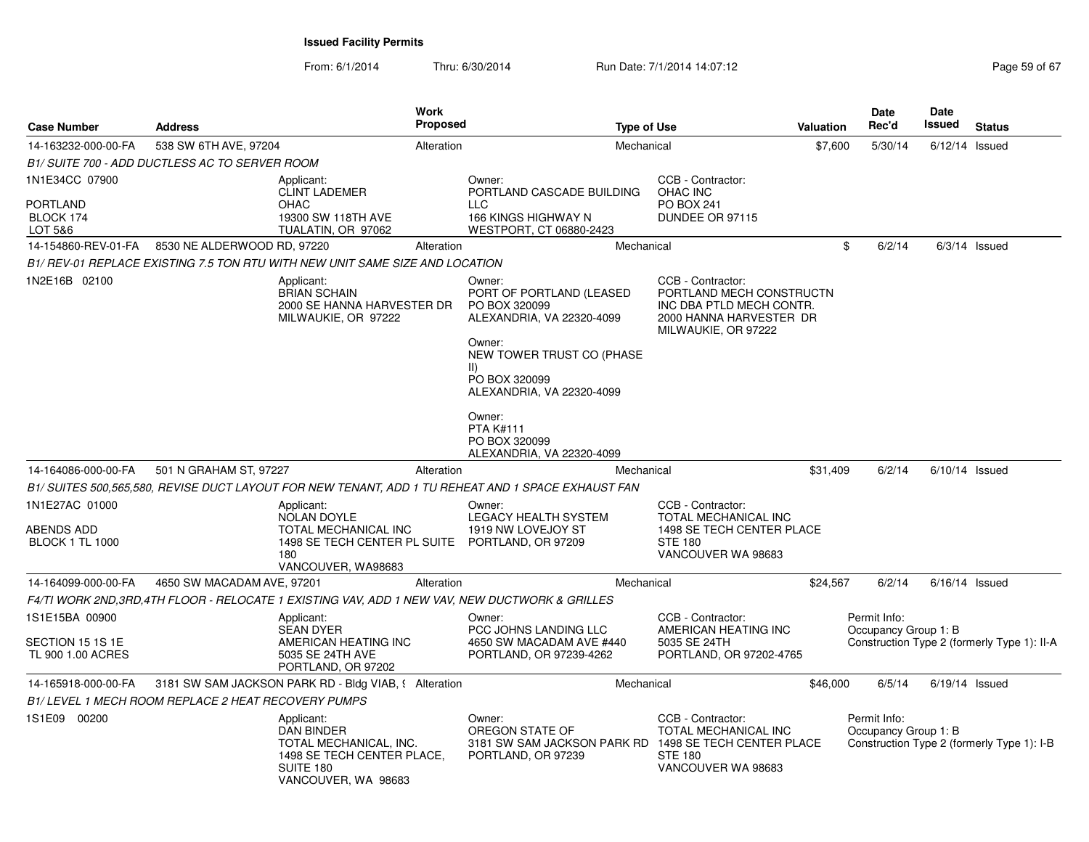From: 6/1/2014

| <b>Case Number</b>                                        | <b>Address</b>                                      |                                                                                                                             | Work<br><b>Proposed</b><br><b>Type of Use</b> |                                                                                                                                                                                      |                                                                                                                             | <b>Valuation</b> |          | Date<br>Rec'd                        | Date<br>Issued   | <b>Status</b>                               |
|-----------------------------------------------------------|-----------------------------------------------------|-----------------------------------------------------------------------------------------------------------------------------|-----------------------------------------------|--------------------------------------------------------------------------------------------------------------------------------------------------------------------------------------|-----------------------------------------------------------------------------------------------------------------------------|------------------|----------|--------------------------------------|------------------|---------------------------------------------|
| 14-163232-000-00-FA                                       | 538 SW 6TH AVE, 97204                               |                                                                                                                             | Alteration                                    |                                                                                                                                                                                      | Mechanical                                                                                                                  |                  | \$7,600  | 5/30/14                              | $6/12/14$ Issued |                                             |
|                                                           | B1/ SUITE 700 - ADD DUCTLESS AC TO SERVER ROOM      |                                                                                                                             |                                               |                                                                                                                                                                                      |                                                                                                                             |                  |          |                                      |                  |                                             |
| 1N1E34CC 07900<br><b>PORTLAND</b><br>BLOCK 174<br>LOT 5&6 |                                                     | Applicant:<br><b>CLINT LADEMER</b><br><b>OHAC</b><br>19300 SW 118TH AVE<br>TUALATIN, OR 97062                               |                                               | Owner:<br>PORTLAND CASCADE BUILDING<br><b>LLC</b><br>166 KINGS HIGHWAY N<br>WESTPORT, CT 06880-2423                                                                                  | CCB - Contractor:<br>OHAC INC<br><b>PO BOX 241</b><br>DUNDEE OR 97115                                                       |                  |          |                                      |                  |                                             |
| 14-154860-REV-01-FA                                       | 8530 NE ALDERWOOD RD, 97220                         |                                                                                                                             | Alteration                                    |                                                                                                                                                                                      | Mechanical                                                                                                                  |                  | \$       | 6/2/14                               |                  | $6/3/14$ Issued                             |
|                                                           |                                                     | B1/ REV-01 REPLACE EXISTING 7.5 TON RTU WITH NEW UNIT SAME SIZE AND LOCATION                                                |                                               |                                                                                                                                                                                      |                                                                                                                             |                  |          |                                      |                  |                                             |
| 1N2E16B 02100                                             |                                                     | Applicant:<br><b>BRIAN SCHAIN</b><br>2000 SE HANNA HARVESTER DR<br>MILWAUKIE, OR 97222                                      |                                               | Owner:<br>PORT OF PORTLAND (LEASED<br>PO BOX 320099<br>ALEXANDRIA, VA 22320-4099<br>Owner:<br>NEW TOWER TRUST CO (PHASE<br>$\parallel$<br>PO BOX 320099<br>ALEXANDRIA, VA 22320-4099 | CCB - Contractor:<br>PORTLAND MECH CONSTRUCTN<br>INC DBA PTLD MECH CONTR.<br>2000 HANNA HARVESTER DR<br>MILWAUKIE, OR 97222 |                  |          |                                      |                  |                                             |
|                                                           |                                                     |                                                                                                                             |                                               | Owner:<br><b>PTA K#111</b><br>PO BOX 320099<br>ALEXANDRIA, VA 22320-4099                                                                                                             |                                                                                                                             |                  |          |                                      |                  |                                             |
| 14-164086-000-00-FA                                       | 501 N GRAHAM ST, 97227                              |                                                                                                                             | Alteration                                    |                                                                                                                                                                                      | Mechanical                                                                                                                  |                  | \$31,409 | 6/2/14                               | $6/10/14$ Issued |                                             |
|                                                           |                                                     |                                                                                                                             |                                               | B1/ SUITES 500.565.580. REVISE DUCT LAYOUT FOR NEW TENANT. ADD 1 TU REHEAT AND 1 SPACE EXHAUST FAN                                                                                   |                                                                                                                             |                  |          |                                      |                  |                                             |
| 1N1E27AC 01000<br>ABENDS ADD<br><b>BLOCK 1 TL 1000</b>    |                                                     | Applicant:<br><b>NOLAN DOYLE</b><br>TOTAL MECHANICAL INC<br>1498 SE TECH CENTER PL SUITE<br>180<br>VANCOUVER, WA98683       |                                               | Owner:<br><b>LEGACY HEALTH SYSTEM</b><br>1919 NW LOVEJOY ST<br>PORTLAND, OR 97209                                                                                                    | CCB - Contractor:<br>TOTAL MECHANICAL INC<br>1498 SE TECH CENTER PLACE<br><b>STE 180</b><br>VANCOUVER WA 98683              |                  |          |                                      |                  |                                             |
| 14-164099-000-00-FA                                       | 4650 SW MACADAM AVE, 97201                          |                                                                                                                             | Alteration                                    |                                                                                                                                                                                      | Mechanical                                                                                                                  |                  | \$24,567 | 6/2/14                               | $6/16/14$ Issued |                                             |
|                                                           |                                                     |                                                                                                                             |                                               | F4/TI WORK 2ND,3RD,4TH FLOOR - RELOCATE 1 EXISTING VAV, ADD 1 NEW VAV, NEW DUCTWORK & GRILLES                                                                                        |                                                                                                                             |                  |          |                                      |                  |                                             |
| 1S1E15BA 00900<br>SECTION 15 1S 1E<br>TL 900 1.00 ACRES   |                                                     | Applicant:<br><b>SEAN DYER</b><br>AMERICAN HEATING INC<br>5035 SE 24TH AVE<br>PORTLAND, OR 97202                            |                                               | Owner:<br>PCC JOHNS LANDING LLC<br>4650 SW MACADAM AVE #440<br>PORTLAND, OR 97239-4262                                                                                               | CCB - Contractor:<br>AMERICAN HEATING INC<br>5035 SE 24TH<br>PORTLAND, OR 97202-4765                                        |                  |          | Permit Info:<br>Occupancy Group 1: B |                  | Construction Type 2 (formerly Type 1): II-A |
| 14-165918-000-00-FA                                       |                                                     | 3181 SW SAM JACKSON PARK RD - Bldg VIAB, § Alteration                                                                       |                                               |                                                                                                                                                                                      | Mechanical                                                                                                                  |                  | \$46,000 | 6/5/14                               | 6/19/14 Issued   |                                             |
|                                                           | B1/ LEVEL 1 MECH ROOM REPLACE 2 HEAT RECOVERY PUMPS |                                                                                                                             |                                               |                                                                                                                                                                                      |                                                                                                                             |                  |          |                                      |                  |                                             |
| 1S1E09 00200                                              |                                                     | Applicant:<br><b>DAN BINDER</b><br>TOTAL MECHANICAL, INC.<br>1498 SE TECH CENTER PLACE,<br>SUITE 180<br>VANCOUVER, WA 98683 |                                               | Owner:<br>OREGON STATE OF<br>3181 SW SAM JACKSON PARK RD 1498 SE TECH CENTER PLACE<br>PORTLAND, OR 97239                                                                             | CCB - Contractor:<br>TOTAL MECHANICAL INC<br><b>STE 180</b><br>VANCOUVER WA 98683                                           |                  |          | Permit Info:<br>Occupancy Group 1: B |                  | Construction Type 2 (formerly Type 1): I-B  |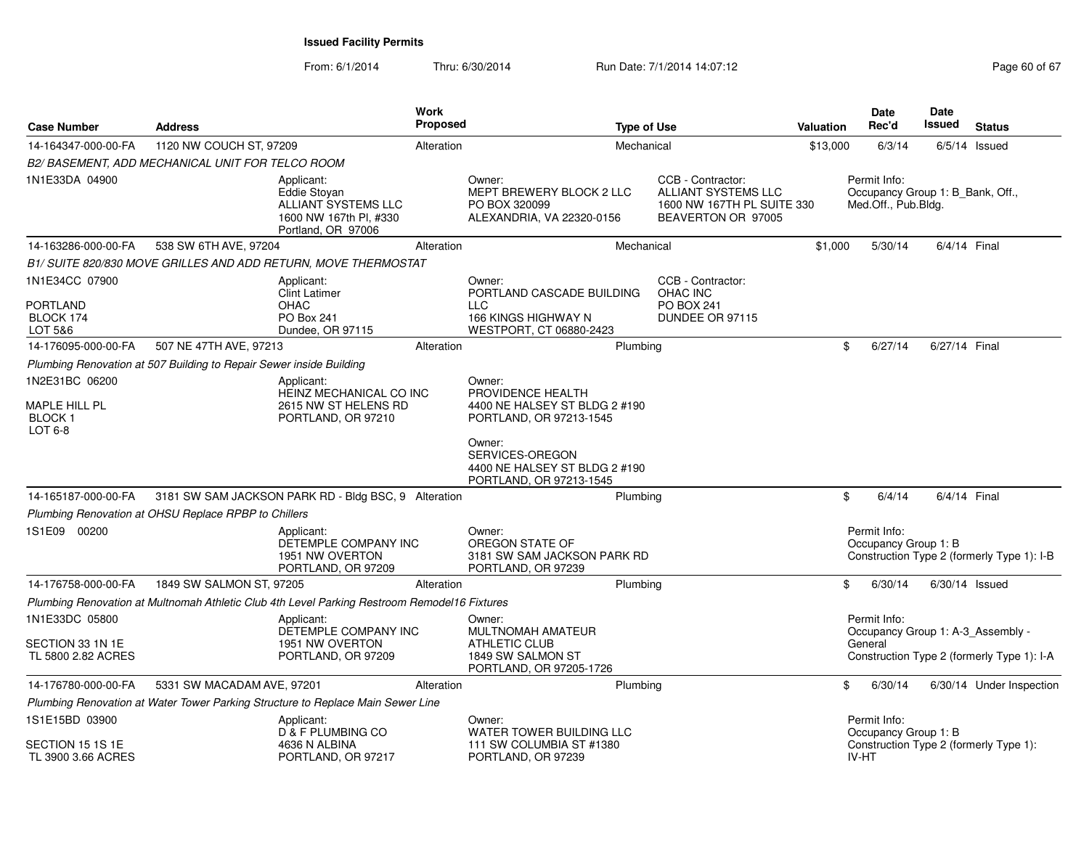From: 6/1/2014

Thru: 6/30/2014 Run Date: 7/1/2014 14:07:12 Research 2010 12:07:12

| <b>Case Number</b><br><b>Address</b>                        |                                                                     |                                                                                                   | <b>Work</b><br>Proposed<br><b>Type of Use</b> |                                                                                                                                                       |                                                                                                     | <b>Valuation</b> | <b>Date</b><br>Rec'd                                                    | <b>Date</b><br><b>Issued</b> | <b>Status</b>                                                                   |
|-------------------------------------------------------------|---------------------------------------------------------------------|---------------------------------------------------------------------------------------------------|-----------------------------------------------|-------------------------------------------------------------------------------------------------------------------------------------------------------|-----------------------------------------------------------------------------------------------------|------------------|-------------------------------------------------------------------------|------------------------------|---------------------------------------------------------------------------------|
| 14-164347-000-00-FA                                         | 1120 NW COUCH ST, 97209                                             |                                                                                                   | Alteration                                    |                                                                                                                                                       | Mechanical                                                                                          | \$13,000         | 6/3/14                                                                  |                              | $6/5/14$ Issued                                                                 |
|                                                             | B2/ BASEMENT, ADD MECHANICAL UNIT FOR TELCO ROOM                    |                                                                                                   |                                               |                                                                                                                                                       |                                                                                                     |                  |                                                                         |                              |                                                                                 |
| 1N1E33DA 04900                                              |                                                                     | Applicant:<br>Eddie Stovan<br>ALLIANT SYSTEMS LLC<br>1600 NW 167th Pl, #330<br>Portland, OR 97006 |                                               | Owner:<br>MEPT BREWERY BLOCK 2 LLC<br>PO BOX 320099<br>ALEXANDRIA, VA 22320-0156                                                                      | CCB - Contractor:<br><b>ALLIANT SYSTEMS LLC</b><br>1600 NW 167TH PL SUITE 330<br>BEAVERTON OR 97005 |                  | Permit Info:<br>Occupancy Group 1: B Bank, Off.,<br>Med.Off., Pub.Bldg. |                              |                                                                                 |
| 14-163286-000-00-FA                                         | 538 SW 6TH AVE, 97204                                               |                                                                                                   | Alteration                                    |                                                                                                                                                       | Mechanical                                                                                          | \$1,000          | 5/30/14                                                                 |                              | 6/4/14 Final                                                                    |
|                                                             |                                                                     | B1/ SUITE 820/830 MOVE GRILLES AND ADD RETURN, MOVE THERMOSTAT                                    |                                               |                                                                                                                                                       |                                                                                                     |                  |                                                                         |                              |                                                                                 |
| 1N1E34CC 07900<br><b>PORTLAND</b><br>BLOCK 174<br>LOT 5&6   |                                                                     | Applicant:<br><b>Clint Latimer</b><br><b>OHAC</b><br>PO Box 241<br>Dundee, OR 97115               |                                               | Owner:<br>PORTLAND CASCADE BUILDING<br><b>LLC</b><br>166 KINGS HIGHWAY N<br>WESTPORT, CT 06880-2423                                                   | CCB - Contractor:<br><b>OHAC INC</b><br><b>PO BOX 241</b><br>DUNDEE OR 97115                        |                  |                                                                         |                              |                                                                                 |
| 14-176095-000-00-FA                                         | 507 NE 47TH AVE, 97213                                              |                                                                                                   | Alteration                                    | Plumbing                                                                                                                                              |                                                                                                     |                  | 6/27/14<br>\$                                                           |                              | 6/27/14 Final                                                                   |
|                                                             | Plumbing Renovation at 507 Building to Repair Sewer inside Building |                                                                                                   |                                               |                                                                                                                                                       |                                                                                                     |                  |                                                                         |                              |                                                                                 |
| 1N2E31BC 06200<br>MAPLE HILL PL<br><b>BLOCK1</b><br>LOT 6-8 |                                                                     | Applicant:<br>HEINZ MECHANICAL CO INC<br>2615 NW ST HELENS RD<br>PORTLAND, OR 97210               |                                               | Owner:<br>PROVIDENCE HEALTH<br>4400 NE HALSEY ST BLDG 2 #190<br>PORTLAND, OR 97213-1545<br>Owner:<br>SERVICES-OREGON<br>4400 NE HALSEY ST BLDG 2 #190 |                                                                                                     |                  |                                                                         |                              |                                                                                 |
|                                                             |                                                                     |                                                                                                   |                                               | PORTLAND, OR 97213-1545                                                                                                                               |                                                                                                     |                  | \$<br>6/4/14                                                            |                              | 6/4/14 Final                                                                    |
| 14-165187-000-00-FA                                         | Plumbing Renovation at OHSU Replace RPBP to Chillers                | 3181 SW SAM JACKSON PARK RD - Bldg BSC, 9 Alteration                                              |                                               | Plumbing                                                                                                                                              |                                                                                                     |                  |                                                                         |                              |                                                                                 |
| 1S1E09 00200                                                |                                                                     | Applicant:<br>DETEMPLE COMPANY INC<br>1951 NW OVERTON<br>PORTLAND, OR 97209                       |                                               | Owner:<br>OREGON STATE OF<br>3181 SW SAM JACKSON PARK RD<br>PORTLAND, OR 97239                                                                        |                                                                                                     |                  | Permit Info:<br>Occupancy Group 1: B                                    |                              | Construction Type 2 (formerly Type 1): I-B                                      |
| 14-176758-000-00-FA                                         | 1849 SW SALMON ST, 97205                                            |                                                                                                   | Alteration                                    | Plumbing                                                                                                                                              |                                                                                                     |                  | \$<br>6/30/14                                                           |                              | $6/30/14$ Issued                                                                |
|                                                             |                                                                     | Plumbing Renovation at Multnomah Athletic Club 4th Level Parking Restroom Remodel16 Fixtures      |                                               |                                                                                                                                                       |                                                                                                     |                  |                                                                         |                              |                                                                                 |
| 1N1E33DC 05800<br>SECTION 33 1N 1E<br>TL 5800 2.82 ACRES    |                                                                     | Applicant:<br>DETEMPLE COMPANY INC<br>1951 NW OVERTON<br>PORTLAND, OR 97209                       |                                               | Owner:<br>MULTNOMAH AMATEUR<br><b>ATHLETIC CLUB</b><br>1849 SW SALMON ST<br>PORTLAND, OR 97205-1726                                                   |                                                                                                     |                  | Permit Info:<br>General                                                 |                              | Occupancy Group 1: A-3_Assembly -<br>Construction Type 2 (formerly Type 1): I-A |
| 14-176780-000-00-FA                                         | 5331 SW MACADAM AVE, 97201                                          |                                                                                                   | Alteration                                    | Plumbing                                                                                                                                              |                                                                                                     |                  | \$<br>6/30/14                                                           |                              | 6/30/14 Under Inspection                                                        |
|                                                             |                                                                     | Plumbing Renovation at Water Tower Parking Structure to Replace Main Sewer Line                   |                                               |                                                                                                                                                       |                                                                                                     |                  |                                                                         |                              |                                                                                 |
| 1S1E15BD 03900<br>SECTION 15 1S 1E<br>TL 3900 3.66 ACRES    |                                                                     | Applicant:<br>D & F PLUMBING CO<br>4636 N ALBINA<br>PORTLAND, OR 97217                            |                                               | Owner:<br><b>WATER TOWER BUILDING LLC</b><br>111 SW COLUMBIA ST #1380<br>PORTLAND, OR 97239                                                           |                                                                                                     |                  | Permit Info:<br>Occupancy Group 1: B<br>IV-HT                           |                              | Construction Type 2 (formerly Type 1):                                          |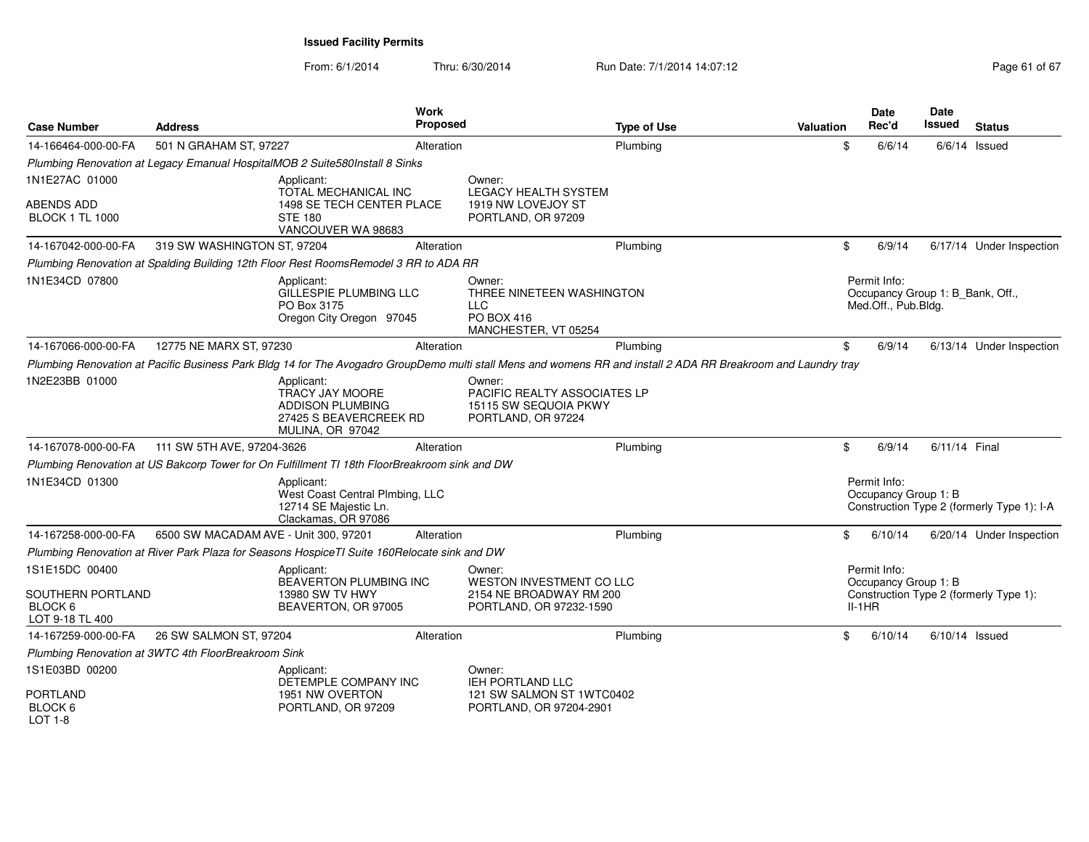| <b>Case Number</b>                                         | <b>Address</b>                                      |                                                                                                               | Work<br><b>Proposed</b> |                                                                                                                                                                | <b>Type of Use</b> | Valuation | <b>Date</b><br>Rec'd                                                    | Date<br>Issued   | <b>Status</b>                              |
|------------------------------------------------------------|-----------------------------------------------------|---------------------------------------------------------------------------------------------------------------|-------------------------|----------------------------------------------------------------------------------------------------------------------------------------------------------------|--------------------|-----------|-------------------------------------------------------------------------|------------------|--------------------------------------------|
| 14-166464-000-00-FA                                        | 501 N GRAHAM ST, 97227                              |                                                                                                               | Alteration              |                                                                                                                                                                | Plumbing           |           | \$<br>6/6/14                                                            |                  | $6/6/14$ Issued                            |
|                                                            |                                                     | Plumbing Renovation at Legacy Emanual HospitalMOB 2 Suite580Install 8 Sinks                                   |                         |                                                                                                                                                                |                    |           |                                                                         |                  |                                            |
| 1N1E27AC 01000                                             |                                                     | Applicant:<br>TOTAL MECHANICAL INC                                                                            |                         | Owner:<br><b>LEGACY HEALTH SYSTEM</b>                                                                                                                          |                    |           |                                                                         |                  |                                            |
| <b>ABENDS ADD</b><br><b>BLOCK 1 TL 1000</b>                |                                                     | 1498 SE TECH CENTER PLACE<br><b>STE 180</b><br>VANCOUVER WA 98683                                             |                         | 1919 NW LOVEJOY ST<br>PORTLAND, OR 97209                                                                                                                       |                    |           |                                                                         |                  |                                            |
| 14-167042-000-00-FA                                        | 319 SW WASHINGTON ST, 97204                         |                                                                                                               | Alteration              |                                                                                                                                                                | Plumbing           |           | \$<br>6/9/14                                                            |                  | 6/17/14 Under Inspection                   |
|                                                            |                                                     | Plumbing Renovation at Spalding Building 12th Floor Rest RoomsRemodel 3 RR to ADA RR                          |                         |                                                                                                                                                                |                    |           |                                                                         |                  |                                            |
| 1N1E34CD 07800                                             |                                                     | Applicant:<br>GILLESPIE PLUMBING LLC<br>PO Box 3175<br>Oregon City Oregon 97045                               |                         | Owner:<br>THREE NINETEEN WASHINGTON<br><b>LLC</b><br><b>PO BOX 416</b><br>MANCHESTER, VT 05254                                                                 |                    |           | Permit Info:<br>Occupancy Group 1: B_Bank, Off.,<br>Med.Off., Pub.Bldg. |                  |                                            |
| 14-167066-000-00-FA                                        | 12775 NE MARX ST, 97230                             |                                                                                                               | Alteration              |                                                                                                                                                                | Plumbing           |           | \$<br>6/9/14                                                            |                  | 6/13/14 Under Inspection                   |
|                                                            |                                                     |                                                                                                               |                         | Plumbing Renovation at Pacific Business Park Bldg 14 for The Avogadro GroupDemo multi stall Mens and womens RR and install 2 ADA RR Breakroom and Laundry tray |                    |           |                                                                         |                  |                                            |
| 1N2E23BB 01000                                             |                                                     | Applicant:<br><b>TRACY JAY MOORE</b><br><b>ADDISON PLUMBING</b><br>27425 S BEAVERCREEK RD<br>MULINA, OR 97042 |                         | Owner:<br><b>PACIFIC REALTY ASSOCIATES LP</b><br>15115 SW SEQUOIA PKWY<br>PORTLAND, OR 97224                                                                   |                    |           |                                                                         |                  |                                            |
| 14-167078-000-00-FA                                        | 111 SW 5TH AVE, 97204-3626                          |                                                                                                               | Alteration              |                                                                                                                                                                | Plumbing           |           | \$<br>6/9/14                                                            | 6/11/14 Final    |                                            |
|                                                            |                                                     | Plumbing Renovation at US Bakcorp Tower for On Fulfillment TI 18th FloorBreakroom sink and DW                 |                         |                                                                                                                                                                |                    |           |                                                                         |                  |                                            |
| 1N1E34CD 01300                                             |                                                     | Applicant:<br>West Coast Central Plmbing, LLC<br>12714 SE Majestic Ln.<br>Clackamas, OR 97086                 |                         |                                                                                                                                                                |                    |           | Permit Info:<br>Occupancy Group 1: B                                    |                  | Construction Type 2 (formerly Type 1): I-A |
| 14-167258-000-00-FA                                        | 6500 SW MACADAM AVE - Unit 300, 97201               |                                                                                                               | Alteration              |                                                                                                                                                                | Plumbing           |           | \$<br>6/10/14                                                           |                  | 6/20/14 Under Inspection                   |
|                                                            |                                                     | Plumbing Renovation at River Park Plaza for Seasons HospiceTI Suite 160Relocate sink and DW                   |                         |                                                                                                                                                                |                    |           |                                                                         |                  |                                            |
| 1S1E15DC 00400                                             |                                                     | Applicant:<br><b>BEAVERTON PLUMBING INC</b>                                                                   |                         | Owner:<br>WESTON INVESTMENT CO LLC                                                                                                                             |                    |           | Permit Info:<br>Occupancy Group 1: B                                    |                  |                                            |
| SOUTHERN PORTLAND<br>BLOCK <sub>6</sub><br>LOT 9-18 TL 400 |                                                     | 13980 SW TV HWY<br>BEAVERTON, OR 97005                                                                        |                         | 2154 NE BROADWAY RM 200<br>PORTLAND, OR 97232-1590                                                                                                             |                    |           | $II-1HR$                                                                |                  | Construction Type 2 (formerly Type 1):     |
| 14-167259-000-00-FA                                        | 26 SW SALMON ST, 97204                              |                                                                                                               | Alteration              |                                                                                                                                                                | Plumbing           |           | \$<br>6/10/14                                                           | $6/10/14$ Issued |                                            |
|                                                            | Plumbing Renovation at 3WTC 4th FloorBreakroom Sink |                                                                                                               |                         |                                                                                                                                                                |                    |           |                                                                         |                  |                                            |
| 1S1E03BD 00200                                             |                                                     | Applicant:<br>DETEMPLE COMPANY INC                                                                            |                         | Owner:<br><b>IEH PORTLAND LLC</b>                                                                                                                              |                    |           |                                                                         |                  |                                            |
| <b>PORTLAND</b><br>BLOCK <sub>6</sub><br>$LOT 1-8$         |                                                     | 1951 NW OVERTON<br>PORTLAND, OR 97209                                                                         |                         | 121 SW SALMON ST 1WTC0402<br>PORTLAND, OR 97204-2901                                                                                                           |                    |           |                                                                         |                  |                                            |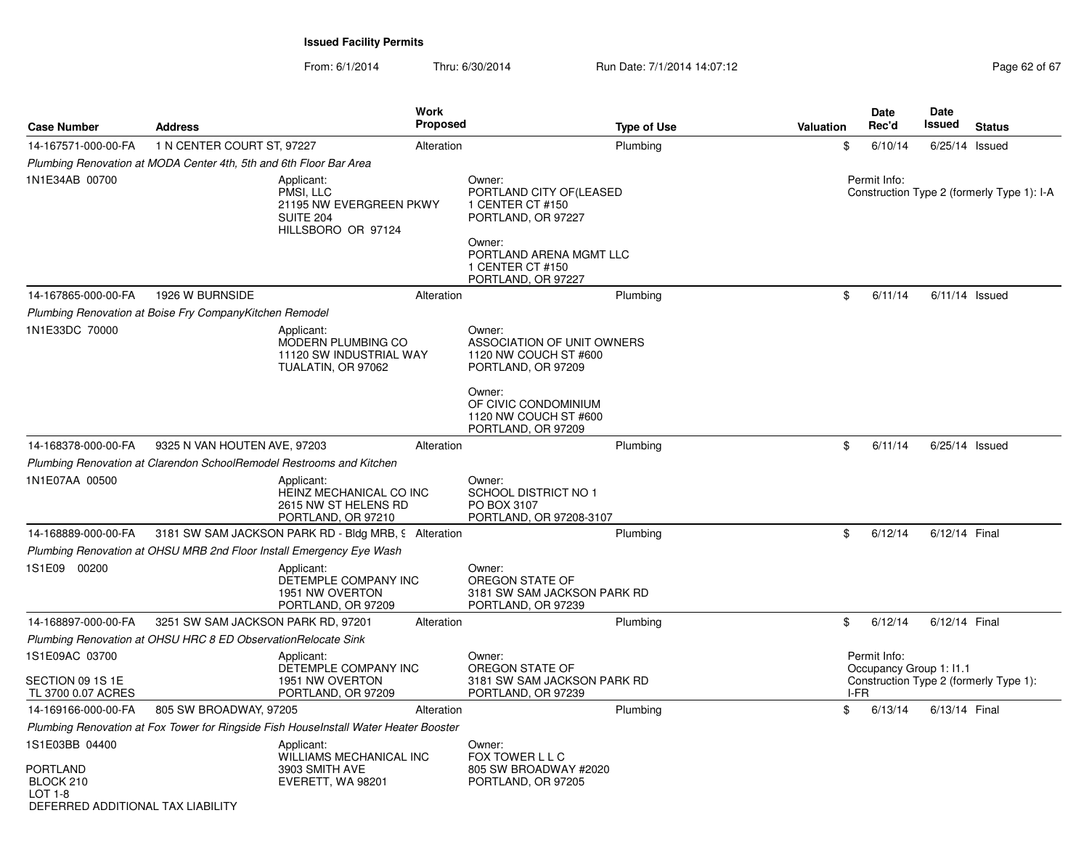| <b>Case Number</b>                                                                               | <b>Address</b>                                                     | <b>Work</b>                                                                           | Proposed                                                                                                                               |                                | Valuation | Date<br>Rec'd                                   | Date<br>Issued | <b>Status</b>                              |
|--------------------------------------------------------------------------------------------------|--------------------------------------------------------------------|---------------------------------------------------------------------------------------|----------------------------------------------------------------------------------------------------------------------------------------|--------------------------------|-----------|-------------------------------------------------|----------------|--------------------------------------------|
| 14-167571-000-00-FA                                                                              | 1 N CENTER COURT ST, 97227                                         | Alteration                                                                            |                                                                                                                                        | <b>Type of Use</b><br>Plumbing | \$        | 6/10/14                                         |                | $6/25/14$ Issued                           |
|                                                                                                  | Plumbing Renovation at MODA Center 4th, 5th and 6th Floor Bar Area |                                                                                       |                                                                                                                                        |                                |           |                                                 |                |                                            |
| 1N1E34AB 00700                                                                                   |                                                                    | Applicant:<br>PMSI, LLC<br>21195 NW EVERGREEN PKWY<br>SUITE 204<br>HILLSBORO OR 97124 | Owner:<br>PORTLAND CITY OF(LEASED<br>1 CENTER CT #150<br>PORTLAND, OR 97227<br>Owner:<br>1 CENTER CT #150                              | PORTLAND ARENA MGMT LLC        |           | Permit Info:                                    |                | Construction Type 2 (formerly Type 1): I-A |
| 14-167865-000-00-FA                                                                              | 1926 W BURNSIDE                                                    | Alteration                                                                            | PORTLAND, OR 97227                                                                                                                     | Plumbing                       | \$        | 6/11/14                                         |                | $6/11/14$ Issued                           |
|                                                                                                  | Plumbing Renovation at Boise Fry CompanyKitchen Remodel            |                                                                                       |                                                                                                                                        |                                |           |                                                 |                |                                            |
| 1N1E33DC 70000                                                                                   |                                                                    | Applicant:<br>MODERN PLUMBING CO<br>11120 SW INDUSTRIAL WAY<br>TUALATIN, OR 97062     | Owner:<br>1120 NW COUCH ST #600<br>PORTLAND, OR 97209<br>Owner:<br>OF CIVIC CONDOMINIUM<br>1120 NW COUCH ST #600<br>PORTLAND, OR 97209 | ASSOCIATION OF UNIT OWNERS     |           |                                                 |                |                                            |
| 14-168378-000-00-FA                                                                              | 9325 N VAN HOUTEN AVE, 97203                                       | Alteration                                                                            |                                                                                                                                        | Plumbing                       | \$        | 6/11/14                                         |                | $6/25/14$ Issued                           |
|                                                                                                  |                                                                    | Plumbing Renovation at Clarendon SchoolRemodel Restrooms and Kitchen                  |                                                                                                                                        |                                |           |                                                 |                |                                            |
| 1N1E07AA 00500                                                                                   |                                                                    | Applicant:<br>HEINZ MECHANICAL CO INC<br>2615 NW ST HELENS RD<br>PORTLAND, OR 97210   | Owner:<br>SCHOOL DISTRICT NO 1<br>PO BOX 3107<br>PORTLAND, OR 97208-3107                                                               |                                |           |                                                 |                |                                            |
| 14-168889-000-00-FA                                                                              |                                                                    | 3181 SW SAM JACKSON PARK RD - Bldg MRB, 9 Alteration                                  |                                                                                                                                        | Plumbing                       | \$        | 6/12/14                                         | 6/12/14 Final  |                                            |
|                                                                                                  |                                                                    | Plumbing Renovation at OHSU MRB 2nd Floor Install Emergency Eye Wash                  |                                                                                                                                        |                                |           |                                                 |                |                                            |
| 1S1E09 00200                                                                                     |                                                                    | Applicant:<br>DETEMPLE COMPANY INC<br>1951 NW OVERTON<br>PORTLAND, OR 97209           | Owner:<br>OREGON STATE OF<br>PORTLAND, OR 97239                                                                                        | 3181 SW SAM JACKSON PARK RD    |           |                                                 |                |                                            |
| 14-168897-000-00-FA                                                                              | 3251 SW SAM JACKSON PARK RD, 97201                                 | Alteration                                                                            |                                                                                                                                        | Plumbing                       | \$        | 6/12/14                                         | 6/12/14 Final  |                                            |
|                                                                                                  | Plumbing Renovation at OHSU HRC 8 ED Observation Relocate Sink     |                                                                                       |                                                                                                                                        |                                |           |                                                 |                |                                            |
| 1S1E09AC 03700<br>SECTION 09 1S 1E<br>TL 3700 0.07 ACRES                                         |                                                                    | Applicant:<br>DETEMPLE COMPANY INC<br>1951 NW OVERTON<br>PORTLAND, OR 97209           | Owner:<br>OREGON STATE OF<br>PORTLAND, OR 97239                                                                                        | 3181 SW SAM JACKSON PARK RD    |           | Permit Info:<br>Occupancy Group 1: 11.1<br>I-FR |                | Construction Type 2 (formerly Type 1):     |
| 14-169166-000-00-FA                                                                              | 805 SW BROADWAY, 97205                                             | Alteration                                                                            |                                                                                                                                        | Plumbing                       | \$        | 6/13/14                                         | 6/13/14 Final  |                                            |
|                                                                                                  |                                                                    | Plumbing Renovation at Fox Tower for Ringside Fish HouseInstall Water Heater Booster  |                                                                                                                                        |                                |           |                                                 |                |                                            |
| 1S1E03BB 04400<br><b>PORTLAND</b><br>BLOCK 210<br>$LOT 1-8$<br>DEFERRED ADDITIONAL TAX LIABILITY |                                                                    | Applicant:<br>WILLIAMS MECHANICAL INC<br>3903 SMITH AVE<br>EVERETT, WA 98201          | Owner:<br>FOX TOWER L L C<br>805 SW BROADWAY #2020<br>PORTLAND, OR 97205                                                               |                                |           |                                                 |                |                                            |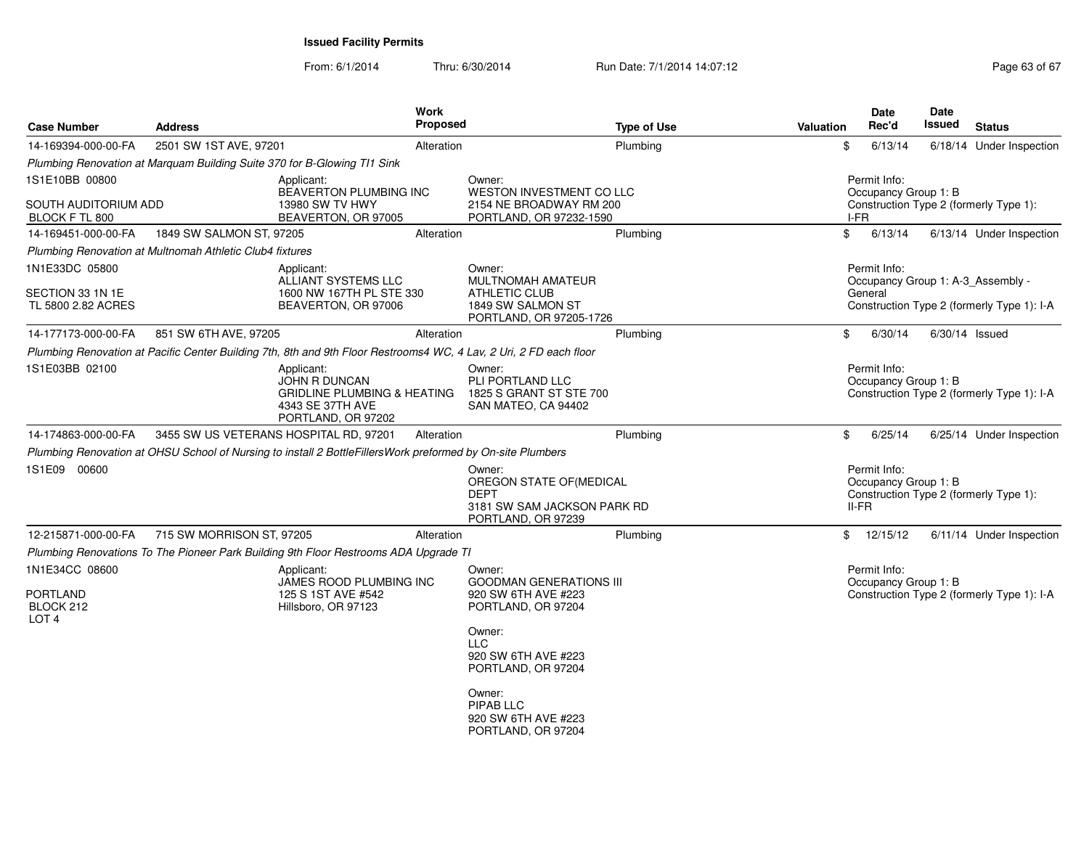| <b>Case Number</b>                             | <b>Address</b>                                           |                                                                                                                    | Work<br><b>Proposed</b> |                                                                                                       | <b>Type of Use</b> | <b>Valuation</b> | <b>Date</b><br>Rec'd                              | <b>Date</b><br>Issued | <b>Status</b>                              |
|------------------------------------------------|----------------------------------------------------------|--------------------------------------------------------------------------------------------------------------------|-------------------------|-------------------------------------------------------------------------------------------------------|--------------------|------------------|---------------------------------------------------|-----------------------|--------------------------------------------|
| 14-169394-000-00-FA                            | 2501 SW 1ST AVE, 97201                                   |                                                                                                                    | Alteration              |                                                                                                       | Plumbing           |                  | \$<br>6/13/14                                     |                       | 6/18/14 Under Inspection                   |
|                                                |                                                          | Plumbing Renovation at Marquam Building Suite 370 for B-Glowing TI1 Sink                                           |                         |                                                                                                       |                    |                  |                                                   |                       |                                            |
| 1S1E10BB 00800                                 |                                                          | Applicant:<br>BEAVERTON PLUMBING INC                                                                               |                         | Owner:<br>WESTON INVESTMENT CO LLC                                                                    |                    |                  | Permit Info:<br>Occupancy Group 1: B              |                       |                                            |
| SOUTH AUDITORIUM ADD<br>BLOCK F TL 800         |                                                          | 13980 SW TV HWY<br>BEAVERTON, OR 97005                                                                             |                         | 2154 NE BROADWAY RM 200<br>PORTLAND, OR 97232-1590                                                    |                    |                  | I-FR                                              |                       | Construction Type 2 (formerly Type 1):     |
| 14-169451-000-00-FA                            | 1849 SW SALMON ST, 97205                                 |                                                                                                                    | Alteration              |                                                                                                       | Plumbing           |                  | \$<br>6/13/14                                     |                       | 6/13/14 Under Inspection                   |
|                                                | Plumbing Renovation at Multnomah Athletic Club4 fixtures |                                                                                                                    |                         |                                                                                                       |                    |                  |                                                   |                       |                                            |
| 1N1E33DC 05800                                 |                                                          | Applicant:<br>ALLIANT SYSTEMS LLC                                                                                  |                         | Owner:<br><b>MULTNOMAH AMATEUR</b>                                                                    |                    |                  | Permit Info:<br>Occupancy Group 1: A-3 Assembly - |                       |                                            |
| SECTION 33 1N 1E<br>TL 5800 2.82 ACRES         |                                                          | 1600 NW 167TH PL STE 330<br>BEAVERTON, OR 97006                                                                    |                         | <b>ATHLETIC CLUB</b><br>1849 SW SALMON ST<br>PORTLAND, OR 97205-1726                                  |                    |                  | General                                           |                       | Construction Type 2 (formerly Type 1): I-A |
| 14-177173-000-00-FA                            | 851 SW 6TH AVE, 97205                                    |                                                                                                                    | Alteration              |                                                                                                       | Plumbing           |                  | \$<br>6/30/14                                     | $6/30/14$ Issued      |                                            |
|                                                |                                                          | Plumbing Renovation at Pacific Center Building 7th, 8th and 9th Floor Restrooms4 WC, 4 Lav, 2 Uri, 2 FD each floor |                         |                                                                                                       |                    |                  |                                                   |                       |                                            |
| 1S1E03BB 02100                                 |                                                          | Applicant:<br>JOHN R DUNCAN<br><b>GRIDLINE PLUMBING &amp; HEATING</b><br>4343 SE 37TH AVE<br>PORTLAND, OR 97202    |                         | Owner:<br>PLI PORTLAND LLC<br>1825 S GRANT ST STE 700<br>SAN MATEO, CA 94402                          |                    |                  | Permit Info:<br>Occupancy Group 1: B              |                       | Construction Type 2 (formerly Type 1): I-A |
| 14-174863-000-00-FA                            |                                                          | 3455 SW US VETERANS HOSPITAL RD, 97201                                                                             | Alteration              |                                                                                                       | Plumbing           |                  | 6/25/14<br>\$                                     |                       | 6/25/14 Under Inspection                   |
|                                                |                                                          | Plumbing Renovation at OHSU School of Nursing to install 2 BottleFillersWork preformed by On-site Plumbers         |                         |                                                                                                       |                    |                  |                                                   |                       |                                            |
| 1S1E09 00600                                   |                                                          |                                                                                                                    |                         | Owner:<br>OREGON STATE OF(MEDICAL<br><b>DEPT</b><br>3181 SW SAM JACKSON PARK RD<br>PORTLAND, OR 97239 |                    |                  | Permit Info:<br>Occupancy Group 1: B<br>$II-FR$   |                       | Construction Type 2 (formerly Type 1):     |
| 12-215871-000-00-FA                            | 715 SW MORRISON ST, 97205                                |                                                                                                                    | Alteration              |                                                                                                       | Plumbing           |                  | $\mathbb{S}$<br>12/15/12                          |                       | 6/11/14 Under Inspection                   |
|                                                |                                                          | Plumbing Renovations To The Pioneer Park Building 9th Floor Restrooms ADA Upgrade TI                               |                         |                                                                                                       |                    |                  |                                                   |                       |                                            |
| 1N1E34CC 08600<br><b>PORTLAND</b><br>BLOCK 212 |                                                          | Applicant:<br>JAMES ROOD PLUMBING INC<br>125 S 1ST AVE #542<br>Hillsboro, OR 97123                                 |                         | Owner:<br><b>GOODMAN GENERATIONS III</b><br>920 SW 6TH AVE #223<br>PORTLAND, OR 97204                 |                    |                  | Permit Info:<br>Occupancy Group 1: B              |                       | Construction Type 2 (formerly Type 1): I-A |
| LOT <sub>4</sub>                               |                                                          |                                                                                                                    |                         | Owner:<br><b>LLC</b><br>920 SW 6TH AVE #223<br>PORTLAND, OR 97204                                     |                    |                  |                                                   |                       |                                            |
|                                                |                                                          |                                                                                                                    |                         | Owner:<br>PIPAB LLC<br>920 SW 6TH AVE #223<br>PORTLAND, OR 97204                                      |                    |                  |                                                   |                       |                                            |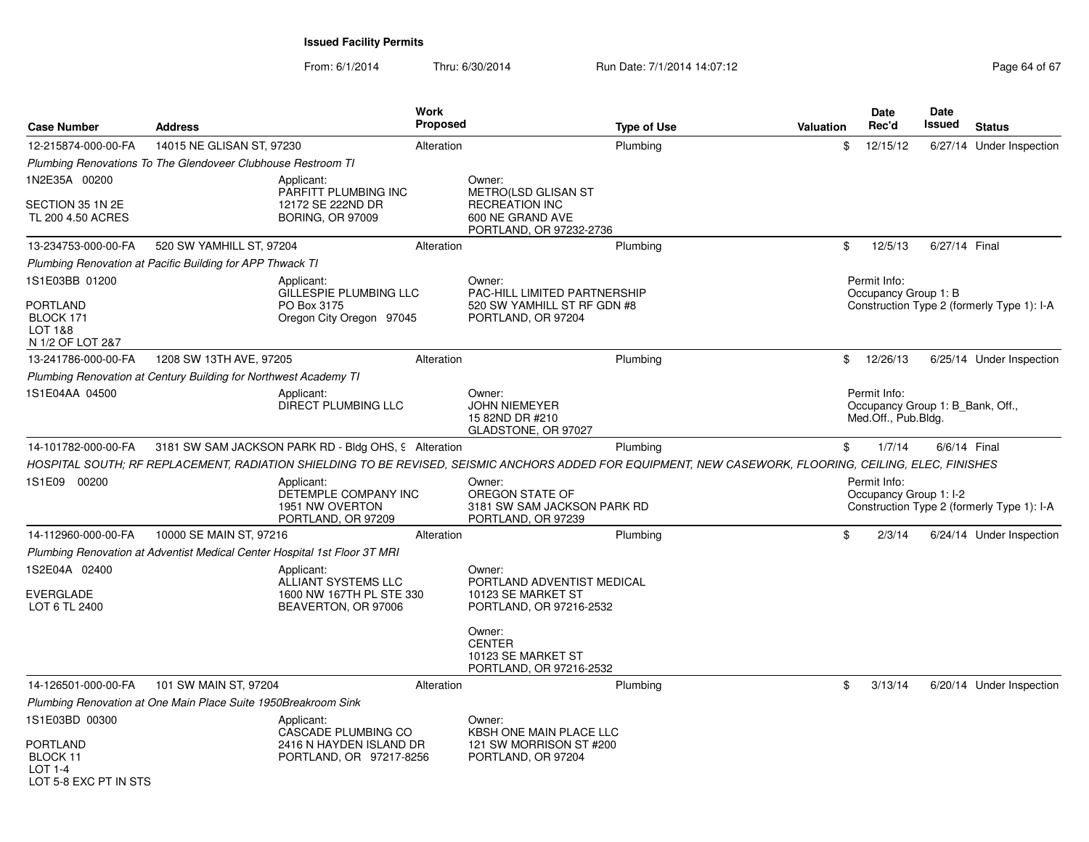From: 6/1/2014Thru: 6/30/2014 Run Date: 7/1/2014 14:07:12 Rege 64 of 67

| <b>Case Number</b>                                          | <b>Address</b>                                                   |                                                                                                                                                         | Work<br><b>Proposed</b> |                                                                                             | <b>Type of Use</b> | <b>Valuation</b> |                | Date<br>Rec'd                                                           | <b>Date</b><br>Issued | <b>Status</b>                              |
|-------------------------------------------------------------|------------------------------------------------------------------|---------------------------------------------------------------------------------------------------------------------------------------------------------|-------------------------|---------------------------------------------------------------------------------------------|--------------------|------------------|----------------|-------------------------------------------------------------------------|-----------------------|--------------------------------------------|
| 12-215874-000-00-FA                                         | 14015 NE GLISAN ST, 97230                                        |                                                                                                                                                         | Alteration              |                                                                                             | Plumbing           |                  | \$             | 12/15/12                                                                |                       | 6/27/14 Under Inspection                   |
|                                                             | Plumbing Renovations To The Glendoveer Clubhouse Restroom TI     |                                                                                                                                                         |                         |                                                                                             |                    |                  |                |                                                                         |                       |                                            |
| 1N2E35A 00200                                               |                                                                  | Applicant:                                                                                                                                              |                         | Owner:                                                                                      |                    |                  |                |                                                                         |                       |                                            |
| SECTION 35 1N 2E<br>TL 200 4.50 ACRES                       |                                                                  | PARFITT PLUMBING INC<br>12172 SE 222ND DR<br><b>BORING, OR 97009</b>                                                                                    |                         | METRO(LSD GLISAN ST<br><b>RECREATION INC</b><br>600 NE GRAND AVE<br>PORTLAND, OR 97232-2736 |                    |                  |                |                                                                         |                       |                                            |
| 13-234753-000-00-FA                                         | 520 SW YAMHILL ST, 97204                                         |                                                                                                                                                         | Alteration              |                                                                                             | Plumbing           |                  | \$             | 12/5/13                                                                 | 6/27/14 Final         |                                            |
|                                                             | Plumbing Renovation at Pacific Building for APP Thwack TI        |                                                                                                                                                         |                         |                                                                                             |                    |                  |                |                                                                         |                       |                                            |
| 1S1E03BB 01200                                              |                                                                  | Applicant:                                                                                                                                              |                         | Owner:                                                                                      |                    |                  |                | Permit Info:                                                            |                       |                                            |
| <b>PORTLAND</b><br>BLOCK 171<br>LOT 1&8<br>N 1/2 OF LOT 2&7 |                                                                  | GILLESPIE PLUMBING LLC<br>PO Box 3175<br>Oregon City Oregon 97045                                                                                       |                         | PAC-HILL LIMITED PARTNERSHIP<br>520 SW YAMHILL ST RF GDN #8<br>PORTLAND, OR 97204           |                    |                  |                | Occupancy Group 1: B                                                    |                       | Construction Type 2 (formerly Type 1): I-A |
| 13-241786-000-00-FA                                         | 1208 SW 13TH AVE, 97205                                          |                                                                                                                                                         | Alteration              |                                                                                             | Plumbing           |                  | \$             | 12/26/13                                                                |                       | 6/25/14 Under Inspection                   |
|                                                             | Plumbing Renovation at Century Building for Northwest Academy TI |                                                                                                                                                         |                         |                                                                                             |                    |                  |                |                                                                         |                       |                                            |
| 1S1E04AA 04500                                              |                                                                  | Applicant:<br>DIRECT PLUMBING LLC                                                                                                                       |                         | Owner:<br><b>JOHN NIEMEYER</b><br>15 82ND DR #210<br>GLADSTONE, OR 97027                    |                    |                  |                | Permit Info:<br>Occupancy Group 1: B Bank, Off.,<br>Med.Off., Pub.Bldg. |                       |                                            |
| 14-101782-000-00-FA                                         |                                                                  | 3181 SW SAM JACKSON PARK RD - Bldg OHS, 9 Alteration                                                                                                    |                         |                                                                                             | Plumbing           |                  | \$             | 1/7/14                                                                  |                       | 6/6/14 Final                               |
|                                                             |                                                                  | HOSPITAL SOUTH; RF REPLACEMENT, RADIATION SHIELDING TO BE REVISED, SEISMIC ANCHORS ADDED FOR EQUIPMENT, NEW CASEWORK, FLOORING, CEILING, ELEC, FINISHES |                         |                                                                                             |                    |                  |                |                                                                         |                       |                                            |
| 1S1E09 00200                                                |                                                                  | Applicant:<br>DETEMPLE COMPANY INC<br>1951 NW OVERTON<br>PORTLAND, OR 97209                                                                             |                         | Owner:<br>OREGON STATE OF<br>3181 SW SAM JACKSON PARK RD<br>PORTLAND, OR 97239              |                    |                  |                | Permit Info:<br>Occupancy Group 1: I-2                                  |                       | Construction Type 2 (formerly Type 1): I-A |
| 14-112960-000-00-FA                                         | 10000 SE MAIN ST, 97216                                          |                                                                                                                                                         | Alteration              |                                                                                             | Plumbing           |                  | $\mathfrak{S}$ | 2/3/14                                                                  |                       | 6/24/14 Under Inspection                   |
|                                                             |                                                                  | Plumbing Renovation at Adventist Medical Center Hospital 1st Floor 3T MRI                                                                               |                         |                                                                                             |                    |                  |                |                                                                         |                       |                                            |
| 1S2E04A 02400                                               |                                                                  | Applicant:<br>ALLIANT SYSTEMS LLC                                                                                                                       |                         | Owner:<br>PORTLAND ADVENTIST MEDICAL                                                        |                    |                  |                |                                                                         |                       |                                            |
| <b>EVERGLADE</b><br>LOT 6 TL 2400                           |                                                                  | 1600 NW 167TH PL STE 330<br>BEAVERTON, OR 97006                                                                                                         |                         | 10123 SE MARKET ST<br>PORTLAND, OR 97216-2532                                               |                    |                  |                |                                                                         |                       |                                            |
|                                                             |                                                                  |                                                                                                                                                         |                         | Owner:<br><b>CENTER</b><br>10123 SE MARKET ST<br>PORTLAND, OR 97216-2532                    |                    |                  |                |                                                                         |                       |                                            |
| 14-126501-000-00-FA                                         | 101 SW MAIN ST, 97204                                            |                                                                                                                                                         | Alteration              |                                                                                             | Plumbing           |                  | \$             | 3/13/14                                                                 |                       | 6/20/14 Under Inspection                   |
|                                                             | Plumbing Renovation at One Main Place Suite 1950Breakroom Sink   |                                                                                                                                                         |                         |                                                                                             |                    |                  |                |                                                                         |                       |                                            |
| 1S1E03BD 00300                                              |                                                                  | Applicant:                                                                                                                                              |                         | Owner:                                                                                      |                    |                  |                |                                                                         |                       |                                            |
| PORTLAND<br>BLOCK 11<br>LOT 1-4<br>LOT 5-8 FXC PT IN STS    |                                                                  | CASCADE PLUMBING CO<br>2416 N HAYDEN ISLAND DR<br>PORTLAND, OR 97217-8256                                                                               |                         | <b>KBSH ONE MAIN PLACE LLC</b><br>121 SW MORRISON ST #200<br>PORTLAND, OR 97204             |                    |                  |                |                                                                         |                       |                                            |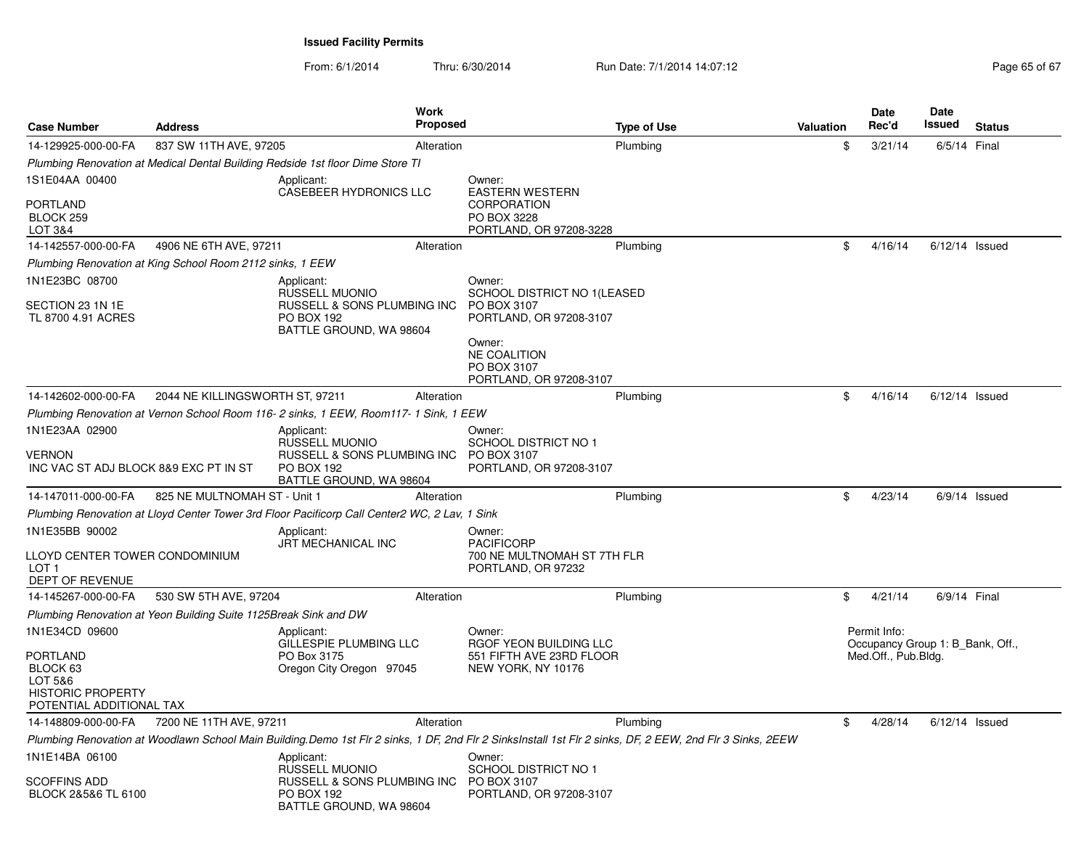| <b>Case Number</b>                                                                      | <b>Address</b>                                                   | Work<br><b>Proposed</b>                                                                                                                                   |                                                                         | <b>Type of Use</b> | <b>Valuation</b> | <b>Date</b><br>Rec'd                             | Date<br>Issued   | <b>Status</b>   |
|-----------------------------------------------------------------------------------------|------------------------------------------------------------------|-----------------------------------------------------------------------------------------------------------------------------------------------------------|-------------------------------------------------------------------------|--------------------|------------------|--------------------------------------------------|------------------|-----------------|
| 14-129925-000-00-FA                                                                     | 837 SW 11TH AVE, 97205                                           | Alteration                                                                                                                                                |                                                                         | Plumbing           | \$               | 3/21/14                                          | 6/5/14 Final     |                 |
|                                                                                         |                                                                  | Plumbing Renovation at Medical Dental Building Redside 1st floor Dime Store TI                                                                            |                                                                         |                    |                  |                                                  |                  |                 |
| 1S1E04AA 00400                                                                          |                                                                  | Applicant:<br><b>CASEBEER HYDRONICS LLC</b>                                                                                                               | Owner:<br><b>EASTERN WESTERN</b>                                        |                    |                  |                                                  |                  |                 |
| <b>PORTLAND</b><br>BLOCK 259<br>LOT 3&4                                                 |                                                                  |                                                                                                                                                           | <b>CORPORATION</b><br>PO BOX 3228<br>PORTLAND, OR 97208-3228            |                    |                  |                                                  |                  |                 |
| 14-142557-000-00-FA                                                                     | 4906 NE 6TH AVE, 97211                                           | Alteration                                                                                                                                                |                                                                         | Plumbing           | \$               | 4/16/14                                          | $6/12/14$ Issued |                 |
|                                                                                         | Plumbing Renovation at King School Room 2112 sinks, 1 EEW        |                                                                                                                                                           |                                                                         |                    |                  |                                                  |                  |                 |
| 1N1E23BC 08700                                                                          |                                                                  | Applicant:<br>RUSSELL MUONIO                                                                                                                              | Owner:<br>SCHOOL DISTRICT NO 1(LEASED                                   |                    |                  |                                                  |                  |                 |
| SECTION 23 1N 1E<br>TL 8700 4.91 ACRES                                                  |                                                                  | RUSSELL & SONS PLUMBING INC<br><b>PO BOX 192</b><br>BATTLE GROUND, WA 98604                                                                               | PO BOX 3107<br>PORTLAND, OR 97208-3107                                  |                    |                  |                                                  |                  |                 |
|                                                                                         |                                                                  |                                                                                                                                                           | Owner:<br><b>NE COALITION</b><br>PO BOX 3107<br>PORTLAND, OR 97208-3107 |                    |                  |                                                  |                  |                 |
| 14-142602-000-00-FA                                                                     | 2044 NE KILLINGSWORTH ST, 97211                                  | Alteration                                                                                                                                                |                                                                         | Plumbing           | \$               | 4/16/14                                          | $6/12/14$ Issued |                 |
|                                                                                         |                                                                  | Plumbing Renovation at Vernon School Room 116- 2 sinks, 1 EEW, Room117- 1 Sink, 1 EEW                                                                     |                                                                         |                    |                  |                                                  |                  |                 |
| 1N1E23AA 02900                                                                          |                                                                  | Applicant:<br><b>RUSSELL MUONIO</b>                                                                                                                       | Owner:<br><b>SCHOOL DISTRICT NO 1</b>                                   |                    |                  |                                                  |                  |                 |
| <b>VERNON</b><br>INC VAC ST ADJ BLOCK 8&9 EXC PT IN ST                                  |                                                                  | RUSSELL & SONS PLUMBING INC<br><b>PO BOX 192</b><br>BATTLE GROUND, WA 98604                                                                               | PO BOX 3107<br>PORTLAND, OR 97208-3107                                  |                    |                  |                                                  |                  |                 |
| 14-147011-000-00-FA                                                                     | 825 NE MULTNOMAH ST - Unit 1                                     | Alteration                                                                                                                                                |                                                                         | Plumbing           | \$               | 4/23/14                                          |                  | $6/9/14$ Issued |
|                                                                                         |                                                                  | Plumbing Renovation at Lloyd Center Tower 3rd Floor Pacificorp Call Center2 WC, 2 Lav, 1 Sink                                                             |                                                                         |                    |                  |                                                  |                  |                 |
| 1N1E35BB 90002                                                                          |                                                                  | Applicant:<br>JRT MECHANICAL INC                                                                                                                          | Owner:<br><b>PACIFICORP</b>                                             |                    |                  |                                                  |                  |                 |
| LLOYD CENTER TOWER CONDOMINIUM<br>LOT <sub>1</sub><br>DEPT OF REVENUE                   |                                                                  |                                                                                                                                                           | 700 NE MULTNOMAH ST 7TH FLR<br>PORTLAND, OR 97232                       |                    |                  |                                                  |                  |                 |
| 14-145267-000-00-FA                                                                     | 530 SW 5TH AVE, 97204                                            | Alteration                                                                                                                                                |                                                                         | Plumbing           | \$               | 4/21/14                                          | 6/9/14 Final     |                 |
|                                                                                         | Plumbing Renovation at Yeon Building Suite 1125Break Sink and DW |                                                                                                                                                           |                                                                         |                    |                  |                                                  |                  |                 |
| 1N1E34CD 09600                                                                          |                                                                  | Applicant:<br>GILLESPIE PLUMBING LLC                                                                                                                      | Owner:<br>RGOF YEON BUILDING LLC                                        |                    |                  | Permit Info:<br>Occupancy Group 1: B Bank, Off., |                  |                 |
| PORTLAND<br>BLOCK 63<br>LOT 5&6<br><b>HISTORIC PROPERTY</b><br>POTENTIAL ADDITIONAL TAX |                                                                  | PO Box 3175<br>Oregon City Oregon 97045                                                                                                                   | 551 FIFTH AVE 23RD FLOOR<br>NEW YORK, NY 10176                          |                    |                  | Med.Off., Pub.Bldg.                              |                  |                 |
| 14-148809-000-00-FA                                                                     | 7200 NE 11TH AVE, 97211                                          | Alteration                                                                                                                                                |                                                                         | Plumbing           | \$               | 4/28/14                                          | $6/12/14$ Issued |                 |
|                                                                                         |                                                                  | Plumbing Renovation at Woodlawn School Main Building.Demo 1st Flr 2 sinks, 1 DF, 2nd Flr 2 SinksInstall 1st Flr 2 sinks, DF, 2 EEW, 2nd Flr 3 Sinks, 2EEW |                                                                         |                    |                  |                                                  |                  |                 |
| 1N1E14BA 06100                                                                          |                                                                  | Applicant:<br><b>RUSSELL MUONIO</b>                                                                                                                       | Owner:<br><b>SCHOOL DISTRICT NO 1</b>                                   |                    |                  |                                                  |                  |                 |
| SCOFFINS ADD<br>BLOCK 2&5&6 TL 6100                                                     |                                                                  | RUSSELL & SONS PLUMBING INC<br><b>PO BOX 192</b><br>BATTLE GROUND, WA 98604                                                                               | PO BOX 3107<br>PORTLAND, OR 97208-3107                                  |                    |                  |                                                  |                  |                 |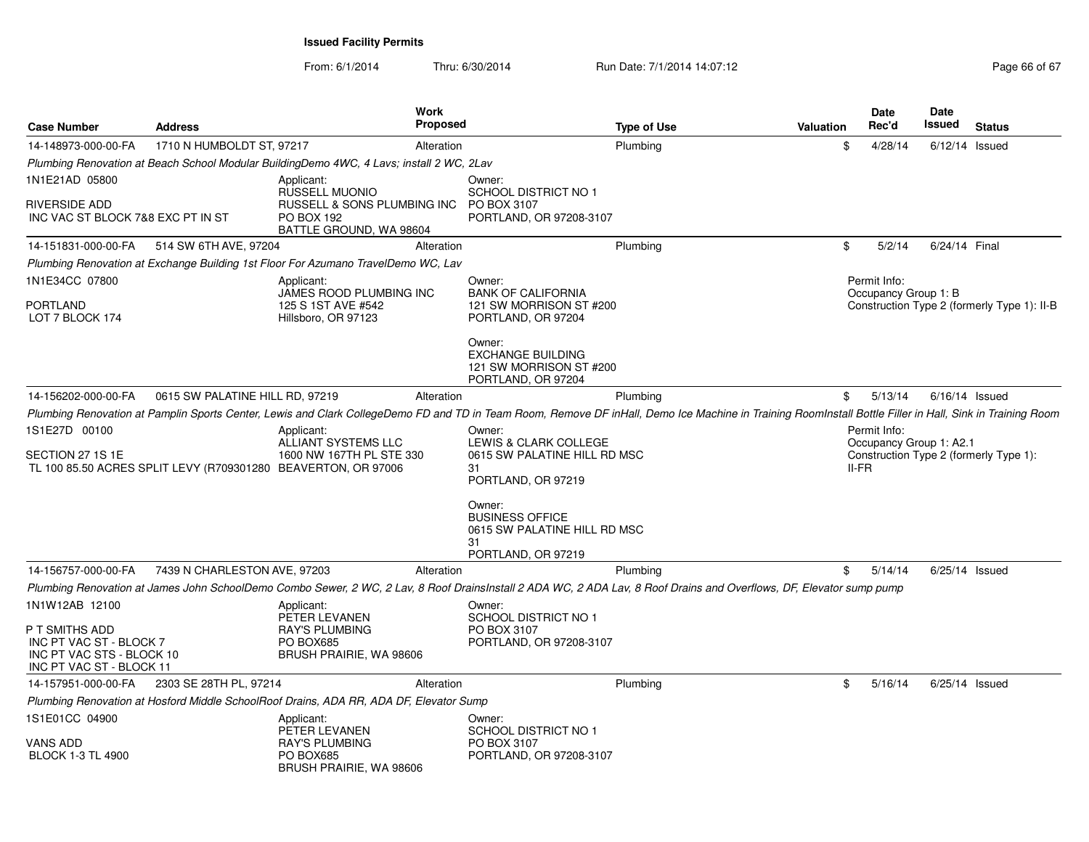| <b>Case Number</b>                                                                                 | <b>Address</b>                  | Work<br><b>Proposed</b>                                                                                                                                                                                   |                                                                                              | <b>Type of Use</b> | Valuation | Date<br>Rec'd                           | <b>Date</b><br>Issued | <b>Status</b>                               |
|----------------------------------------------------------------------------------------------------|---------------------------------|-----------------------------------------------------------------------------------------------------------------------------------------------------------------------------------------------------------|----------------------------------------------------------------------------------------------|--------------------|-----------|-----------------------------------------|-----------------------|---------------------------------------------|
| 14-148973-000-00-FA                                                                                | 1710 N HUMBOLDT ST, 97217       | Alteration                                                                                                                                                                                                |                                                                                              | Plumbing           |           | \$<br>4/28/14                           | $6/12/14$ Issued      |                                             |
|                                                                                                    |                                 | Plumbing Renovation at Beach School Modular BuildingDemo 4WC, 4 Lavs; install 2 WC, 2Lav                                                                                                                  |                                                                                              |                    |           |                                         |                       |                                             |
| 1N1E21AD 05800                                                                                     |                                 | Applicant:<br><b>RUSSELL MUONIO</b>                                                                                                                                                                       | Owner:<br><b>SCHOOL DISTRICT NO 1</b>                                                        |                    |           |                                         |                       |                                             |
| RIVERSIDE ADD<br>INC VAC ST BLOCK 7&8 EXC PT IN ST                                                 |                                 | RUSSELL & SONS PLUMBING INC<br>PO BOX 192<br>BATTLE GROUND, WA 98604                                                                                                                                      | PO BOX 3107<br>PORTLAND, OR 97208-3107                                                       |                    |           |                                         |                       |                                             |
| 14-151831-000-00-FA                                                                                | 514 SW 6TH AVE, 97204           | Alteration                                                                                                                                                                                                |                                                                                              | Plumbing           | \$        | 5/2/14                                  | 6/24/14 Final         |                                             |
|                                                                                                    |                                 | Plumbing Renovation at Exchange Building 1st Floor For Azumano TravelDemo WC, Lav                                                                                                                         |                                                                                              |                    |           |                                         |                       |                                             |
| 1N1E34CC 07800                                                                                     |                                 | Applicant:                                                                                                                                                                                                | Owner:                                                                                       |                    |           | Permit Info:                            |                       |                                             |
| PORTLAND<br>LOT 7 BLOCK 174                                                                        |                                 | JAMES ROOD PLUMBING INC<br>125 S 1ST AVE #542<br>Hillsboro, OR 97123                                                                                                                                      | <b>BANK OF CALIFORNIA</b><br>121 SW MORRISON ST #200<br>PORTLAND, OR 97204                   |                    |           | Occupancy Group 1: B                    |                       | Construction Type 2 (formerly Type 1): II-B |
|                                                                                                    |                                 |                                                                                                                                                                                                           | Owner:<br><b>EXCHANGE BUILDING</b><br>121 SW MORRISON ST #200<br>PORTLAND, OR 97204          |                    |           |                                         |                       |                                             |
| 14-156202-000-00-FA                                                                                | 0615 SW PALATINE HILL RD, 97219 | Alteration                                                                                                                                                                                                |                                                                                              | Plumbing           |           | \$<br>5/13/14                           | $6/16/14$ Issued      |                                             |
|                                                                                                    |                                 | Plumbing Renovation at Pamplin Sports Center, Lewis and Clark CollegeDemo FD and TD in Team Room, Remove DF inHall, Demo Ice Machine in Training RoomInstall Bottle Filler in Hall, Sink in Training Room |                                                                                              |                    |           |                                         |                       |                                             |
| 1S1E27D 00100<br>SECTION 27 1S 1E                                                                  |                                 | Applicant:<br>ALLIANT SYSTEMS LLC<br>1600 NW 167TH PL STE 330                                                                                                                                             | Owner:<br>LEWIS & CLARK COLLEGE<br>0615 SW PALATINE HILL RD MSC                              |                    |           | Permit Info:<br>Occupancy Group 1: A2.1 |                       | Construction Type 2 (formerly Type 1):      |
|                                                                                                    |                                 | TL 100 85.50 ACRES SPLIT LEVY (R709301280 BEAVERTON, OR 97006                                                                                                                                             | 31<br>PORTLAND, OR 97219                                                                     |                    |           | <b>II-FR</b>                            |                       |                                             |
|                                                                                                    |                                 |                                                                                                                                                                                                           | Owner:<br><b>BUSINESS OFFICE</b><br>0615 SW PALATINE HILL RD MSC<br>31<br>PORTLAND, OR 97219 |                    |           |                                         |                       |                                             |
| 14-156757-000-00-FA                                                                                | 7439 N CHARLESTON AVE, 97203    | Alteration                                                                                                                                                                                                |                                                                                              | Plumbing           |           | \$<br>5/14/14                           |                       | $6/25/14$ Issued                            |
|                                                                                                    |                                 | Plumbing Renovation at James John SchoolDemo Combo Sewer, 2 WC, 2 Lav, 8 Roof DrainsInstall 2 ADA WC, 2 ADA Lav, 8 Roof Drains and Overflows, DF, Elevator sump pump                                      |                                                                                              |                    |           |                                         |                       |                                             |
| 1N1W12AB 12100                                                                                     |                                 | Applicant:<br>PETER LEVANEN                                                                                                                                                                               | Owner:<br><b>SCHOOL DISTRICT NO 1</b>                                                        |                    |           |                                         |                       |                                             |
| P T SMITHS ADD<br>INC PT VAC ST - BLOCK 7<br>INC PT VAC STS - BLOCK 10<br>INC PT VAC ST - BLOCK 11 |                                 | <b>RAY'S PLUMBING</b><br>PO BOX685<br>BRUSH PRAIRIE, WA 98606                                                                                                                                             | PO BOX 3107<br>PORTLAND, OR 97208-3107                                                       |                    |           |                                         |                       |                                             |
| 14-157951-000-00-FA                                                                                | 2303 SE 28TH PL, 97214          | Alteration                                                                                                                                                                                                |                                                                                              | Plumbing           |           | \$<br>5/16/14                           |                       | $6/25/14$ Issued                            |
|                                                                                                    |                                 | Plumbing Renovation at Hosford Middle SchoolRoof Drains, ADA RR, ADA DF, Elevator Sump                                                                                                                    |                                                                                              |                    |           |                                         |                       |                                             |
| 1S1E01CC 04900                                                                                     |                                 | Applicant:<br>PETER LEVANEN                                                                                                                                                                               | Owner:<br><b>SCHOOL DISTRICT NO 1</b>                                                        |                    |           |                                         |                       |                                             |
| <b>VANS ADD</b><br><b>BLOCK 1-3 TL 4900</b>                                                        |                                 | <b>RAY'S PLUMBING</b><br>PO BOX685<br>BRUSH PRAIRIE, WA 98606                                                                                                                                             | PO BOX 3107<br>PORTLAND, OR 97208-3107                                                       |                    |           |                                         |                       |                                             |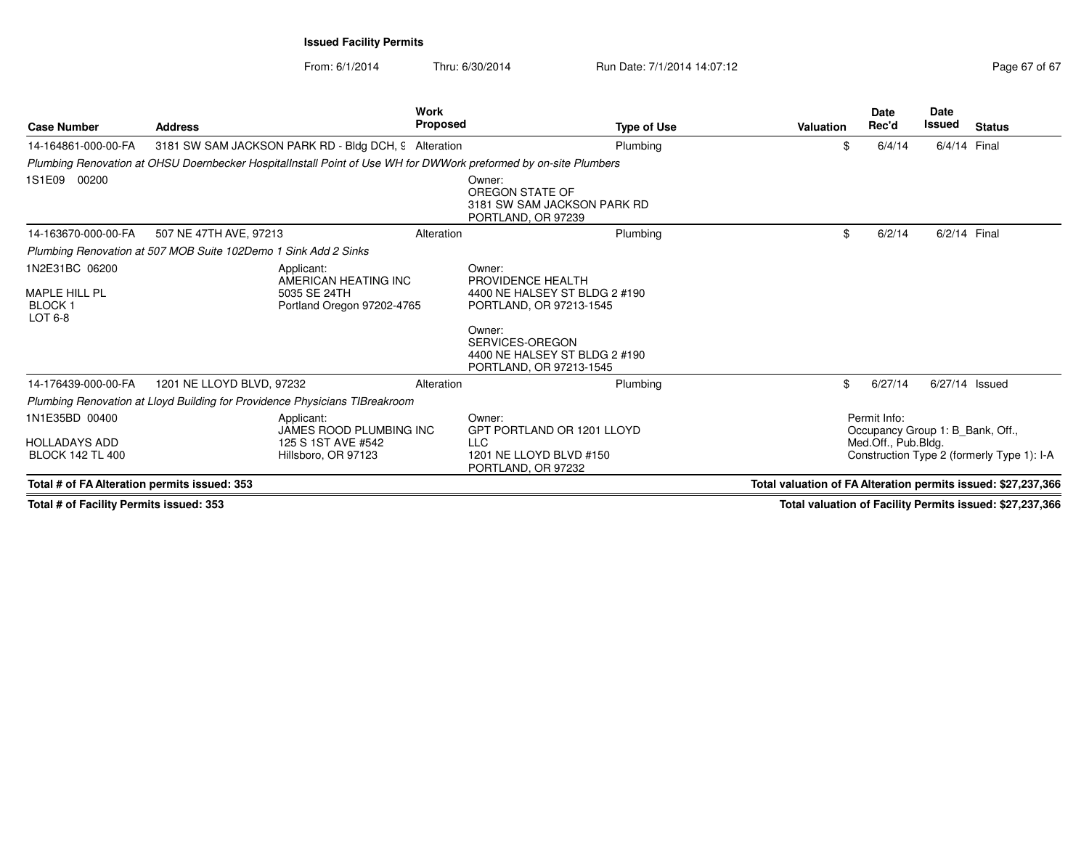From: 6/1/2014Thru: 6/30/2014 **Run Date: 7/1/2014 14:07:12 Raging 67 of 67 of 67 of 67 of 67 of 67 of 67 of 67 of 67 of 67 of 67 of 67 of 67 of 67 of 67 of 67 of 67 of 67 of 67 of 67 of 67 of 67 of 67 of 67 of 67 of 67 of 67 of 67 of** 

| Page 67 of 67 |  |  |
|---------------|--|--|
|               |  |  |

| <b>Case Number</b>                               | <b>Address</b>                                                                                                   | <b>Work</b><br><b>Proposed</b> | <b>Type of Use</b>                                                                    | Valuation                                                     | <b>Date</b><br>Rec'd                             | <b>Date</b><br>Issued | <b>Status</b>                              |
|--------------------------------------------------|------------------------------------------------------------------------------------------------------------------|--------------------------------|---------------------------------------------------------------------------------------|---------------------------------------------------------------|--------------------------------------------------|-----------------------|--------------------------------------------|
| 14-164861-000-00-FA                              | 3181 SW SAM JACKSON PARK RD - Bldg DCH, 9 Alteration                                                             |                                | Plumbing                                                                              | \$                                                            | 6/4/14                                           | 6/4/14 Final          |                                            |
|                                                  | Plumbing Renovation at OHSU Doernbecker HospitalInstall Point of Use WH for DWWork preformed by on-site Plumbers |                                |                                                                                       |                                                               |                                                  |                       |                                            |
| 1S1E09 00200                                     |                                                                                                                  |                                | Owner:<br>OREGON STATE OF<br>3181 SW SAM JACKSON PARK RD<br>PORTLAND, OR 97239        |                                                               |                                                  |                       |                                            |
| 14-163670-000-00-FA                              | 507 NE 47TH AVE, 97213                                                                                           | Alteration                     | Plumbing                                                                              | \$                                                            | 6/2/14                                           | 6/2/14 Final          |                                            |
|                                                  | Plumbing Renovation at 507 MOB Suite 102Demo 1 Sink Add 2 Sinks                                                  |                                |                                                                                       |                                                               |                                                  |                       |                                            |
| 1N2E31BC 06200                                   | Applicant:<br>AMERICAN HEATING INC                                                                               |                                | Owner:<br>PROVIDENCE HEALTH                                                           |                                                               |                                                  |                       |                                            |
| <b>MAPLE HILL PL</b><br><b>BLOCK1</b><br>LOT 6-8 | 5035 SE 24TH<br>Portland Oregon 97202-4765                                                                       |                                | 4400 NE HALSEY ST BLDG 2 #190<br>PORTLAND, OR 97213-1545                              |                                                               |                                                  |                       |                                            |
|                                                  |                                                                                                                  |                                | Owner:<br>SERVICES-OREGON<br>4400 NE HALSEY ST BLDG 2 #190<br>PORTLAND, OR 97213-1545 |                                                               |                                                  |                       |                                            |
| 14-176439-000-00-FA                              | 1201 NE LLOYD BLVD, 97232                                                                                        | Alteration                     | Plumbing                                                                              | \$                                                            | 6/27/14                                          | 6/27/14 Issued        |                                            |
|                                                  | Plumbing Renovation at Lloyd Building for Providence Physicians TIBreakroom                                      |                                |                                                                                       |                                                               |                                                  |                       |                                            |
| 1N1E35BD 00400                                   | Applicant:<br><b>JAMES ROOD PLUMBING INC</b>                                                                     |                                | Owner:<br>GPT PORTLAND OR 1201 LLOYD                                                  |                                                               | Permit Info:<br>Occupancy Group 1: B Bank, Off., |                       |                                            |
| <b>HOLLADAYS ADD</b><br><b>BLOCK 142 TL 400</b>  | 125 S 1ST AVE #542<br>Hillsboro, OR 97123                                                                        |                                | <b>LLC</b><br>1201 NE LLOYD BLVD #150<br>PORTLAND, OR 97232                           |                                                               | Med.Off., Pub.Bldg.                              |                       | Construction Type 2 (formerly Type 1): I-A |
| Total # of FA Alteration permits issued: 353     |                                                                                                                  |                                |                                                                                       | Total valuation of FA Alteration permits issued: \$27,237,366 |                                                  |                       |                                            |

**Total # of Facility Permits issued: 353**

**Total valuation of Facility Permits issued: \$27,237,366**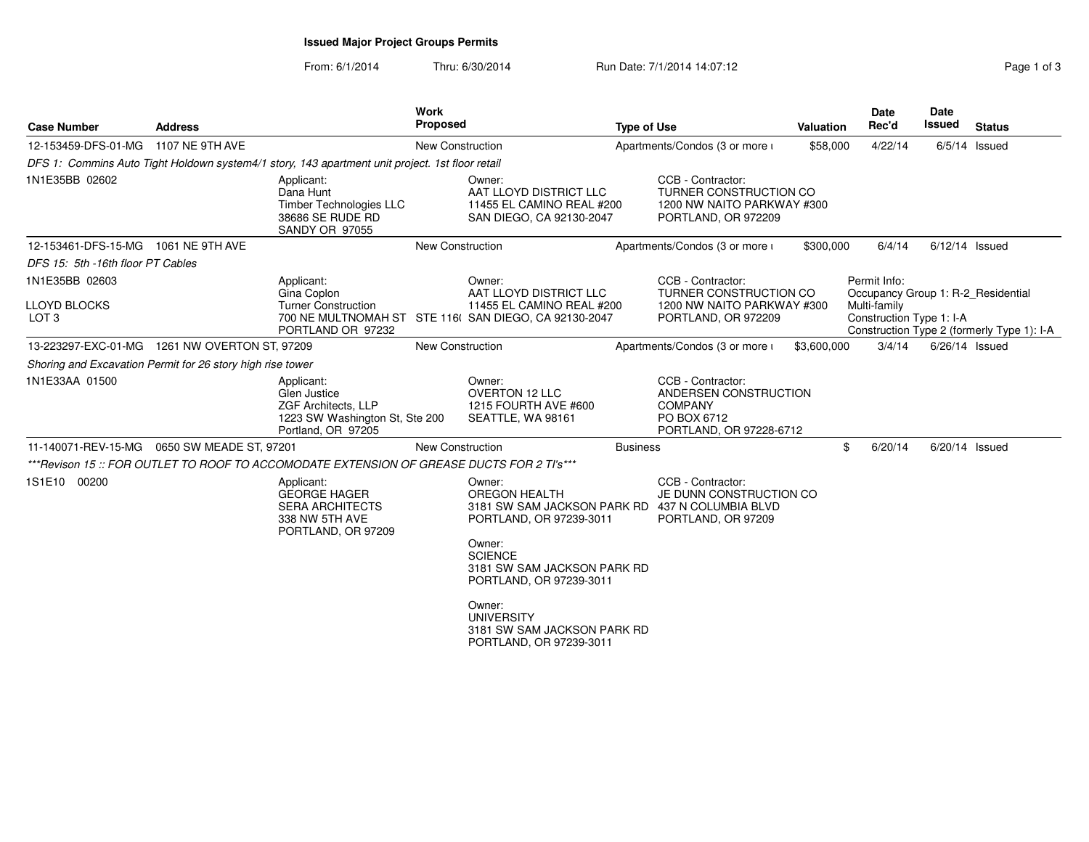# **Issued Major Project Groups Permits**

From: 6/1/2014Thru: 6/30/2014 Run Date: 7/1/2014 14:07:12 Rege 1 of 3

| <b>Case Number</b>                                         | <b>Address</b>  |                                                                                                           | <b>Work</b><br><b>Proposed</b> |                                                                                                                                                                                                                                   | <b>Type of Use</b> |                                                                                                         | Valuation   | <b>Date</b><br>Rec'd                               | <b>Date</b><br><b>Issued</b> | <b>Status</b>                              |
|------------------------------------------------------------|-----------------|-----------------------------------------------------------------------------------------------------------|--------------------------------|-----------------------------------------------------------------------------------------------------------------------------------------------------------------------------------------------------------------------------------|--------------------|---------------------------------------------------------------------------------------------------------|-------------|----------------------------------------------------|------------------------------|--------------------------------------------|
| 12-153459-DFS-01-MG                                        | 1107 NE 9TH AVE |                                                                                                           | New Construction               |                                                                                                                                                                                                                                   |                    | Apartments/Condos (3 or more i                                                                          | \$58,000    | 4/22/14                                            |                              | $6/5/14$ Issued                            |
|                                                            |                 | DFS 1: Commins Auto Tight Holdown system4/1 story, 143 apartment unit project. 1st floor retail           |                                |                                                                                                                                                                                                                                   |                    |                                                                                                         |             |                                                    |                              |                                            |
| 1N1E35BB 02602                                             |                 | Applicant:<br>Dana Hunt<br><b>Timber Technologies LLC</b><br>38686 SE RUDE RD<br>SANDY OR 97055           |                                | Owner:<br>AAT LLOYD DISTRICT LLC<br>11455 EL CAMINO REAL #200<br>SAN DIEGO, CA 92130-2047                                                                                                                                         |                    | CCB - Contractor:<br><b>TURNER CONSTRUCTION CO</b><br>1200 NW NAITO PARKWAY #300<br>PORTLAND, OR 972209 |             |                                                    |                              |                                            |
| 12-153461-DFS-15-MG                                        | 1061 NE 9TH AVE |                                                                                                           | New Construction               |                                                                                                                                                                                                                                   |                    | Apartments/Condos (3 or more i                                                                          | \$300,000   | 6/4/14                                             |                              | $6/12/14$ Issued                           |
| DFS 15: 5th -16th floor PT Cables                          |                 |                                                                                                           |                                |                                                                                                                                                                                                                                   |                    |                                                                                                         |             |                                                    |                              |                                            |
| 1N1E35BB 02603                                             |                 | Applicant:<br>Gina Coplon                                                                                 |                                | Owner:<br>AAT LLOYD DISTRICT LLC                                                                                                                                                                                                  |                    | CCB - Contractor:<br>TURNER CONSTRUCTION CO                                                             |             | Permit Info:<br>Occupancy Group 1: R-2 Residential |                              |                                            |
| LLOYD BLOCKS<br>LOT <sub>3</sub>                           |                 | <b>Turner Construction</b><br>PORTLAND OR 97232                                                           |                                | 11455 EL CAMINO REAL #200<br>700 NE MULTNOMAH ST STE 116( SAN DIEGO, CA 92130-2047                                                                                                                                                |                    | 1200 NW NAITO PARKWAY #300<br>PORTLAND, OR 972209                                                       |             | Multi-family<br>Construction Type 1: I-A           |                              | Construction Type 2 (formerly Type 1): I-A |
| 13-223297-EXC-01-MG  1261 NW OVERTON ST, 97209             |                 |                                                                                                           | New Construction               |                                                                                                                                                                                                                                   |                    | Apartments/Condos (3 or more i                                                                          | \$3,600,000 | 3/4/14                                             |                              | $6/26/14$ Issued                           |
| Shoring and Excavation Permit for 26 story high rise tower |                 |                                                                                                           |                                |                                                                                                                                                                                                                                   |                    |                                                                                                         |             |                                                    |                              |                                            |
| 1N1E33AA 01500                                             |                 | Applicant:<br>Glen Justice<br>ZGF Architects, LLP<br>1223 SW Washington St, Ste 200<br>Portland, OR 97205 |                                | Owner:<br><b>OVERTON 12 LLC</b><br>1215 FOURTH AVE #600<br>SEATTLE, WA 98161                                                                                                                                                      |                    | CCB - Contractor:<br>ANDERSEN CONSTRUCTION<br><b>COMPANY</b><br>PO BOX 6712<br>PORTLAND, OR 97228-6712  |             |                                                    |                              |                                            |
| 11-140071-REV-15-MG  0650 SW MEADE ST, 97201               |                 |                                                                                                           | <b>New Construction</b>        |                                                                                                                                                                                                                                   | <b>Business</b>    |                                                                                                         |             | \$<br>6/20/14                                      | 6/20/14 Issued               |                                            |
|                                                            |                 | ***Revison 15 :: FOR OUTLET TO ROOF TO ACCOMODATE EXTENSION OF GREASE DUCTS FOR 2 TI's***                 |                                |                                                                                                                                                                                                                                   |                    |                                                                                                         |             |                                                    |                              |                                            |
| 1S1E10 00200                                               |                 | Applicant:<br><b>GEORGE HAGER</b><br><b>SERA ARCHITECTS</b><br>338 NW 5TH AVE<br>PORTLAND, OR 97209       |                                | Owner:<br><b>OREGON HEALTH</b><br>3181 SW SAM JACKSON PARK RD 437 N COLUMBIA BLVD<br>PORTLAND, OR 97239-3011<br>Owner:<br><b>SCIENCE</b><br>3181 SW SAM JACKSON PARK RD<br>PORTLAND, OR 97239-3011<br>Owner:<br><b>UNIVERSITY</b> |                    | CCB - Contractor:<br>JE DUNN CONSTRUCTION CO<br>PORTLAND, OR 97209                                      |             |                                                    |                              |                                            |
|                                                            |                 |                                                                                                           |                                | 3181 SW SAM JACKSON PARK RD<br>PORTLAND, OR 97239-3011                                                                                                                                                                            |                    |                                                                                                         |             |                                                    |                              |                                            |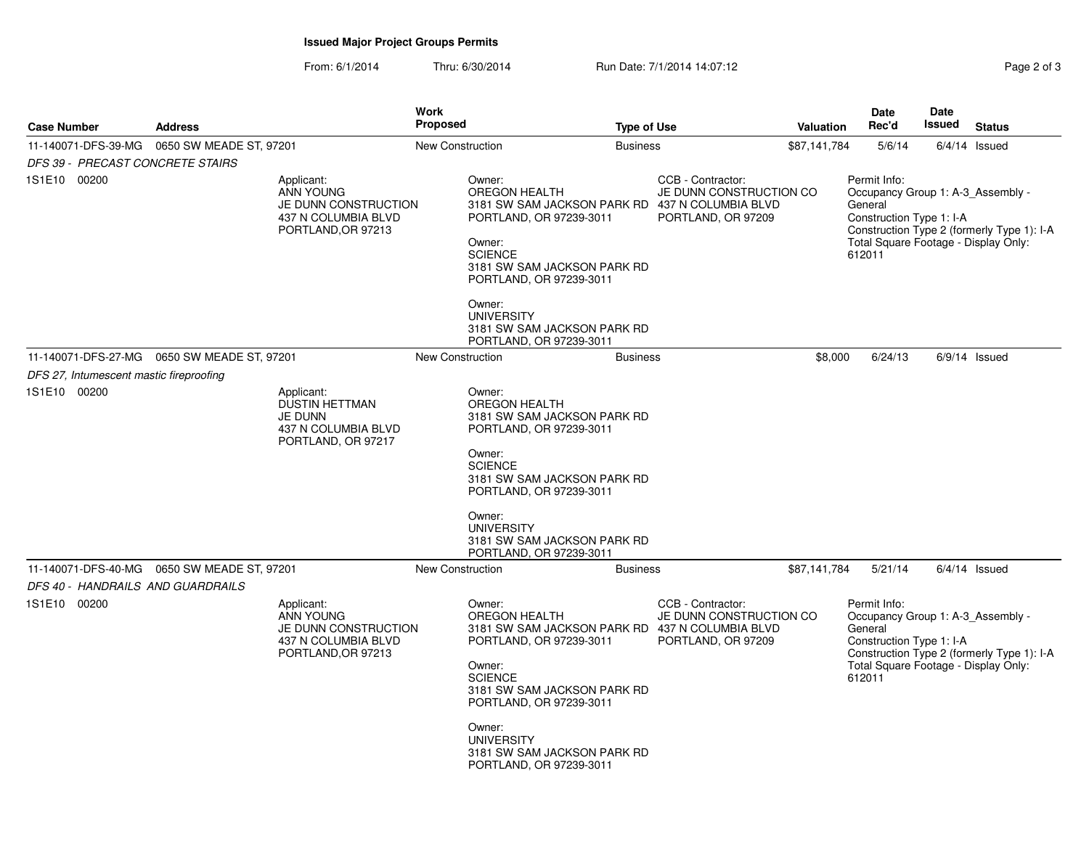# **Issued Major Project Groups Permits**

From: 6/1/2014Thru: 6/30/2014 Run Date: 7/1/2014 14:07:12

| Page 2 of 3 |  |  |  |  |
|-------------|--|--|--|--|
|-------------|--|--|--|--|

| <b>Case Number</b>                      | <b>Address</b>                                | <b>Work</b><br>Proposed                                           |                                                                                                                                                                                                              | <b>Type of Use</b>                                                 | <b>Valuation</b> | Date<br>Rec'd                                                                                                                              | Date<br>Issued | <b>Status</b>                              |
|-----------------------------------------|-----------------------------------------------|-------------------------------------------------------------------|--------------------------------------------------------------------------------------------------------------------------------------------------------------------------------------------------------------|--------------------------------------------------------------------|------------------|--------------------------------------------------------------------------------------------------------------------------------------------|----------------|--------------------------------------------|
| 11-140071-DFS-39-MG                     | 0650 SW MEADE ST, 97201                       |                                                                   | New Construction<br><b>Business</b>                                                                                                                                                                          |                                                                    | \$87,141,784     | 5/6/14                                                                                                                                     |                | $6/4/14$ Issued                            |
| DFS 39 - PRECAST CONCRETE STAIRS        |                                               |                                                                   |                                                                                                                                                                                                              |                                                                    |                  |                                                                                                                                            |                |                                            |
| 1S1E10 00200                            | Applicant:<br><b>ANN YOUNG</b>                | JE DUNN CONSTRUCTION<br>437 N COLUMBIA BLVD<br>PORTLAND, OR 97213 | Owner:<br><b>OREGON HEALTH</b><br>3181 SW SAM JACKSON PARK RD 437 N COLUMBIA BLVD<br>PORTLAND, OR 97239-3011<br>Owner:<br><b>SCIENCE</b><br>3181 SW SAM JACKSON PARK RD<br>PORTLAND, OR 97239-3011           | CCB - Contractor:<br>JE DUNN CONSTRUCTION CO<br>PORTLAND, OR 97209 |                  | Permit Info:<br>Occupancy Group 1: A-3_Assembly -<br>General<br>Construction Type 1: I-A<br>Total Square Footage - Display Only:<br>612011 |                | Construction Type 2 (formerly Type 1): I-A |
|                                         |                                               |                                                                   | Owner:<br><b>UNIVERSITY</b><br>3181 SW SAM JACKSON PARK RD<br>PORTLAND, OR 97239-3011                                                                                                                        |                                                                    |                  |                                                                                                                                            |                |                                            |
|                                         | 11-140071-DFS-27-MG   0650 SW MEADE ST, 97201 |                                                                   | New Construction<br><b>Business</b>                                                                                                                                                                          |                                                                    | \$8,000          | 6/24/13                                                                                                                                    |                | $6/9/14$ Issued                            |
| DFS 27, Intumescent mastic fireproofing |                                               |                                                                   |                                                                                                                                                                                                              |                                                                    |                  |                                                                                                                                            |                |                                            |
| 1S1E10 00200                            | Applicant:<br><b>JE DUNN</b>                  | DUSTIN HETTMAN<br>437 N COLUMBIA BLVD<br>PORTLAND, OR 97217       | Owner:<br><b>OREGON HEALTH</b><br>3181 SW SAM JACKSON PARK RD<br>PORTLAND, OR 97239-3011<br>Owner:<br><b>SCIENCE</b>                                                                                         |                                                                    |                  |                                                                                                                                            |                |                                            |
|                                         |                                               |                                                                   | 3181 SW SAM JACKSON PARK RD<br>PORTLAND, OR 97239-3011                                                                                                                                                       |                                                                    |                  |                                                                                                                                            |                |                                            |
|                                         |                                               |                                                                   | Owner:<br><b>UNIVERSITY</b><br>3181 SW SAM JACKSON PARK RD<br>PORTLAND, OR 97239-3011                                                                                                                        |                                                                    |                  |                                                                                                                                            |                |                                            |
| DFS 40 - HANDRAILS AND GUARDRAILS       | 11-140071-DFS-40-MG  0650 SW MEADE ST, 97201  |                                                                   | <b>New Construction</b><br><b>Business</b>                                                                                                                                                                   |                                                                    | \$87,141,784     | 5/21/14                                                                                                                                    |                | $6/4/14$ Issued                            |
| 1S1E10 00200                            | Applicant:<br><b>ANN YOUNG</b>                | JE DUNN CONSTRUCTION<br>437 N COLUMBIA BLVD<br>PORTLAND, OR 97213 | Owner:<br><b>OREGON HEALTH</b><br>3181 SW SAM JACKSON PARK RD 437 N COLUMBIA BLVD<br>PORTLAND, OR 97239-3011<br>Owner:<br><b>SCIENCE</b><br>3181 SW SAM JACKSON PARK RD<br>PORTLAND, OR 97239-3011<br>Owner: | CCB - Contractor:<br>JE DUNN CONSTRUCTION CO<br>PORTLAND, OR 97209 |                  | Permit Info:<br>Occupancy Group 1: A-3 Assembly -<br>General<br>Construction Type 1: I-A<br>Total Square Footage - Display Only:<br>612011 |                | Construction Type 2 (formerly Type 1): I-A |
|                                         |                                               |                                                                   | <b>UNIVERSITY</b><br>3181 SW SAM JACKSON PARK RD<br>PORTLAND, OR 97239-3011                                                                                                                                  |                                                                    |                  |                                                                                                                                            |                |                                            |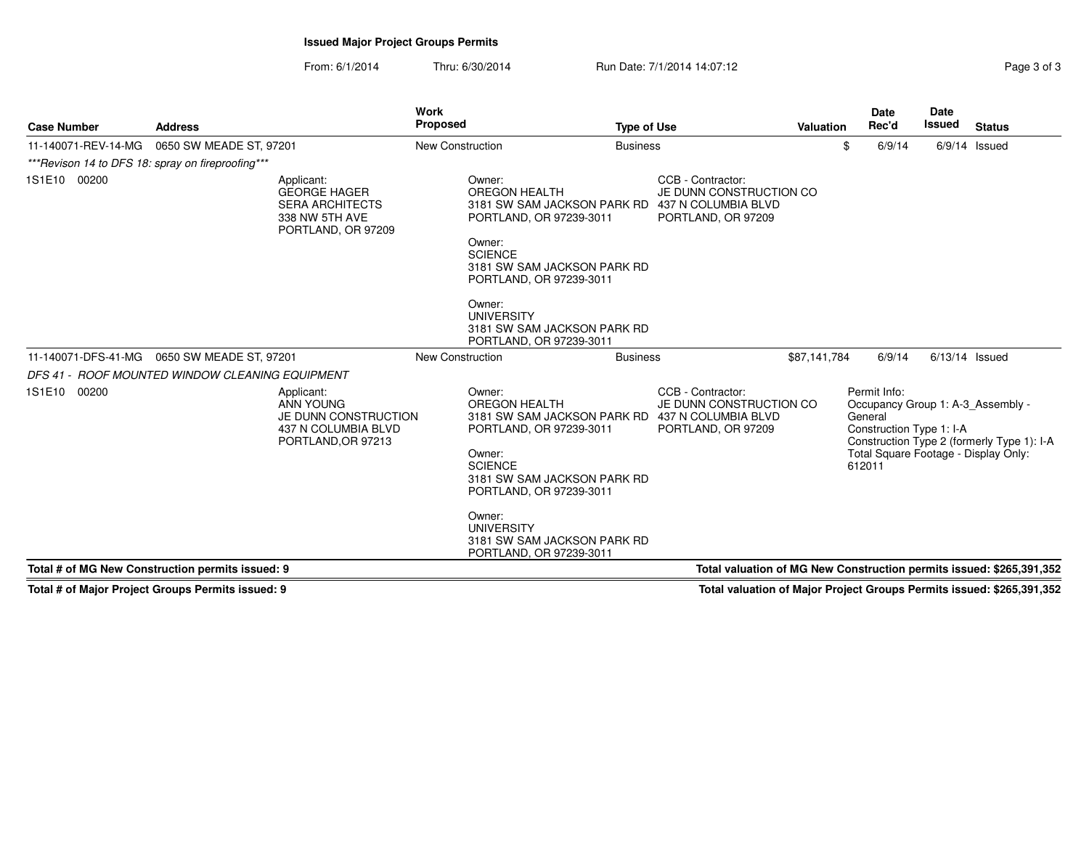# **Issued Major Project Groups Permits**

From: 6/1/2014Thru: 6/30/2014 Run Date: 7/1/2014 14:07:12

| Page 3 of 3 |  |  |
|-------------|--|--|
|             |  |  |

| <b>Case Number</b>  | <b>Address</b>                                                                                      | <b>Work</b><br><b>Proposed</b>                                                                                                                                                                                                           | <b>Type of Use</b>                                                                                                    | <b>Valuation</b>                                                     | <b>Date</b><br>Rec'd                                                                                                                       | Date<br><b>Issued</b> | <b>Status</b>                              |
|---------------------|-----------------------------------------------------------------------------------------------------|------------------------------------------------------------------------------------------------------------------------------------------------------------------------------------------------------------------------------------------|-----------------------------------------------------------------------------------------------------------------------|----------------------------------------------------------------------|--------------------------------------------------------------------------------------------------------------------------------------------|-----------------------|--------------------------------------------|
| 11-140071-REV-14-MG | 0650 SW MEADE ST, 97201                                                                             | <b>New Construction</b>                                                                                                                                                                                                                  | <b>Business</b>                                                                                                       | \$                                                                   | 6/9/14                                                                                                                                     |                       | $6/9/14$ Issued                            |
|                     | *** Revison 14 to DFS 18: spray on fireproofing***                                                  |                                                                                                                                                                                                                                          |                                                                                                                       |                                                                      |                                                                                                                                            |                       |                                            |
| 1S1E10 00200        | Applicant:<br><b>GEORGE HAGER</b><br><b>SERA ARCHITECTS</b><br>338 NW 5TH AVE<br>PORTLAND, OR 97209 | Owner:<br><b>OREGON HEALTH</b><br>PORTLAND, OR 97239-3011<br>Owner:<br><b>SCIENCE</b><br>3181 SW SAM JACKSON PARK RD<br>PORTLAND, OR 97239-3011<br>Owner:<br><b>UNIVERSITY</b><br>3181 SW SAM JACKSON PARK RD<br>PORTLAND, OR 97239-3011 | CCB - Contractor:<br>JE DUNN CONSTRUCTION CO<br>3181 SW SAM JACKSON PARK RD 437 N COLUMBIA BLVD<br>PORTLAND, OR 97209 |                                                                      |                                                                                                                                            |                       |                                            |
| 11-140071-DFS-41-MG | 0650 SW MEADE ST, 97201                                                                             | <b>New Construction</b>                                                                                                                                                                                                                  | <b>Business</b>                                                                                                       | \$87.141.784                                                         | 6/9/14                                                                                                                                     | $6/13/14$ Issued      |                                            |
|                     | DFS 41 - ROOF MOUNTED WINDOW CLEANING EQUIPMENT                                                     |                                                                                                                                                                                                                                          |                                                                                                                       |                                                                      |                                                                                                                                            |                       |                                            |
| 1S1E10 00200        | Applicant:<br><b>ANN YOUNG</b><br>JE DUNN CONSTRUCTION<br>437 N COLUMBIA BLVD<br>PORTLAND, OR 97213 | Owner:<br><b>OREGON HEALTH</b><br>PORTLAND, OR 97239-3011<br>Owner:<br><b>SCIENCE</b><br>3181 SW SAM JACKSON PARK RD<br>PORTLAND, OR 97239-3011<br>Owner:<br><b>UNIVERSITY</b><br>3181 SW SAM JACKSON PARK RD<br>PORTLAND, OR 97239-3011 | CCB - Contractor:<br>JE DUNN CONSTRUCTION CO<br>3181 SW SAM JACKSON PARK RD 437 N COLUMBIA BLVD<br>PORTLAND, OR 97209 |                                                                      | Permit Info:<br>Occupancy Group 1: A-3 Assembly -<br>General<br>Construction Type 1: I-A<br>Total Square Footage - Display Only:<br>612011 |                       | Construction Type 2 (formerly Type 1): I-A |
|                     | Total # of MG New Construction permits issued: 9                                                    |                                                                                                                                                                                                                                          |                                                                                                                       | Total valuation of MG New Construction permits issued: \$265,391,352 |                                                                                                                                            |                       |                                            |

**Total # of Major Project Groups Permits issued: 9**

**Total valuation of Major Project Groups Permits issued: \$265,391,352**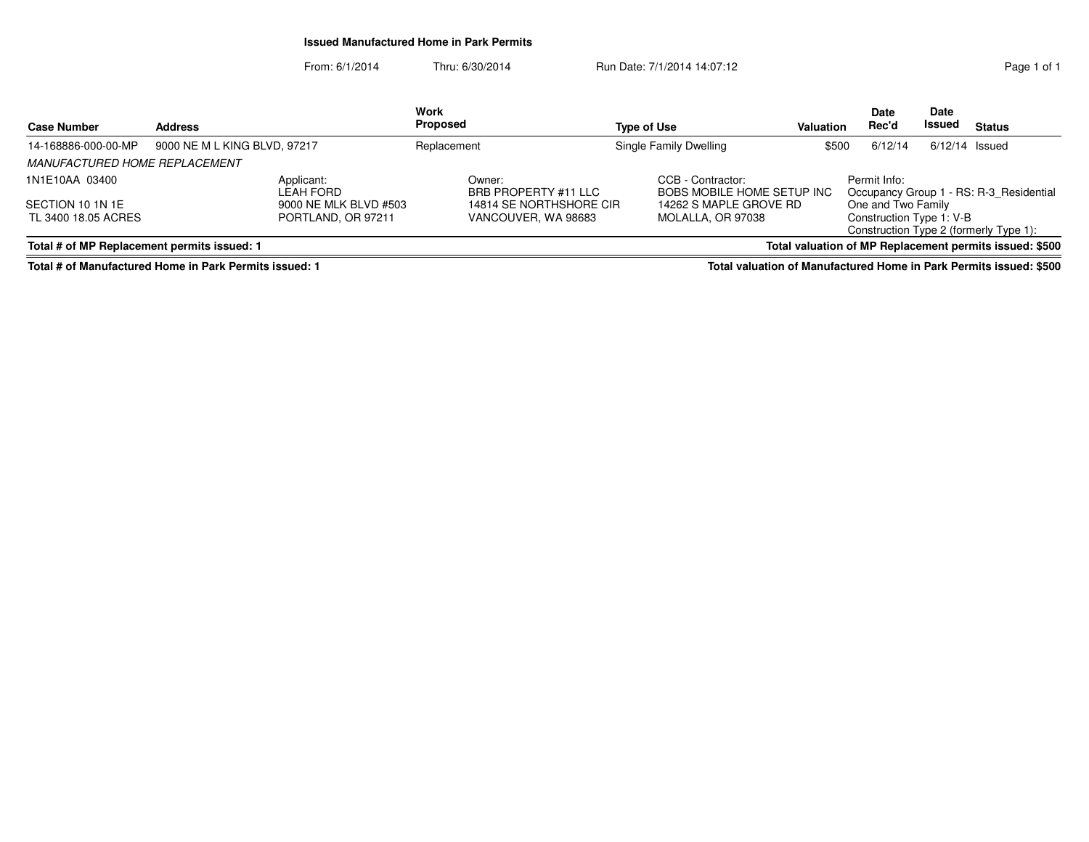## **Issued Manufactured Home in Park Permits**

From: 6/1/2014Thru: 6/30/2014 **Run Date: 7/1/2014 14:07:12** Page 1 of 1 **StatusDate Rec'dDate**n Rec'd Issued **Type of Use ValuationWork Proposed Address**

| 14-168886-000-00-MP                         | 9000 NE M L KING BLVD, 97217 | Replacement                    | Single Family Dwelling                          | \$500             | 6/12/14            | $6/12/14$ Issued                                                   |
|---------------------------------------------|------------------------------|--------------------------------|-------------------------------------------------|-------------------|--------------------|--------------------------------------------------------------------|
| MANUFACTURED HOME REPLACEMENT               |                              |                                |                                                 |                   |                    |                                                                    |
| 1N1E10AA 03400                              | Applicant:<br>LEAH FORD      | Owner:<br>BRB PROPERTY #11 LLC | CCB - Contractor:<br>BOBS MOBILE HOME SETUP INC |                   | Permit Info:       | Occupancy Group 1 - RS: R-3 Residential                            |
| SECTION 10 1N 1E                            | 9000 NE MLK BLVD #503        | 14814 SE NORTHSHORE CIR        | 14262 S MAPLE GROVE RD                          |                   | One and Two Family |                                                                    |
| TL 3400 18.05 ACRES                         | PORTLAND, OR 97211           | VANCOUVER, WA 98683            |                                                 | MOLALLA. OR 97038 |                    | Construction Type 1: V-B<br>Construction Type 2 (formerly Type 1): |
| Total # of MP Replacement permits issued: 1 |                              |                                |                                                 |                   |                    | Total valuation of MP Replacement permits issued: \$500            |

**Total # of Manufactured Home in Park Permits issued: 1**

**Case Number**

**Total valuation of Manufactured Home in Park Permits issued: \$500**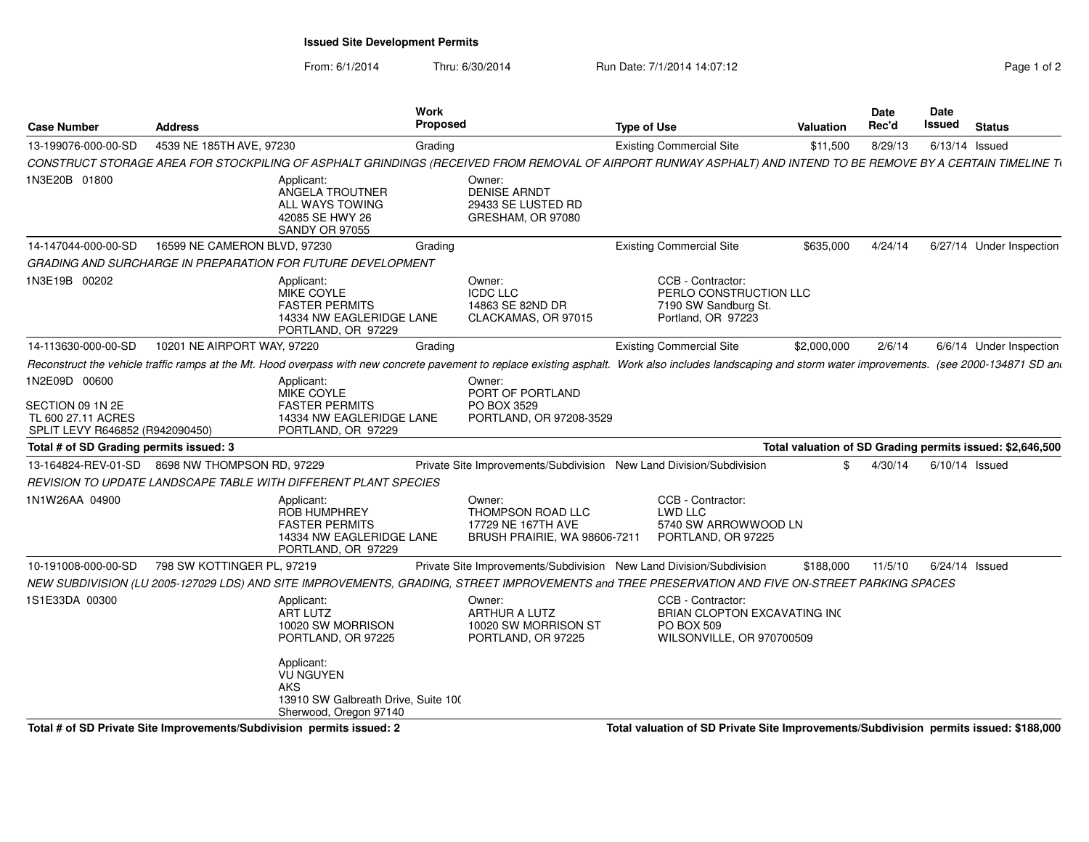**Issued Site Development Permits**

From: 6/1/2014Thru: 6/30/2014 Run Date: 7/1/2014 14:07:12 Rege 1 of 2

| <b>Case Number</b>                                                                                            | <b>Address</b>                                 |                                                                                                               | <b>Work</b><br><b>Proposed</b> |                                                                                   | <b>Type of Use</b>                                                                                                                                                                  | <b>Valuation</b> | <b>Date</b> | Rec'd                                                         | Date<br>Issued   | <b>Status</b>                                             |
|---------------------------------------------------------------------------------------------------------------|------------------------------------------------|---------------------------------------------------------------------------------------------------------------|--------------------------------|-----------------------------------------------------------------------------------|-------------------------------------------------------------------------------------------------------------------------------------------------------------------------------------|------------------|-------------|---------------------------------------------------------------|------------------|-----------------------------------------------------------|
| 13-199076-000-00-SD                                                                                           | 4539 NE 185TH AVE, 97230                       |                                                                                                               | Grading                        |                                                                                   | <b>Existing Commercial Site</b>                                                                                                                                                     | \$11,500         |             | 8/29/13                                                       | $6/13/14$ Issued |                                                           |
|                                                                                                               |                                                |                                                                                                               |                                |                                                                                   | CONSTRUCT STORAGE AREA FOR STOCKPILING OF ASPHALT GRINDINGS (RECEIVED FROM REMOVAL OF AIRPORT RUNWAY ASPHALT) AND INTEND TO BE REMOVE BY A CERTAIN TIMELINE TO                      |                  |             |                                                               |                  |                                                           |
| 1N3E20B 01800                                                                                                 |                                                | Applicant:<br>ANGELA TROUTNER<br>ALL WAYS TOWING<br>42085 SE HWY 26<br><b>SANDY OR 97055</b>                  |                                | Owner:<br><b>DENISE ARNDT</b><br>29433 SE LUSTED RD<br>GRESHAM, OR 97080          |                                                                                                                                                                                     |                  |             |                                                               |                  |                                                           |
| 14-147044-000-00-SD                                                                                           | 16599 NE CAMERON BLVD, 97230                   |                                                                                                               | Grading                        |                                                                                   | <b>Existing Commercial Site</b>                                                                                                                                                     | \$635,000        |             | 4/24/14                                                       |                  | 6/27/14 Under Inspection                                  |
|                                                                                                               |                                                | GRADING AND SURCHARGE IN PREPARATION FOR FUTURE DEVELOPMENT                                                   |                                |                                                                                   |                                                                                                                                                                                     |                  |             |                                                               |                  |                                                           |
| 1N3E19B 00202                                                                                                 |                                                | Applicant:<br>MIKE COYLE<br><b>FASTER PERMITS</b><br>14334 NW EAGLERIDGE LANE<br>PORTLAND, OR 97229           |                                | Owner:<br><b>ICDC LLC</b><br>14863 SE 82ND DR<br>CLACKAMAS, OR 97015              | CCB - Contractor:<br>PERLO CONSTRUCTION LLC<br>7190 SW Sandburg St.<br>Portland, OR 97223                                                                                           |                  |             |                                                               |                  |                                                           |
| 14-113630-000-00-SD                                                                                           | 10201 NE AIRPORT WAY, 97220                    |                                                                                                               | Grading                        |                                                                                   | <b>Existing Commercial Site</b>                                                                                                                                                     | \$2,000,000      |             | 2/6/14                                                        |                  | 6/6/14 Under Inspection                                   |
|                                                                                                               |                                                |                                                                                                               |                                |                                                                                   | Reconstruct the vehicle traffic ramps at the Mt. Hood overpass with new concrete pavement to replace existing asphalt. Work also includes landscaping and storm water improvements. |                  |             |                                                               |                  | (see 2000-134871 SD and                                   |
| 1N2E09D 00600                                                                                                 |                                                | Applicant:<br>MIKE COYLE                                                                                      |                                | Owner:<br>PORT OF PORTLAND                                                        |                                                                                                                                                                                     |                  |             |                                                               |                  |                                                           |
| SECTION 09 1N 2E<br>TL 600 27.11 ACRES<br>SPLIT LEVY R646852 (R942090450)                                     |                                                | <b>FASTER PERMITS</b><br>14334 NW EAGLERIDGE LANE<br>PORTLAND, OR 97229                                       |                                | PO BOX 3529<br>PORTLAND, OR 97208-3529                                            |                                                                                                                                                                                     |                  |             |                                                               |                  |                                                           |
| Total # of SD Grading permits issued: 3                                                                       |                                                |                                                                                                               |                                |                                                                                   |                                                                                                                                                                                     |                  |             |                                                               |                  | Total valuation of SD Grading permits issued: \$2,646,500 |
|                                                                                                               | 13-164824-REV-01-SD 8698 NW THOMPSON RD, 97229 |                                                                                                               |                                |                                                                                   | Private Site Improvements/Subdivision New Land Division/Subdivision                                                                                                                 |                  | \$.         | 4/30/14                                                       | $6/10/14$ Issued |                                                           |
|                                                                                                               |                                                | REVISION TO UPDATE LANDSCAPE TABLE WITH DIFFERENT PLANT SPECIES                                               |                                |                                                                                   |                                                                                                                                                                                     |                  |             |                                                               |                  |                                                           |
| 1N1W26AA 04900                                                                                                |                                                | Applicant:<br>ROB HUMPHREY<br><b>FASTER PERMITS</b><br>14334 NW EAGLERIDGE LANE<br>PORTLAND, OR 97229         |                                | Owner:<br>THOMPSON ROAD LLC<br>17729 NE 167TH AVE<br>BRUSH PRAIRIE, WA 98606-7211 | CCB - Contractor:<br>LWD LLC<br>5740 SW ARROWWOOD LN<br>PORTLAND, OR 97225                                                                                                          |                  |             |                                                               |                  |                                                           |
| 10-191008-000-00-SD                                                                                           | 798 SW KOTTINGER PL, 97219                     |                                                                                                               |                                |                                                                                   | Private Site Improvements/Subdivision New Land Division/Subdivision                                                                                                                 | \$188,000        |             | 11/5/10                                                       | 6/24/14 Issued   |                                                           |
|                                                                                                               |                                                |                                                                                                               |                                |                                                                                   | NEW SUBDIVISION (LU 2005-127029 LDS) AND SITE IMPROVEMENTS, GRADING, STREET IMPROVEMENTS and TREE PRESERVATION AND FIVE ON-STREET PARKING SPACES                                    |                  |             |                                                               |                  |                                                           |
| 1S1E33DA 00300                                                                                                |                                                | Applicant:<br><b>ART LUTZ</b><br>10020 SW MORRISON<br>PORTLAND, OR 97225                                      |                                | Owner:<br><b>ARTHUR A LUTZ</b><br>10020 SW MORRISON ST<br>PORTLAND, OR 97225      | CCB - Contractor:<br>BRIAN CLOPTON EXCAVATING INC<br><b>PO BOX 509</b><br>WILSONVILLE, OR 970700509                                                                                 |                  |             |                                                               |                  |                                                           |
|                                                                                                               |                                                | Applicant:<br><b>VU NGUYEN</b><br><b>AKS</b><br>13910 SW Galbreath Drive, Suite 100<br>Sherwood, Oregon 97140 |                                |                                                                                   |                                                                                                                                                                                     |                  |             |                                                               |                  |                                                           |
| $T_{\text{c}}$ and $H_{\text{c}}$ and $H_{\text{c}}$ and $H_{\text{c}}$ and $H_{\text{c}}$ and $H_{\text{c}}$ |                                                | $\overline{a}$ . The distribution of the second line of the second $\overline{a}$                             |                                |                                                                                   | Tatal coloration of OB Buttone Official                                                                                                                                             |                  |             | $\sim$ 100 $\sim$ 100 $\sim$ 100 $\sim$ 100 $\sim$ 100 $\sim$ |                  | $\cdots$ $\cdots$ $\cdots$                                |

**Total # of SD Private Site Improvements/Subdivision permits issued: 2**

**Total valuation of SD Private Site Improvements/Subdivision permits issued: \$188,000**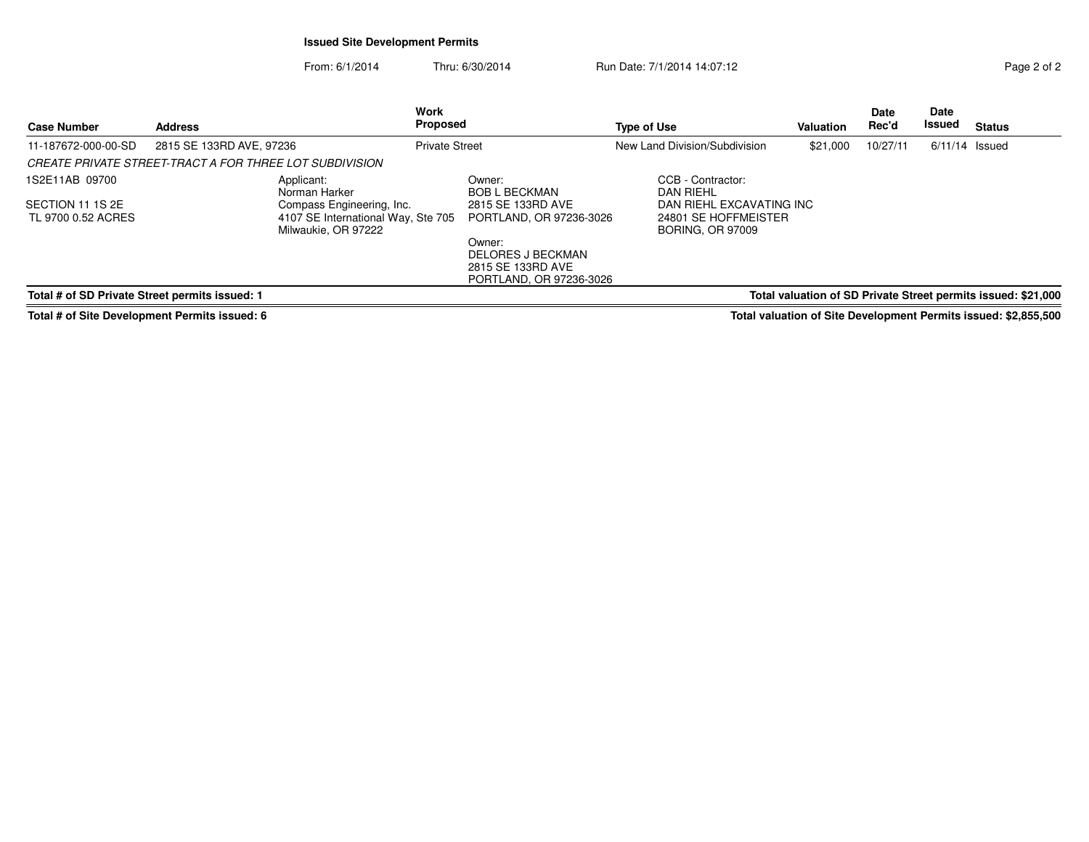## **Issued Site Development Permits**

From: 6/1/2014Thru: 6/30/2014 Run Date: 7/1/2014 14:07:12 Rege 2 of 2

| <b>Case Number</b>                                                                                              | <b>Address</b>           |                                                                                        | Work<br><b>Proposed</b> |                                                                             | <b>Type of Use</b> |                                                                             | Valuation | Date<br>Rec'd | Date<br>Issued   | <b>Status</b> |
|-----------------------------------------------------------------------------------------------------------------|--------------------------|----------------------------------------------------------------------------------------|-------------------------|-----------------------------------------------------------------------------|--------------------|-----------------------------------------------------------------------------|-----------|---------------|------------------|---------------|
| 11-187672-000-00-SD                                                                                             | 2815 SE 133RD AVE, 97236 |                                                                                        | <b>Private Street</b>   |                                                                             |                    | New Land Division/Subdivision                                               | \$21,000  | 10/27/11      | $6/11/14$ Issued |               |
| <b>CREATE PRIVATE STREET-TRACT A FOR THREE LOT SUBDIVISION</b>                                                  |                          |                                                                                        |                         |                                                                             |                    |                                                                             |           |               |                  |               |
| 1S2E11AB 09700                                                                                                  |                          | Applicant:<br>Norman Harker                                                            |                         | Owner:<br>BOB L BECKMAN                                                     |                    | CCB - Contractor:<br>DAN RIEHL                                              |           |               |                  |               |
| SECTION 11 1S 2E<br>TL 9700 0.52 ACRES                                                                          |                          | Compass Engineering, Inc.<br>4107 SE International Way, Ste 705<br>Milwaukie, OR 97222 |                         | 2815 SE 133RD AVE<br>PORTLAND, OR 97236-3026                                |                    | DAN RIEHL EXCAVATING INC<br>24801 SE HOFFMEISTER<br><b>BORING, OR 97009</b> |           |               |                  |               |
|                                                                                                                 |                          |                                                                                        |                         | Owner:<br>DELORES J BECKMAN<br>2815 SE 133RD AVE<br>PORTLAND, OR 97236-3026 |                    |                                                                             |           |               |                  |               |
| Total # of SD Private Street permits issued: 1<br>Total valuation of SD Private Street permits issued: \$21,000 |                          |                                                                                        |                         |                                                                             |                    |                                                                             |           |               |                  |               |

**Total # of Site Development Permits issued: 6**

**Total valuation of Site Development Permits issued: \$2,855,500**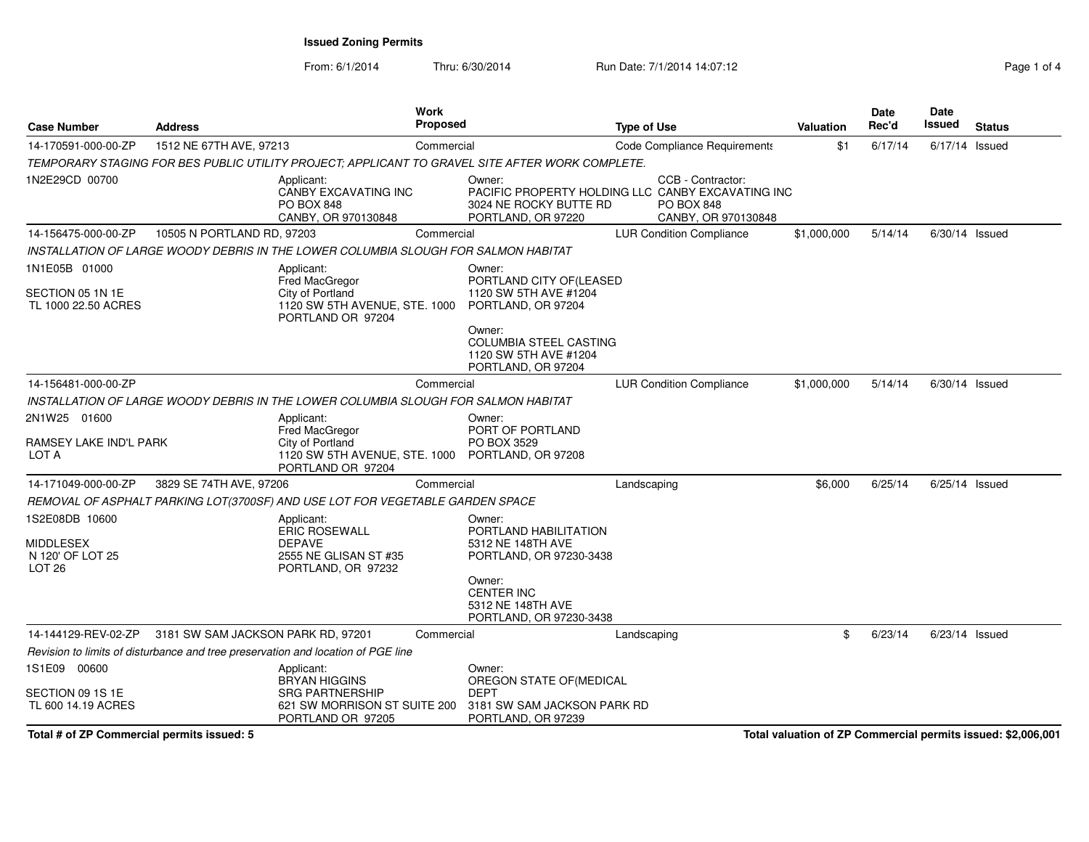From: 6/1/2014Thru: 6/30/2014 **Run Date: 7/1/2014 14:07:12** Page 1 of 4

| <b>Case Number</b>                                                   | <b>Address</b>                     |                                                                                                               | <b>Work</b><br>Proposed |                                                                                                 | <b>Type of Use</b>                                                                                                 | Valuation                                                    | Date<br>Rec'd | <b>Date</b><br><b>Issued</b> | <b>Status</b> |
|----------------------------------------------------------------------|------------------------------------|---------------------------------------------------------------------------------------------------------------|-------------------------|-------------------------------------------------------------------------------------------------|--------------------------------------------------------------------------------------------------------------------|--------------------------------------------------------------|---------------|------------------------------|---------------|
| 14-170591-000-00-ZP                                                  | 1512 NE 67TH AVE, 97213            |                                                                                                               | Commercial              |                                                                                                 | Code Compliance Requirements                                                                                       | \$1                                                          | 6/17/14       | 6/17/14 Issued               |               |
|                                                                      |                                    |                                                                                                               |                         | TEMPORARY STAGING FOR BES PUBLIC UTILITY PROJECT; APPLICANT TO GRAVEL SITE AFTER WORK COMPLETE. |                                                                                                                    |                                                              |               |                              |               |
| 1N2E29CD 00700                                                       |                                    | Applicant:<br>CANBY EXCAVATING INC<br><b>PO BOX 848</b><br>CANBY, OR 970130848                                |                         | Owner:<br>3024 NE ROCKY BUTTE RD<br>PORTLAND, OR 97220                                          | CCB - Contractor:<br>PACIFIC PROPERTY HOLDING LLC CANBY EXCAVATING INC<br><b>PO BOX 848</b><br>CANBY, OR 970130848 |                                                              |               |                              |               |
| 14-156475-000-00-ZP                                                  | 10505 N PORTLAND RD, 97203         |                                                                                                               | Commercial              |                                                                                                 | <b>LUR Condition Compliance</b>                                                                                    | \$1,000,000                                                  | 5/14/14       | $6/30/14$ Issued             |               |
|                                                                      |                                    | INSTALLATION OF LARGE WOODY DEBRIS IN THE LOWER COLUMBIA SLOUGH FOR SALMON HABITAT                            |                         |                                                                                                 |                                                                                                                    |                                                              |               |                              |               |
| 1N1E05B 01000<br>SECTION 05 1N 1E<br>TL 1000 22.50 ACRES             |                                    | Applicant:<br>Fred MacGregor<br>City of Portland<br>1120 SW 5TH AVENUE, STE. 1000<br>PORTLAND OR 97204        |                         | Owner:<br>PORTLAND CITY OF(LEASED<br>1120 SW 5TH AVE #1204<br>PORTLAND, OR 97204                |                                                                                                                    |                                                              |               |                              |               |
|                                                                      |                                    |                                                                                                               |                         | Owner:<br><b>COLUMBIA STEEL CASTING</b><br>1120 SW 5TH AVE #1204<br>PORTLAND, OR 97204          |                                                                                                                    |                                                              |               |                              |               |
| 14-156481-000-00-ZP                                                  |                                    |                                                                                                               | Commercial              |                                                                                                 | <b>LUR Condition Compliance</b>                                                                                    | \$1,000,000                                                  | 5/14/14       | 6/30/14 Issued               |               |
|                                                                      |                                    | INSTALLATION OF LARGE WOODY DEBRIS IN THE LOWER COLUMBIA SLOUGH FOR SALMON HABITAT                            |                         |                                                                                                 |                                                                                                                    |                                                              |               |                              |               |
| 2N1W25 01600<br>RAMSEY LAKE IND'L PARK<br>LOT A                      |                                    | Applicant:<br><b>Fred MacGregor</b><br>City of Portland<br>1120 SW 5TH AVENUE, STE. 1000<br>PORTLAND OR 97204 |                         | Owner:<br>PORT OF PORTLAND<br>PO BOX 3529<br>PORTLAND, OR 97208                                 |                                                                                                                    |                                                              |               |                              |               |
| 14-171049-000-00-ZP                                                  | 3829 SE 74TH AVE, 97206            |                                                                                                               | Commercial              |                                                                                                 | Landscaping                                                                                                        | \$6,000                                                      | 6/25/14       | 6/25/14 Issued               |               |
|                                                                      |                                    | REMOVAL OF ASPHALT PARKING LOT(3700SF) AND USE LOT FOR VEGETABLE GARDEN SPACE                                 |                         |                                                                                                 |                                                                                                                    |                                                              |               |                              |               |
| 1S2E08DB 10600<br>MIDDLESEX<br>N 120' OF LOT 25<br>LOT <sub>26</sub> |                                    | Applicant:<br><b>ERIC ROSEWALL</b><br><b>DEPAVE</b><br>2555 NE GLISAN ST #35<br>PORTLAND, OR 97232            |                         | Owner:<br>PORTLAND HABILITATION<br>5312 NE 148TH AVE<br>PORTLAND, OR 97230-3438                 |                                                                                                                    |                                                              |               |                              |               |
|                                                                      |                                    |                                                                                                               |                         | Owner:<br><b>CENTER INC</b><br>5312 NE 148TH AVE<br>PORTLAND, OR 97230-3438                     |                                                                                                                    |                                                              |               |                              |               |
| 14-144129-REV-02-ZP                                                  | 3181 SW SAM JACKSON PARK RD, 97201 |                                                                                                               | Commercial              |                                                                                                 | Landscaping                                                                                                        | \$                                                           | 6/23/14       | $6/23/14$ Issued             |               |
|                                                                      |                                    | Revision to limits of disturbance and tree preservation and location of PGE line                              |                         |                                                                                                 |                                                                                                                    |                                                              |               |                              |               |
| 1S1E09 00600<br>SECTION 09 1S 1E<br>TL 600 14.19 ACRES               |                                    | Applicant:<br><b>BRYAN HIGGINS</b><br><b>SRG PARTNERSHIP</b><br>621 SW MORRISON ST SUITE 200                  |                         | Owner:<br>OREGON STATE OF (MEDICAL<br><b>DEPT</b><br>3181 SW SAM JACKSON PARK RD                |                                                                                                                    |                                                              |               |                              |               |
| Total # of ZP Commercial permits issued: 5                           |                                    | PORTLAND OR 97205                                                                                             |                         | PORTLAND, OR 97239                                                                              |                                                                                                                    | Total valuation of ZP Commercial permits issued: \$2,006,001 |               |                              |               |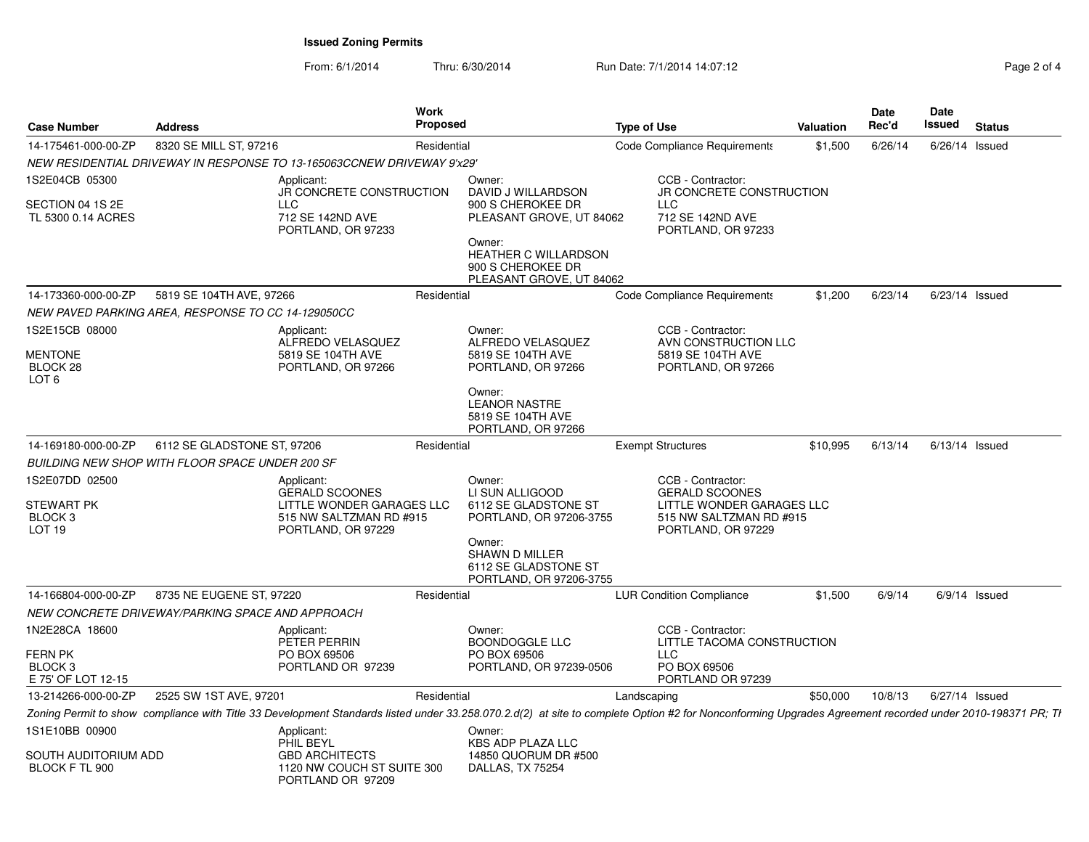From: 6/1/2014Thru: 6/30/2014 Run Date: 7/1/2014 14:07:12 Rege 2 of 4

| Page 2 of 4 |  |  |
|-------------|--|--|

| <b>Case Number</b>                                                           | <b>Address</b>              | Work                                                                                                              | <b>Proposed</b>                                                                                                 | <b>Type of Use</b>                                                                                                                                                                                       | <b>Valuation</b> | Date<br>Rec'd | Date<br>Issued<br><b>Status</b> |
|------------------------------------------------------------------------------|-----------------------------|-------------------------------------------------------------------------------------------------------------------|-----------------------------------------------------------------------------------------------------------------|----------------------------------------------------------------------------------------------------------------------------------------------------------------------------------------------------------|------------------|---------------|---------------------------------|
| 14-175461-000-00-ZP                                                          | 8320 SE MILL ST, 97216      |                                                                                                                   | Residential                                                                                                     | Code Compliance Requirements                                                                                                                                                                             | \$1,500          | 6/26/14       | 6/26/14 Issued                  |
|                                                                              |                             | NEW RESIDENTIAL DRIVEWAY IN RESPONSE TO 13-165063CCNEW DRIVEWAY 9'x29'                                            |                                                                                                                 |                                                                                                                                                                                                          |                  |               |                                 |
| 1S2E04CB 05300<br>SECTION 04 1S 2E<br>TL 5300 0.14 ACRES                     |                             | Applicant:<br>JR CONCRETE CONSTRUCTION<br>LLC<br>712 SE 142ND AVE<br>PORTLAND, OR 97233                           | Owner:<br>DAVID J WILLARDSON<br>900 S CHEROKEE DR<br>PLEASANT GROVE, UT 84062<br>Owner:<br>HEATHER C WILLARDSON | CCB - Contractor:<br>JR CONCRETE CONSTRUCTION<br><b>LLC</b><br>712 SE 142ND AVE<br>PORTLAND, OR 97233                                                                                                    |                  |               |                                 |
|                                                                              |                             |                                                                                                                   | 900 S CHEROKEE DR<br>PLEASANT GROVE, UT 84062                                                                   |                                                                                                                                                                                                          |                  |               |                                 |
| 14-173360-000-00-ZP                                                          | 5819 SE 104TH AVE, 97266    |                                                                                                                   | Residential                                                                                                     | Code Compliance Requirements                                                                                                                                                                             | \$1,200          | 6/23/14       | 6/23/14 Issued                  |
| NEW PAVED PARKING AREA, RESPONSE TO CC 14-129050CC                           |                             |                                                                                                                   |                                                                                                                 |                                                                                                                                                                                                          |                  |               |                                 |
| 1S2E15CB 08000<br><b>MENTONE</b><br>BLOCK 28<br>LOT <sub>6</sub>             |                             | Applicant:<br>ALFREDO VELASQUEZ<br>5819 SE 104TH AVE<br>PORTLAND, OR 97266                                        | Owner:<br>ALFREDO VELASQUEZ<br>5819 SE 104TH AVE<br>PORTLAND, OR 97266<br>Owner:                                | CCB - Contractor:<br>AVN CONSTRUCTION LLC<br>5819 SE 104TH AVE<br>PORTLAND, OR 97266                                                                                                                     |                  |               |                                 |
|                                                                              |                             |                                                                                                                   | <b>LEANOR NASTRE</b><br>5819 SE 104TH AVE<br>PORTLAND, OR 97266                                                 |                                                                                                                                                                                                          |                  |               |                                 |
| 14-169180-000-00-ZP                                                          | 6112 SE GLADSTONE ST, 97206 |                                                                                                                   | Residential                                                                                                     | <b>Exempt Structures</b>                                                                                                                                                                                 | \$10,995         |               | 6/13/14 6/13/14 Issued          |
| BUILDING NEW SHOP WITH FLOOR SPACE UNDER 200 SF                              |                             |                                                                                                                   |                                                                                                                 |                                                                                                                                                                                                          |                  |               |                                 |
| 1S2E07DD 02500<br><b>STEWART PK</b><br>BLOCK <sub>3</sub><br>LOT 19          |                             | Applicant:<br><b>GERALD SCOONES</b><br>LITTLE WONDER GARAGES LLC<br>515 NW SALTZMAN RD #915<br>PORTLAND, OR 97229 | Owner:<br>LI SUN ALLIGOOD<br>6112 SE GLADSTONE ST<br>PORTLAND, OR 97206-3755<br>Owner:<br><b>SHAWN D MILLER</b> | CCB - Contractor:<br><b>GERALD SCOONES</b><br>LITTLE WONDER GARAGES LLC<br>515 NW SALTZMAN RD #915<br>PORTLAND, OR 97229                                                                                 |                  |               |                                 |
|                                                                              |                             |                                                                                                                   | 6112 SE GLADSTONE ST<br>PORTLAND, OR 97206-3755                                                                 |                                                                                                                                                                                                          |                  |               |                                 |
| 14-166804-000-00-ZP                                                          | 8735 NE EUGENE ST, 97220    |                                                                                                                   | Residential                                                                                                     | <b>LUR Condition Compliance</b>                                                                                                                                                                          | \$1,500          | 6/9/14        | 6/9/14 Issued                   |
| NEW CONCRETE DRIVEWAY/PARKING SPACE AND APPROACH                             |                             |                                                                                                                   |                                                                                                                 |                                                                                                                                                                                                          |                  |               |                                 |
| 1N2E28CA 18600<br><b>FERN PK</b><br>BLOCK <sub>3</sub><br>E 75' OF LOT 12-15 |                             | Applicant:<br>PETER PERRIN<br>PO BOX 69506<br>PORTLAND OR 97239                                                   | Owner:<br>BOONDOGGLE LLC<br>PO BOX 69506<br>PORTLAND, OR 97239-0506                                             | CCB - Contractor:<br>LITTLE TACOMA CONSTRUCTION<br>LLC<br>PO BOX 69506<br>PORTLAND OR 97239                                                                                                              |                  |               |                                 |
| 13-214266-000-00-ZP                                                          | 2525 SW 1ST AVE, 97201      |                                                                                                                   | Residential                                                                                                     | Landscaping                                                                                                                                                                                              | \$50,000         |               | 10/8/13 6/27/14 Issued          |
|                                                                              |                             |                                                                                                                   |                                                                                                                 | Zoning Permit to show compliance with Title 33 Development Standards listed under 33.258.070.2.d(2) at site to complete Option #2 for Nonconforming Upgrades Agreement recorded under 2010-198371 PR; Ti |                  |               |                                 |
| 1S1E10BB 00900                                                               |                             | Applicant:<br>PHIL BEYL                                                                                           | Owner:<br><b>KBS ADP PLAZA LLC</b>                                                                              |                                                                                                                                                                                                          |                  |               |                                 |
| SOUTH AUDITORIUM ADD<br>BLOCK F TL 900                                       |                             | <b>GBD ARCHITECTS</b><br>1120 NW COUCH ST SUITE 300<br>PORTLAND OR 97209                                          | 14850 QUORUM DR #500<br>DALLAS, TX 75254                                                                        |                                                                                                                                                                                                          |                  |               |                                 |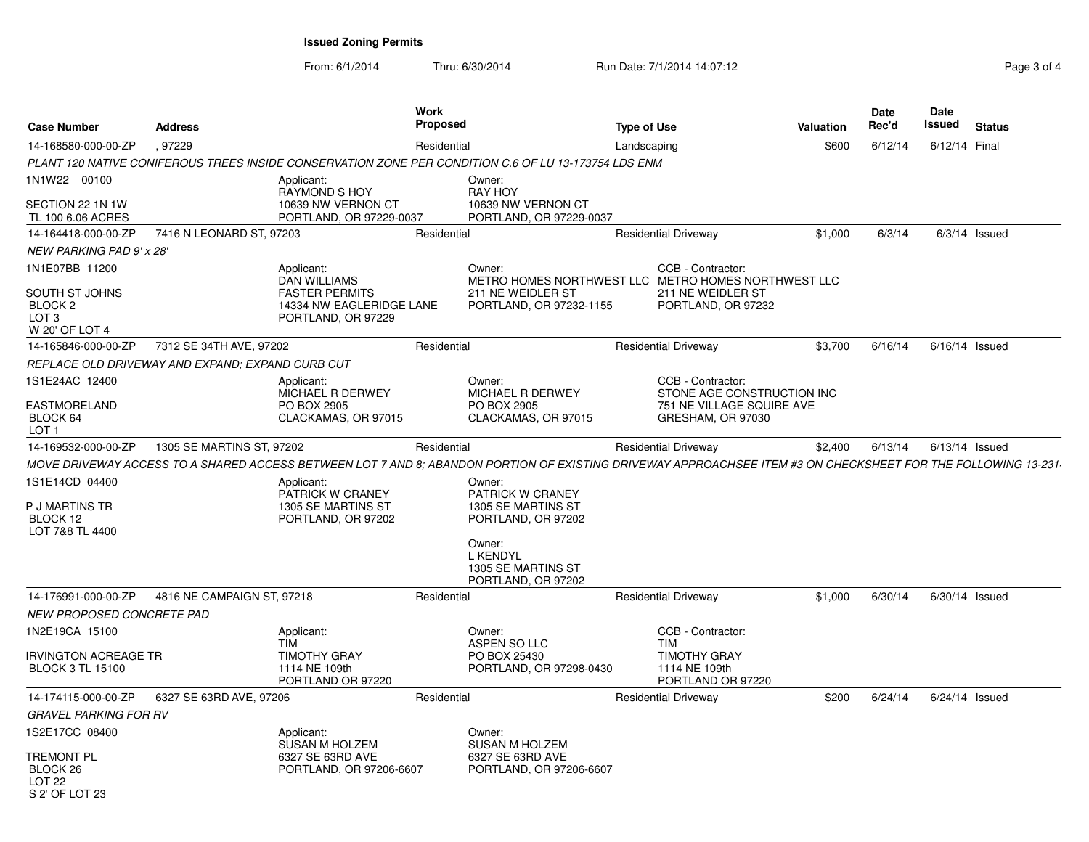From: 6/1/2014Thru: 6/30/2014 Run Date: 7/1/2014 14:07:12 Page 3 of 4

| <b>Case Number</b>                                                                           | <b>Address</b>                                   |                                                                                                              | <b>Work</b><br>Proposed<br><b>Type of Use</b> |                                                                                                                                                              |             |                                                              | Valuation | Date<br>Rec'd | <b>Date</b><br>Issued | <b>Status</b>   |
|----------------------------------------------------------------------------------------------|--------------------------------------------------|--------------------------------------------------------------------------------------------------------------|-----------------------------------------------|--------------------------------------------------------------------------------------------------------------------------------------------------------------|-------------|--------------------------------------------------------------|-----------|---------------|-----------------------|-----------------|
| 14-168580-000-00-ZP                                                                          | .97229<br>Residential                            |                                                                                                              |                                               |                                                                                                                                                              | Landscaping |                                                              | \$600     | 6/12/14       | 6/12/14 Final         |                 |
|                                                                                              |                                                  |                                                                                                              |                                               | PLANT 120 NATIVE CONIFEROUS TREES INSIDE CONSERVATION ZONE PER CONDITION C.6 OF LU 13-173754 LDS ENM                                                         |             |                                                              |           |               |                       |                 |
| 1N1W22 00100<br>SECTION 22 1N 1W<br>TL 100 6.06 ACRES                                        |                                                  | Applicant:<br><b>RAYMOND S HOY</b><br>10639 NW VERNON CT<br>PORTLAND, OR 97229-0037                          |                                               | Owner:<br><b>RAY HOY</b><br>10639 NW VERNON CT<br>PORTLAND, OR 97229-0037                                                                                    |             |                                                              |           |               |                       |                 |
| 14-164418-000-00-ZP                                                                          | 7416 N LEONARD ST, 97203                         |                                                                                                              | Residential                                   |                                                                                                                                                              |             | <b>Residential Driveway</b>                                  | \$1,000   | 6/3/14        |                       | $6/3/14$ Issued |
| <b>NEW PARKING PAD 9' x 28'</b>                                                              |                                                  |                                                                                                              |                                               |                                                                                                                                                              |             |                                                              |           |               |                       |                 |
| 1N1E07BB 11200<br>SOUTH ST JOHNS<br>BLOCK <sub>2</sub><br>LOT <sub>3</sub><br>W 20' OF LOT 4 |                                                  | Applicant:<br><b>DAN WILLIAMS</b><br><b>FASTER PERMITS</b><br>14334 NW EAGLERIDGE LANE<br>PORTLAND, OR 97229 |                                               | Owner:<br>METRO HOMES NORTHWEST LLC METRO HOMES NORTHWEST LLC<br>211 NE WEIDLER ST<br>PORTLAND, OR 97232-1155                                                |             | CCB - Contractor:<br>211 NE WEIDLER ST<br>PORTLAND, OR 97232 |           |               |                       |                 |
| 14-165846-000-00-ZP                                                                          | 7312 SE 34TH AVE, 97202                          |                                                                                                              | Residential                                   |                                                                                                                                                              |             | <b>Residential Driveway</b>                                  | \$3,700   | 6/16/14       | $6/16/14$ Issued      |                 |
|                                                                                              | REPLACE OLD DRIVEWAY AND EXPAND; EXPAND CURB CUT |                                                                                                              |                                               |                                                                                                                                                              |             |                                                              |           |               |                       |                 |
| 1S1E24AC 12400                                                                               |                                                  | Applicant:<br>MICHAEL R DERWEY                                                                               |                                               | Owner:<br>MICHAEL R DERWEY                                                                                                                                   |             | CCB - Contractor:<br>STONE AGE CONSTRUCTION INC              |           |               |                       |                 |
| <b>EASTMORELAND</b><br>BLOCK 64<br>LOT 1                                                     |                                                  | PO BOX 2905<br>CLACKAMAS, OR 97015                                                                           |                                               | PO BOX 2905<br>CLACKAMAS, OR 97015                                                                                                                           |             | 751 NE VILLAGE SQUIRE AVE<br>GRESHAM, OR 97030               |           |               |                       |                 |
| 14-169532-000-00-ZP                                                                          | 1305 SE MARTINS ST, 97202                        |                                                                                                              | Residential                                   |                                                                                                                                                              |             | <b>Residential Driveway</b>                                  | \$2,400   | 6/13/14       | $6/13/14$ Issued      |                 |
|                                                                                              |                                                  |                                                                                                              |                                               | MOVE DRIVEWAY ACCESS TO A SHARED ACCESS BETWEEN LOT 7 AND 8; ABANDON PORTION OF EXISTING DRIVEWAY APPROACHSEE ITEM #3 ON CHECKSHEET FOR THE FOLLOWING 13-231 |             |                                                              |           |               |                       |                 |
| 1S1E14CD 04400<br>P J MARTINS TR<br>BLOCK 12<br>LOT 7&8 TL 4400                              |                                                  | Applicant:<br>PATRICK W CRANEY<br>1305 SE MARTINS ST<br>PORTLAND, OR 97202                                   |                                               | Owner:<br><b>PATRICK W CRANEY</b><br>1305 SE MARTINS ST<br>PORTLAND, OR 97202<br>Owner:<br><b>L KENDYL</b><br>1305 SE MARTINS ST<br>PORTLAND, OR 97202       |             |                                                              |           |               |                       |                 |
| 14-176991-000-00-ZP                                                                          | 4816 NE CAMPAIGN ST, 97218                       |                                                                                                              | Residential                                   |                                                                                                                                                              |             | <b>Residential Driveway</b>                                  | \$1,000   | 6/30/14       | 6/30/14 Issued        |                 |
| NEW PROPOSED CONCRETE PAD                                                                    |                                                  |                                                                                                              |                                               |                                                                                                                                                              |             |                                                              |           |               |                       |                 |
| 1N2E19CA 15100                                                                               |                                                  | Applicant:<br><b>TIM</b>                                                                                     |                                               | Owner:<br>ASPEN SO LLC                                                                                                                                       |             | CCB - Contractor:<br>TIM                                     |           |               |                       |                 |
| <b>IRVINGTON ACREAGE TR</b><br><b>BLOCK 3 TL 15100</b>                                       |                                                  | <b>TIMOTHY GRAY</b><br>1114 NE 109th<br>PORTLAND OR 97220                                                    |                                               | PO BOX 25430<br>PORTLAND, OR 97298-0430                                                                                                                      |             | <b>TIMOTHY GRAY</b><br>1114 NE 109th<br>PORTLAND OR 97220    |           |               |                       |                 |
| 14-174115-000-00-ZP                                                                          | 6327 SE 63RD AVE, 97206                          |                                                                                                              | Residential                                   |                                                                                                                                                              |             | <b>Residential Driveway</b>                                  | \$200     | 6/24/14       | 6/24/14 Issued        |                 |
| GRAVEL PARKING FOR RV                                                                        |                                                  |                                                                                                              |                                               |                                                                                                                                                              |             |                                                              |           |               |                       |                 |
| 1S2E17CC 08400                                                                               |                                                  | Applicant:<br><b>SUSAN M HOLZEM</b>                                                                          |                                               | Owner:<br><b>SUSAN M HOLZEM</b>                                                                                                                              |             |                                                              |           |               |                       |                 |
| TREMONT PL<br>BLOCK <sub>26</sub><br>LOT <sub>22</sub><br>$S$ 2' OF LOT 23                   | 6327 SE 63RD AVE<br>PORTLAND, OR 97206-6607      |                                                                                                              | 6327 SE 63RD AVE<br>PORTLAND, OR 97206-6607   |                                                                                                                                                              |             |                                                              |           |               |                       |                 |